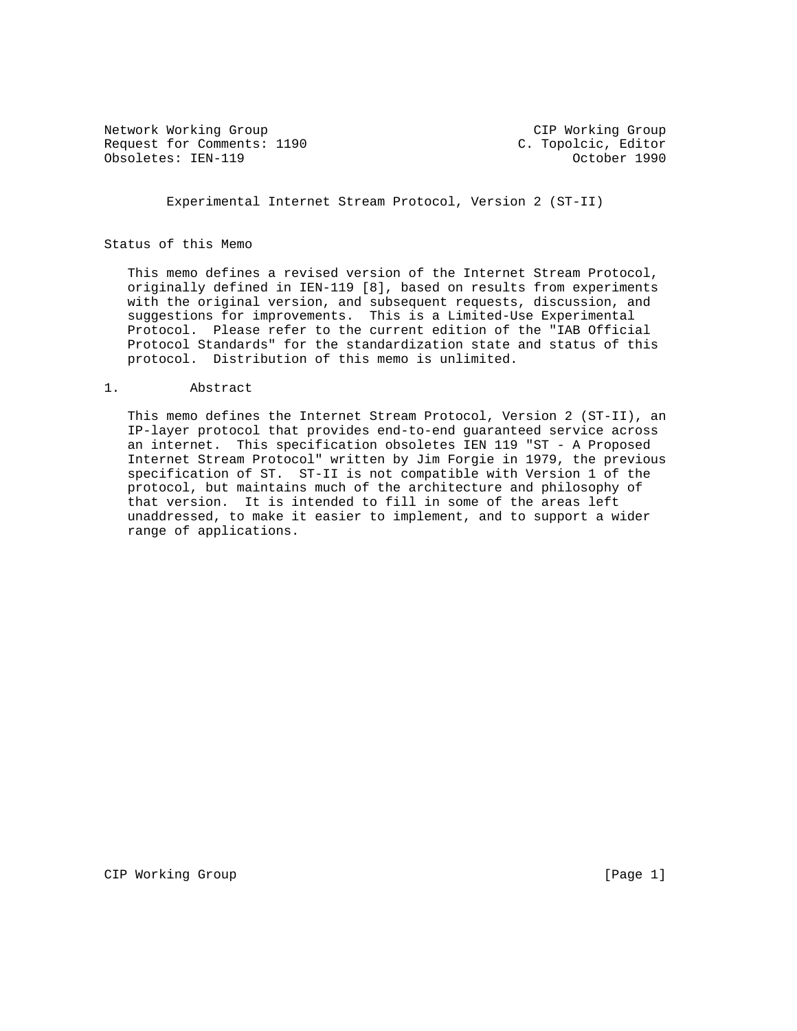Network Working Group CIP Working Group Request for Comments: 1190 C. Topolcic, Editor Obsoletes: IEN-119 October 1990

Experimental Internet Stream Protocol, Version 2 (ST-II)

### Status of this Memo

 This memo defines a revised version of the Internet Stream Protocol, originally defined in IEN-119 [8], based on results from experiments with the original version, and subsequent requests, discussion, and suggestions for improvements. This is a Limited-Use Experimental Protocol. Please refer to the current edition of the "IAB Official Protocol Standards" for the standardization state and status of this protocol. Distribution of this memo is unlimited.

## 1. Abstract

 This memo defines the Internet Stream Protocol, Version 2 (ST-II), an IP-layer protocol that provides end-to-end guaranteed service across an internet. This specification obsoletes IEN 119 "ST - A Proposed Internet Stream Protocol" written by Jim Forgie in 1979, the previous specification of ST. ST-II is not compatible with Version 1 of the protocol, but maintains much of the architecture and philosophy of that version. It is intended to fill in some of the areas left unaddressed, to make it easier to implement, and to support a wider range of applications.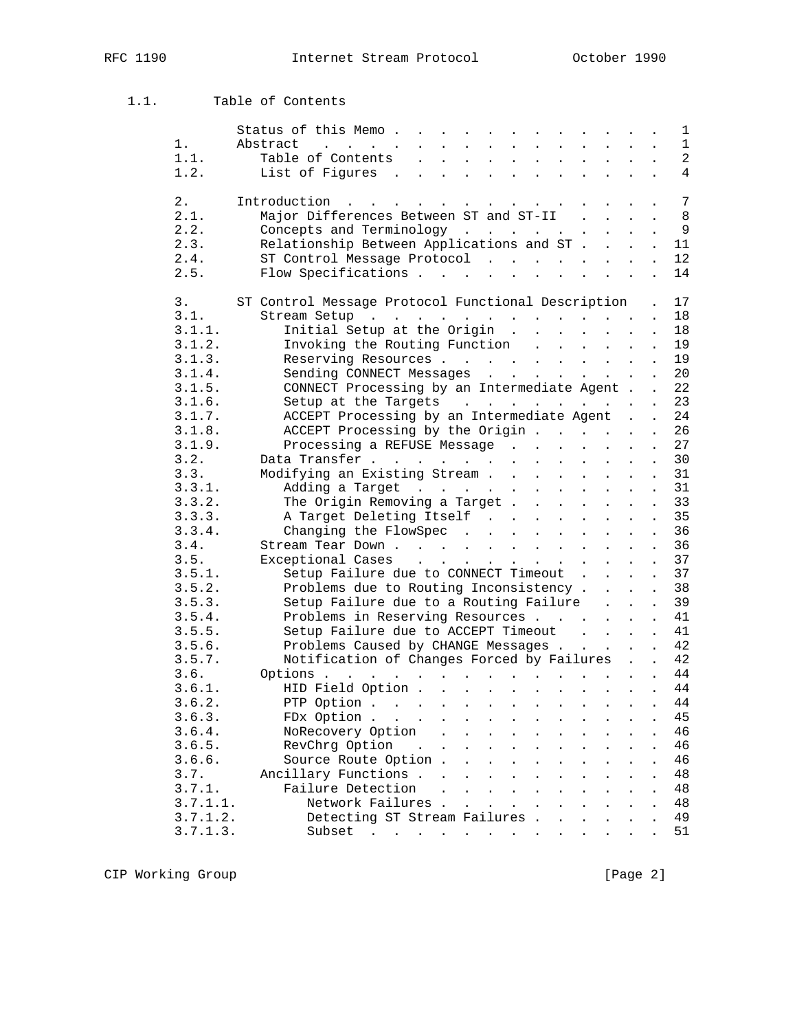| 1.1. |                  | Table of Contents                                                                                                                                                                                                                                                               |
|------|------------------|---------------------------------------------------------------------------------------------------------------------------------------------------------------------------------------------------------------------------------------------------------------------------------|
|      |                  | Status of this Memo.<br>1<br>$\mathbf{r}$ , $\mathbf{r}$ , $\mathbf{r}$ , $\mathbf{r}$                                                                                                                                                                                          |
|      | 1.               | $\mathbf{r}$ , $\mathbf{r}$ , $\mathbf{r}$ , $\mathbf{r}$ , $\mathbf{r}$<br>$\overline{1}$<br>Abstract<br>$\mathbf{r}$ , $\mathbf{r}$ , $\mathbf{r}$ , $\mathbf{r}$ , $\mathbf{r}$ , $\mathbf{r}$ , $\mathbf{r}$ , $\mathbf{r}$                                                 |
|      | 1.1.             | $\overline{\phantom{0}}^2$<br>Table of Contents                                                                                                                                                                                                                                 |
|      | 1.2.             | $\overline{4}$<br>List of Figures                                                                                                                                                                                                                                               |
|      |                  |                                                                                                                                                                                                                                                                                 |
|      | 2.               | $\overline{7}$<br>Introduction<br>$\mathbf{1}^{\prime}$ , $\mathbf{1}^{\prime}$ , $\mathbf{1}^{\prime}$ , $\mathbf{1}^{\prime}$ , $\mathbf{1}^{\prime}$ , $\mathbf{1}^{\prime}$ , $\mathbf{1}^{\prime}$ , $\mathbf{1}^{\prime}$ , $\mathbf{1}^{\prime}$ , $\mathbf{1}^{\prime}$ |
|      | 2.1.             | Major Differences Between ST and ST-II<br>8                                                                                                                                                                                                                                     |
|      | 2.2.             | 9<br>Concepts and Terminology                                                                                                                                                                                                                                                   |
|      | 2.3.             | Relationship Between Applications and ST<br>11                                                                                                                                                                                                                                  |
|      | 2.4.             | 12<br>ST Control Message Protocol                                                                                                                                                                                                                                               |
|      | 2.5.             | Flow Specifications<br>14                                                                                                                                                                                                                                                       |
|      | 3.               | ST Control Message Protocol Functional Description<br>17<br>$\mathcal{L}^{\text{max}}$                                                                                                                                                                                          |
|      | 3.1.             | Stream Setup<br>18                                                                                                                                                                                                                                                              |
|      | 3.1.1.           | 18<br>Initial Setup at the Origin                                                                                                                                                                                                                                               |
|      | 3.1.2.           | 19<br>Invoking the Routing Function                                                                                                                                                                                                                                             |
|      | 3.1.3.           | 19<br>Reserving Resources                                                                                                                                                                                                                                                       |
|      | 3.1.4.           | 20<br>Sending CONNECT Messages                                                                                                                                                                                                                                                  |
|      | 3.1.5.           | CONNECT Processing by an Intermediate Agent 22                                                                                                                                                                                                                                  |
|      | 3.1.6.           | Setup at the Targets<br>23                                                                                                                                                                                                                                                      |
|      | 3.1.7.           | ACCEPT Processing by an Intermediate Agent 24                                                                                                                                                                                                                                   |
|      | 3.1.8.           | ACCEPT Processing by the Origin 26                                                                                                                                                                                                                                              |
|      | 3.1.9.           | Processing a REFUSE Message<br>27                                                                                                                                                                                                                                               |
|      | 3.2.             | Data Transfer<br>30<br>$\mathcal{L}^{\text{max}}$<br>$\mathcal{L}^{\text{max}}$<br>$\mathbf{L}^{\text{max}}$<br>$\sim$<br>$\sim 10^{-11}$<br>$\sim 10^{-11}$<br>$\sim 10^{-11}$                                                                                                 |
|      | 3.3.             | Modifying an Existing Stream<br>31<br>$\mathcal{L}^{\text{max}}$<br>$\mathbf{L} = \mathbf{L}$                                                                                                                                                                                   |
|      | 3.3.1.           | Adding a Target<br>31                                                                                                                                                                                                                                                           |
|      | 3.3.2.           | The Origin Removing a Target 33                                                                                                                                                                                                                                                 |
|      | 3.3.3.           | A Target Deleting Itself<br>35<br>$\mathbf{L}^{\text{max}}$<br>$\sim$<br>$\sim$ 100 $\pm$                                                                                                                                                                                       |
|      | 3.3.4.           | Changing the FlowSpec<br>36<br>$\sim$ $-$<br>$\sim$ $-$<br>$\sim$<br>$\ddot{\phantom{0}}$                                                                                                                                                                                       |
|      | 3.4.             | 36<br>Stream Tear Down<br>$\mathbf{L}$<br>$\mathcal{L}^{\text{max}}$<br>$\mathbf{L}$<br>$\mathbf{L}^{\text{max}}$                                                                                                                                                               |
|      | 3.5.             | Exceptional Cases<br>37<br>$\mathbf{L} = \mathbf{L}$<br>$\mathbf{L}$<br>$\Delta \sim 10$                                                                                                                                                                                        |
|      | 3.5.1.           | Setup Failure due to CONNECT Timeout 37                                                                                                                                                                                                                                         |
|      | 3.5.2.           | Problems due to Routing Inconsistency 38                                                                                                                                                                                                                                        |
|      | 3.5.3.           | Setup Failure due to a Routing Failure 39                                                                                                                                                                                                                                       |
|      | 3.5.4.           | Problems in Reserving Resources 41                                                                                                                                                                                                                                              |
|      | 3.5.5.           | Setup Failure due to ACCEPT Timeout<br>$\cdot$ $\cdot$ 41                                                                                                                                                                                                                       |
|      | 3.5.6.           | Problems Caused by CHANGE Messages<br>42                                                                                                                                                                                                                                        |
|      | 3.5.7.           | Notification of Changes Forced by Failures<br>42                                                                                                                                                                                                                                |
|      |                  | 44                                                                                                                                                                                                                                                                              |
|      | 3.6.<br>3.6.1.   | Options<br>44                                                                                                                                                                                                                                                                   |
|      | 3.6.2.           | HID Field Option.<br>$\ddot{\phantom{a}}$<br>44                                                                                                                                                                                                                                 |
|      |                  | PTP Option<br>$\bullet$<br>$\ddot{\phantom{a}}$                                                                                                                                                                                                                                 |
|      | 3.6.3.           | 45<br>FDx Option.<br>$\mathcal{L}^{\text{max}}$ , $\mathcal{L}^{\text{max}}$                                                                                                                                                                                                    |
|      | 3.6.4.<br>3.6.5. | 46<br>NoRecovery Option<br>$\mathbf{L}$<br>$\mathbf{r}$<br>$\mathbf{r}$<br>$\mathbf{r}$                                                                                                                                                                                         |
|      |                  | 46<br>RevChrg Option<br>$\sim$<br>$\mathbf{L}$<br>$\mathbf{r}$<br>$\sim$<br>$\ddot{\phantom{a}}$                                                                                                                                                                                |
|      | 3.6.6.           | 46<br>Source Route Option.<br>$\ddot{\phantom{a}}$<br>$\mathbf{L}^{\text{max}}$<br>$\mathbf{L}$<br>$\ddot{\phantom{a}}$<br>$\ddot{\phantom{a}}$<br>$\ddot{\phantom{a}}$                                                                                                         |
|      | 3.7.             | 48<br>Ancillary Functions .<br>$\sim$<br>$\ddot{\phantom{a}}$<br>$\ddot{\phantom{0}}$<br>$\ddot{\phantom{0}}$<br>$\ddot{\phantom{a}}$<br>$\bullet$<br>$\bullet$                                                                                                                 |
|      | 3.7.1.           | 48<br>Failure Detection<br>$\mathcal{L}^{\pm}$<br>$\mathbb{Z}^2$<br>$\bullet$                                                                                                                                                                                                   |
|      | 3.7.1.1.         | Network Failures .<br>48<br>$\sim$<br>$\ddot{\phantom{a}}$                                                                                                                                                                                                                      |
|      | 3.7.1.2.         | 49<br>Detecting ST Stream Failures<br>$\mathbf{r}$<br>$\sim$                                                                                                                                                                                                                    |
|      | 3.7.1.3.         | 51<br>Subset                                                                                                                                                                                                                                                                    |

CIP Working Group **compared to the CIP CIP Working Group**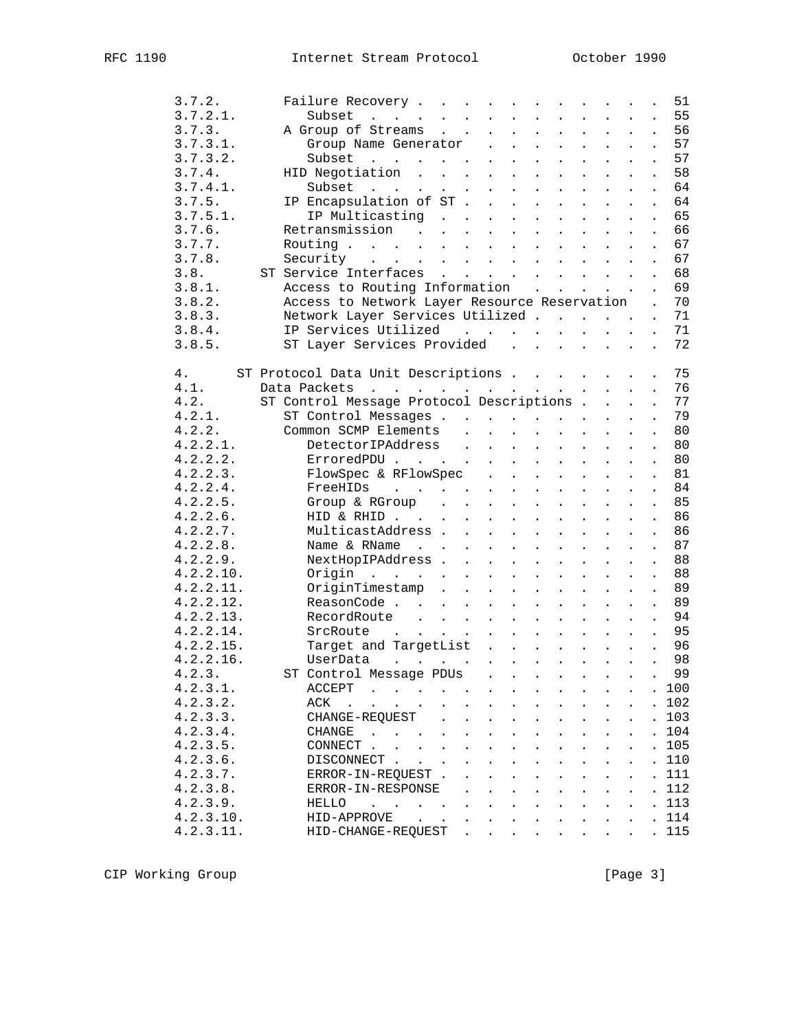| 3.7.2.    | Failure Recovery 51                                                 |                                                               |                      |                                                                       |                                                                                                                                                                                                                                                                                                                                                                                                                        |                            |                                                                                                         |                           |                           |                                             |                                                           |                    |
|-----------|---------------------------------------------------------------------|---------------------------------------------------------------|----------------------|-----------------------------------------------------------------------|------------------------------------------------------------------------------------------------------------------------------------------------------------------------------------------------------------------------------------------------------------------------------------------------------------------------------------------------------------------------------------------------------------------------|----------------------------|---------------------------------------------------------------------------------------------------------|---------------------------|---------------------------|---------------------------------------------|-----------------------------------------------------------|--------------------|
| 3.7.2.1.  | Subset                                                              |                                                               |                      | $\mathbf{r} = \mathbf{r} \times \mathbf{r}$ . The set of $\mathbf{r}$ | $\mathcal{L}^{\text{max}}$                                                                                                                                                                                                                                                                                                                                                                                             | $\mathcal{L}^{\text{max}}$ | $\mathcal{L}^{\text{max}}$                                                                              | $\mathbf{L}^{\text{max}}$ |                           | $\mathbf{L} = \mathbf{L} \times \mathbf{L}$ |                                                           | 55                 |
| 3.7.3.    | A Group of Streams                                                  |                                                               |                      |                                                                       |                                                                                                                                                                                                                                                                                                                                                                                                                        |                            |                                                                                                         |                           |                           |                                             |                                                           | 56                 |
| 3.7.3.1.  | Group Name Generator                                                |                                                               |                      |                                                                       |                                                                                                                                                                                                                                                                                                                                                                                                                        |                            |                                                                                                         |                           |                           |                                             |                                                           | 57                 |
| 3.7.3.2.  | Subset 57                                                           |                                                               |                      |                                                                       |                                                                                                                                                                                                                                                                                                                                                                                                                        |                            |                                                                                                         |                           |                           |                                             |                                                           |                    |
| 3.7.4.    | HID Negotiation                                                     |                                                               |                      |                                                                       |                                                                                                                                                                                                                                                                                                                                                                                                                        |                            |                                                                                                         |                           |                           |                                             |                                                           | 58                 |
| 3.7.4.1.  | Subset                                                              |                                                               |                      |                                                                       |                                                                                                                                                                                                                                                                                                                                                                                                                        |                            |                                                                                                         |                           |                           |                                             |                                                           | $\cdot$ $\cdot$ 64 |
| 3.7.5.    | IP Encapsulation of ST                                              |                                                               |                      |                                                                       |                                                                                                                                                                                                                                                                                                                                                                                                                        |                            |                                                                                                         |                           |                           |                                             |                                                           | 64                 |
| 3.7.5.1.  | IP Multicasting                                                     |                                                               |                      |                                                                       |                                                                                                                                                                                                                                                                                                                                                                                                                        |                            |                                                                                                         |                           |                           |                                             |                                                           | 65                 |
| 3.7.6.    | Retransmission                                                      |                                                               |                      |                                                                       |                                                                                                                                                                                                                                                                                                                                                                                                                        |                            |                                                                                                         |                           |                           |                                             |                                                           | 66                 |
| 3.7.7.    | Routing                                                             |                                                               |                      |                                                                       |                                                                                                                                                                                                                                                                                                                                                                                                                        |                            |                                                                                                         |                           |                           |                                             |                                                           | 67                 |
| 3.7.8.    | Security                                                            |                                                               |                      |                                                                       |                                                                                                                                                                                                                                                                                                                                                                                                                        |                            |                                                                                                         |                           |                           |                                             |                                                           | 67                 |
| 3.8.      | ST Service Interfaces                                               |                                                               |                      |                                                                       |                                                                                                                                                                                                                                                                                                                                                                                                                        |                            |                                                                                                         |                           |                           |                                             |                                                           | 68                 |
| 3.8.1.    |                                                                     |                                                               |                      |                                                                       |                                                                                                                                                                                                                                                                                                                                                                                                                        |                            |                                                                                                         |                           |                           |                                             |                                                           | 69                 |
|           | Access to Routing Information                                       |                                                               |                      |                                                                       |                                                                                                                                                                                                                                                                                                                                                                                                                        |                            |                                                                                                         |                           |                           |                                             |                                                           |                    |
| 3.8.2.    | Access to Network Layer Resource Reservation . 70                   |                                                               |                      |                                                                       |                                                                                                                                                                                                                                                                                                                                                                                                                        |                            |                                                                                                         |                           |                           |                                             |                                                           |                    |
| 3.8.3.    | Network Layer Services Utilized                                     |                                                               |                      |                                                                       |                                                                                                                                                                                                                                                                                                                                                                                                                        |                            |                                                                                                         |                           |                           |                                             |                                                           | 71                 |
| 3.8.4.    | IP Services Utilized                                                |                                                               |                      |                                                                       |                                                                                                                                                                                                                                                                                                                                                                                                                        |                            |                                                                                                         |                           |                           |                                             |                                                           | 71                 |
| 3.8.5.    | ST Layer Services Provided                                          |                                                               |                      |                                                                       |                                                                                                                                                                                                                                                                                                                                                                                                                        |                            |                                                                                                         |                           |                           |                                             |                                                           | 72                 |
|           |                                                                     |                                                               |                      |                                                                       |                                                                                                                                                                                                                                                                                                                                                                                                                        |                            |                                                                                                         |                           |                           |                                             |                                                           |                    |
| 4.        | ST Protocol Data Unit Descriptions                                  |                                                               |                      |                                                                       |                                                                                                                                                                                                                                                                                                                                                                                                                        |                            |                                                                                                         |                           |                           |                                             |                                                           | 75                 |
| 4.1.      | Data Packets                                                        |                                                               |                      |                                                                       |                                                                                                                                                                                                                                                                                                                                                                                                                        |                            |                                                                                                         |                           |                           |                                             |                                                           | 76                 |
| 4.2.      | ST Control Message Protocol Descriptions                            |                                                               |                      |                                                                       |                                                                                                                                                                                                                                                                                                                                                                                                                        |                            |                                                                                                         |                           |                           |                                             |                                                           | 77                 |
| 4.2.1.    | ST Control Messages                                                 |                                                               |                      |                                                                       |                                                                                                                                                                                                                                                                                                                                                                                                                        |                            |                                                                                                         |                           |                           |                                             |                                                           | 79                 |
| 4.2.2.    | Common SCMP Elements                                                |                                                               |                      |                                                                       |                                                                                                                                                                                                                                                                                                                                                                                                                        |                            |                                                                                                         |                           |                           |                                             |                                                           | 80                 |
| 4.2.2.1.  | DetectorIPAddress                                                   |                                                               |                      |                                                                       |                                                                                                                                                                                                                                                                                                                                                                                                                        |                            |                                                                                                         |                           |                           |                                             | $\mathbf{L} = \mathbf{L} \mathbf{L}$                      | 80                 |
| 4.2.2.2.  | ErroredPDU                                                          |                                                               |                      |                                                                       | $\mathbf{r} = \mathbf{r} \times \mathbf{r}$ , where $\mathbf{r} = \mathbf{r} \times \mathbf{r}$                                                                                                                                                                                                                                                                                                                        |                            |                                                                                                         |                           | $\mathbf{L}^{\text{max}}$ |                                             | $\mathbf{L}^{\text{max}}$ and $\mathbf{L}^{\text{max}}$   | 80                 |
| 4.2.2.3.  | FlowSpec & RFlowSpec                                                |                                                               |                      |                                                                       |                                                                                                                                                                                                                                                                                                                                                                                                                        |                            |                                                                                                         |                           |                           |                                             |                                                           | 81                 |
| 4.2.2.4.  | FreeHIDs                                                            |                                                               |                      |                                                                       |                                                                                                                                                                                                                                                                                                                                                                                                                        |                            |                                                                                                         |                           |                           |                                             |                                                           | 84                 |
| 4.2.2.5.  | Group & RGroup                                                      |                                                               |                      |                                                                       |                                                                                                                                                                                                                                                                                                                                                                                                                        |                            |                                                                                                         |                           |                           |                                             |                                                           | 85                 |
| 4.2.2.6.  | HID & RHID                                                          |                                                               |                      |                                                                       |                                                                                                                                                                                                                                                                                                                                                                                                                        |                            |                                                                                                         |                           |                           |                                             |                                                           | 86                 |
| 4.2.2.7.  | MulticastAddress                                                    |                                                               |                      |                                                                       |                                                                                                                                                                                                                                                                                                                                                                                                                        |                            |                                                                                                         |                           |                           |                                             |                                                           | 86                 |
| 4.2.2.8.  | Name & RName                                                        |                                                               |                      | $\mathcal{L}^{\text{max}}$                                            | $\mathbf{1}=\mathbf{1}=\mathbf{1}=\mathbf{1}=\mathbf{1}=\mathbf{1}=\mathbf{1}=\mathbf{1}=\mathbf{1}=\mathbf{1}=\mathbf{1}=\mathbf{1}=\mathbf{1}=\mathbf{1}=\mathbf{1}=\mathbf{1}=\mathbf{1}=\mathbf{1}=\mathbf{1}=\mathbf{1}=\mathbf{1}=\mathbf{1}=\mathbf{1}=\mathbf{1}=\mathbf{1}=\mathbf{1}=\mathbf{1}=\mathbf{1}=\mathbf{1}=\mathbf{1}=\mathbf{1}=\mathbf{1}=\mathbf{1}=\mathbf{1}=\mathbf{1}=\mathbf{1}=\mathbf{$ |                            |                                                                                                         |                           |                           |                                             | $\mathbf{L}^{\text{max}}$ , and $\mathbf{L}^{\text{max}}$ | 87                 |
| 4.2.2.9.  | NextHopIPAddress                                                    |                                                               |                      |                                                                       |                                                                                                                                                                                                                                                                                                                                                                                                                        |                            |                                                                                                         |                           |                           |                                             |                                                           | 88                 |
| 4.2.2.10. | Origin                                                              |                                                               |                      |                                                                       |                                                                                                                                                                                                                                                                                                                                                                                                                        |                            |                                                                                                         |                           |                           |                                             |                                                           | 88                 |
| 4.2.2.11. | OriginTimestamp.                                                    |                                                               |                      |                                                                       |                                                                                                                                                                                                                                                                                                                                                                                                                        |                            |                                                                                                         |                           |                           |                                             |                                                           | 89                 |
| 4.2.2.12. | ReasonCode                                                          |                                                               |                      |                                                                       |                                                                                                                                                                                                                                                                                                                                                                                                                        |                            |                                                                                                         |                           |                           |                                             |                                                           | 89                 |
| 4.2.2.13. | RecordRoute                                                         |                                                               |                      |                                                                       |                                                                                                                                                                                                                                                                                                                                                                                                                        |                            |                                                                                                         |                           |                           |                                             |                                                           | $\cdot$ $\cdot$ 94 |
| 4.2.2.14. | SrcRoute .                                                          | $\mathcal{L}^{\text{max}}$ , where $\mathcal{L}^{\text{max}}$ |                      |                                                                       |                                                                                                                                                                                                                                                                                                                                                                                                                        |                            |                                                                                                         |                           |                           |                                             |                                                           | 95                 |
| 4.2.2.15. | Target and TargetList                                               |                                                               |                      |                                                                       | $\sim 10^{-11}$                                                                                                                                                                                                                                                                                                                                                                                                        |                            | $\mathbf{r} = \mathbf{r} + \mathbf{r} + \mathbf{r} + \mathbf{r} + \mathbf{r} + \mathbf{r} + \mathbf{r}$ |                           |                           |                                             |                                                           | 96                 |
| 4.2.2.16. | UserData                                                            |                                                               |                      |                                                                       |                                                                                                                                                                                                                                                                                                                                                                                                                        |                            |                                                                                                         |                           |                           |                                             |                                                           |                    |
|           |                                                                     |                                                               |                      |                                                                       |                                                                                                                                                                                                                                                                                                                                                                                                                        |                            |                                                                                                         |                           |                           |                                             |                                                           | 98                 |
| 4.2.3.    | ST Control Message PDUs                                             |                                                               |                      |                                                                       |                                                                                                                                                                                                                                                                                                                                                                                                                        |                            |                                                                                                         |                           |                           |                                             |                                                           | 99                 |
| 4.2.3.1.  | ACCEPT<br>and the contract of the con-                              |                                                               |                      |                                                                       |                                                                                                                                                                                                                                                                                                                                                                                                                        |                            |                                                                                                         |                           |                           |                                             |                                                           | 100                |
| 4.2.3.2.  | ACK<br>$\sim$ $\sim$                                                |                                                               |                      |                                                                       |                                                                                                                                                                                                                                                                                                                                                                                                                        |                            |                                                                                                         |                           |                           |                                             |                                                           | 102                |
| 4.2.3.3.  | CHANGE-REQUEST                                                      |                                                               |                      |                                                                       |                                                                                                                                                                                                                                                                                                                                                                                                                        |                            |                                                                                                         |                           |                           | $\ddot{\phantom{a}}$                        | $\mathbf{r}$                                              | 103                |
| 4.2.3.4.  | $\mathbf{r}$ , $\mathbf{r}$ , $\mathbf{r}$ , $\mathbf{r}$<br>CHANGE |                                                               | $\ddot{\phantom{a}}$ | $\mathcal{L}^{\text{max}}$<br>$\mathbf{L}^{\text{max}}$               | $\mathbf{L}$                                                                                                                                                                                                                                                                                                                                                                                                           | $\ddot{\phantom{a}}$       | $\mathbf{L}$                                                                                            | $\mathbf{L}$              | $\mathbf{L}$              | $\mathbf{L}$                                | $\mathbf{L}$                                              | 104                |
| 4.2.3.5.  | CONNECT.                                                            | $\mathbf{r}$ , $\mathbf{r}$ , $\mathbf{r}$                    |                      | $\mathbf{r} = \mathbf{r}$                                             |                                                                                                                                                                                                                                                                                                                                                                                                                        |                            |                                                                                                         | $\mathbf{r} = \mathbf{r}$ |                           | $\mathbf{L}$                                | $\mathbf{r}$                                              | 105                |
| 4.2.3.6.  | DISCONNECT                                                          |                                                               |                      | $\mathbf{L}$ and $\mathbf{L}$                                         | $\mathcal{L}^{\text{max}}$                                                                                                                                                                                                                                                                                                                                                                                             | $\mathcal{L}^{\text{max}}$ | $\mathcal{L}^{\text{max}}$                                                                              |                           | $\mathbf{L} = \mathbf{L}$ | $\mathbf{L}^{\text{max}}$                   | $\ddot{\phantom{a}}$                                      | 110                |
| 4.2.3.7.  | ERROR-IN-REQUEST.                                                   |                                                               |                      | $\ddot{\phantom{0}}$                                                  | $\mathbf{L}^{\text{max}}$                                                                                                                                                                                                                                                                                                                                                                                              | $\ddot{\phantom{0}}$       | $\ddot{\phantom{0}}$                                                                                    | $\mathbf{L}^{\text{max}}$ | $\ddot{\phantom{a}}$      | $\mathbf{L}$                                | $\ddot{\phantom{0}}$                                      | 111                |
| 4.2.3.8.  | ERROR-IN-RESPONSE                                                   |                                                               |                      | $\mathbf{r}$                                                          |                                                                                                                                                                                                                                                                                                                                                                                                                        |                            |                                                                                                         |                           |                           |                                             |                                                           | 112                |
| 4.2.3.9.  | HELLO<br>$\mathbf{r}$ , $\mathbf{r}$ , $\mathbf{r}$                 | $\mathbf{r} = \mathbf{r}$                                     |                      | $\mathbf{L}$                                                          | $\mathcal{L}^{\text{max}}$<br>$\mathbf{L}^{\text{max}}$                                                                                                                                                                                                                                                                                                                                                                | $\mathbf{L}^{\text{max}}$  | $\mathbf{L}$                                                                                            | $\mathbf{L}$              |                           | $\mathbf{r}$                                |                                                           | . 113              |
| 4.2.3.10. | HID-APPROVE                                                         | $\mathbf{L} = \mathbf{L}$                                     |                      | $\mathbf{L}^{\text{max}}$                                             | $\mathbf{L}^{\text{max}}$<br>$\mathcal{L}^{\text{max}}$                                                                                                                                                                                                                                                                                                                                                                | $\mathbf{L}$               | $\mathbf{L}^{\text{max}}$                                                                               | $\mathbf{L}$              | $\mathbf{L}$              | $\mathbf{L}$                                |                                                           | . 114              |
| 4.2.3.11. | HID-CHANGE-REQUEST 115                                              |                                                               |                      |                                                                       |                                                                                                                                                                                                                                                                                                                                                                                                                        |                            |                                                                                                         |                           |                           |                                             |                                                           |                    |

CIP Working Group [Page 3]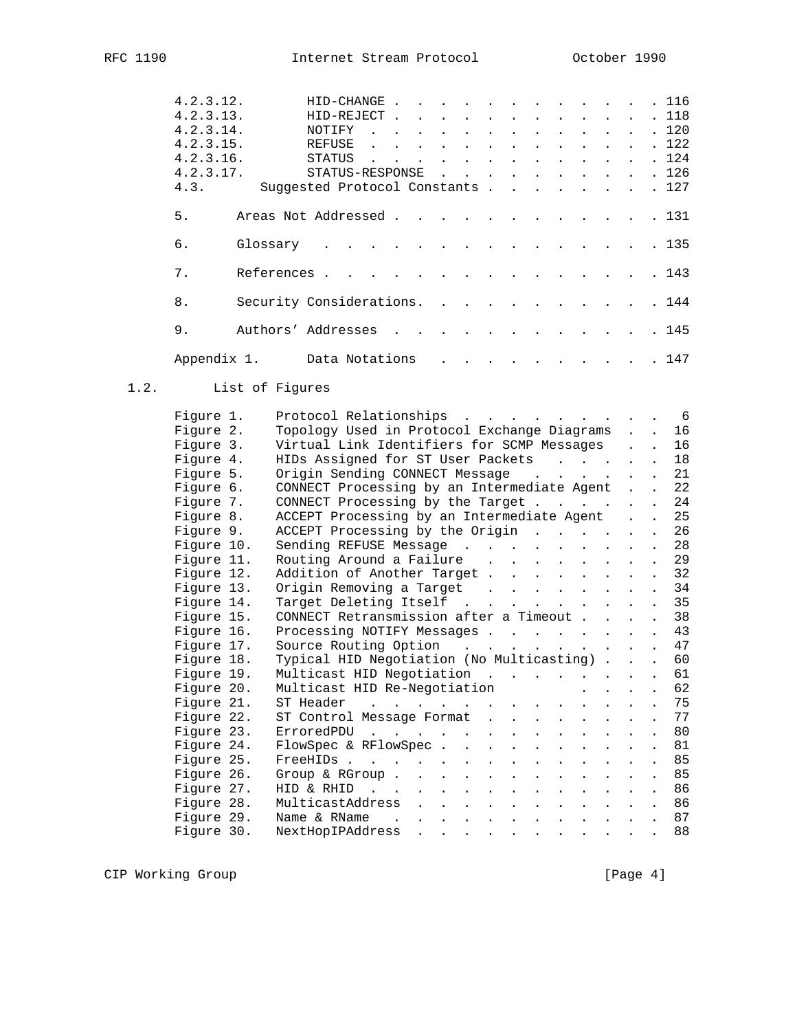| 4.2.3.12. |                                       | HID-CHANGE 116 |  |  |  |  |  |  |  |
|-----------|---------------------------------------|----------------|--|--|--|--|--|--|--|
| 4.2.3.13. |                                       | HID-REJECT 118 |  |  |  |  |  |  |  |
| 4.2.3.14. |                                       | NOTIFY 120     |  |  |  |  |  |  |  |
|           | 4.2.3.15. REFUSE 122                  |                |  |  |  |  |  |  |  |
|           | 4.2.3.16. STATUS 124                  |                |  |  |  |  |  |  |  |
|           | 4.2.3.17. STATUS-RESPONSE 126         |                |  |  |  |  |  |  |  |
|           | 4.3. Suggested Protocol Constants 127 |                |  |  |  |  |  |  |  |
| 5.        | Areas Not Addressed 131               |                |  |  |  |  |  |  |  |
| б.        | Glossary 135                          |                |  |  |  |  |  |  |  |
| 7.        | References 143                        |                |  |  |  |  |  |  |  |
| 8.        | Security Considerations. 144          |                |  |  |  |  |  |  |  |
| 9.        | Authors' Addresses 145                |                |  |  |  |  |  |  |  |
|           | Appendix 1. Data Notations 147        |                |  |  |  |  |  |  |  |

1.2. List of Figures

| Figure 1.  | Protocol Relationships .                                                                                                                                                                                                                                    |  | 6  |
|------------|-------------------------------------------------------------------------------------------------------------------------------------------------------------------------------------------------------------------------------------------------------------|--|----|
| Figure 2.  | Topology Used in Protocol Exchange Diagrams                                                                                                                                                                                                                 |  | 16 |
| Figure 3.  | Virtual Link Identifiers for SCMP Messages                                                                                                                                                                                                                  |  | 16 |
| Figure 4.  | HIDs Assigned for ST User Packets                                                                                                                                                                                                                           |  | 18 |
| Figure 5.  | Origin Sending CONNECT Message<br>$\ddot{\phantom{a}}$ . $\ddot{\phantom{a}}$ . $\ddot{\phantom{a}}$                                                                                                                                                        |  | 21 |
| Figure 6.  | CONNECT Processing by an Intermediate Agent                                                                                                                                                                                                                 |  | 22 |
| Figure 7.  | CONNECT Processing by the Target                                                                                                                                                                                                                            |  | 24 |
| Figure 8.  | ACCEPT Processing by an Intermediate Agent                                                                                                                                                                                                                  |  | 25 |
| Figure 9.  | ACCEPT Processing by the Origin                                                                                                                                                                                                                             |  | 26 |
| Figure 10. | Sending REFUSE Message<br>$\mathbf{r}$ and $\mathbf{r}$                                                                                                                                                                                                     |  | 28 |
| Figure 11. | Routing Around a Failure<br>$\mathbf{r}$ , $\mathbf{r}$ , $\mathbf{r}$ , $\mathbf{r}$                                                                                                                                                                       |  | 29 |
| Figure 12. | Addition of Another Target                                                                                                                                                                                                                                  |  | 32 |
| Figure 13. | Origin Removing a Target.<br>$\mathbf{r} = \mathbf{r} + \mathbf{r}$<br>$\sim$<br>$\ddot{\phantom{a}}$                                                                                                                                                       |  | 34 |
| Figure 14. | Target Deleting Itself<br>$\mathbf{r}$ , $\mathbf{r}$ , $\mathbf{r}$                                                                                                                                                                                        |  | 35 |
| Figure 15. | CONNECT Retransmission after a Timeout.                                                                                                                                                                                                                     |  | 38 |
| Figure 16. | Processing NOTIFY Messages                                                                                                                                                                                                                                  |  | 43 |
| Figure 17. | Source Routing Option.<br>$\mathbf{r}$ . The set of the set of the set of the set of the set of the set of the set of the set of the set of the set of the set of the set of the set of the set of the set of the set of the set of the set of the set of t |  | 47 |
| Figure 18. | Typical HID Negotiation (No Multicasting).                                                                                                                                                                                                                  |  | 60 |
| Figure 19. | Multicast HID Negotiation<br>$\cdot$ $\cdot$                                                                                                                                                                                                                |  | 61 |
| Figure 20. | Multicast HID Re-Negotiation                                                                                                                                                                                                                                |  | 62 |
| Figure 21. | ST Header                                                                                                                                                                                                                                                   |  | 75 |
| Figure 22. | ST Control Message Format<br>$\sim$<br>$\sim$ $\sim$                                                                                                                                                                                                        |  | 77 |
| Figure 23. | ErroredPDU<br>$\cdot$ $\cdot$ $\cdot$<br>$\sim$<br>$\bullet$<br>$\sim$                                                                                                                                                                                      |  | 80 |
| Figure 24. | FlowSpec & RFlowSpec<br>$\ddot{\phantom{a}}$<br>$\mathcal{L}$                                                                                                                                                                                               |  | 81 |
| Figure 25. | FreeHIDs.                                                                                                                                                                                                                                                   |  | 85 |
| Figure 26. | Group & RGroup.                                                                                                                                                                                                                                             |  | 85 |
| Figure 27. | HID & RHID                                                                                                                                                                                                                                                  |  | 86 |
| Figure 28. | MulticastAddress                                                                                                                                                                                                                                            |  | 86 |
| Figure 29. | Name & RName                                                                                                                                                                                                                                                |  | 87 |
| Figure 30. | NextHopIPAddress<br>$\cdot$<br>$\bullet$<br>$\bullet$<br>$\ddot{\phantom{0}}$<br>$\ddot{\phantom{a}}$<br>$\bullet$                                                                                                                                          |  | 88 |
|            |                                                                                                                                                                                                                                                             |  |    |

CIP Working Group [Page 4]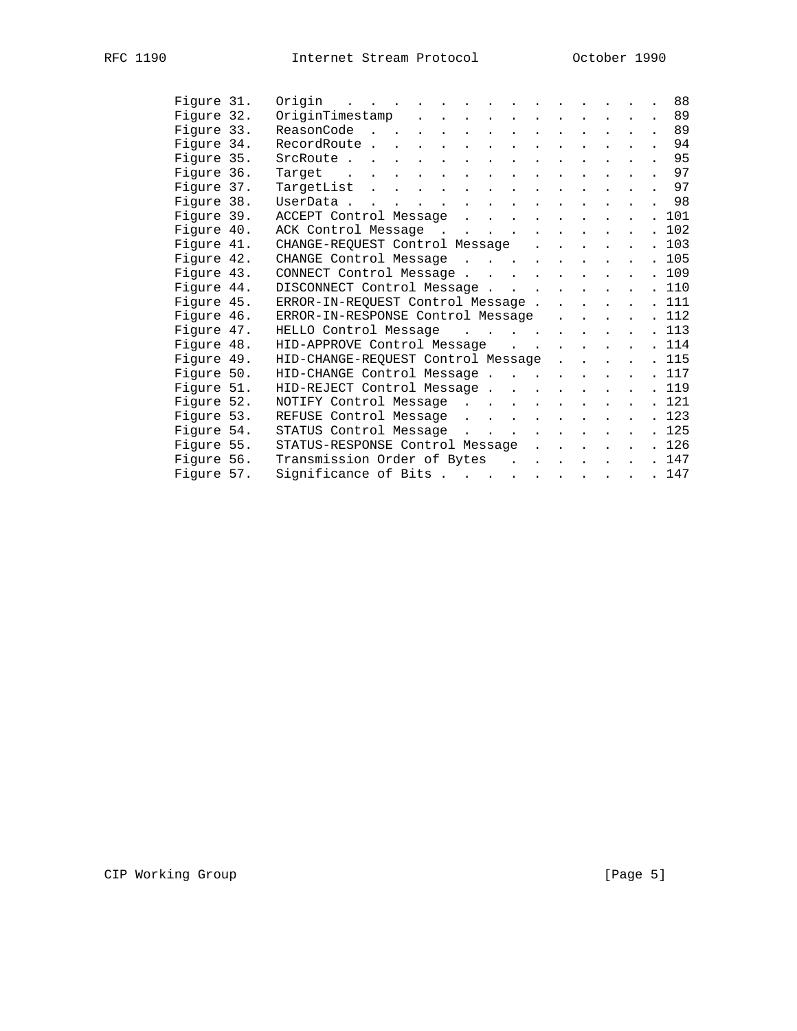| Figure 31. | Origin                             |  |  |  |        |               |           |  |  | 88    |
|------------|------------------------------------|--|--|--|--------|---------------|-----------|--|--|-------|
| Figure 32. | OriginTimestamp                    |  |  |  |        |               |           |  |  | 89    |
| Figure 33. | ReasonCode                         |  |  |  |        |               |           |  |  | 89    |
| Figure 34. | RecordRoute                        |  |  |  |        |               |           |  |  | 94    |
| Figure 35. | SrcRoute                           |  |  |  |        |               |           |  |  | 95    |
| Figure 36. | Target                             |  |  |  |        |               |           |  |  | 97    |
| Figure 37. | TargetList                         |  |  |  |        |               |           |  |  | 97    |
| Figure 38. | UserData.                          |  |  |  |        |               |           |  |  | 98    |
| Figure 39. | ACCEPT Control Message             |  |  |  |        |               |           |  |  | . 101 |
| Figure 40. | ACK Control Message                |  |  |  |        |               |           |  |  | 102   |
| Figure 41. | CHANGE-REQUEST Control Message     |  |  |  |        |               |           |  |  | 103   |
| Figure 42. | CHANGE Control Message.            |  |  |  |        |               |           |  |  | 105   |
| Figure 43. | CONNECT Control Message            |  |  |  |        |               |           |  |  | . 109 |
| Figure 44. | DISCONNECT Control Message .       |  |  |  | $\sim$ |               |           |  |  | . 110 |
| Figure 45. | ERROR-IN-REQUEST Control Message . |  |  |  |        |               |           |  |  | . 111 |
| Figure 46. | ERROR-IN-RESPONSE Control Message  |  |  |  |        |               |           |  |  | . 112 |
| Figure 47. | HELLO Control Message              |  |  |  |        |               |           |  |  | . 113 |
| Figure 48. | HID-APPROVE Control Message        |  |  |  |        |               |           |  |  | . 114 |
| Figure 49. | HID-CHANGE-REQUEST Control Message |  |  |  |        |               |           |  |  | . 115 |
| Figure 50. | HID-CHANGE Control Message .       |  |  |  |        |               |           |  |  | . 117 |
| Figure 51. | HID-REJECT Control Message .       |  |  |  |        |               |           |  |  | . 119 |
| Figure 52. | NOTIFY Control Message .           |  |  |  |        |               |           |  |  | . 121 |
| Figure 53. | REFUSE Control Message             |  |  |  |        |               |           |  |  | . 123 |
| Figure 54. | STATUS Control Message             |  |  |  |        |               |           |  |  | .125  |
| Figure 55. | STATUS-RESPONSE Control Message    |  |  |  |        |               |           |  |  | .126  |
| Figure 56. | Transmission Order of Bytes .      |  |  |  |        |               |           |  |  | . 147 |
| Figure 57. | Significance of Bits               |  |  |  |        | $\sim$ $\sim$ | $\bullet$ |  |  | . 147 |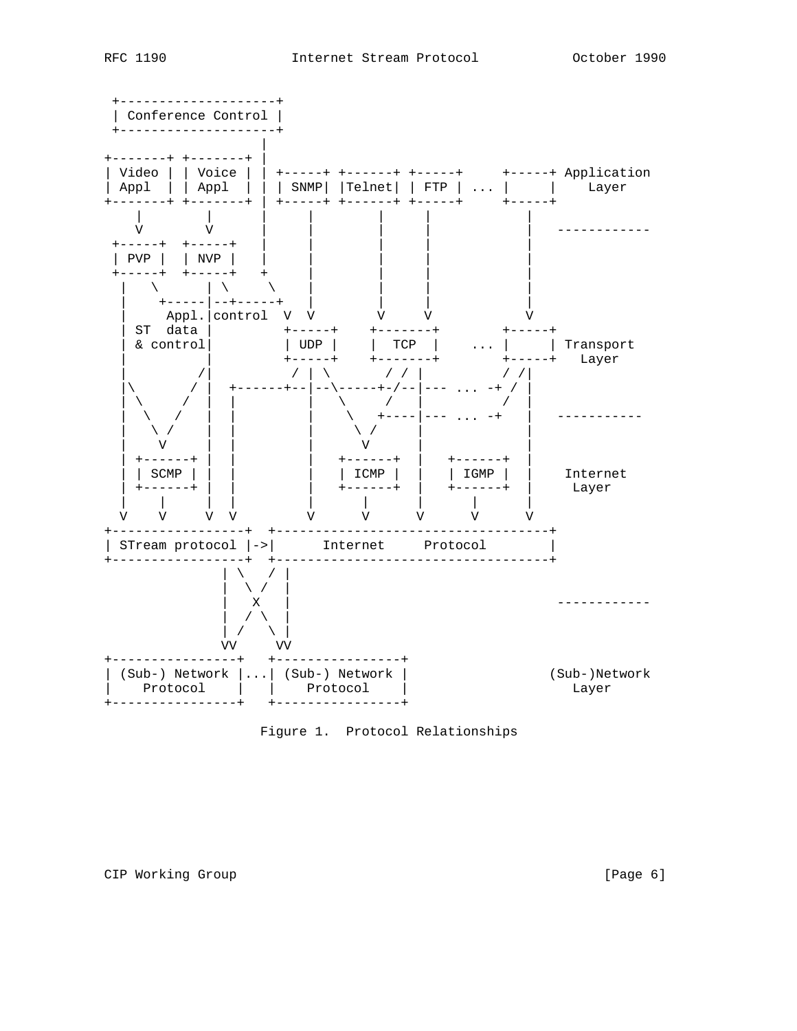

Figure 1. Protocol Relationships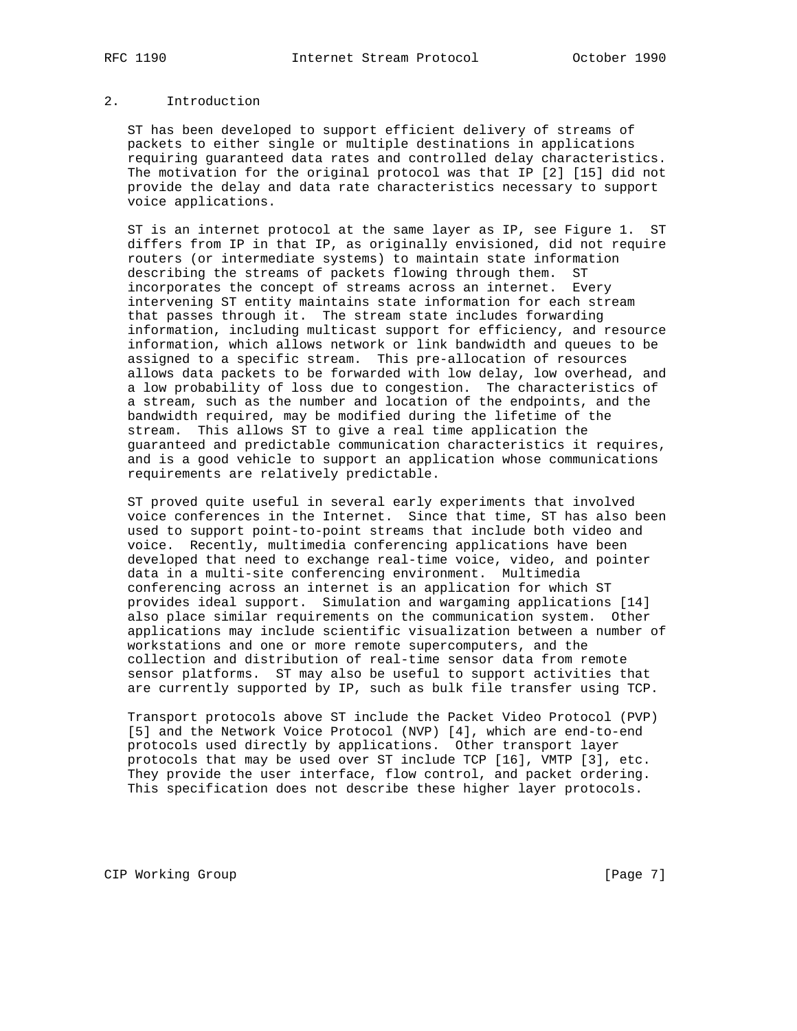### 2. Introduction

 ST has been developed to support efficient delivery of streams of packets to either single or multiple destinations in applications requiring guaranteed data rates and controlled delay characteristics. The motivation for the original protocol was that IP [2] [15] did not provide the delay and data rate characteristics necessary to support voice applications.

 ST is an internet protocol at the same layer as IP, see Figure 1. ST differs from IP in that IP, as originally envisioned, did not require routers (or intermediate systems) to maintain state information describing the streams of packets flowing through them. ST incorporates the concept of streams across an internet. Every intervening ST entity maintains state information for each stream that passes through it. The stream state includes forwarding information, including multicast support for efficiency, and resource information, which allows network or link bandwidth and queues to be assigned to a specific stream. This pre-allocation of resources allows data packets to be forwarded with low delay, low overhead, and a low probability of loss due to congestion. The characteristics of a stream, such as the number and location of the endpoints, and the bandwidth required, may be modified during the lifetime of the stream. This allows ST to give a real time application the guaranteed and predictable communication characteristics it requires, and is a good vehicle to support an application whose communications requirements are relatively predictable.

 ST proved quite useful in several early experiments that involved voice conferences in the Internet. Since that time, ST has also been used to support point-to-point streams that include both video and voice. Recently, multimedia conferencing applications have been developed that need to exchange real-time voice, video, and pointer data in a multi-site conferencing environment. Multimedia conferencing across an internet is an application for which ST provides ideal support. Simulation and wargaming applications [14] also place similar requirements on the communication system. Other applications may include scientific visualization between a number of workstations and one or more remote supercomputers, and the collection and distribution of real-time sensor data from remote sensor platforms. ST may also be useful to support activities that are currently supported by IP, such as bulk file transfer using TCP.

 Transport protocols above ST include the Packet Video Protocol (PVP) [5] and the Network Voice Protocol (NVP) [4], which are end-to-end protocols used directly by applications. Other transport layer protocols that may be used over ST include TCP [16], VMTP [3], etc. They provide the user interface, flow control, and packet ordering. This specification does not describe these higher layer protocols.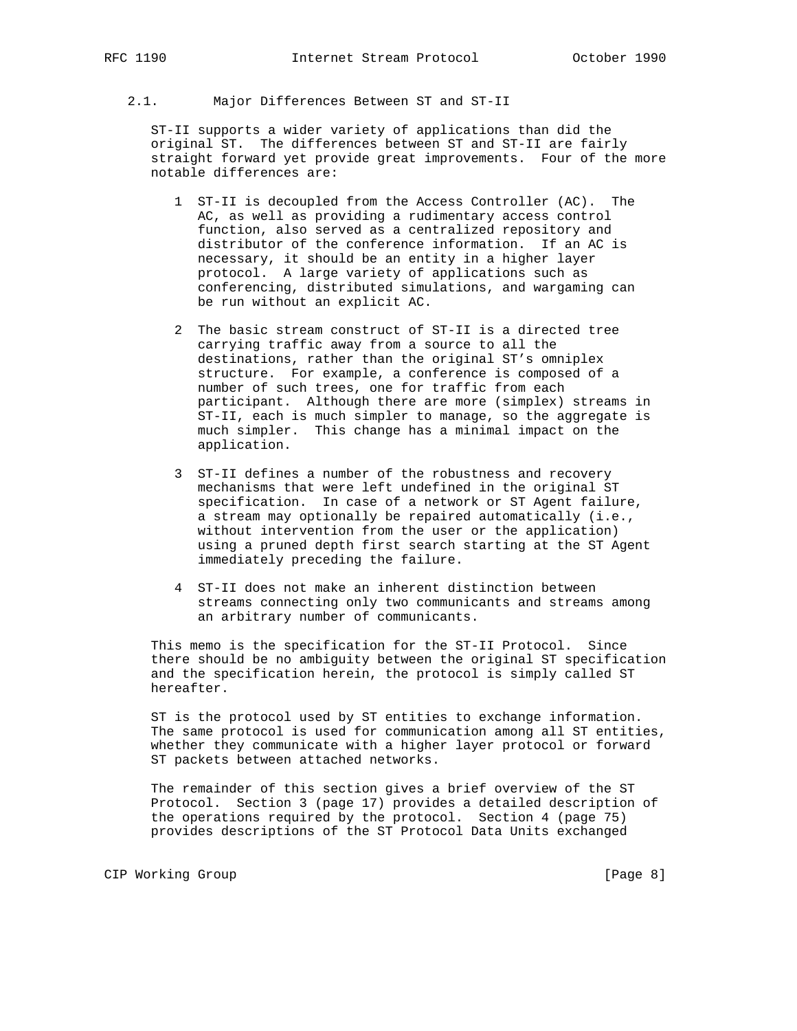## 2.1. Major Differences Between ST and ST-II

 ST-II supports a wider variety of applications than did the original ST. The differences between ST and ST-II are fairly straight forward yet provide great improvements. Four of the more notable differences are:

- 1 ST-II is decoupled from the Access Controller (AC). The AC, as well as providing a rudimentary access control function, also served as a centralized repository and distributor of the conference information. If an AC is necessary, it should be an entity in a higher layer protocol. A large variety of applications such as conferencing, distributed simulations, and wargaming can be run without an explicit AC.
- 2 The basic stream construct of ST-II is a directed tree carrying traffic away from a source to all the destinations, rather than the original ST's omniplex structure. For example, a conference is composed of a number of such trees, one for traffic from each participant. Although there are more (simplex) streams in ST-II, each is much simpler to manage, so the aggregate is much simpler. This change has a minimal impact on the application.
- 3 ST-II defines a number of the robustness and recovery mechanisms that were left undefined in the original ST specification. In case of a network or ST Agent failure, a stream may optionally be repaired automatically (i.e., without intervention from the user or the application) using a pruned depth first search starting at the ST Agent immediately preceding the failure.
- 4 ST-II does not make an inherent distinction between streams connecting only two communicants and streams among an arbitrary number of communicants.

 This memo is the specification for the ST-II Protocol. Since there should be no ambiguity between the original ST specification and the specification herein, the protocol is simply called ST hereafter.

 ST is the protocol used by ST entities to exchange information. The same protocol is used for communication among all ST entities, whether they communicate with a higher layer protocol or forward ST packets between attached networks.

 The remainder of this section gives a brief overview of the ST Protocol. Section 3 (page 17) provides a detailed description of the operations required by the protocol. Section 4 (page 75) provides descriptions of the ST Protocol Data Units exchanged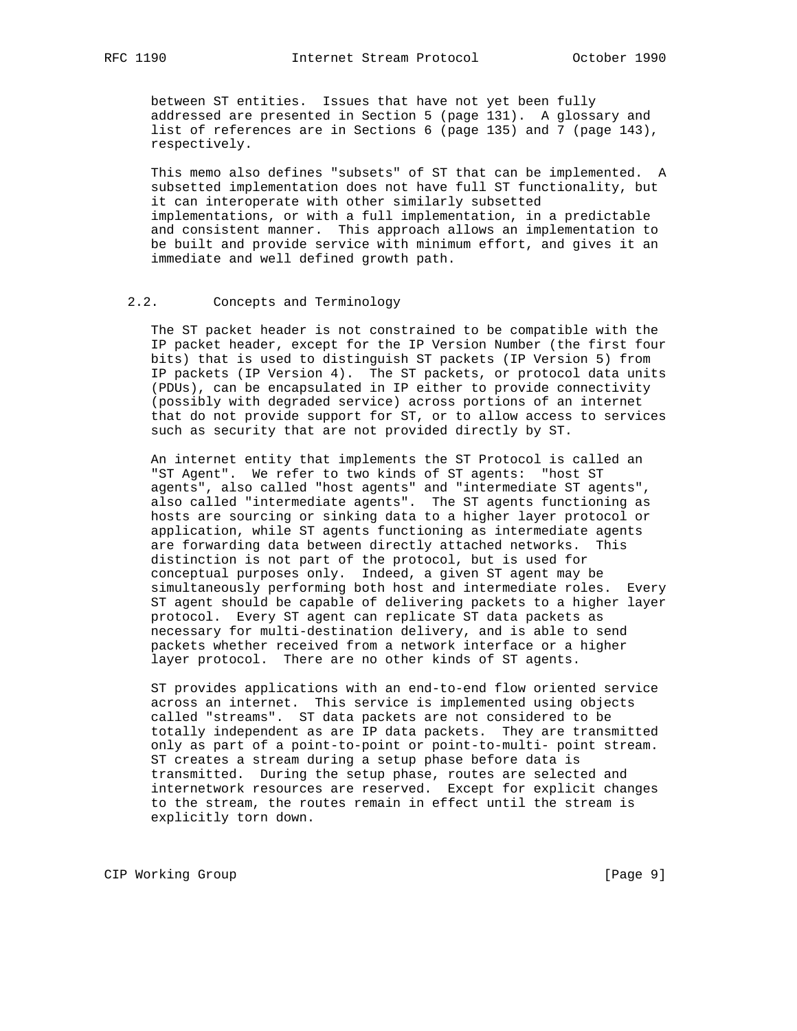between ST entities. Issues that have not yet been fully addressed are presented in Section 5 (page 131). A glossary and list of references are in Sections 6 (page 135) and 7 (page 143), respectively.

 This memo also defines "subsets" of ST that can be implemented. A subsetted implementation does not have full ST functionality, but it can interoperate with other similarly subsetted implementations, or with a full implementation, in a predictable and consistent manner. This approach allows an implementation to be built and provide service with minimum effort, and gives it an immediate and well defined growth path.

# 2.2. Concepts and Terminology

 The ST packet header is not constrained to be compatible with the IP packet header, except for the IP Version Number (the first four bits) that is used to distinguish ST packets (IP Version 5) from IP packets (IP Version 4). The ST packets, or protocol data units (PDUs), can be encapsulated in IP either to provide connectivity (possibly with degraded service) across portions of an internet that do not provide support for ST, or to allow access to services such as security that are not provided directly by ST.

 An internet entity that implements the ST Protocol is called an "ST Agent". We refer to two kinds of ST agents: "host ST agents", also called "host agents" and "intermediate ST agents", also called "intermediate agents". The ST agents functioning as hosts are sourcing or sinking data to a higher layer protocol or application, while ST agents functioning as intermediate agents are forwarding data between directly attached networks. This distinction is not part of the protocol, but is used for conceptual purposes only. Indeed, a given ST agent may be simultaneously performing both host and intermediate roles. Every ST agent should be capable of delivering packets to a higher layer protocol. Every ST agent can replicate ST data packets as necessary for multi-destination delivery, and is able to send packets whether received from a network interface or a higher layer protocol. There are no other kinds of ST agents.

 ST provides applications with an end-to-end flow oriented service across an internet. This service is implemented using objects called "streams". ST data packets are not considered to be totally independent as are IP data packets. They are transmitted only as part of a point-to-point or point-to-multi- point stream. ST creates a stream during a setup phase before data is transmitted. During the setup phase, routes are selected and internetwork resources are reserved. Except for explicit changes to the stream, the routes remain in effect until the stream is explicitly torn down.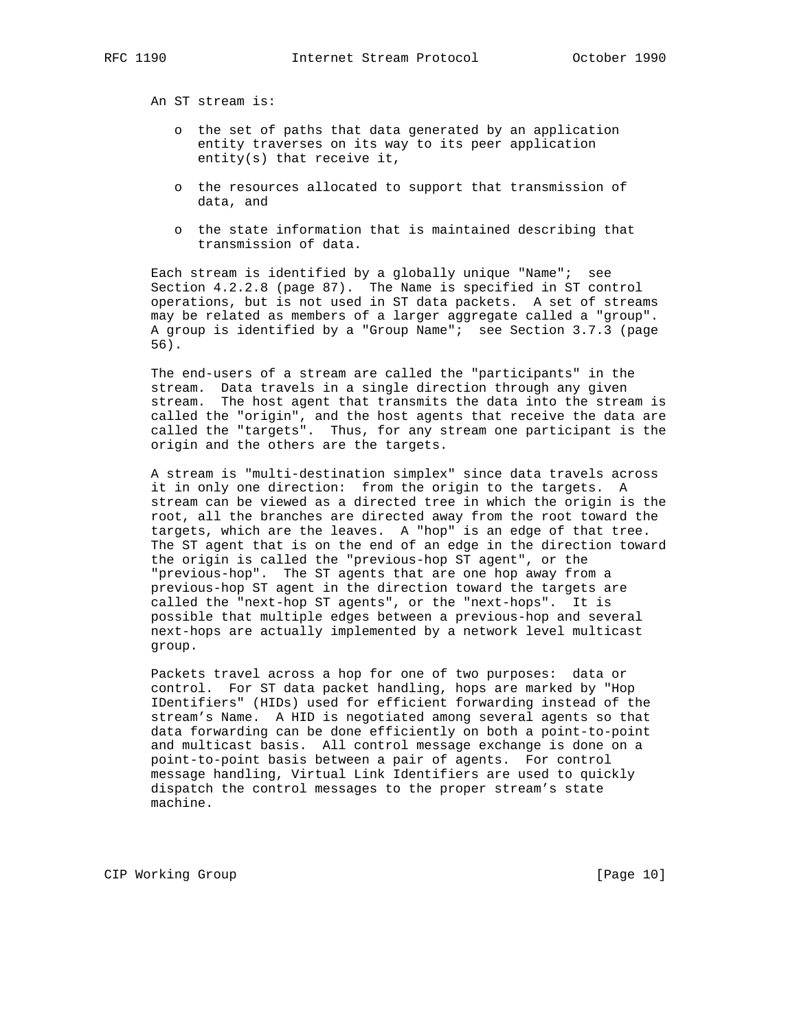An ST stream is:

- o the set of paths that data generated by an application entity traverses on its way to its peer application entity(s) that receive it,
- o the resources allocated to support that transmission of data, and
- o the state information that is maintained describing that transmission of data.

 Each stream is identified by a globally unique "Name"; see Section 4.2.2.8 (page 87). The Name is specified in ST control operations, but is not used in ST data packets. A set of streams may be related as members of a larger aggregate called a "group". A group is identified by a "Group Name"; see Section 3.7.3 (page 56).

 The end-users of a stream are called the "participants" in the stream. Data travels in a single direction through any given stream. The host agent that transmits the data into the stream is called the "origin", and the host agents that receive the data are called the "targets". Thus, for any stream one participant is the origin and the others are the targets.

 A stream is "multi-destination simplex" since data travels across it in only one direction: from the origin to the targets. A stream can be viewed as a directed tree in which the origin is the root, all the branches are directed away from the root toward the targets, which are the leaves. A "hop" is an edge of that tree. The ST agent that is on the end of an edge in the direction toward the origin is called the "previous-hop ST agent", or the "previous-hop". The ST agents that are one hop away from a previous-hop ST agent in the direction toward the targets are called the "next-hop ST agents", or the "next-hops". It is possible that multiple edges between a previous-hop and several next-hops are actually implemented by a network level multicast group.

 Packets travel across a hop for one of two purposes: data or control. For ST data packet handling, hops are marked by "Hop IDentifiers" (HIDs) used for efficient forwarding instead of the stream's Name. A HID is negotiated among several agents so that data forwarding can be done efficiently on both a point-to-point and multicast basis. All control message exchange is done on a point-to-point basis between a pair of agents. For control message handling, Virtual Link Identifiers are used to quickly dispatch the control messages to the proper stream's state machine.

CIP Working Group **compared to the CIP Working Group compared to the CIP Working Group compared to the CIP**  $\sim$  [Page 10]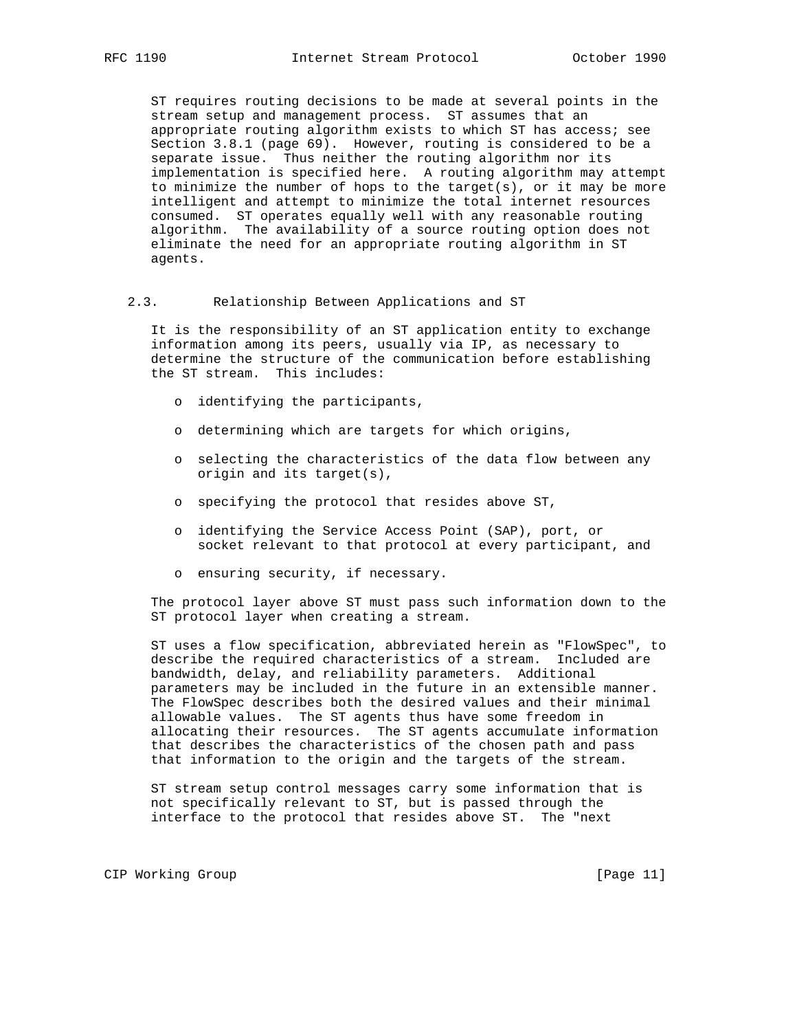ST requires routing decisions to be made at several points in the stream setup and management process. ST assumes that an appropriate routing algorithm exists to which ST has access; see Section 3.8.1 (page 69). However, routing is considered to be a separate issue. Thus neither the routing algorithm nor its implementation is specified here. A routing algorithm may attempt to minimize the number of hops to the target(s), or it may be more intelligent and attempt to minimize the total internet resources consumed. ST operates equally well with any reasonable routing algorithm. The availability of a source routing option does not eliminate the need for an appropriate routing algorithm in ST agents.

## 2.3. Relationship Between Applications and ST

 It is the responsibility of an ST application entity to exchange information among its peers, usually via IP, as necessary to determine the structure of the communication before establishing the ST stream. This includes:

- o identifying the participants,
- o determining which are targets for which origins,
- o selecting the characteristics of the data flow between any origin and its target(s),
- o specifying the protocol that resides above ST,
- o identifying the Service Access Point (SAP), port, or socket relevant to that protocol at every participant, and
- o ensuring security, if necessary.

 The protocol layer above ST must pass such information down to the ST protocol layer when creating a stream.

 ST uses a flow specification, abbreviated herein as "FlowSpec", to describe the required characteristics of a stream. Included are bandwidth, delay, and reliability parameters. Additional parameters may be included in the future in an extensible manner. The FlowSpec describes both the desired values and their minimal allowable values. The ST agents thus have some freedom in allocating their resources. The ST agents accumulate information that describes the characteristics of the chosen path and pass that information to the origin and the targets of the stream.

 ST stream setup control messages carry some information that is not specifically relevant to ST, but is passed through the interface to the protocol that resides above ST. The "next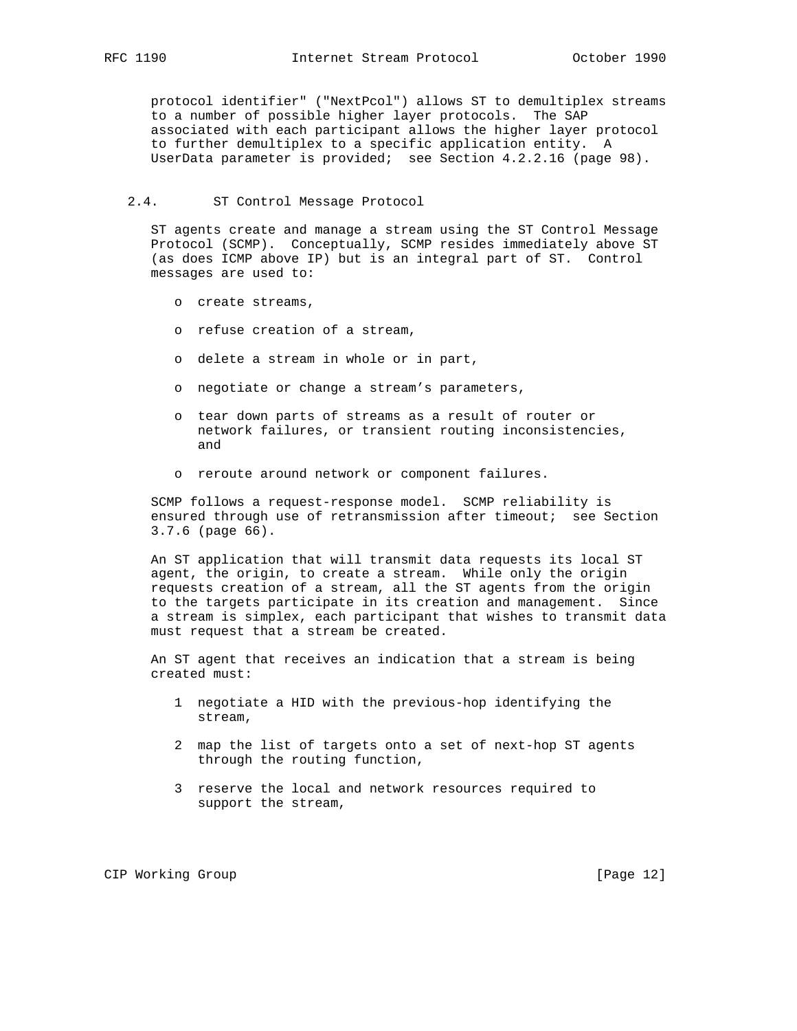protocol identifier" ("NextPcol") allows ST to demultiplex streams to a number of possible higher layer protocols. The SAP associated with each participant allows the higher layer protocol to further demultiplex to a specific application entity. A UserData parameter is provided; see Section 4.2.2.16 (page 98).

## 2.4. ST Control Message Protocol

 ST agents create and manage a stream using the ST Control Message Protocol (SCMP). Conceptually, SCMP resides immediately above ST (as does ICMP above IP) but is an integral part of ST. Control messages are used to:

- o create streams,
- o refuse creation of a stream,
- o delete a stream in whole or in part,
- o negotiate or change a stream's parameters,
- o tear down parts of streams as a result of router or network failures, or transient routing inconsistencies, and
- o reroute around network or component failures.

 SCMP follows a request-response model. SCMP reliability is ensured through use of retransmission after timeout; see Section 3.7.6 (page 66).

 An ST application that will transmit data requests its local ST agent, the origin, to create a stream. While only the origin requests creation of a stream, all the ST agents from the origin to the targets participate in its creation and management. Since a stream is simplex, each participant that wishes to transmit data must request that a stream be created.

 An ST agent that receives an indication that a stream is being created must:

- 1 negotiate a HID with the previous-hop identifying the stream,
- 2 map the list of targets onto a set of next-hop ST agents through the routing function,
- 3 reserve the local and network resources required to support the stream,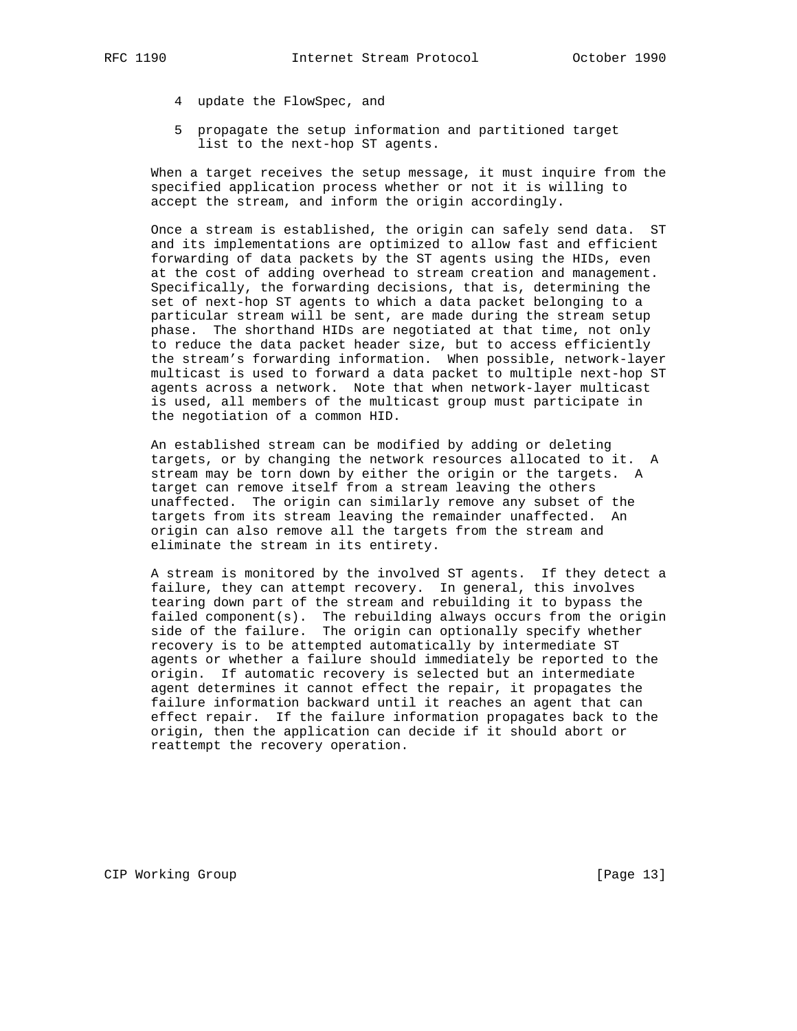- 4 update the FlowSpec, and
- 5 propagate the setup information and partitioned target list to the next-hop ST agents.

 When a target receives the setup message, it must inquire from the specified application process whether or not it is willing to accept the stream, and inform the origin accordingly.

 Once a stream is established, the origin can safely send data. ST and its implementations are optimized to allow fast and efficient forwarding of data packets by the ST agents using the HIDs, even at the cost of adding overhead to stream creation and management. Specifically, the forwarding decisions, that is, determining the set of next-hop ST agents to which a data packet belonging to a particular stream will be sent, are made during the stream setup phase. The shorthand HIDs are negotiated at that time, not only to reduce the data packet header size, but to access efficiently the stream's forwarding information. When possible, network-layer multicast is used to forward a data packet to multiple next-hop ST agents across a network. Note that when network-layer multicast is used, all members of the multicast group must participate in the negotiation of a common HID.

 An established stream can be modified by adding or deleting targets, or by changing the network resources allocated to it. A stream may be torn down by either the origin or the targets. A target can remove itself from a stream leaving the others unaffected. The origin can similarly remove any subset of the targets from its stream leaving the remainder unaffected. An origin can also remove all the targets from the stream and eliminate the stream in its entirety.

 A stream is monitored by the involved ST agents. If they detect a failure, they can attempt recovery. In general, this involves tearing down part of the stream and rebuilding it to bypass the failed component(s). The rebuilding always occurs from the origin side of the failure. The origin can optionally specify whether recovery is to be attempted automatically by intermediate ST agents or whether a failure should immediately be reported to the origin. If automatic recovery is selected but an intermediate agent determines it cannot effect the repair, it propagates the failure information backward until it reaches an agent that can effect repair. If the failure information propagates back to the origin, then the application can decide if it should abort or reattempt the recovery operation.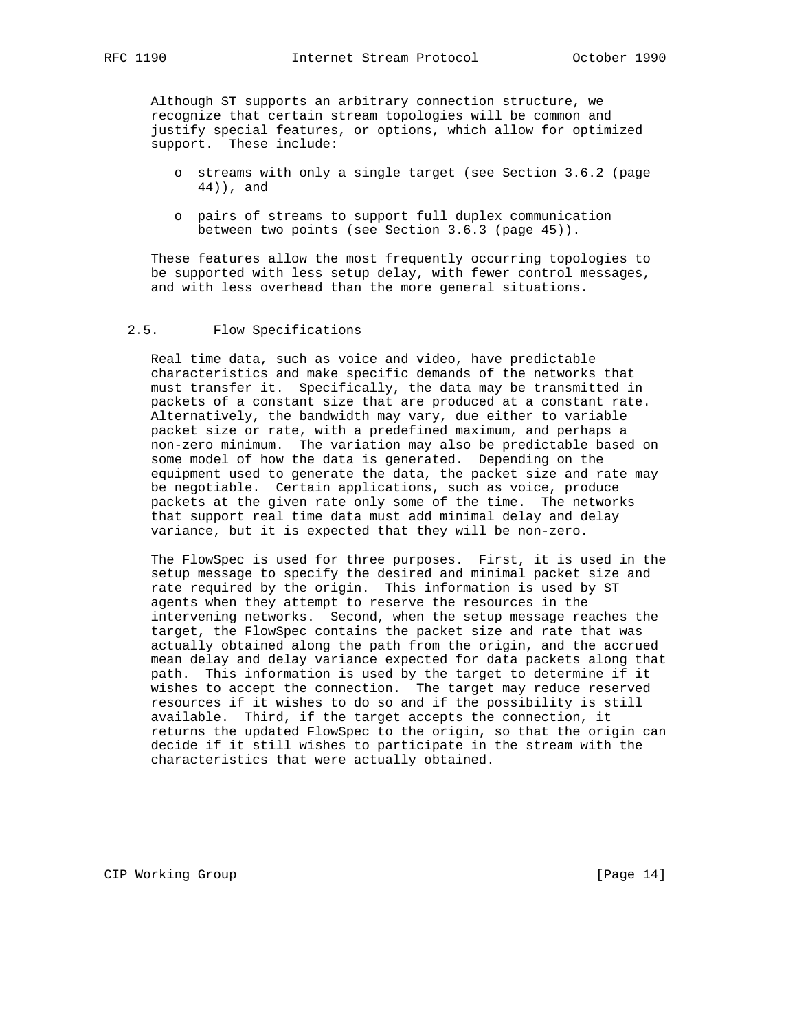Although ST supports an arbitrary connection structure, we recognize that certain stream topologies will be common and justify special features, or options, which allow for optimized support. These include:

- o streams with only a single target (see Section 3.6.2 (page 44)), and
- o pairs of streams to support full duplex communication between two points (see Section 3.6.3 (page 45)).

 These features allow the most frequently occurring topologies to be supported with less setup delay, with fewer control messages, and with less overhead than the more general situations.

### 2.5. Flow Specifications

 Real time data, such as voice and video, have predictable characteristics and make specific demands of the networks that must transfer it. Specifically, the data may be transmitted in packets of a constant size that are produced at a constant rate. Alternatively, the bandwidth may vary, due either to variable packet size or rate, with a predefined maximum, and perhaps a non-zero minimum. The variation may also be predictable based on some model of how the data is generated. Depending on the equipment used to generate the data, the packet size and rate may be negotiable. Certain applications, such as voice, produce packets at the given rate only some of the time. The networks that support real time data must add minimal delay and delay variance, but it is expected that they will be non-zero.

 The FlowSpec is used for three purposes. First, it is used in the setup message to specify the desired and minimal packet size and rate required by the origin. This information is used by ST agents when they attempt to reserve the resources in the intervening networks. Second, when the setup message reaches the target, the FlowSpec contains the packet size and rate that was actually obtained along the path from the origin, and the accrued mean delay and delay variance expected for data packets along that path. This information is used by the target to determine if it wishes to accept the connection. The target may reduce reserved resources if it wishes to do so and if the possibility is still available. Third, if the target accepts the connection, it returns the updated FlowSpec to the origin, so that the origin can decide if it still wishes to participate in the stream with the characteristics that were actually obtained.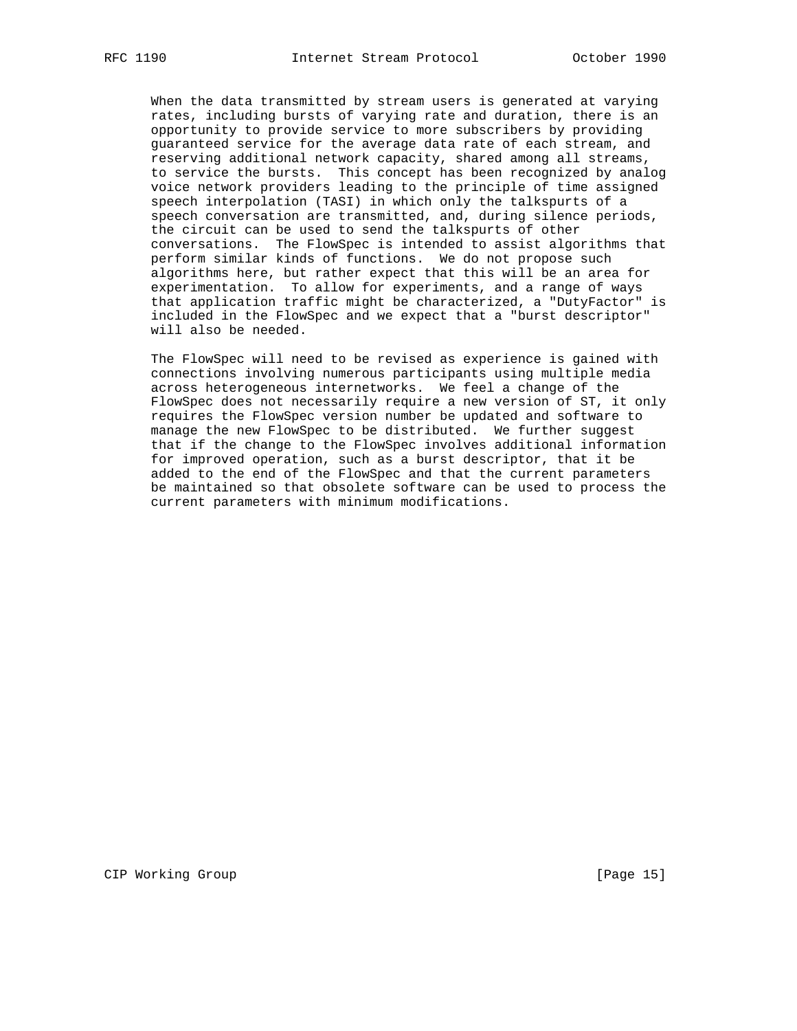When the data transmitted by stream users is generated at varying rates, including bursts of varying rate and duration, there is an opportunity to provide service to more subscribers by providing guaranteed service for the average data rate of each stream, and reserving additional network capacity, shared among all streams, to service the bursts. This concept has been recognized by analog voice network providers leading to the principle of time assigned speech interpolation (TASI) in which only the talkspurts of a speech conversation are transmitted, and, during silence periods, the circuit can be used to send the talkspurts of other conversations. The FlowSpec is intended to assist algorithms that perform similar kinds of functions. We do not propose such algorithms here, but rather expect that this will be an area for experimentation. To allow for experiments, and a range of ways that application traffic might be characterized, a "DutyFactor" is included in the FlowSpec and we expect that a "burst descriptor" will also be needed.

 The FlowSpec will need to be revised as experience is gained with connections involving numerous participants using multiple media across heterogeneous internetworks. We feel a change of the FlowSpec does not necessarily require a new version of ST, it only requires the FlowSpec version number be updated and software to manage the new FlowSpec to be distributed. We further suggest that if the change to the FlowSpec involves additional information for improved operation, such as a burst descriptor, that it be added to the end of the FlowSpec and that the current parameters be maintained so that obsolete software can be used to process the current parameters with minimum modifications.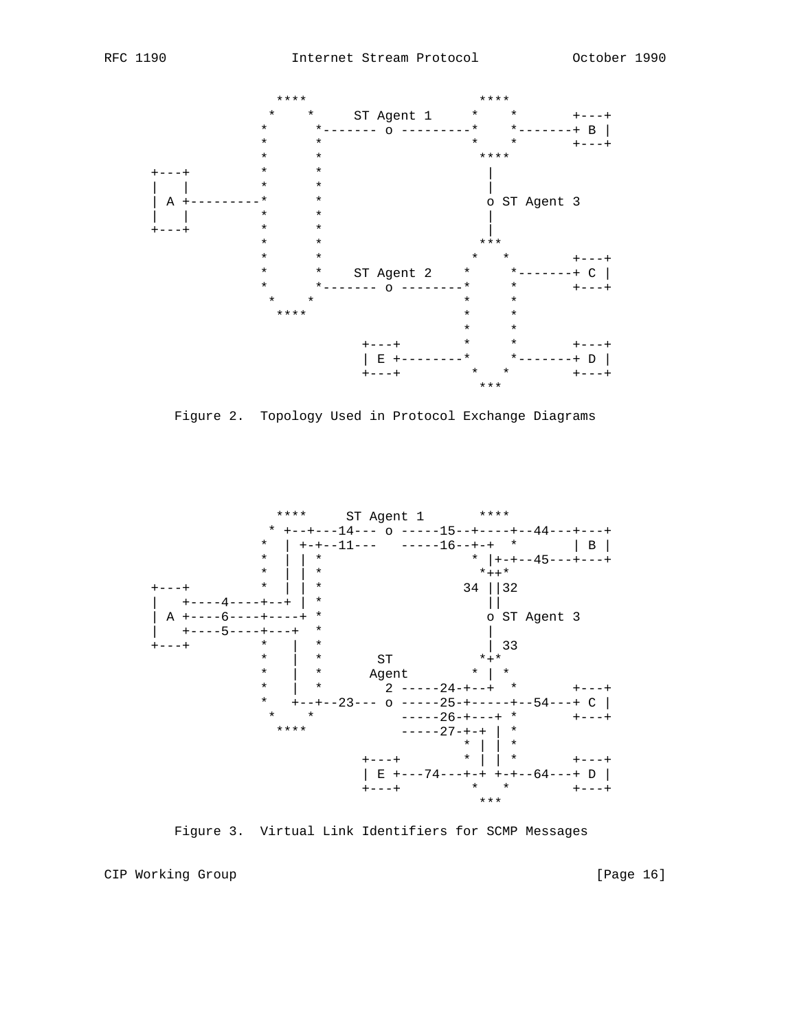

Figure 2. Topology Used in Protocol Exchange Diagrams



Figure 3. Virtual Link Identifiers for SCMP Messages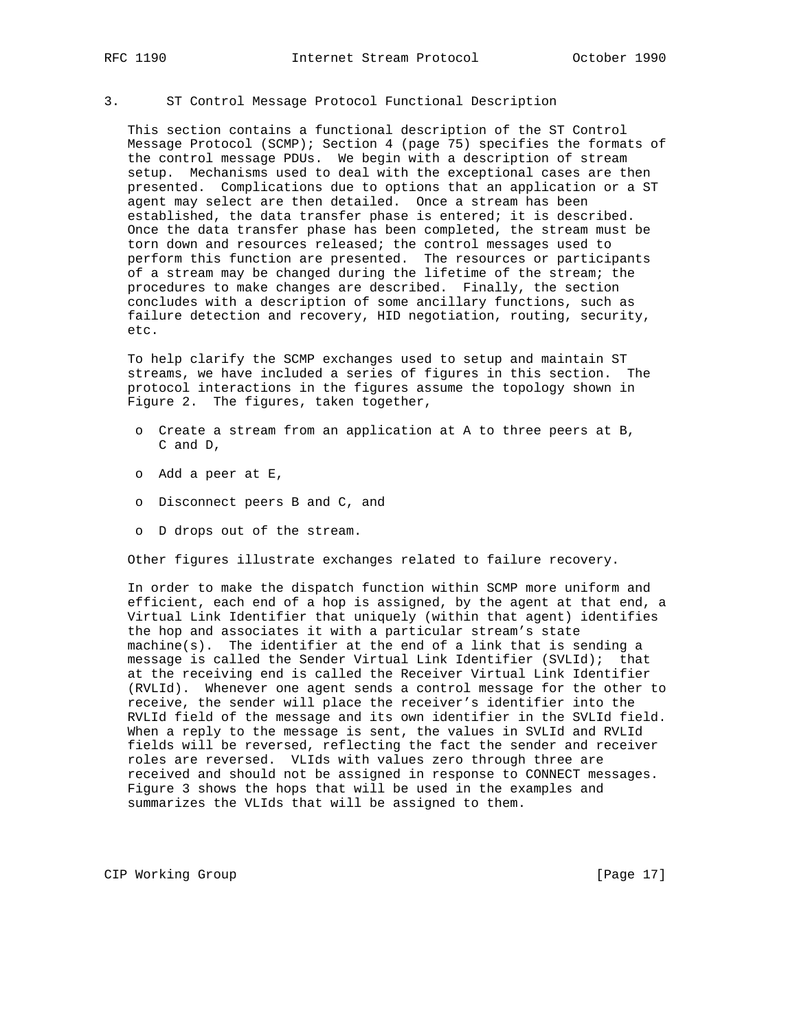### 3. ST Control Message Protocol Functional Description

 This section contains a functional description of the ST Control Message Protocol (SCMP); Section 4 (page 75) specifies the formats of the control message PDUs. We begin with a description of stream setup. Mechanisms used to deal with the exceptional cases are then presented. Complications due to options that an application or a ST agent may select are then detailed. Once a stream has been established, the data transfer phase is entered; it is described. Once the data transfer phase has been completed, the stream must be torn down and resources released; the control messages used to perform this function are presented. The resources or participants of a stream may be changed during the lifetime of the stream; the procedures to make changes are described. Finally, the section concludes with a description of some ancillary functions, such as failure detection and recovery, HID negotiation, routing, security, etc.

 To help clarify the SCMP exchanges used to setup and maintain ST streams, we have included a series of figures in this section. The protocol interactions in the figures assume the topology shown in Figure 2. The figures, taken together,

- o Create a stream from an application at A to three peers at B, C and D,
- o Add a peer at E,
- o Disconnect peers B and C, and
- o D drops out of the stream.

Other figures illustrate exchanges related to failure recovery.

 In order to make the dispatch function within SCMP more uniform and efficient, each end of a hop is assigned, by the agent at that end, a Virtual Link Identifier that uniquely (within that agent) identifies the hop and associates it with a particular stream's state machine(s). The identifier at the end of a link that is sending a message is called the Sender Virtual Link Identifier (SVLId); that at the receiving end is called the Receiver Virtual Link Identifier (RVLId). Whenever one agent sends a control message for the other to receive, the sender will place the receiver's identifier into the RVLId field of the message and its own identifier in the SVLId field. When a reply to the message is sent, the values in SVLId and RVLId fields will be reversed, reflecting the fact the sender and receiver roles are reversed. VLIds with values zero through three are received and should not be assigned in response to CONNECT messages. Figure 3 shows the hops that will be used in the examples and summarizes the VLIds that will be assigned to them.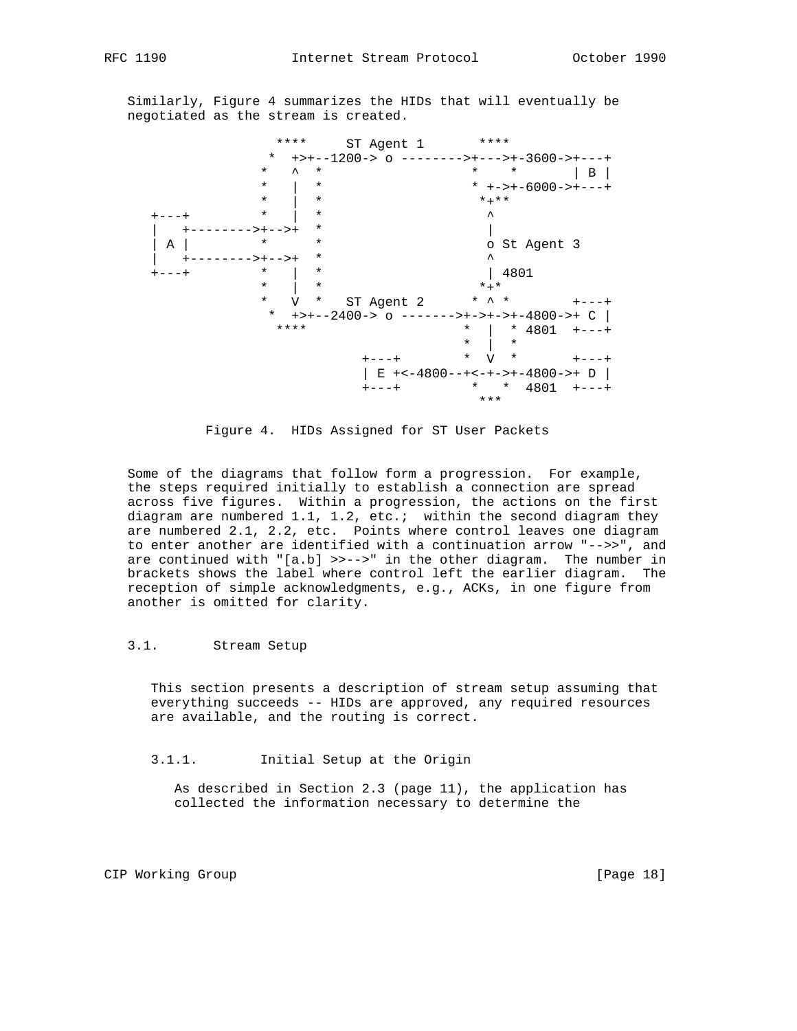Similarly, Figure 4 summarizes the HIDs that will eventually be negotiated as the stream is created.



Figure 4. HIDs Assigned for ST User Packets

 Some of the diagrams that follow form a progression. For example, the steps required initially to establish a connection are spread across five figures. Within a progression, the actions on the first diagram are numbered  $1.1$ ,  $1.2$ , etc.; within the second diagram they are numbered 2.1, 2.2, etc. Points where control leaves one diagram to enter another are identified with a continuation arrow "-->>", and are continued with "[a.b] >>-->" in the other diagram. The number in brackets shows the label where control left the earlier diagram. The reception of simple acknowledgments, e.g., ACKs, in one figure from another is omitted for clarity.

# 3.1. Stream Setup

 This section presents a description of stream setup assuming that everything succeeds -- HIDs are approved, any required resources are available, and the routing is correct.

3.1.1. Initial Setup at the Origin

 As described in Section 2.3 (page 11), the application has collected the information necessary to determine the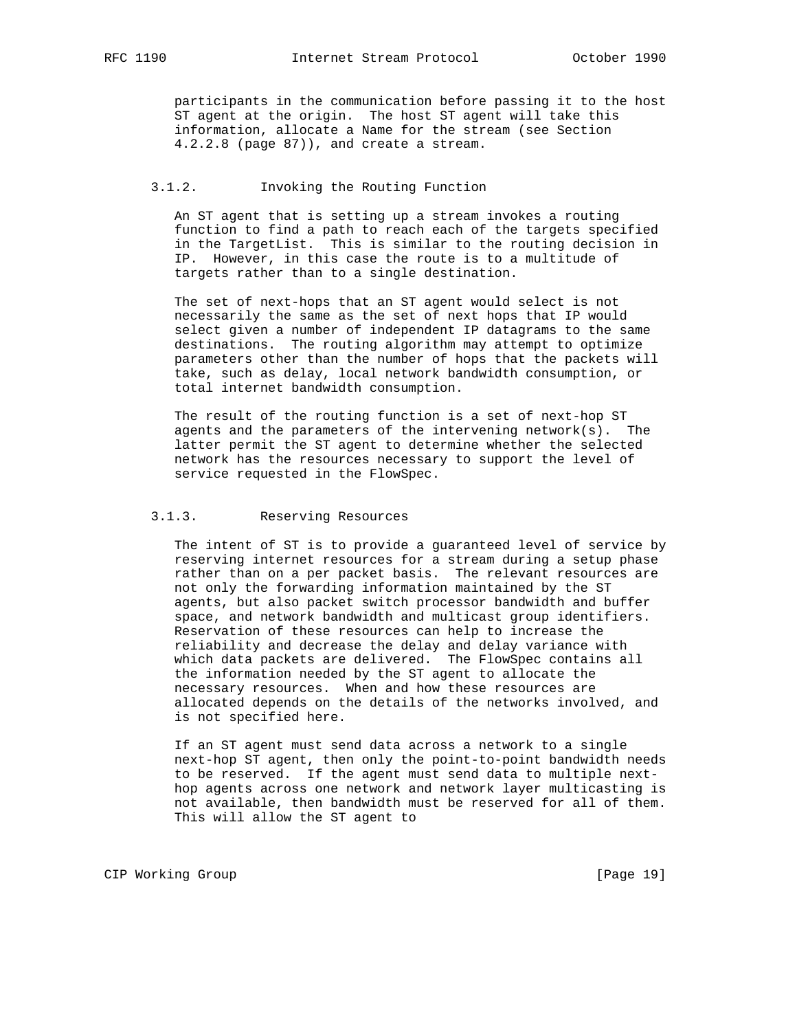participants in the communication before passing it to the host ST agent at the origin. The host ST agent will take this information, allocate a Name for the stream (see Section 4.2.2.8 (page 87)), and create a stream.

## 3.1.2. Invoking the Routing Function

 An ST agent that is setting up a stream invokes a routing function to find a path to reach each of the targets specified in the TargetList. This is similar to the routing decision in IP. However, in this case the route is to a multitude of targets rather than to a single destination.

 The set of next-hops that an ST agent would select is not necessarily the same as the set of next hops that IP would select given a number of independent IP datagrams to the same destinations. The routing algorithm may attempt to optimize parameters other than the number of hops that the packets will take, such as delay, local network bandwidth consumption, or total internet bandwidth consumption.

 The result of the routing function is a set of next-hop ST agents and the parameters of the intervening network(s). The latter permit the ST agent to determine whether the selected network has the resources necessary to support the level of service requested in the FlowSpec.

## 3.1.3. Reserving Resources

 The intent of ST is to provide a guaranteed level of service by reserving internet resources for a stream during a setup phase rather than on a per packet basis. The relevant resources are not only the forwarding information maintained by the ST agents, but also packet switch processor bandwidth and buffer space, and network bandwidth and multicast group identifiers. Reservation of these resources can help to increase the reliability and decrease the delay and delay variance with which data packets are delivered. The FlowSpec contains all the information needed by the ST agent to allocate the necessary resources. When and how these resources are allocated depends on the details of the networks involved, and is not specified here.

 If an ST agent must send data across a network to a single next-hop ST agent, then only the point-to-point bandwidth needs to be reserved. If the agent must send data to multiple next hop agents across one network and network layer multicasting is not available, then bandwidth must be reserved for all of them. This will allow the ST agent to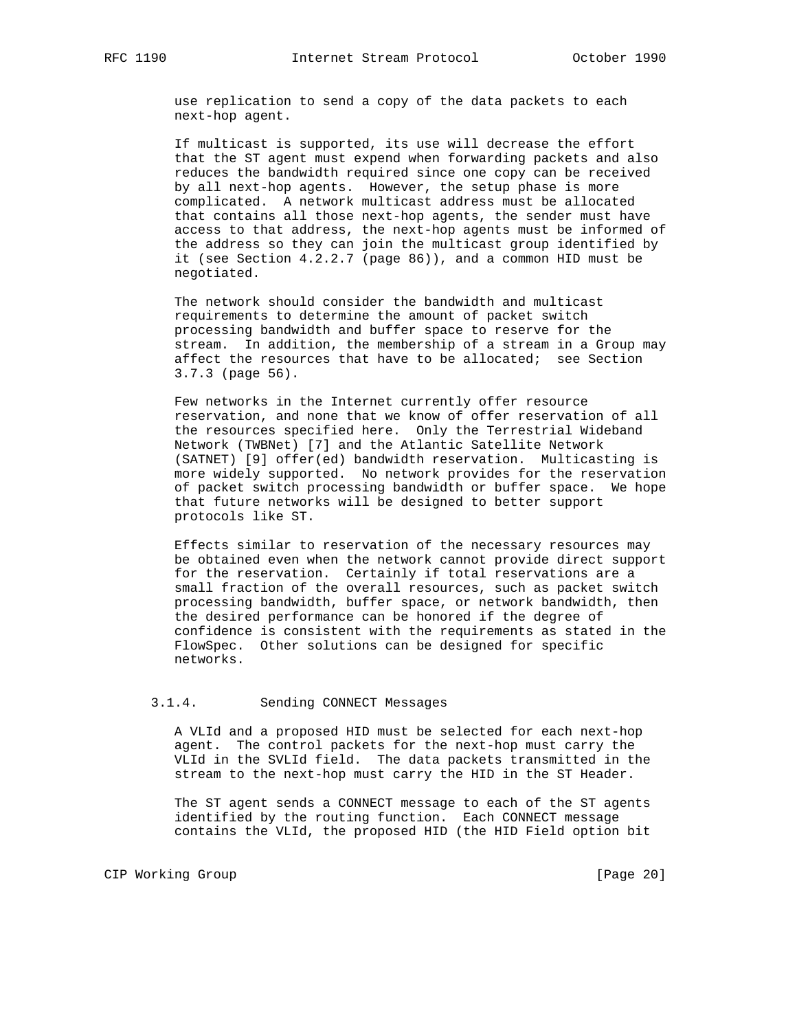use replication to send a copy of the data packets to each next-hop agent.

 If multicast is supported, its use will decrease the effort that the ST agent must expend when forwarding packets and also reduces the bandwidth required since one copy can be received by all next-hop agents. However, the setup phase is more complicated. A network multicast address must be allocated that contains all those next-hop agents, the sender must have access to that address, the next-hop agents must be informed of the address so they can join the multicast group identified by it (see Section 4.2.2.7 (page 86)), and a common HID must be negotiated.

 The network should consider the bandwidth and multicast requirements to determine the amount of packet switch processing bandwidth and buffer space to reserve for the stream. In addition, the membership of a stream in a Group may affect the resources that have to be allocated; see Section 3.7.3 (page 56).

 Few networks in the Internet currently offer resource reservation, and none that we know of offer reservation of all the resources specified here. Only the Terrestrial Wideband Network (TWBNet) [7] and the Atlantic Satellite Network (SATNET) [9] offer(ed) bandwidth reservation. Multicasting is more widely supported. No network provides for the reservation of packet switch processing bandwidth or buffer space. We hope that future networks will be designed to better support protocols like ST.

 Effects similar to reservation of the necessary resources may be obtained even when the network cannot provide direct support for the reservation. Certainly if total reservations are a small fraction of the overall resources, such as packet switch processing bandwidth, buffer space, or network bandwidth, then the desired performance can be honored if the degree of confidence is consistent with the requirements as stated in the FlowSpec. Other solutions can be designed for specific networks.

## 3.1.4. Sending CONNECT Messages

 A VLId and a proposed HID must be selected for each next-hop agent. The control packets for the next-hop must carry the VLId in the SVLId field. The data packets transmitted in the stream to the next-hop must carry the HID in the ST Header.

 The ST agent sends a CONNECT message to each of the ST agents identified by the routing function. Each CONNECT message contains the VLId, the proposed HID (the HID Field option bit

CIP Working Group **compared to the CIP Working Group compared to the CIP Working Group compared to the CIP**  $\sim$  [Page 20]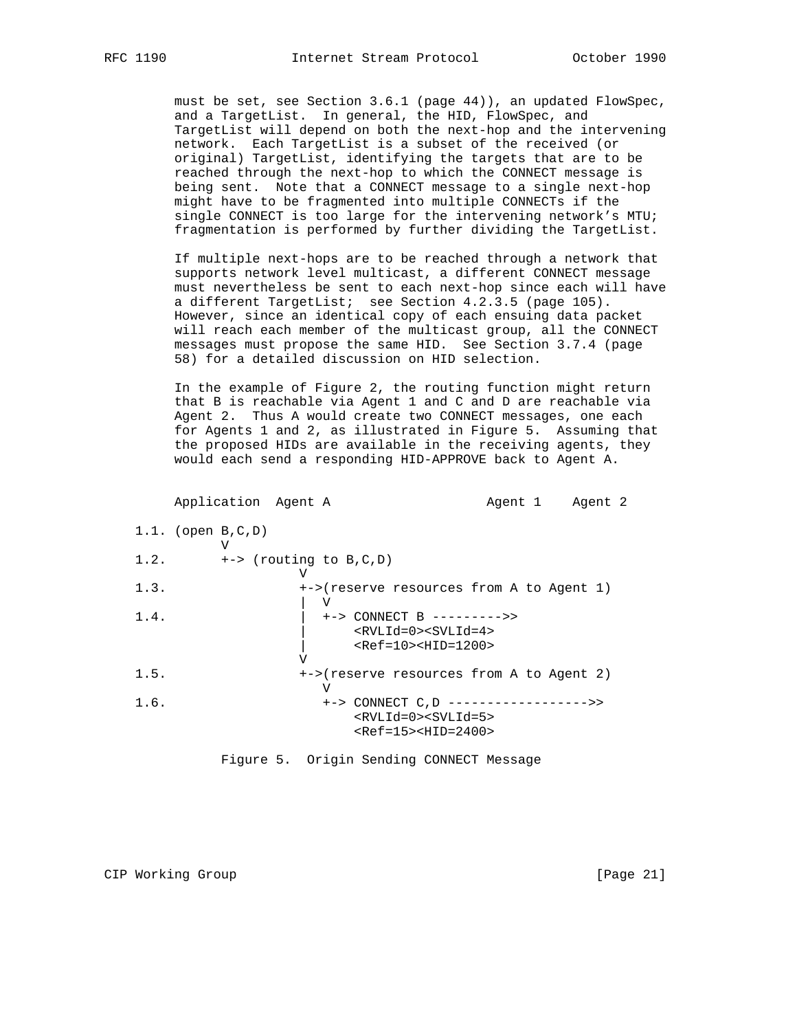must be set, see Section 3.6.1 (page 44)), an updated FlowSpec, and a TargetList. In general, the HID, FlowSpec, and TargetList will depend on both the next-hop and the intervening network. Each TargetList is a subset of the received (or original) TargetList, identifying the targets that are to be reached through the next-hop to which the CONNECT message is being sent. Note that a CONNECT message to a single next-hop might have to be fragmented into multiple CONNECTs if the single CONNECT is too large for the intervening network's MTU; fragmentation is performed by further dividing the TargetList.

 If multiple next-hops are to be reached through a network that supports network level multicast, a different CONNECT message must nevertheless be sent to each next-hop since each will have a different TargetList; see Section 4.2.3.5 (page 105). However, since an identical copy of each ensuing data packet will reach each member of the multicast group, all the CONNECT messages must propose the same HID. See Section 3.7.4 (page 58) for a detailed discussion on HID selection.

 In the example of Figure 2, the routing function might return that B is reachable via Agent 1 and C and D are reachable via Agent 2. Thus A would create two CONNECT messages, one each for Agents 1 and 2, as illustrated in Figure 5. Assuming that the proposed HIDs are available in the receiving agents, they would each send a responding HID-APPROVE back to Agent A.

```
Application Agent A and Agent 1 Agent 2
   1.1. (open B,C,D)
 V
  1.2. \qquad \qquad \text{+-> (routing to B,C,D)} V
   1.3. +->(reserve resources from A to Agent 1)
 | V
  1.4. \vert +-> CONNECT B --------->>
                      | <RVLId=0><SVLId=4>
                       | <Ref=10><HID=1200>
 V
   1.5. +->(reserve resources from A to Agent 2)
 V
   1.6. +-> CONNECT C,D ------------------>>
                       <RVLId=0><SVLId=5>
                       <Ref=15><HID=2400>
```

|  |  |  | Figure 5. Origin Sending CONNECT Message |  |  |
|--|--|--|------------------------------------------|--|--|
|--|--|--|------------------------------------------|--|--|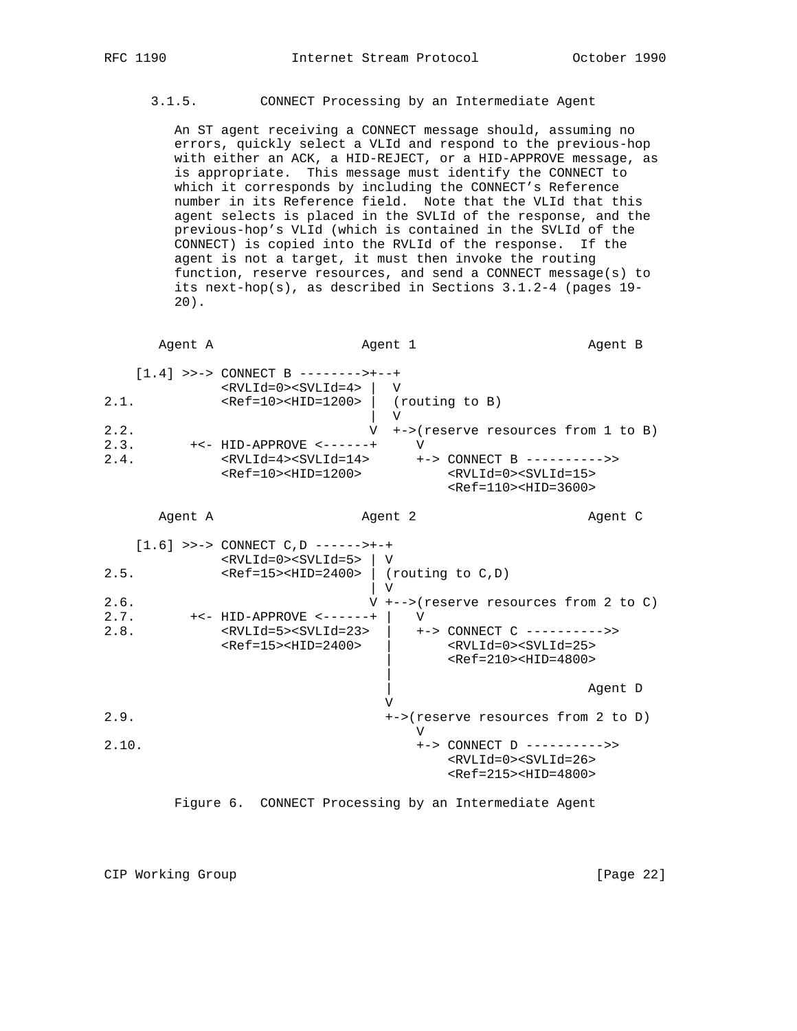# 3.1.5. CONNECT Processing by an Intermediate Agent

 An ST agent receiving a CONNECT message should, assuming no errors, quickly select a VLId and respond to the previous-hop with either an ACK, a HID-REJECT, or a HID-APPROVE message, as is appropriate. This message must identify the CONNECT to which it corresponds by including the CONNECT's Reference number in its Reference field. Note that the VLId that this agent selects is placed in the SVLId of the response, and the previous-hop's VLId (which is contained in the SVLId of the CONNECT) is copied into the RVLId of the response. If the agent is not a target, it must then invoke the routing function, reserve resources, and send a CONNECT message(s) to its next-hop(s), as described in Sections 3.1.2-4 (pages 19- 20).

| Agent A              |                                                                                                        | Agent 1                                                                                                                                      | Agent B |
|----------------------|--------------------------------------------------------------------------------------------------------|----------------------------------------------------------------------------------------------------------------------------------------------|---------|
| 2.1.                 | $[1.4]$ >>-> CONNECT B -------->+--+<br>$<$ RVLId=0> $<$ SVLId=4><br>$<$ Ref=10> <hid=1200></hid=1200> | (rooting to B)<br>V                                                                                                                          |         |
| 2.2.<br>2.3.<br>2.4. | V<br>$+-$ HID-APPROVE $---++$<br>$<$ RVLId=4> $<$ SVLId=14><br>$<$ Ref=10> <hid=1200></hid=1200>       | $+-$ >(reserve resources from 1 to B)<br>V<br><rvlid=0><svlid=15><br/><math>&lt;</math>Ref=110&gt;<hid=3600></hid=3600></svlid=15></rvlid=0> |         |

Agent A agent 2 Agent C

|       | $[1.6]$ >>-> CONNECT C, D ------>+-+                                                          |                                                                                                |
|-------|-----------------------------------------------------------------------------------------------|------------------------------------------------------------------------------------------------|
|       | $<$ RVLId=0> $<$ SVLId=5>                                                                     | V                                                                                              |
| 2.5.  | $<$ Ref=15> <hid=2400></hid=2400>                                                             | (routing to C,D)<br>V                                                                          |
| 2.6.  |                                                                                               | V +-->(reserve resources from 2 to C)                                                          |
| 2.7.  | $+-$ HID-APPROVE $---++$                                                                      | V                                                                                              |
| 2.8.  | <rvlid=5><svlid=23><br/><math>&lt;</math>Ref=15&gt;<hid=2400></hid=2400></svlid=23></rvlid=5> | +-> CONNECT C ---------->><br>$<$ RVLId=0> $<$ SVLId=25><br>$<$ Ref=210> <hid=4800></hid=4800> |
|       |                                                                                               |                                                                                                |
|       |                                                                                               | Agent D                                                                                        |
|       |                                                                                               | ٦7                                                                                             |
| 2.9.  |                                                                                               | $+-$ >(reserve resources from 2 to D)                                                          |
|       |                                                                                               | V                                                                                              |
| 2.10. |                                                                                               | +-> CONNECT D ---------->><br>$<$ RVLId=0> $<$ SVLId=26><br>$<$ Ref=215> <hid=4800></hid=4800> |

Figure 6. CONNECT Processing by an Intermediate Agent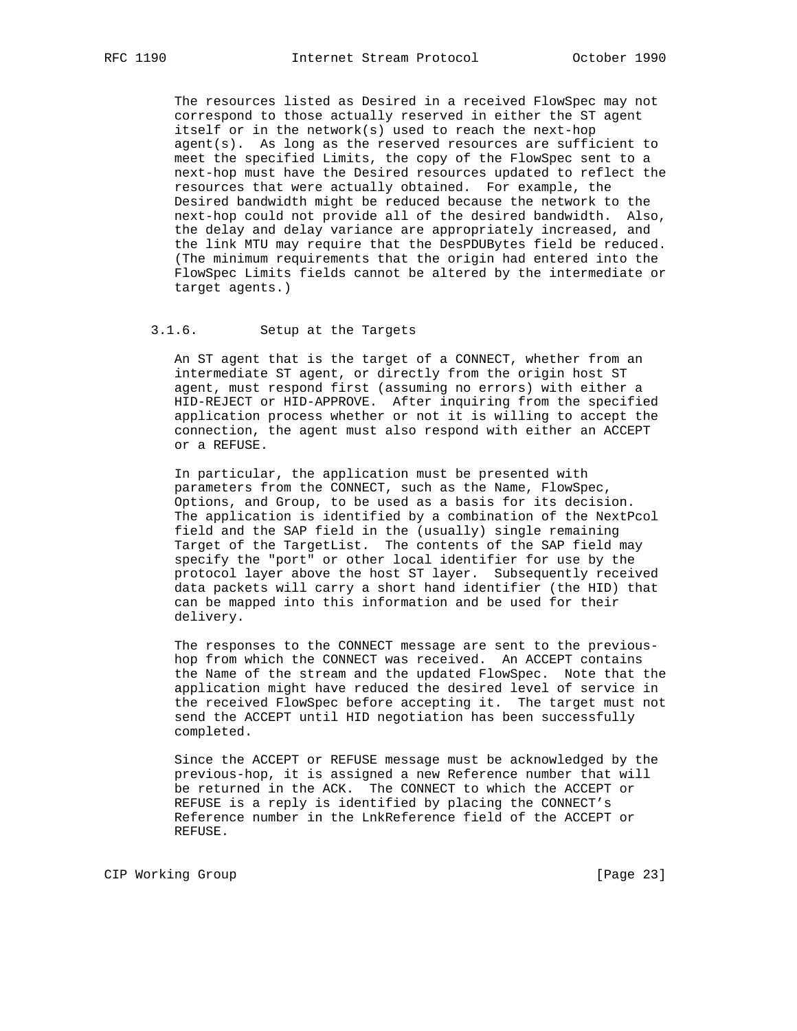The resources listed as Desired in a received FlowSpec may not correspond to those actually reserved in either the ST agent itself or in the network(s) used to reach the next-hop agent(s). As long as the reserved resources are sufficient to meet the specified Limits, the copy of the FlowSpec sent to a next-hop must have the Desired resources updated to reflect the resources that were actually obtained. For example, the Desired bandwidth might be reduced because the network to the next-hop could not provide all of the desired bandwidth. Also, the delay and delay variance are appropriately increased, and the link MTU may require that the DesPDUBytes field be reduced. (The minimum requirements that the origin had entered into the FlowSpec Limits fields cannot be altered by the intermediate or target agents.)

### 3.1.6. Setup at the Targets

 An ST agent that is the target of a CONNECT, whether from an intermediate ST agent, or directly from the origin host ST agent, must respond first (assuming no errors) with either a HID-REJECT or HID-APPROVE. After inquiring from the specified application process whether or not it is willing to accept the connection, the agent must also respond with either an ACCEPT or a REFUSE.

 In particular, the application must be presented with parameters from the CONNECT, such as the Name, FlowSpec, Options, and Group, to be used as a basis for its decision. The application is identified by a combination of the NextPcol field and the SAP field in the (usually) single remaining Target of the TargetList. The contents of the SAP field may specify the "port" or other local identifier for use by the protocol layer above the host ST layer. Subsequently received data packets will carry a short hand identifier (the HID) that can be mapped into this information and be used for their delivery.

 The responses to the CONNECT message are sent to the previous hop from which the CONNECT was received. An ACCEPT contains the Name of the stream and the updated FlowSpec. Note that the application might have reduced the desired level of service in the received FlowSpec before accepting it. The target must not send the ACCEPT until HID negotiation has been successfully completed.

 Since the ACCEPT or REFUSE message must be acknowledged by the previous-hop, it is assigned a new Reference number that will be returned in the ACK. The CONNECT to which the ACCEPT or REFUSE is a reply is identified by placing the CONNECT's Reference number in the LnkReference field of the ACCEPT or REFUSE.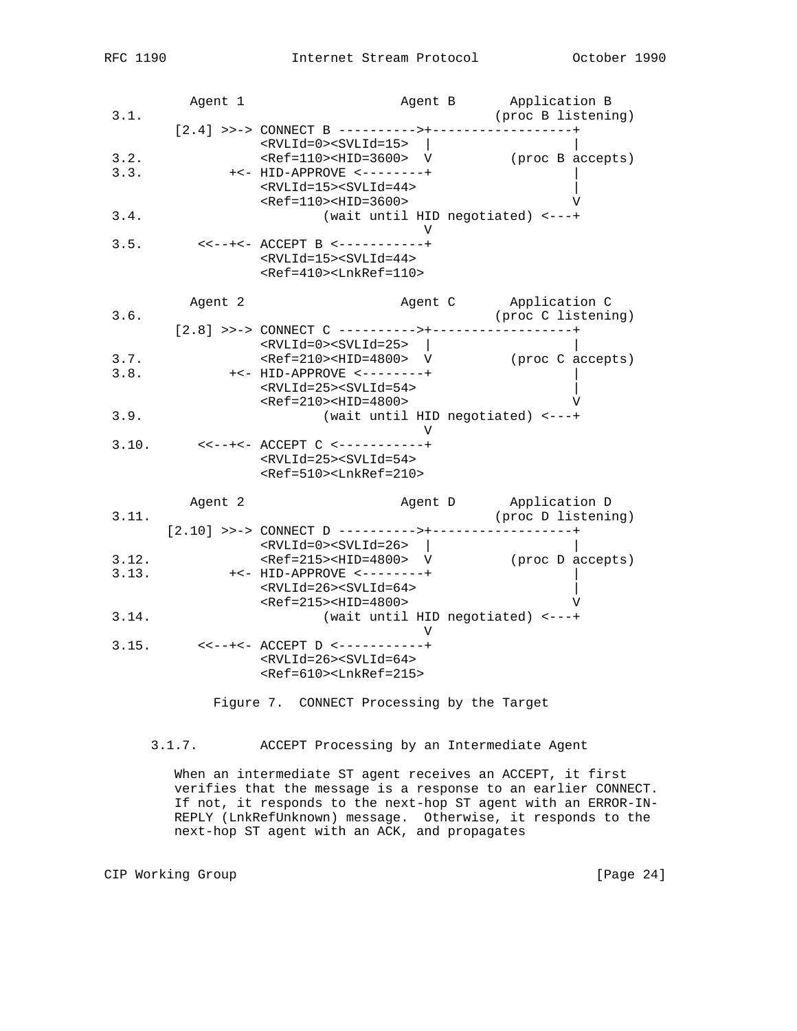| 3.1.  | Agent 1 | Application B<br>Agent B<br>(proc B listening)            |
|-------|---------|-----------------------------------------------------------|
|       |         | [2.4] >>-> CONNECT B ---------->+------------------+      |
|       |         | $<$ RVLId=0> $<$ SVLId=15>                                |
| 3.2.  |         | $Ref=110CHID=3600 V$<br>(proc B accepts)                  |
| 3.3.  |         |                                                           |
|       |         | $<$ RVLId=15> $<$ SVLId=44>                               |
|       |         | $<$ Ref=110> <hid=3600><br/>٦T</hid=3600>                 |
| 3.4.  |         | (wait until HID negotiated) <---+                         |
|       |         | V                                                         |
| 3.5.  |         | <<--+<- ACCEPT B <-----------+                            |
|       |         | $<$ RVLId=15> <svlid=44></svlid=44>                       |
|       |         | $<$ Ref=410> <lnkref=110></lnkref=110>                    |
|       | Agent 2 | Agent C Application C                                     |
| 3.6.  |         | (proc C listening)                                        |
|       |         | $[2.8]$ >>-> CONNECT C ---------->+------------------+    |
|       |         | $<$ RVLId=0> <svlid=25></svlid=25>                        |
| 3.7.  |         | $<$ Ref=210> <hid=4800> V<br/>(proc C accepts)</hid=4800> |
| 3.8.  |         |                                                           |
|       |         | $<$ RVLId=25> $<$ SVLId=54>                               |
|       |         | $<$ Ref=210> <hid=4800><br/>V</hid=4800>                  |
| 3.9.  |         | (wait until HID negotiated) <---+                         |
| 3.10. |         | V<br><<--+<- ACCEPT C <----------+                        |
|       |         | $<$ RVLId=25> $<$ SVLId=54>                               |
|       |         | $<$ Ref=510> <lnkref=210></lnkref=210>                    |
|       |         |                                                           |
|       | Agent 2 | Application D<br>Agent D                                  |
| 3.11. |         | (proc D listening)                                        |
|       |         | [2.10] >>-> CONNECT D ---------->+------------------+     |
|       |         | <rvlid=0><svlid=26></svlid=26></rvlid=0>                  |
| 3.12. |         | $REf=215CHID=4800> V$<br>(proc D accepts)                 |
| 3.13. |         |                                                           |
|       |         | $<$ RVLId=26> <svlid=64></svlid=64>                       |
|       |         | $<$ Ref=215> <hid=4800></hid=4800>                        |
| 3.14. |         | (wait until HID negotiated) <---+                         |
|       |         | V<br>$3.15.$ <<--+<- ACCEPT D <----------+                |
|       |         | $<$ RVLId=26> $<$ SVLId=64>                               |
|       |         | $<$ Ref=610> <lnkref=215></lnkref=215>                    |
|       |         |                                                           |

Figure 7. CONNECT Processing by the Target

# 3.1.7. ACCEPT Processing by an Intermediate Agent

 When an intermediate ST agent receives an ACCEPT, it first verifies that the message is a response to an earlier CONNECT. If not, it responds to the next-hop ST agent with an ERROR-IN- REPLY (LnkRefUnknown) message. Otherwise, it responds to the next-hop ST agent with an ACK, and propagates

CIP Working Group **compared to the CIP Working Group compared to the CIP Working Group compared to the CIP**  $\sim$  **[Page 24]**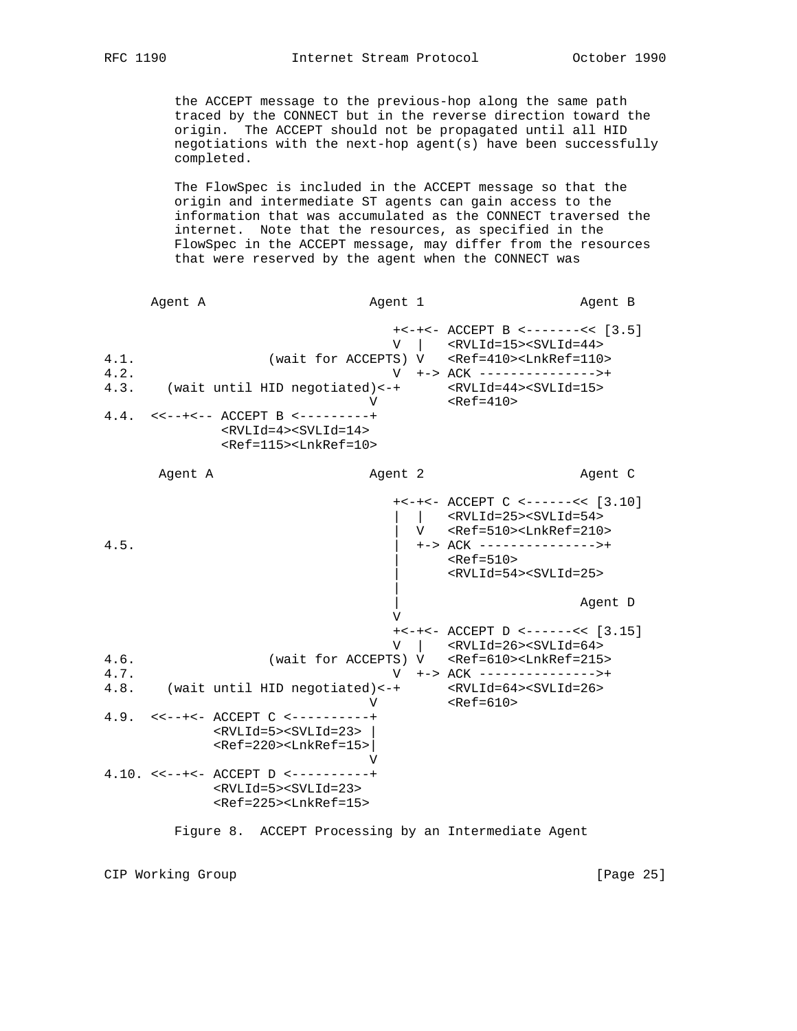the ACCEPT message to the previous-hop along the same path traced by the CONNECT but in the reverse direction toward the origin. The ACCEPT should not be propagated until all HID negotiations with the next-hop agent(s) have been successfully completed.

 The FlowSpec is included in the ACCEPT message so that the origin and intermediate ST agents can gain access to the information that was accumulated as the CONNECT traversed the internet. Note that the resources, as specified in the FlowSpec in the ACCEPT message, may differ from the resources that were reserved by the agent when the CONNECT was

Agent A agent 1 Agent B +<-+<- ACCEPT B <-------<< [3.5] V | <RVLId=15><SVLId=44> 4.1. (wait for ACCEPTS) V <Ref=410><LnkRef=110> 4.2. V +-> ACK --------------->+ 4.3. (wait until HID negotiated)<-+ <RVLId=44><SVLId=15>  $V \n< \text{Ref}=410$ 4.4. <<--+<-- ACCEPT B <---------+ <RVLId=4><SVLId=14> <Ref=115><LnkRef=10> Agent A  $A$  Agent 2  $A$  Agent C +<-+<- ACCEPT C <------<< [3.10]  $\vert \quad \vert$  < RVLId=25><SVLId=54> | V <Ref=510><LnkRef=210>  $4.5.$   $+ -5$  ACK  $- - - - - - - - - - - - +$  | <Ref=510> | <RVLId=54><SVLId=25> | Agent D V +<-+<- ACCEPT D <------<< [3.15]  $\rm{V}$   $\rm{V}$   $\rm{<}$   $\rm{c}$   $\rm{c}$   $\rm{c}$   $\rm{c}$   $\rm{c}$   $\rm{c}$   $\rm{c}$   $\rm{c}$   $\rm{c}$   $\rm{c}$   $\rm{c}$   $\rm{c}$   $\rm{c}$   $\rm{c}$   $\rm{c}$   $\rm{c}$   $\rm{c}$   $\rm{c}$   $\rm{c}$   $\rm{c}$   $\rm{c}$   $\rm{c}$   $\rm{c}$   $\rm{c}$   $\rm{c$ 4.6. (wait for ACCEPTS) V <Ref=610><LnkRef=215> 4.7. V +-> ACK --------------->+ 4.8. (wait until HID negotiated)<-+ <RVLId=64><SVLId=26> V <Ref=610> 4.9. <<--+<- ACCEPT C <----------+ <RVLId=5><SVLId=23> | <Ref=220><LnkRef=15>| V 4.10. <<--+<- ACCEPT D <----------+ <RVLId=5><SVLId=23> <Ref=225><LnkRef=15> Figure 8. ACCEPT Processing by an Intermediate Agent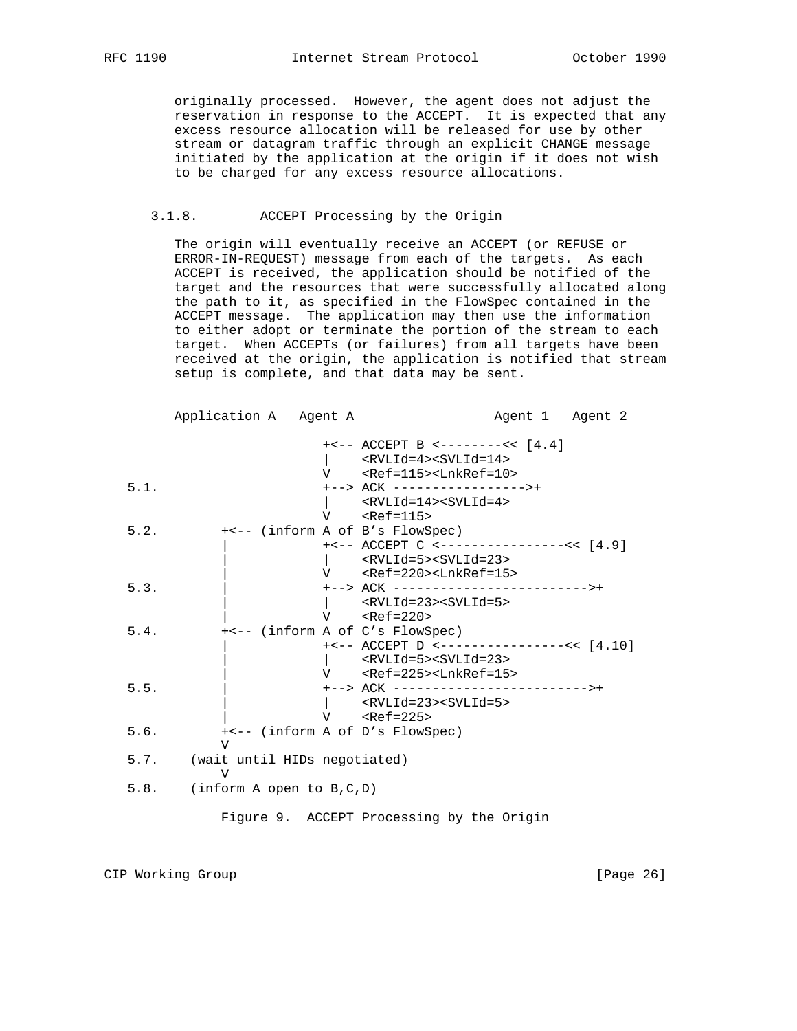originally processed. However, the agent does not adjust the reservation in response to the ACCEPT. It is expected that any excess resource allocation will be released for use by other stream or datagram traffic through an explicit CHANGE message initiated by the application at the origin if it does not wish to be charged for any excess resource allocations.

## 3.1.8. ACCEPT Processing by the Origin

 The origin will eventually receive an ACCEPT (or REFUSE or ERROR-IN-REQUEST) message from each of the targets. As each ACCEPT is received, the application should be notified of the target and the resources that were successfully allocated along the path to it, as specified in the FlowSpec contained in the ACCEPT message. The application may then use the information to either adopt or terminate the portion of the stream to each target. When ACCEPTs (or failures) from all targets have been received at the origin, the application is notified that stream setup is complete, and that data may be sent.

|      | Application A Agent A                               | Agent 1 Agent 2                                                                                                                         |
|------|-----------------------------------------------------|-----------------------------------------------------------------------------------------------------------------------------------------|
|      |                                                     | $+$ <-- ACCEPT B <--------<< [4.4]<br><rvlid=4><svlid=14><br/><math>V \times Ref=115&gt;<ln kref="10"></ln></math></svlid=14></rvlid=4> |
| 5.1. |                                                     | +--> ACK ----------------->+                                                                                                            |
|      |                                                     | <rvlid=14><svlid=4></svlid=4></rvlid=14>                                                                                                |
|      |                                                     | $V \n<\nRef=115$                                                                                                                        |
| 5.2. | +<-- (inform A of B's FlowSpec)                     | +<-- ACCEPT C <---------------<< [4.9]                                                                                                  |
|      |                                                     | <rvlid=5><svlid=23></svlid=23></rvlid=5>                                                                                                |
|      |                                                     | $V \qquad \text{$                                                                                                                       |
| 5.3. |                                                     | +--> ACK ------------------------->+                                                                                                    |
|      |                                                     | <rvlid=23><svlid=5></svlid=5></rvlid=23>                                                                                                |
|      |                                                     |                                                                                                                                         |
| 5.4. | +<-- (inform A of C's FlowSpec)                     |                                                                                                                                         |
|      |                                                     | +<-- ACCEPT D <----------------<< $[4.10]$<br>  <rvlid=5><svlid=23></svlid=23></rvlid=5>                                                |
|      |                                                     | $V \qquad \text{}$                                                                                                                      |
| 5.5. |                                                     | +--> ACK ------------------------->+                                                                                                    |
|      |                                                     | <rvlid=23><svlid=5></svlid=5></rvlid=23>                                                                                                |
|      |                                                     | $V \n<\nRef=225$                                                                                                                        |
| 5.6. | +<-- (inform A of D's FlowSpec)                     |                                                                                                                                         |
|      | V                                                   |                                                                                                                                         |
|      | 5.7. (wait until HIDs negotiated)<br>$\overline{V}$ |                                                                                                                                         |
| 5.8. | (inform A open to B, C, D)                          |                                                                                                                                         |
|      |                                                     |                                                                                                                                         |

Figure 9. ACCEPT Processing by the Origin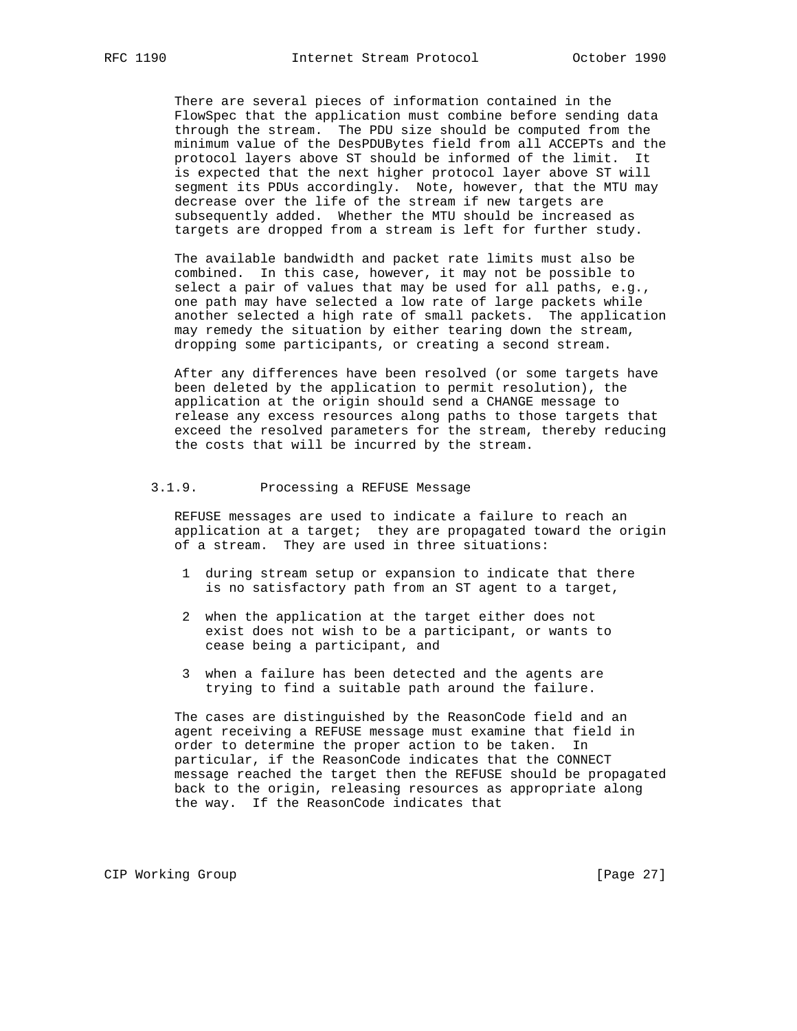There are several pieces of information contained in the FlowSpec that the application must combine before sending data through the stream. The PDU size should be computed from the minimum value of the DesPDUBytes field from all ACCEPTs and the protocol layers above ST should be informed of the limit. It is expected that the next higher protocol layer above ST will segment its PDUs accordingly. Note, however, that the MTU may decrease over the life of the stream if new targets are subsequently added. Whether the MTU should be increased as targets are dropped from a stream is left for further study.

 The available bandwidth and packet rate limits must also be combined. In this case, however, it may not be possible to select a pair of values that may be used for all paths, e.g., one path may have selected a low rate of large packets while another selected a high rate of small packets. The application may remedy the situation by either tearing down the stream, dropping some participants, or creating a second stream.

 After any differences have been resolved (or some targets have been deleted by the application to permit resolution), the application at the origin should send a CHANGE message to release any excess resources along paths to those targets that exceed the resolved parameters for the stream, thereby reducing the costs that will be incurred by the stream.

## 3.1.9. Processing a REFUSE Message

 REFUSE messages are used to indicate a failure to reach an application at a target; they are propagated toward the origin of a stream. They are used in three situations:

- 1 during stream setup or expansion to indicate that there is no satisfactory path from an ST agent to a target,
- 2 when the application at the target either does not exist does not wish to be a participant, or wants to cease being a participant, and
- 3 when a failure has been detected and the agents are trying to find a suitable path around the failure.

 The cases are distinguished by the ReasonCode field and an agent receiving a REFUSE message must examine that field in order to determine the proper action to be taken. In particular, if the ReasonCode indicates that the CONNECT message reached the target then the REFUSE should be propagated back to the origin, releasing resources as appropriate along the way. If the ReasonCode indicates that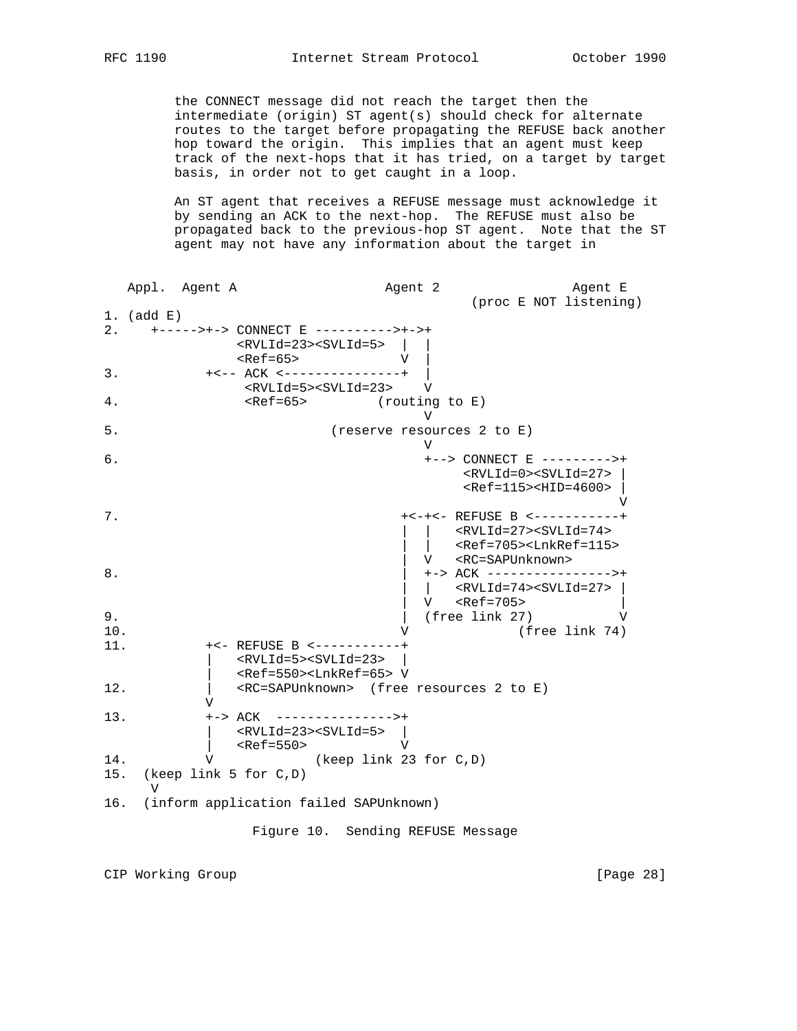the CONNECT message did not reach the target then the intermediate (origin) ST agent(s) should check for alternate routes to the target before propagating the REFUSE back another hop toward the origin. This implies that an agent must keep track of the next-hops that it has tried, on a target by target basis, in order not to get caught in a loop.

 An ST agent that receives a REFUSE message must acknowledge it by sending an ACK to the next-hop. The REFUSE must also be propagated back to the previous-hop ST agent. Note that the ST agent may not have any information about the target in

Appl. Agent A agent 2 Agent E (proc E NOT listening) 1. (add E) 2. +----->+-> CONNECT E ---------->+->+ <RVLId=23><SVLId=5> | | <Ref=65> V | 3. +<-- ACK <---------------+ | <RVLId=5><SVLId=23> V 4. <Ref=65> (routing to E) V 5. (reserve resources 2 to E) V 6. +--> CONNECT E --------->+ <RVLId=0><SVLId=27> | <Ref=115><HID=4600> | V 7. +<-+<- REFUSE B <-----------+ | | <RVLId=27><SVLId=74>  $\vert \hspace{1.5cm} \vert$   $<$ Ref=705><LnkRef=115> | V <RC=SAPUnknown> 8. | +-> ACK ---------------->+  $\vert \quad \vert \quad <$ RVLId=74><SVLId=27>  $\vert$  | V <Ref=705> | 9. | (free link 27) V 10. V (free link 74) 11. +<- REFUSE B <-----------+ | <RVLId=5><SVLId=23> | | <Ref=550><LnkRef=65> V 12. | <RC=SAPUnknown> (free resources 2 to E) V 13. +-> ACK --------------->+ | <RVLId=23><SVLId=5> |  $|$  <Ref=550>  $V$ <br>V (keep link 2) 14. V (keep link 23 for C,D) 15. (keep link 5 for C,D)  $\overline{V}$ 16. (inform application failed SAPUnknown) Figure 10. Sending REFUSE Message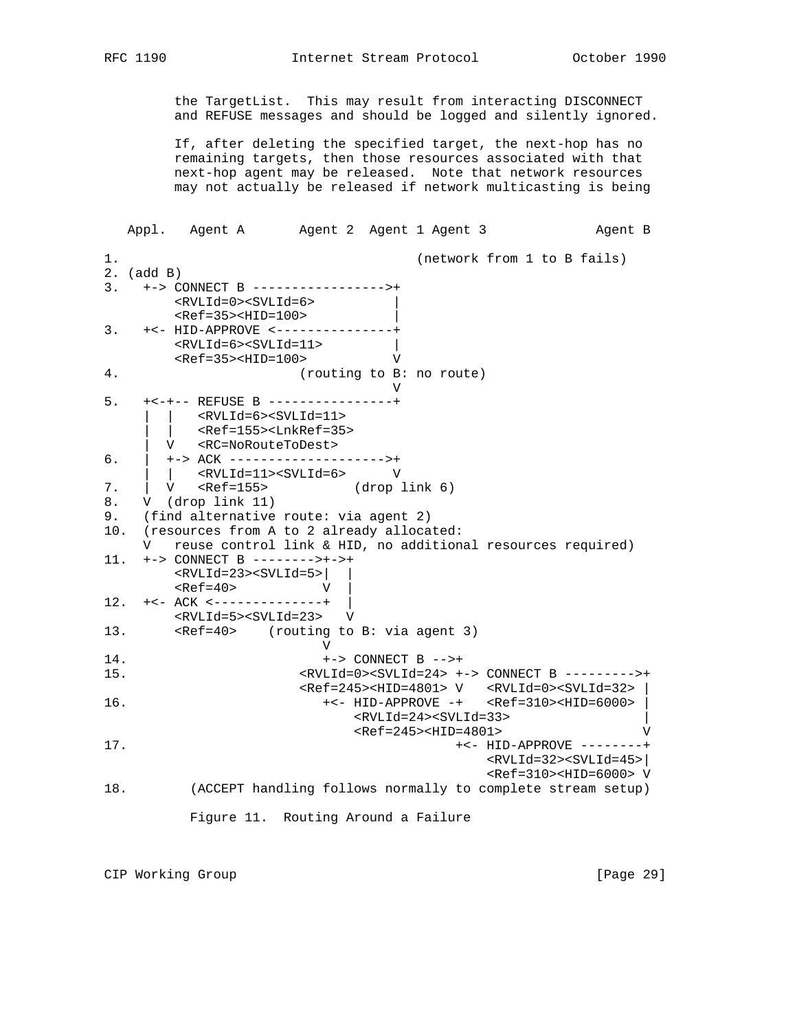the TargetList. This may result from interacting DISCONNECT and REFUSE messages and should be logged and silently ignored.

 If, after deleting the specified target, the next-hop has no remaining targets, then those resources associated with that next-hop agent may be released. Note that network resources may not actually be released if network multicasting is being

Appl. Agent A agent 2 Agent 1 Agent 3 Agent B 1. (network from 1 to B fails) 2. (add B) 3. +-> CONNECT B ----------------->+  $<$ RVLId=0> $<$ SVLId=6> <Ref=35><HID=100> 3. +<- HID-APPROVE <---------------+ <RVLId=6><SVLId=11> | <Ref=35><HID=100> V 4. (routing to B: no route) V 5. +<-+-- REFUSE B ----------------+ | | <RVLId=6><SVLId=11> | | <Ref=155><LnkRef=35> | V <RC=NoRouteToDest> 6. | +-> ACK -------------------->+ | | <RVLId=11><SVLId=6> V | | <RVLId=11><SVLId=6> V<br>
7. | V <Ref=155> (drop link 6)<br>
8 V (drop link 11) 8. V (drop link 11) 9. (find alternative route: via agent 2) 10. (resources from A to 2 already allocated: V reuse control link & HID, no additional resources required) 11. +-> CONNECT B -------->+->+ <RVLId=23><SVLId=5>| |  $<sub>kef=40</sub>$  v</sub> 12. +<- ACK <--------------+ | <RVLId=5><SVLId=23> V 13. <Ref=40> (routing to B: via agent 3) V 14.  $+->$  CONNECT B  $-->+$ 15. <RVLId=0><SVLId=24> +-> CONNECT B --------->+ <Ref=245><HID=4801> V <RVLId=0><SVLId=32> | 16.  $+<-$  HID-APPROVE  $-+$   $<$ Ref=310><HID=6000>  $<$ RVLId=24> $<$ SVLId=33> <Ref=245><HID=4801> V 17. +<- HID-APPROVE --------+ <RVLId=32><SVLId=45>| <Ref=310><HID=6000> V 18. (ACCEPT handling follows normally to complete stream setup) Figure 11. Routing Around a Failure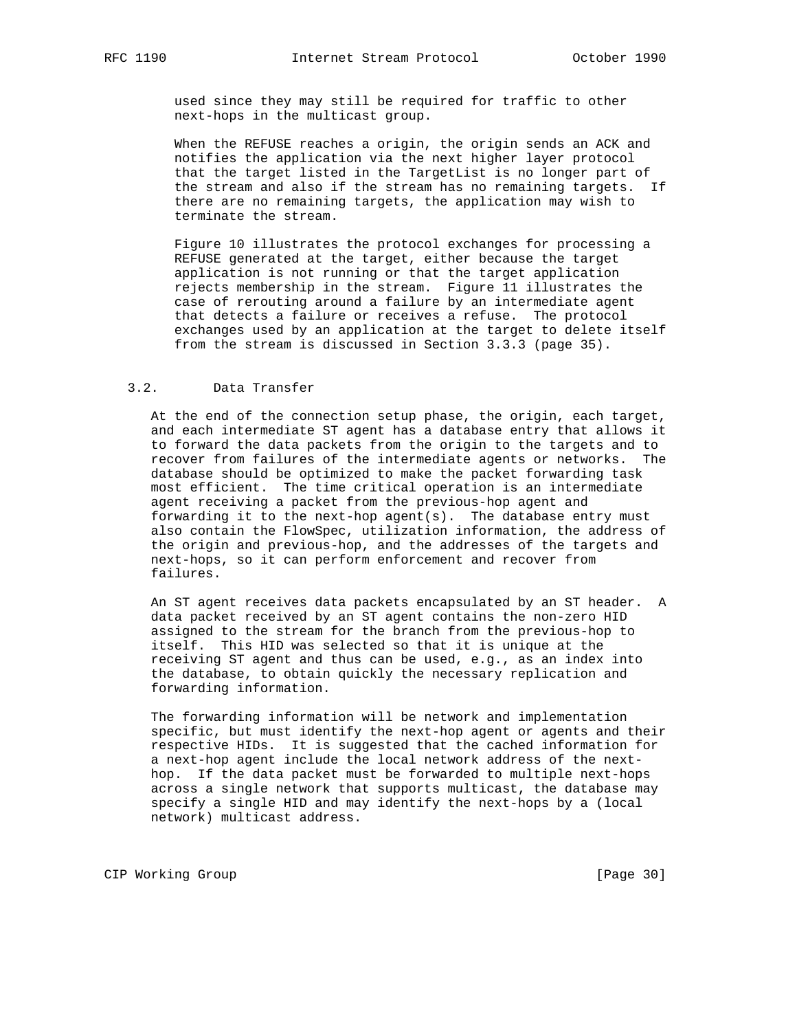used since they may still be required for traffic to other next-hops in the multicast group.

 When the REFUSE reaches a origin, the origin sends an ACK and notifies the application via the next higher layer protocol that the target listed in the TargetList is no longer part of the stream and also if the stream has no remaining targets. If there are no remaining targets, the application may wish to terminate the stream.

 Figure 10 illustrates the protocol exchanges for processing a REFUSE generated at the target, either because the target application is not running or that the target application rejects membership in the stream. Figure 11 illustrates the case of rerouting around a failure by an intermediate agent that detects a failure or receives a refuse. The protocol exchanges used by an application at the target to delete itself from the stream is discussed in Section 3.3.3 (page 35).

### 3.2. Data Transfer

 At the end of the connection setup phase, the origin, each target, and each intermediate ST agent has a database entry that allows it to forward the data packets from the origin to the targets and to recover from failures of the intermediate agents or networks. The database should be optimized to make the packet forwarding task most efficient. The time critical operation is an intermediate agent receiving a packet from the previous-hop agent and forwarding it to the next-hop agent(s). The database entry must also contain the FlowSpec, utilization information, the address of the origin and previous-hop, and the addresses of the targets and next-hops, so it can perform enforcement and recover from failures.

 An ST agent receives data packets encapsulated by an ST header. A data packet received by an ST agent contains the non-zero HID assigned to the stream for the branch from the previous-hop to itself. This HID was selected so that it is unique at the receiving ST agent and thus can be used, e.g., as an index into the database, to obtain quickly the necessary replication and forwarding information.

 The forwarding information will be network and implementation specific, but must identify the next-hop agent or agents and their respective HIDs. It is suggested that the cached information for a next-hop agent include the local network address of the next hop. If the data packet must be forwarded to multiple next-hops across a single network that supports multicast, the database may specify a single HID and may identify the next-hops by a (local network) multicast address.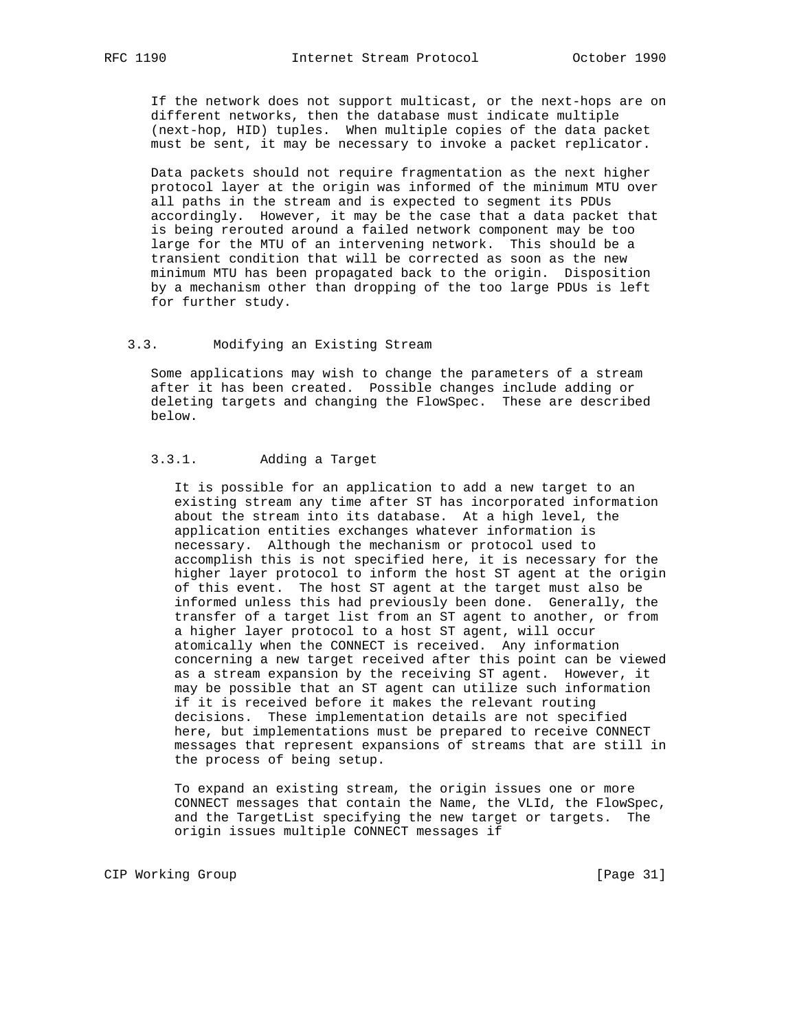If the network does not support multicast, or the next-hops are on different networks, then the database must indicate multiple (next-hop, HID) tuples. When multiple copies of the data packet must be sent, it may be necessary to invoke a packet replicator.

 Data packets should not require fragmentation as the next higher protocol layer at the origin was informed of the minimum MTU over all paths in the stream and is expected to segment its PDUs accordingly. However, it may be the case that a data packet that is being rerouted around a failed network component may be too large for the MTU of an intervening network. This should be a transient condition that will be corrected as soon as the new minimum MTU has been propagated back to the origin. Disposition by a mechanism other than dropping of the too large PDUs is left for further study.

### 3.3. Modifying an Existing Stream

 Some applications may wish to change the parameters of a stream after it has been created. Possible changes include adding or deleting targets and changing the FlowSpec. These are described below.

## 3.3.1. Adding a Target

 It is possible for an application to add a new target to an existing stream any time after ST has incorporated information about the stream into its database. At a high level, the application entities exchanges whatever information is necessary. Although the mechanism or protocol used to accomplish this is not specified here, it is necessary for the higher layer protocol to inform the host ST agent at the origin of this event. The host ST agent at the target must also be informed unless this had previously been done. Generally, the transfer of a target list from an ST agent to another, or from a higher layer protocol to a host ST agent, will occur atomically when the CONNECT is received. Any information concerning a new target received after this point can be viewed as a stream expansion by the receiving ST agent. However, it may be possible that an ST agent can utilize such information if it is received before it makes the relevant routing decisions. These implementation details are not specified here, but implementations must be prepared to receive CONNECT messages that represent expansions of streams that are still in the process of being setup.

 To expand an existing stream, the origin issues one or more CONNECT messages that contain the Name, the VLId, the FlowSpec, and the TargetList specifying the new target or targets. The origin issues multiple CONNECT messages if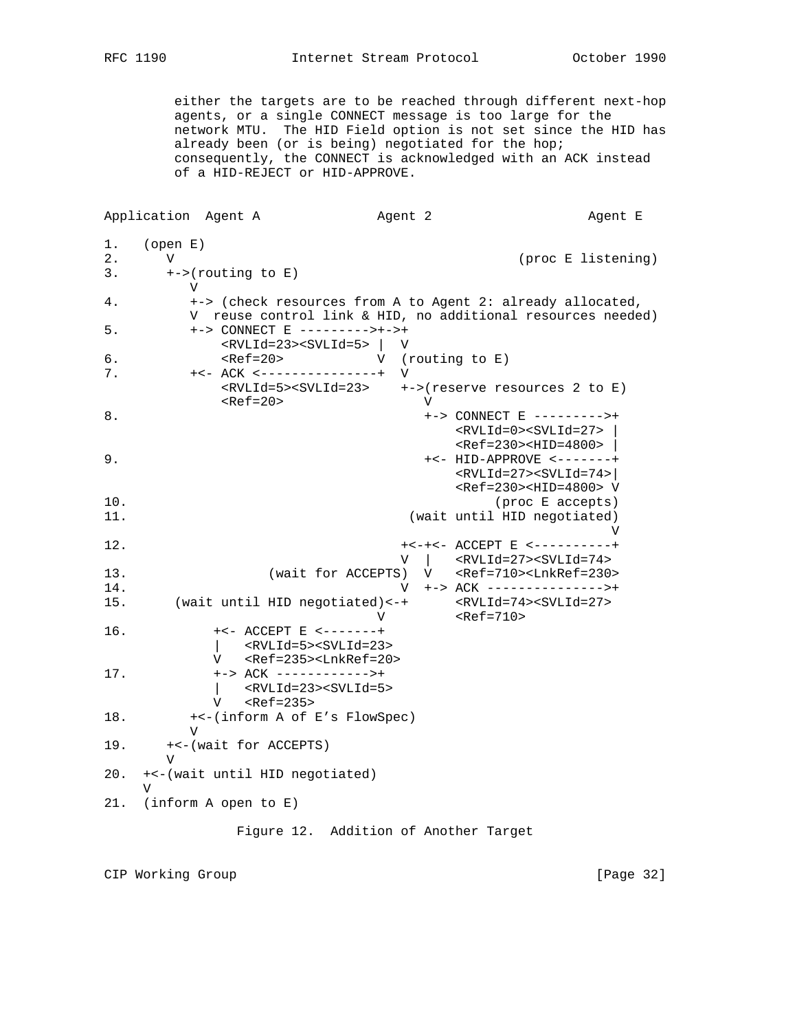either the targets are to be reached through different next-hop agents, or a single CONNECT message is too large for the network MTU. The HID Field option is not set since the HID has already been (or is being) negotiated for the hop; consequently, the CONNECT is acknowledged with an ACK instead of a HID-REJECT or HID-APPROVE.

Application Agent A agent 2 Agent E 1. (open E) 2. V Contract V (Proc E listening)  $3. + -\frac{5}{\pi}$  + -> (routing to E) V 4. +-> (check resources from A to Agent 2: already allocated, V reuse control link & HID, no additional resources needed) 5. +-> CONNECT E --------->+->+ <RVLId=23><SVLId=5> | V 6. Sef=20> V (routing to E) 7. +<- ACK <---------------+ V <RVLId=5><SVLId=23> +->(reserve resources 2 to E) <Ref=20> V 8. +-> CONNECT E --------->+ <RVLId=0><SVLId=27> |  $<sub>kef=230</sub>$   $<sub>HID=4800</sub>$  |</sub></sub> 9. +<- HID-APPROVE <-------+ <RVLId=27><SVLId=74>| <Ref=230><HID=4800> V 10. (proc E accepts) 11. (wait until HID negotiated) V 12. +<-+<- ACCEPT E <----------+  $\rm{V}$   $\rm{V}$   $\rm{<}$   $\rm{<}$   $\rm{<}$   $\rm{<}$   $\rm{<}$   $\rm{<}$   $\rm{<}$   $\rm{<}$   $\rm{<}$   $\rm{<}$   $\rm{<}$   $\rm{<}$   $\rm{<}$   $\rm{<}$   $\rm{<}$   $\rm{<}$   $\rm{<}$   $\rm{<}$   $\rm{<}$   $\rm{<}$   $\rm{<}$   $\rm{<}$   $\rm{<}$   $\rm{<}$   $\rm{<}$   $\rm{<$ 13. (wait for ACCEPTS) V <Ref=710><LnkRef=230> 14. V +-> ACK --------------->+ 15. (wait until HID negotiated)<-+ <RVLId=74><SVLId=27> V <Ref=710> 16. +<- ACCEPT E <-------+ | <RVLId=5><SVLId=23> V <Ref=235><LnkRef=20> 17. +-> ACK ------------>+ | <RVLId=23><SVLId=5>  $V$  <Ref=235> 18. +<-(inform A of E's FlowSpec) V 19. +<-(wait for ACCEPTS) V 20. +<-(wait until HID negotiated)  $\overline{V}$ 21. (inform A open to E) Figure 12. Addition of Another Target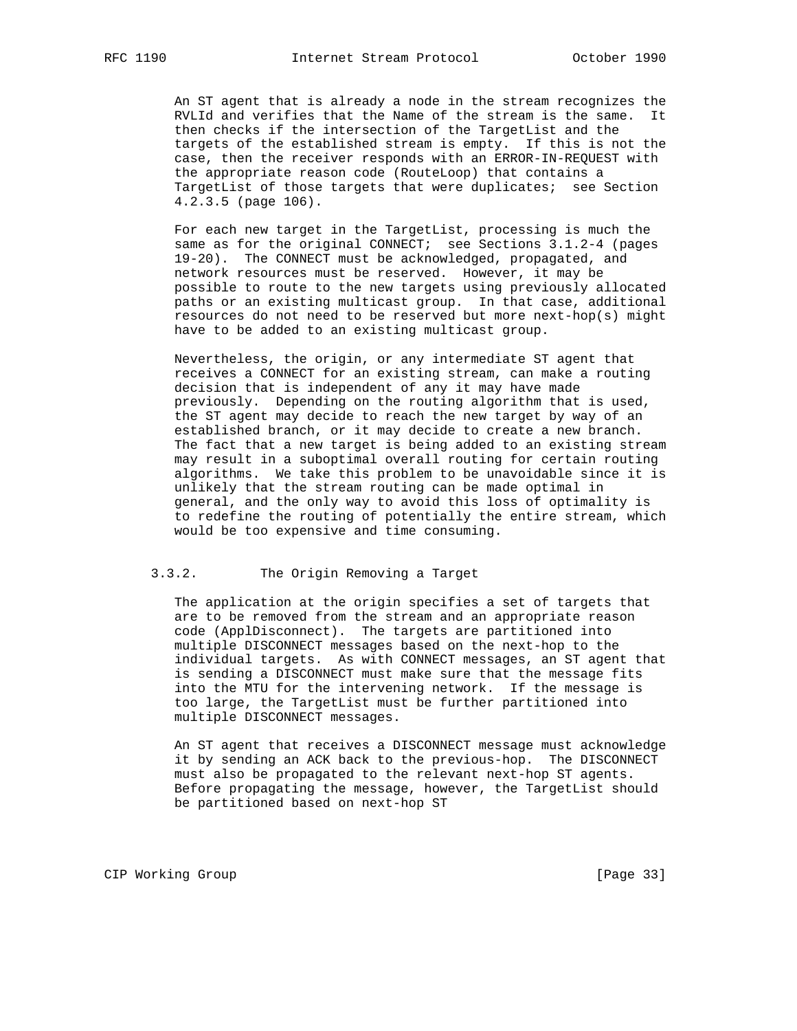An ST agent that is already a node in the stream recognizes the RVLId and verifies that the Name of the stream is the same. It then checks if the intersection of the TargetList and the targets of the established stream is empty. If this is not the case, then the receiver responds with an ERROR-IN-REQUEST with the appropriate reason code (RouteLoop) that contains a TargetList of those targets that were duplicates; see Section 4.2.3.5 (page 106).

 For each new target in the TargetList, processing is much the same as for the original CONNECT; see Sections 3.1.2-4 (pages 19-20). The CONNECT must be acknowledged, propagated, and network resources must be reserved. However, it may be possible to route to the new targets using previously allocated paths or an existing multicast group. In that case, additional resources do not need to be reserved but more next-hop(s) might have to be added to an existing multicast group.

 Nevertheless, the origin, or any intermediate ST agent that receives a CONNECT for an existing stream, can make a routing decision that is independent of any it may have made previously. Depending on the routing algorithm that is used, the ST agent may decide to reach the new target by way of an established branch, or it may decide to create a new branch. The fact that a new target is being added to an existing stream may result in a suboptimal overall routing for certain routing algorithms. We take this problem to be unavoidable since it is unlikely that the stream routing can be made optimal in general, and the only way to avoid this loss of optimality is to redefine the routing of potentially the entire stream, which would be too expensive and time consuming.

# 3.3.2. The Origin Removing a Target

 The application at the origin specifies a set of targets that are to be removed from the stream and an appropriate reason code (ApplDisconnect). The targets are partitioned into multiple DISCONNECT messages based on the next-hop to the individual targets. As with CONNECT messages, an ST agent that is sending a DISCONNECT must make sure that the message fits into the MTU for the intervening network. If the message is too large, the TargetList must be further partitioned into multiple DISCONNECT messages.

 An ST agent that receives a DISCONNECT message must acknowledge it by sending an ACK back to the previous-hop. The DISCONNECT must also be propagated to the relevant next-hop ST agents. Before propagating the message, however, the TargetList should be partitioned based on next-hop ST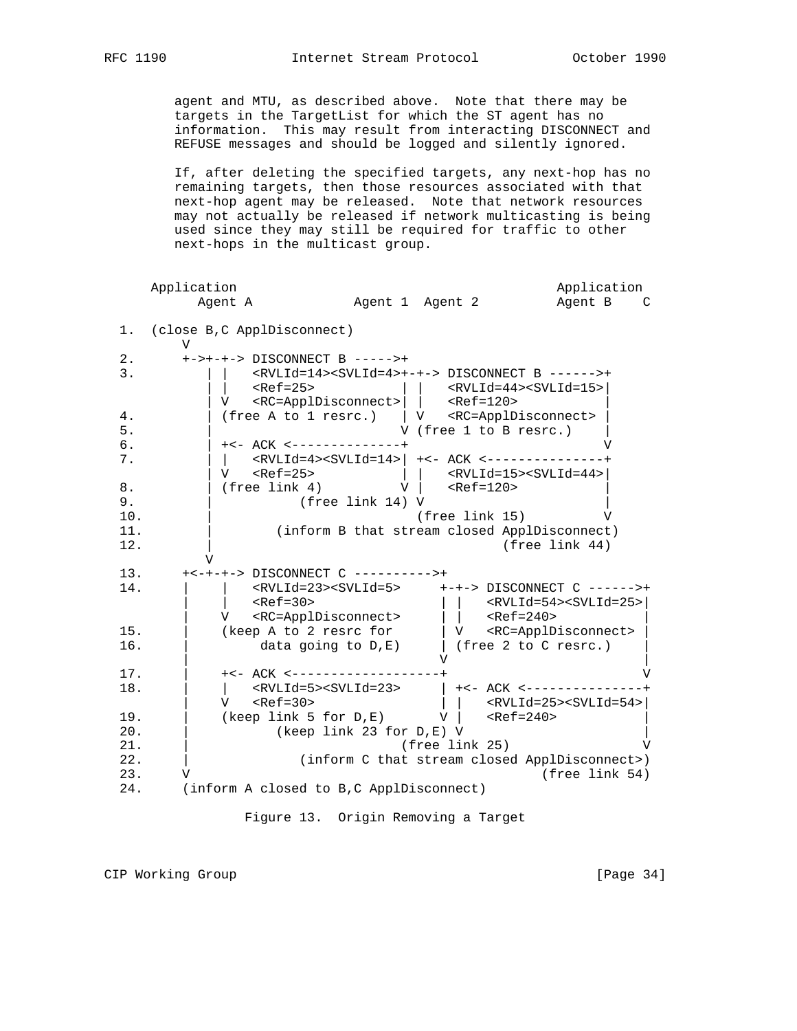agent and MTU, as described above. Note that there may be targets in the TargetList for which the ST agent has no information. This may result from interacting DISCONNECT and REFUSE messages and should be logged and silently ignored.

 If, after deleting the specified targets, any next-hop has no remaining targets, then those resources associated with that next-hop agent may be released. Note that network resources may not actually be released if network multicasting is being used since they may still be required for traffic to other next-hops in the multicast group.

|            | Application |                                                                             |                                                                           |                |                                                            |                | Application    |
|------------|-------------|-----------------------------------------------------------------------------|---------------------------------------------------------------------------|----------------|------------------------------------------------------------|----------------|----------------|
|            |             | Agent A                                                                     | Agent 1 Agent 2                                                           |                |                                                            | Agent B        | $\mathbb{C}$   |
|            |             |                                                                             |                                                                           |                |                                                            |                |                |
| 1.         |             | (close B,C ApplDisconnect)                                                  |                                                                           |                |                                                            |                |                |
|            | V           |                                                                             |                                                                           |                |                                                            |                |                |
| 2.<br>3.   |             | +->+-+-> DISCONNECT B ----->+                                               | <rvlid=14><svlid=4>+-+-&gt; DISCONNECT B ------&gt;+</svlid=4></rvlid=14> |                |                                                            |                |                |
|            |             | $Ref=25>$                                                                   |                                                                           |                | $<$ RVLId=44> <svlid=15></svlid=15>                        |                |                |
|            |             | V <rc=appldisconnect>    <ref=120></ref=120></rc=appldisconnect>            |                                                                           |                |                                                            |                |                |
| 4.         |             | (free A to 1 resrc.) $ V \times RC = Apply Disconnect >$                    |                                                                           |                |                                                            |                |                |
| 5.         |             |                                                                             |                                                                           |                | V (free 1 to B resrc.)                                     |                |                |
| б.         |             | $+$ <- $ACK$ <--------------+                                               |                                                                           |                |                                                            |                |                |
| 7.         |             |                                                                             |                                                                           |                |                                                            |                |                |
|            |             | $V <$ Ref=25>                                                               |                                                                           |                | $\vert$ $\vert$ <rvlid=15><svlid=44></svlid=44></rvlid=15> |                |                |
| 8.         |             | $(free link 4)$ $V  $ <ref=120></ref=120>                                   |                                                                           |                |                                                            |                |                |
| 9.         |             |                                                                             | (free link 14) V                                                          |                |                                                            |                |                |
| 10.        |             |                                                                             |                                                                           |                | (free link 15)                                             |                | V              |
| 11.        |             |                                                                             | (inform B that stream closed ApplDisconnect)                              |                |                                                            |                |                |
| 12.        | ٦T          |                                                                             |                                                                           |                |                                                            | (free link 44) |                |
| 13.        |             | +<-+-+-> DISCONNECT C ---------->+                                          |                                                                           |                |                                                            |                |                |
| 14.        |             |                                                                             | $RVLId=23>$ +-+-> DISCONNECT C ------>+                                   |                |                                                            |                |                |
|            |             | $ref=30>$                                                                   |                                                                           |                | <rvlid=54><svlid=25> </svlid=25></rvlid=54>                |                |                |
|            |             | $V$ <rc=appldisconnect>    </rc=appldisconnect>                             |                                                                           |                | $kef=240>$                                                 |                |                |
| 15.        |             | (keep A to 2 resrc for $ \nabla \times \text{RC} = \text{ApplDisconnect}$ ) |                                                                           |                |                                                            |                |                |
| 16.        |             |                                                                             | data going to $D, E$ )   (free 2 to C resrc.)                             |                |                                                            |                |                |
|            |             |                                                                             |                                                                           |                |                                                            |                |                |
| 17.        |             | $+ < -$ ACK $< - - - - - - - - - - - - - - - - +$                           |                                                                           |                |                                                            |                |                |
| 18.        |             |                                                                             |                                                                           |                |                                                            |                |                |
|            |             | $V <$ Ref=30>                                                               |                                                                           |                | $<$ RVLId=25> <svlid=54></svlid=54>                        |                |                |
| 19.<br>20. |             | (keep link 5 for D,E) $V \mid$ <ref=240></ref=240>                          |                                                                           |                |                                                            |                |                |
| 21.        |             |                                                                             | (keep link 23 for D,E) V                                                  | (free link 25) |                                                            |                |                |
| 22.        |             |                                                                             | (inform C that stream closed ApplDisconnect>)                             |                |                                                            |                |                |
| 23.        |             |                                                                             |                                                                           |                |                                                            |                | (free link 54) |
| 24.        |             | (inform A closed to B,C ApplDisconnect)                                     |                                                                           |                |                                                            |                |                |
|            |             |                                                                             |                                                                           |                |                                                            |                |                |

Figure 13. Origin Removing a Target

CIP Working Group [Page 34]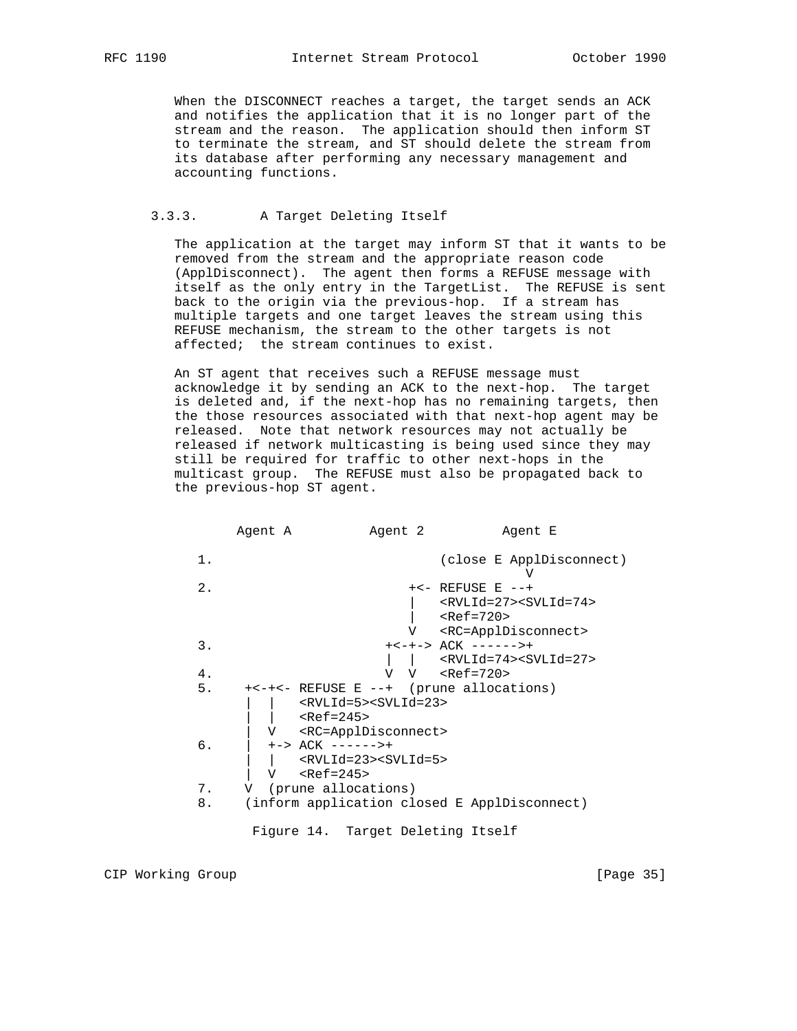When the DISCONNECT reaches a target, the target sends an ACK and notifies the application that it is no longer part of the stream and the reason. The application should then inform ST to terminate the stream, and ST should delete the stream from its database after performing any necessary management and accounting functions.

## 3.3.3. A Target Deleting Itself

 The application at the target may inform ST that it wants to be removed from the stream and the appropriate reason code (ApplDisconnect). The agent then forms a REFUSE message with itself as the only entry in the TargetList. The REFUSE is sent back to the origin via the previous-hop. If a stream has multiple targets and one target leaves the stream using this REFUSE mechanism, the stream to the other targets is not affected; the stream continues to exist.

 An ST agent that receives such a REFUSE message must acknowledge it by sending an ACK to the next-hop. The target is deleted and, if the next-hop has no remaining targets, then the those resources associated with that next-hop agent may be released. Note that network resources may not actually be released if network multicasting is being used since they may still be required for traffic to other next-hops in the multicast group. The REFUSE must also be propagated back to the previous-hop ST agent.

|       | Agent A | Agent 2                                                                                                                                                                                                                                                                                                                                                                  | Agent E                                                                                                                                   |
|-------|---------|--------------------------------------------------------------------------------------------------------------------------------------------------------------------------------------------------------------------------------------------------------------------------------------------------------------------------------------------------------------------------|-------------------------------------------------------------------------------------------------------------------------------------------|
| 1.    |         |                                                                                                                                                                                                                                                                                                                                                                          | (close E ApplDisconnect)                                                                                                                  |
| $2$ . |         |                                                                                                                                                                                                                                                                                                                                                                          | $+-$ REFUSE E $--$<br><rvlid=27><svlid=74><br/><math>ref=720&gt;</math><br/><rc=appldisconnect></rc=appldisconnect></svlid=74></rvlid=27> |
| 3.    |         |                                                                                                                                                                                                                                                                                                                                                                          | $+$ < $-$ + $-$ > $ACK$ - $-$ - $  >$ +<br><rvlid=74><svlid=27></svlid=27></rvlid=74>                                                     |
| 4.    |         |                                                                                                                                                                                                                                                                                                                                                                          | $V$ V $\leq$ Ref=720>                                                                                                                     |
| 5.    |         | $+$ $ +$ $<$ - $+$ $\leq$ $  +$ $\leq$ $\leq$ $\leq$ $\leq$ $\leq$ $\leq$ $\leq$ $\leq$ $\leq$ $\leq$ $\leq$ $\leq$ $\leq$ $\leq$ $\leq$ $\leq$ $\leq$ $\leq$ $\leq$ $\leq$ $\leq$ $\leq$ $\leq$ $\leq$ $\leq$ $\leq$ $\leq$ $\leq$ $\leq$ $\leq$<br><rvlid=5><svlid=23><br/><math>ref=245&gt;</math><br/>V <rc=appldisconnect></rc=appldisconnect></svlid=23></rvlid=5> |                                                                                                                                           |
| б.    | V       | $+->$ ACK $---->+$<br>$<$ RVLId=23> <svlid=5><br/><math>&lt;</math>Ref=245&gt;</svlid=5>                                                                                                                                                                                                                                                                                 |                                                                                                                                           |
|       | 7.      | V (prune allocations)                                                                                                                                                                                                                                                                                                                                                    |                                                                                                                                           |
| 8.    |         |                                                                                                                                                                                                                                                                                                                                                                          | (inform application closed E ApplDisconnect)                                                                                              |
|       |         |                                                                                                                                                                                                                                                                                                                                                                          |                                                                                                                                           |

Figure 14. Target Deleting Itself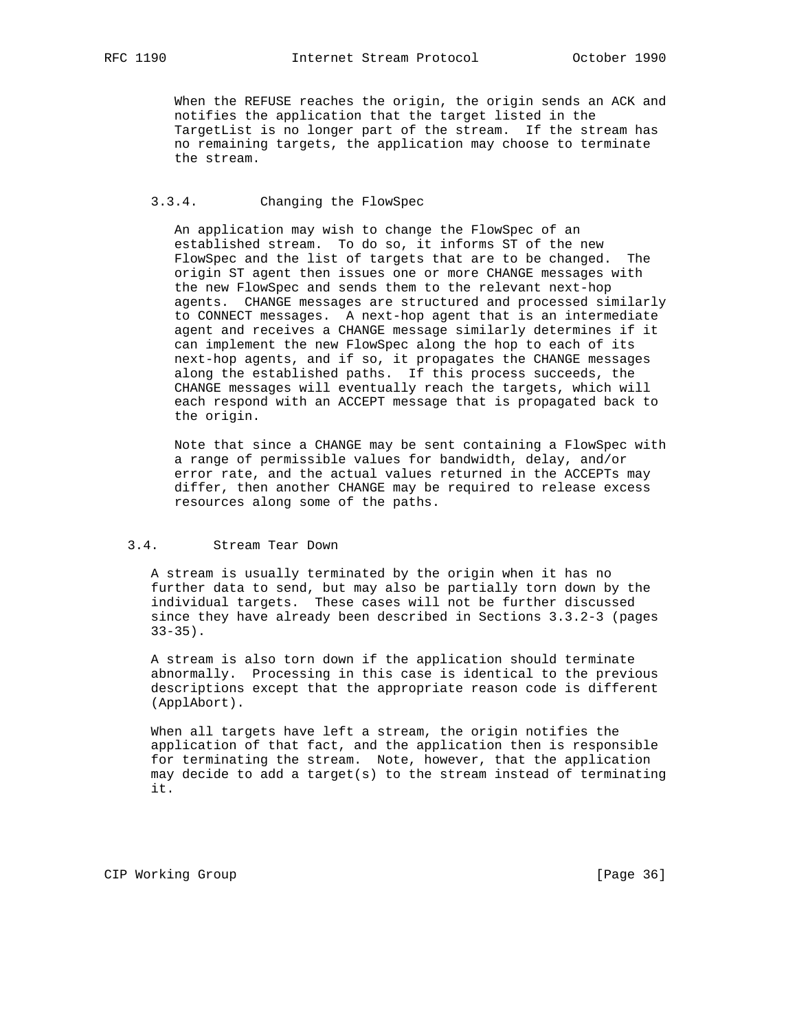When the REFUSE reaches the origin, the origin sends an ACK and notifies the application that the target listed in the TargetList is no longer part of the stream. If the stream has no remaining targets, the application may choose to terminate the stream.

# 3.3.4. Changing the FlowSpec

 An application may wish to change the FlowSpec of an established stream. To do so, it informs ST of the new FlowSpec and the list of targets that are to be changed. The origin ST agent then issues one or more CHANGE messages with the new FlowSpec and sends them to the relevant next-hop agents. CHANGE messages are structured and processed similarly to CONNECT messages. A next-hop agent that is an intermediate agent and receives a CHANGE message similarly determines if it can implement the new FlowSpec along the hop to each of its next-hop agents, and if so, it propagates the CHANGE messages along the established paths. If this process succeeds, the CHANGE messages will eventually reach the targets, which will each respond with an ACCEPT message that is propagated back to the origin.

 Note that since a CHANGE may be sent containing a FlowSpec with a range of permissible values for bandwidth, delay, and/or error rate, and the actual values returned in the ACCEPTs may differ, then another CHANGE may be required to release excess resources along some of the paths.

## 3.4. Stream Tear Down

 A stream is usually terminated by the origin when it has no further data to send, but may also be partially torn down by the individual targets. These cases will not be further discussed since they have already been described in Sections 3.3.2-3 (pages  $33 - 35$ ).

 A stream is also torn down if the application should terminate abnormally. Processing in this case is identical to the previous descriptions except that the appropriate reason code is different (ApplAbort).

 When all targets have left a stream, the origin notifies the application of that fact, and the application then is responsible for terminating the stream. Note, however, that the application may decide to add a target(s) to the stream instead of terminating it.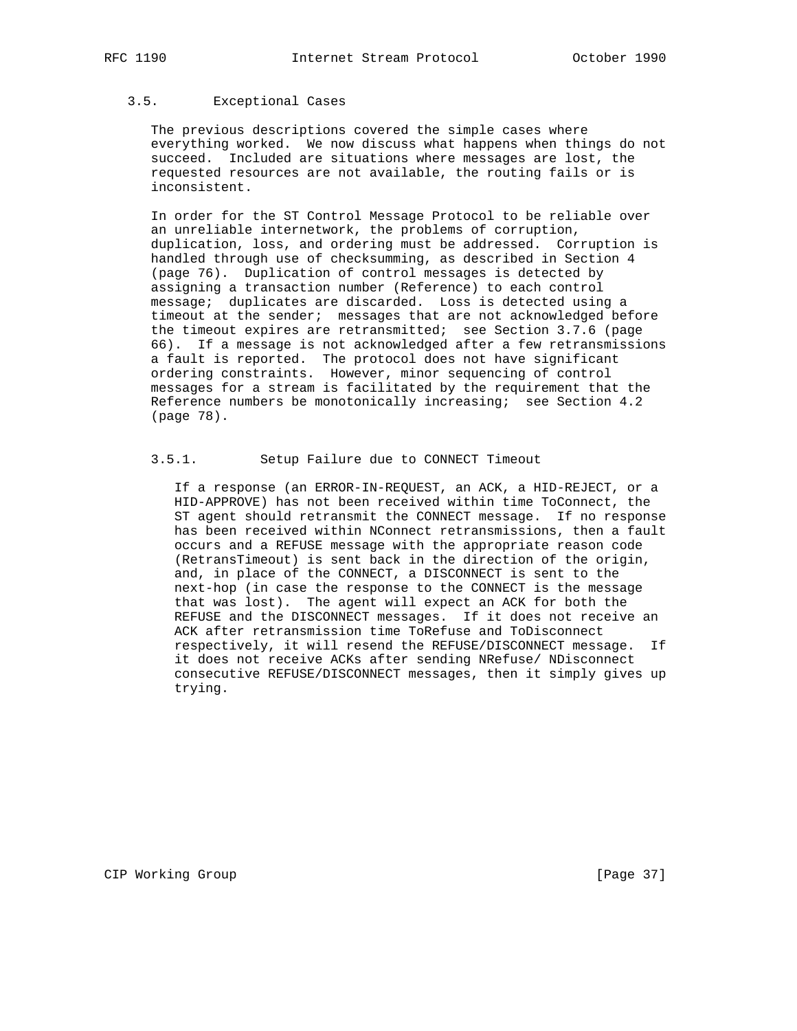## 3.5. Exceptional Cases

 The previous descriptions covered the simple cases where everything worked. We now discuss what happens when things do not succeed. Included are situations where messages are lost, the requested resources are not available, the routing fails or is inconsistent.

 In order for the ST Control Message Protocol to be reliable over an unreliable internetwork, the problems of corruption, duplication, loss, and ordering must be addressed. Corruption is handled through use of checksumming, as described in Section 4 (page 76). Duplication of control messages is detected by assigning a transaction number (Reference) to each control message; duplicates are discarded. Loss is detected using a timeout at the sender; messages that are not acknowledged before the timeout expires are retransmitted; see Section 3.7.6 (page 66). If a message is not acknowledged after a few retransmissions a fault is reported. The protocol does not have significant ordering constraints. However, minor sequencing of control messages for a stream is facilitated by the requirement that the Reference numbers be monotonically increasing; see Section 4.2 (page 78).

## 3.5.1. Setup Failure due to CONNECT Timeout

 If a response (an ERROR-IN-REQUEST, an ACK, a HID-REJECT, or a HID-APPROVE) has not been received within time ToConnect, the ST agent should retransmit the CONNECT message. If no response has been received within NConnect retransmissions, then a fault occurs and a REFUSE message with the appropriate reason code (RetransTimeout) is sent back in the direction of the origin, and, in place of the CONNECT, a DISCONNECT is sent to the next-hop (in case the response to the CONNECT is the message that was lost). The agent will expect an ACK for both the REFUSE and the DISCONNECT messages. If it does not receive an ACK after retransmission time ToRefuse and ToDisconnect respectively, it will resend the REFUSE/DISCONNECT message. If it does not receive ACKs after sending NRefuse/ NDisconnect consecutive REFUSE/DISCONNECT messages, then it simply gives up trying.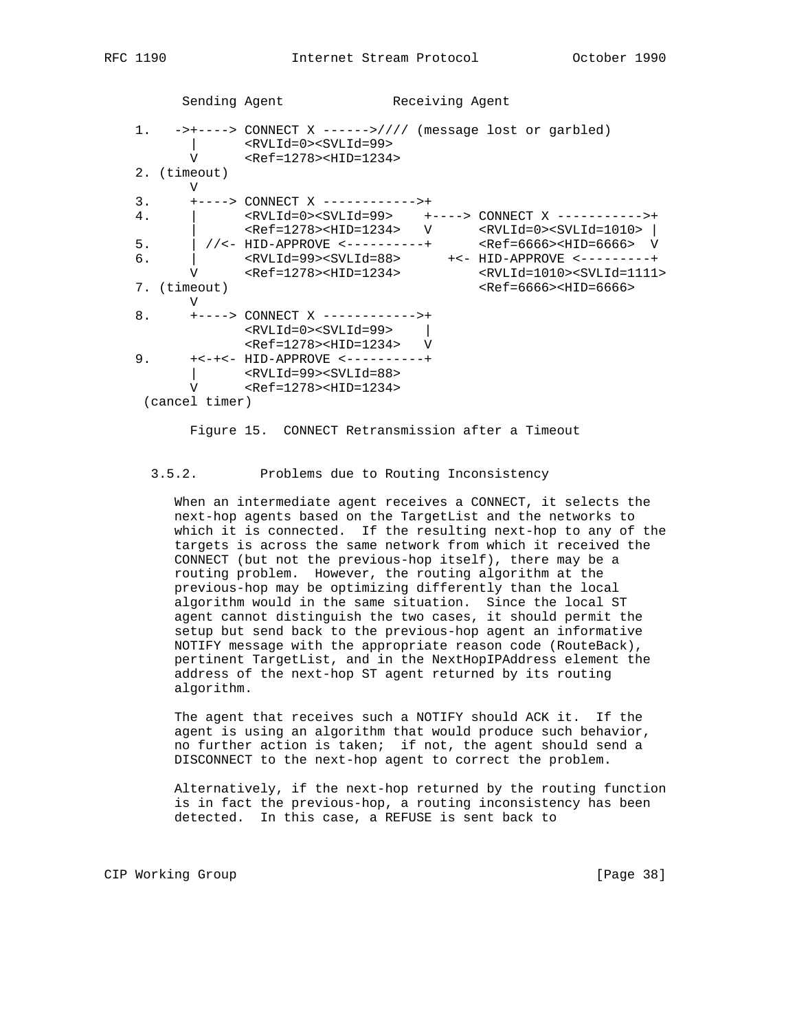Sending Agent **Receiving Agent**  1. ->+----> CONNECT X ------>//// (message lost or garbled) | <RVLId=0><SVLId=99> V <Ref=1278><HID=1234> 2. (timeout) V 3. +----> CONNECT X ------------>+ 4. | <RVLId=0><SVLId=99> +----> CONNECT X ----------->+ | <Ref=1278><HID=1234> V <RVLId=0><SVLId=1010> | 5. | //<- HID-APPROVE <----------+ <Ref=6666><HID=6666> V 6. | <RVLId=99><SVLId=88> +<- HID-APPROVE <---------+ V <Ref=1278><HID=1234> <RVLId=1010><SVLId=1111> 7. (timeout) <Ref=6666><HID=6666>  $\nabla$  8. +----> CONNECT X ------------>+ <RVLId=0><SVLId=99> | <Ref=1278><HID=1234> V 9. +<-+<- HID-APPROVE <----------+ | <RVLId=99><SVLId=88> V <Ref=1278><HID=1234> (cancel timer)

Figure 15. CONNECT Retransmission after a Timeout

# 3.5.2. Problems due to Routing Inconsistency

 When an intermediate agent receives a CONNECT, it selects the next-hop agents based on the TargetList and the networks to which it is connected. If the resulting next-hop to any of the targets is across the same network from which it received the CONNECT (but not the previous-hop itself), there may be a routing problem. However, the routing algorithm at the previous-hop may be optimizing differently than the local algorithm would in the same situation. Since the local ST agent cannot distinguish the two cases, it should permit the setup but send back to the previous-hop agent an informative NOTIFY message with the appropriate reason code (RouteBack), pertinent TargetList, and in the NextHopIPAddress element the address of the next-hop ST agent returned by its routing algorithm.

 The agent that receives such a NOTIFY should ACK it. If the agent is using an algorithm that would produce such behavior, no further action is taken; if not, the agent should send a DISCONNECT to the next-hop agent to correct the problem.

 Alternatively, if the next-hop returned by the routing function is in fact the previous-hop, a routing inconsistency has been detected. In this case, a REFUSE is sent back to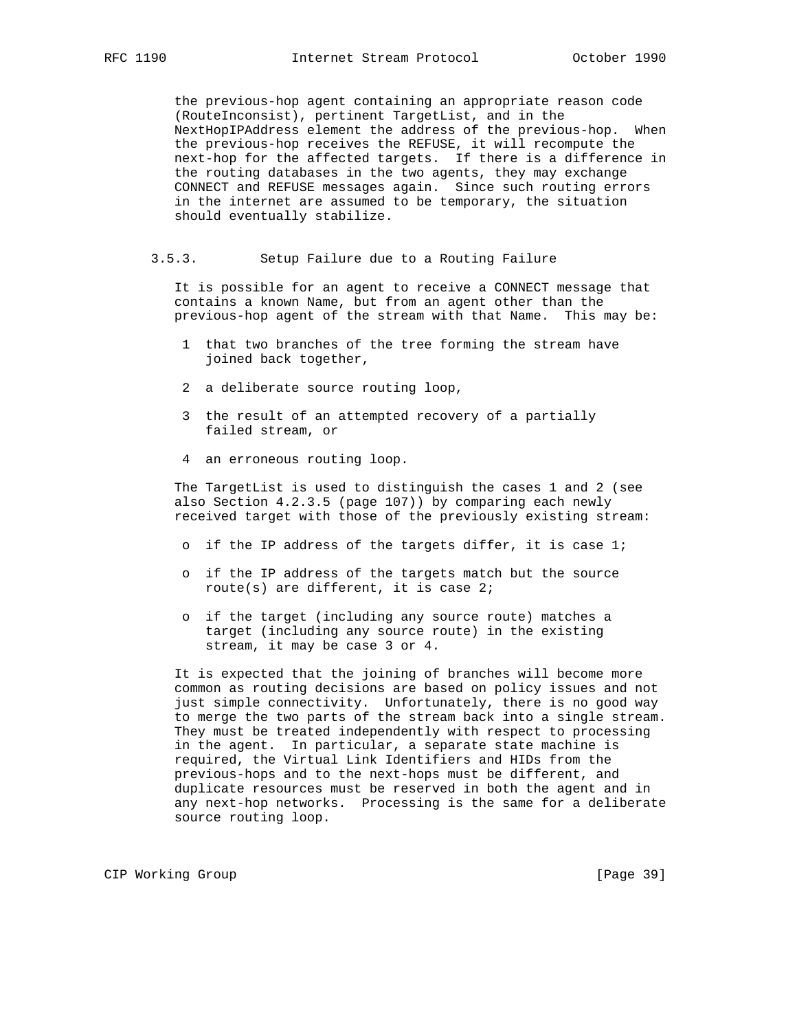the previous-hop agent containing an appropriate reason code (RouteInconsist), pertinent TargetList, and in the NextHopIPAddress element the address of the previous-hop. When the previous-hop receives the REFUSE, it will recompute the next-hop for the affected targets. If there is a difference in the routing databases in the two agents, they may exchange CONNECT and REFUSE messages again. Since such routing errors in the internet are assumed to be temporary, the situation should eventually stabilize.

## 3.5.3. Setup Failure due to a Routing Failure

 It is possible for an agent to receive a CONNECT message that contains a known Name, but from an agent other than the previous-hop agent of the stream with that Name. This may be:

- 1 that two branches of the tree forming the stream have joined back together,
- 2 a deliberate source routing loop,
- 3 the result of an attempted recovery of a partially failed stream, or
- 4 an erroneous routing loop.

 The TargetList is used to distinguish the cases 1 and 2 (see also Section 4.2.3.5 (page 107)) by comparing each newly received target with those of the previously existing stream:

- o if the IP address of the targets differ, it is case 1;
- o if the IP address of the targets match but the source route(s) are different, it is case 2;
- o if the target (including any source route) matches a target (including any source route) in the existing stream, it may be case 3 or 4.

 It is expected that the joining of branches will become more common as routing decisions are based on policy issues and not just simple connectivity. Unfortunately, there is no good way to merge the two parts of the stream back into a single stream. They must be treated independently with respect to processing in the agent. In particular, a separate state machine is required, the Virtual Link Identifiers and HIDs from the previous-hops and to the next-hops must be different, and duplicate resources must be reserved in both the agent and in any next-hop networks. Processing is the same for a deliberate source routing loop.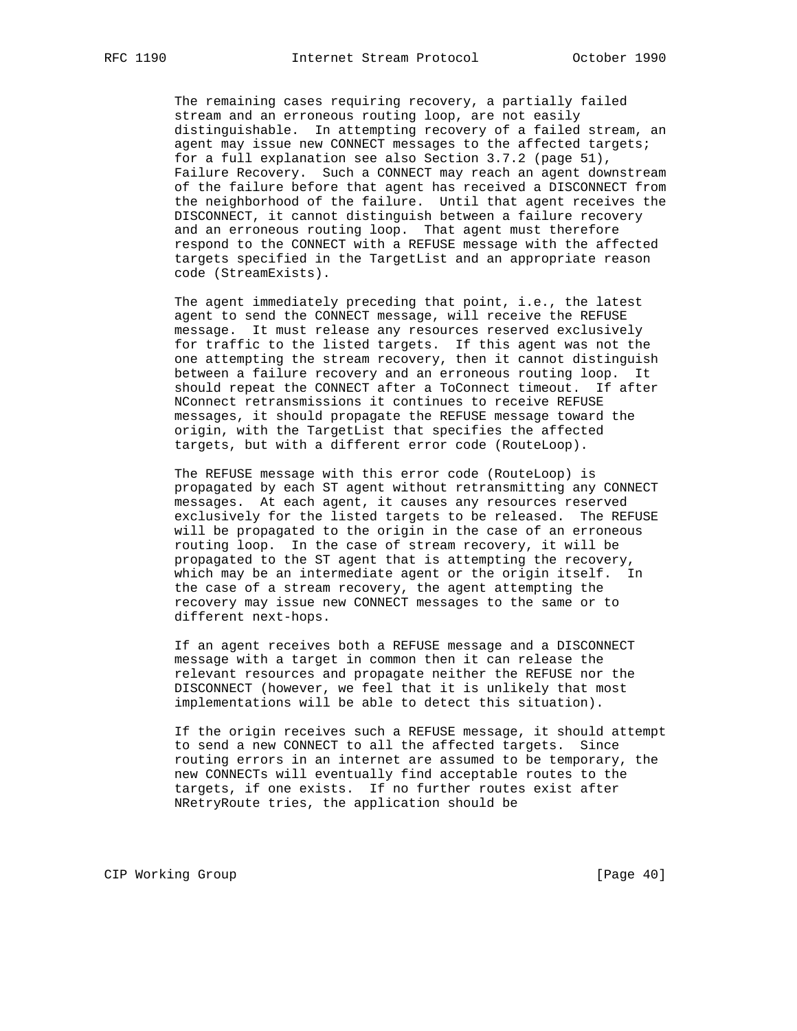The remaining cases requiring recovery, a partially failed stream and an erroneous routing loop, are not easily distinguishable. In attempting recovery of a failed stream, an agent may issue new CONNECT messages to the affected targets; for a full explanation see also Section 3.7.2 (page 51), Failure Recovery. Such a CONNECT may reach an agent downstream of the failure before that agent has received a DISCONNECT from the neighborhood of the failure. Until that agent receives the DISCONNECT, it cannot distinguish between a failure recovery and an erroneous routing loop. That agent must therefore respond to the CONNECT with a REFUSE message with the affected targets specified in the TargetList and an appropriate reason code (StreamExists).

 The agent immediately preceding that point, i.e., the latest agent to send the CONNECT message, will receive the REFUSE message. It must release any resources reserved exclusively for traffic to the listed targets. If this agent was not the one attempting the stream recovery, then it cannot distinguish between a failure recovery and an erroneous routing loop. It should repeat the CONNECT after a ToConnect timeout. If after NConnect retransmissions it continues to receive REFUSE messages, it should propagate the REFUSE message toward the origin, with the TargetList that specifies the affected targets, but with a different error code (RouteLoop).

 The REFUSE message with this error code (RouteLoop) is propagated by each ST agent without retransmitting any CONNECT messages. At each agent, it causes any resources reserved exclusively for the listed targets to be released. The REFUSE will be propagated to the origin in the case of an erroneous routing loop. In the case of stream recovery, it will be propagated to the ST agent that is attempting the recovery, which may be an intermediate agent or the origin itself. In the case of a stream recovery, the agent attempting the recovery may issue new CONNECT messages to the same or to different next-hops.

 If an agent receives both a REFUSE message and a DISCONNECT message with a target in common then it can release the relevant resources and propagate neither the REFUSE nor the DISCONNECT (however, we feel that it is unlikely that most implementations will be able to detect this situation).

 If the origin receives such a REFUSE message, it should attempt to send a new CONNECT to all the affected targets. Since routing errors in an internet are assumed to be temporary, the new CONNECTs will eventually find acceptable routes to the targets, if one exists. If no further routes exist after NRetryRoute tries, the application should be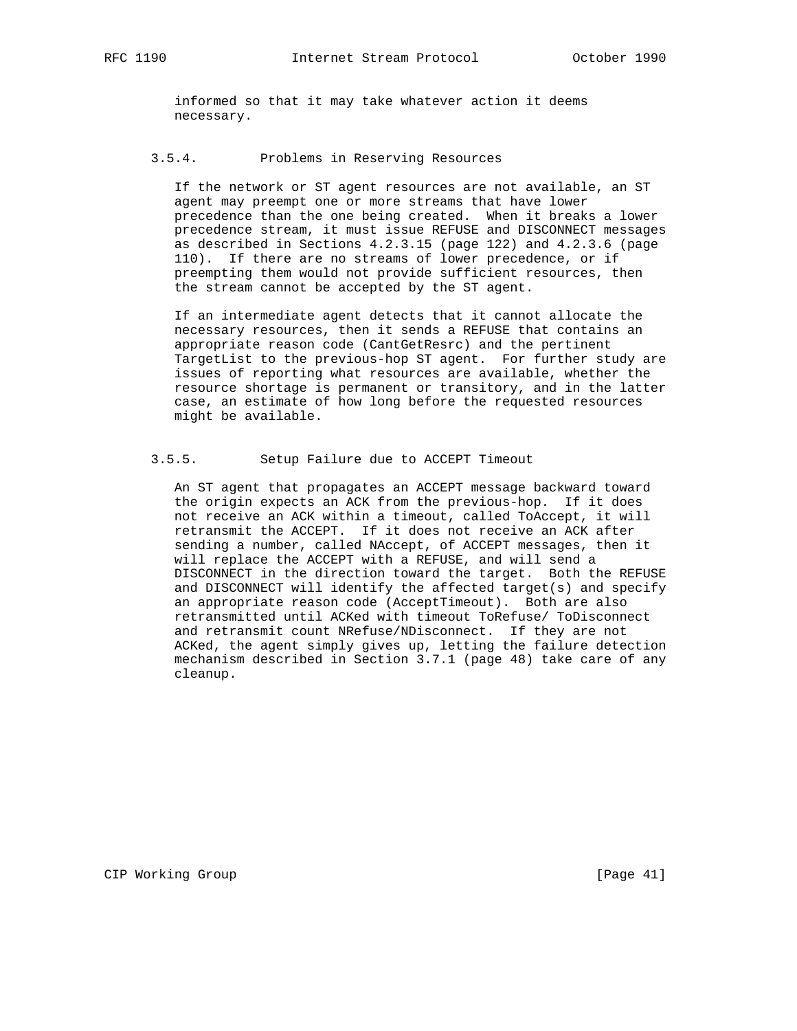informed so that it may take whatever action it deems necessary.

## 3.5.4. Problems in Reserving Resources

 If the network or ST agent resources are not available, an ST agent may preempt one or more streams that have lower precedence than the one being created. When it breaks a lower precedence stream, it must issue REFUSE and DISCONNECT messages as described in Sections 4.2.3.15 (page 122) and 4.2.3.6 (page 110). If there are no streams of lower precedence, or if preempting them would not provide sufficient resources, then the stream cannot be accepted by the ST agent.

 If an intermediate agent detects that it cannot allocate the necessary resources, then it sends a REFUSE that contains an appropriate reason code (CantGetResrc) and the pertinent TargetList to the previous-hop ST agent. For further study are issues of reporting what resources are available, whether the resource shortage is permanent or transitory, and in the latter case, an estimate of how long before the requested resources might be available.

## 3.5.5. Setup Failure due to ACCEPT Timeout

 An ST agent that propagates an ACCEPT message backward toward the origin expects an ACK from the previous-hop. If it does not receive an ACK within a timeout, called ToAccept, it will retransmit the ACCEPT. If it does not receive an ACK after sending a number, called NAccept, of ACCEPT messages, then it will replace the ACCEPT with a REFUSE, and will send a DISCONNECT in the direction toward the target. Both the REFUSE and DISCONNECT will identify the affected target(s) and specify an appropriate reason code (AcceptTimeout). Both are also retransmitted until ACKed with timeout ToRefuse/ ToDisconnect and retransmit count NRefuse/NDisconnect. If they are not ACKed, the agent simply gives up, letting the failure detection mechanism described in Section 3.7.1 (page 48) take care of any cleanup.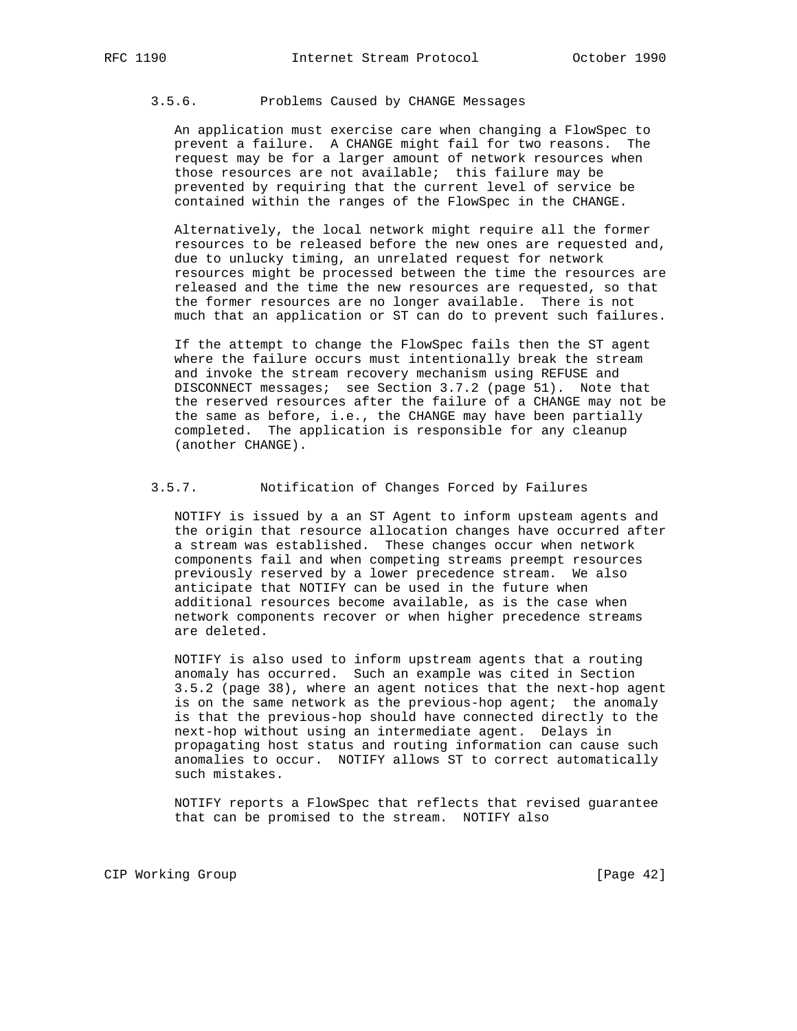## 3.5.6. Problems Caused by CHANGE Messages

 An application must exercise care when changing a FlowSpec to prevent a failure. A CHANGE might fail for two reasons. The request may be for a larger amount of network resources when those resources are not available; this failure may be prevented by requiring that the current level of service be contained within the ranges of the FlowSpec in the CHANGE.

 Alternatively, the local network might require all the former resources to be released before the new ones are requested and, due to unlucky timing, an unrelated request for network resources might be processed between the time the resources are released and the time the new resources are requested, so that the former resources are no longer available. There is not much that an application or ST can do to prevent such failures.

 If the attempt to change the FlowSpec fails then the ST agent where the failure occurs must intentionally break the stream and invoke the stream recovery mechanism using REFUSE and DISCONNECT messages; see Section 3.7.2 (page 51). Note that the reserved resources after the failure of a CHANGE may not be the same as before, i.e., the CHANGE may have been partially completed. The application is responsible for any cleanup (another CHANGE).

## 3.5.7. Notification of Changes Forced by Failures

 NOTIFY is issued by a an ST Agent to inform upsteam agents and the origin that resource allocation changes have occurred after a stream was established. These changes occur when network components fail and when competing streams preempt resources previously reserved by a lower precedence stream. We also anticipate that NOTIFY can be used in the future when additional resources become available, as is the case when network components recover or when higher precedence streams are deleted.

 NOTIFY is also used to inform upstream agents that a routing anomaly has occurred. Such an example was cited in Section 3.5.2 (page 38), where an agent notices that the next-hop agent is on the same network as the previous-hop agent; the anomaly is that the previous-hop should have connected directly to the next-hop without using an intermediate agent. Delays in propagating host status and routing information can cause such anomalies to occur. NOTIFY allows ST to correct automatically such mistakes.

 NOTIFY reports a FlowSpec that reflects that revised guarantee that can be promised to the stream. NOTIFY also

CIP Working Group [Page 42]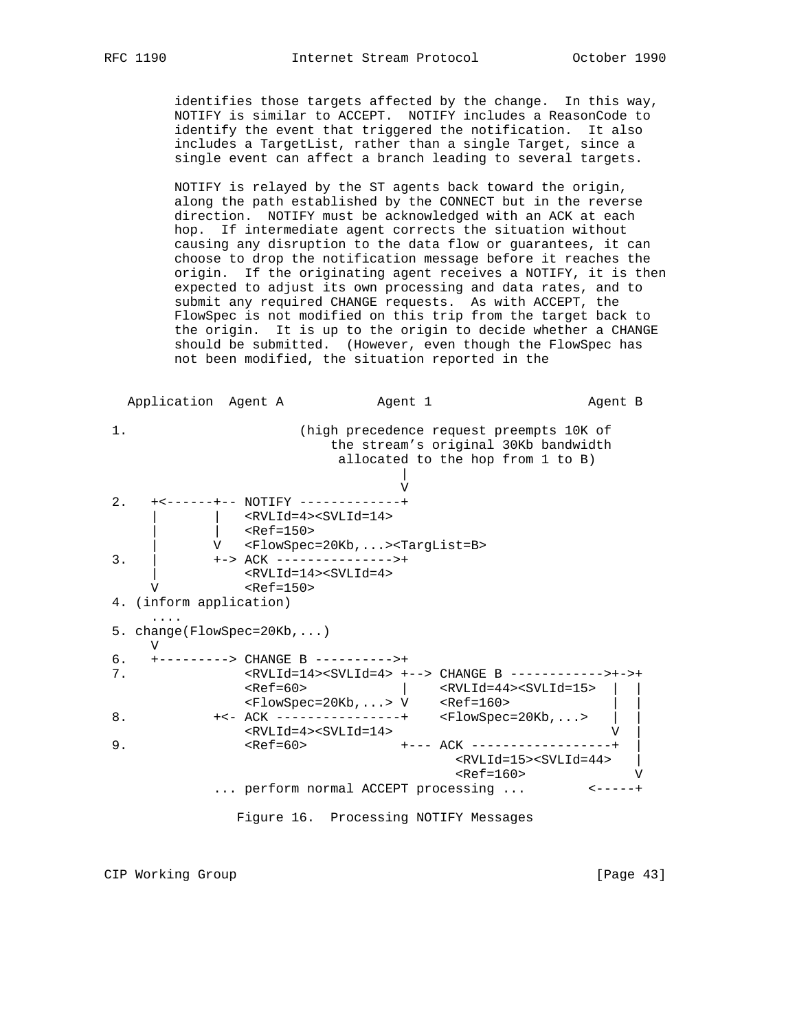identifies those targets affected by the change. In this way, NOTIFY is similar to ACCEPT. NOTIFY includes a ReasonCode to identify the event that triggered the notification. It also includes a TargetList, rather than a single Target, since a single event can affect a branch leading to several targets.

 NOTIFY is relayed by the ST agents back toward the origin, along the path established by the CONNECT but in the reverse direction. NOTIFY must be acknowledged with an ACK at each hop. If intermediate agent corrects the situation without causing any disruption to the data flow or guarantees, it can choose to drop the notification message before it reaches the origin. If the originating agent receives a NOTIFY, it is then expected to adjust its own processing and data rates, and to submit any required CHANGE requests. As with ACCEPT, the FlowSpec is not modified on this trip from the target back to the origin. It is up to the origin to decide whether a CHANGE should be submitted. (However, even though the FlowSpec has not been modified, the situation reported in the

| Application Agent A                                |                                                                                                                                                                        | Agent 1                                                                                                                                        | Agent B                     |  |  |  |
|----------------------------------------------------|------------------------------------------------------------------------------------------------------------------------------------------------------------------------|------------------------------------------------------------------------------------------------------------------------------------------------|-----------------------------|--|--|--|
| $1$ .                                              |                                                                                                                                                                        | (high precedence request preempts 10K of<br>the stream's original 30Kb bandwidth<br>allocated to the hop from 1 to B)<br>٦T                    |                             |  |  |  |
| 2.                                                 | +<------+-- NOTIFY -------------+<br><rvlid=4><svlid=14><br/><ref=150><br/>V <flowspec=20kb,><targlist=b></targlist=b></flowspec=20kb,></ref=150></svlid=14></rvlid=4> |                                                                                                                                                |                             |  |  |  |
| 3.<br>V                                            | +-> ACK --------------->+<br>$<$ RVLId=14> <svlid=4><br/><math>ref=150</math></svlid=4>                                                                                |                                                                                                                                                |                             |  |  |  |
| 4. (inform application)                            |                                                                                                                                                                        |                                                                                                                                                |                             |  |  |  |
| 5. $change(FlowSpec=20Kb,)$<br>V                   |                                                                                                                                                                        |                                                                                                                                                |                             |  |  |  |
| б.<br>7.                                           | +---------> CHANGE B ---------->+                                                                                                                                      | <rvlid=14><svlid=4> +--&gt; CHANGE B -----------&gt;+-&gt;+<br/><math>&lt;</math>FlowSpec=20Kb,&gt; V <ref=160></ref=160></svlid=4></rvlid=14> |                             |  |  |  |
| 8.                                                 | $<$ RVLId=4> $<$ SVLId=14>                                                                                                                                             | $\leftarrow$ ACK ---------------+ $\leftarrow$ FlowSpec=20Kb,>                                                                                 | ٦T                          |  |  |  |
| 9.                                                 |                                                                                                                                                                        | $ref=160>$                                                                                                                                     | $<$ RVLId=15> $<$ SVLId=44> |  |  |  |
| perform normal ACCEPT processing<br>$-2$ - - - - + |                                                                                                                                                                        |                                                                                                                                                |                             |  |  |  |
| Figure 16. Processing NOTIFY Messages              |                                                                                                                                                                        |                                                                                                                                                |                             |  |  |  |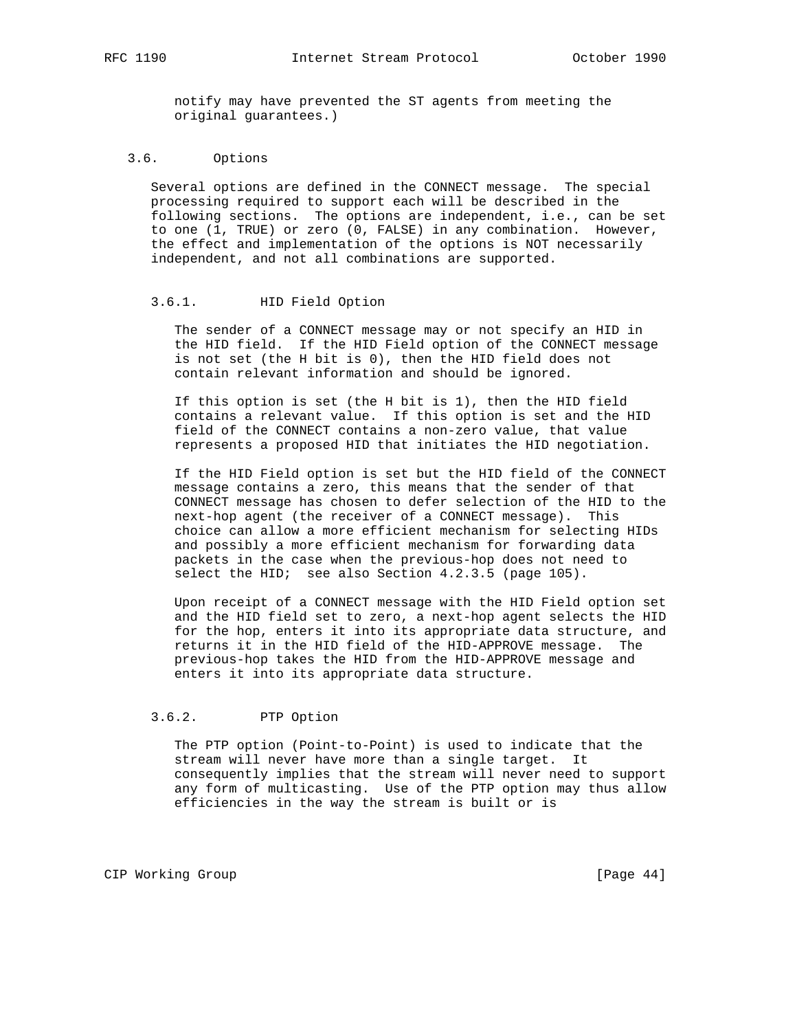notify may have prevented the ST agents from meeting the original guarantees.)

## 3.6. Options

 Several options are defined in the CONNECT message. The special processing required to support each will be described in the following sections. The options are independent, i.e., can be set to one (1, TRUE) or zero (0, FALSE) in any combination. However, the effect and implementation of the options is NOT necessarily independent, and not all combinations are supported.

## 3.6.1. HID Field Option

 The sender of a CONNECT message may or not specify an HID in the HID field. If the HID Field option of the CONNECT message is not set (the H bit is 0), then the HID field does not contain relevant information and should be ignored.

 If this option is set (the H bit is 1), then the HID field contains a relevant value. If this option is set and the HID field of the CONNECT contains a non-zero value, that value represents a proposed HID that initiates the HID negotiation.

 If the HID Field option is set but the HID field of the CONNECT message contains a zero, this means that the sender of that CONNECT message has chosen to defer selection of the HID to the next-hop agent (the receiver of a CONNECT message). This choice can allow a more efficient mechanism for selecting HIDs and possibly a more efficient mechanism for forwarding data packets in the case when the previous-hop does not need to select the HID; see also Section 4.2.3.5 (page 105).

 Upon receipt of a CONNECT message with the HID Field option set and the HID field set to zero, a next-hop agent selects the HID for the hop, enters it into its appropriate data structure, and returns it in the HID field of the HID-APPROVE message. The previous-hop takes the HID from the HID-APPROVE message and enters it into its appropriate data structure.

## 3.6.2. PTP Option

 The PTP option (Point-to-Point) is used to indicate that the stream will never have more than a single target. It consequently implies that the stream will never need to support any form of multicasting. Use of the PTP option may thus allow efficiencies in the way the stream is built or is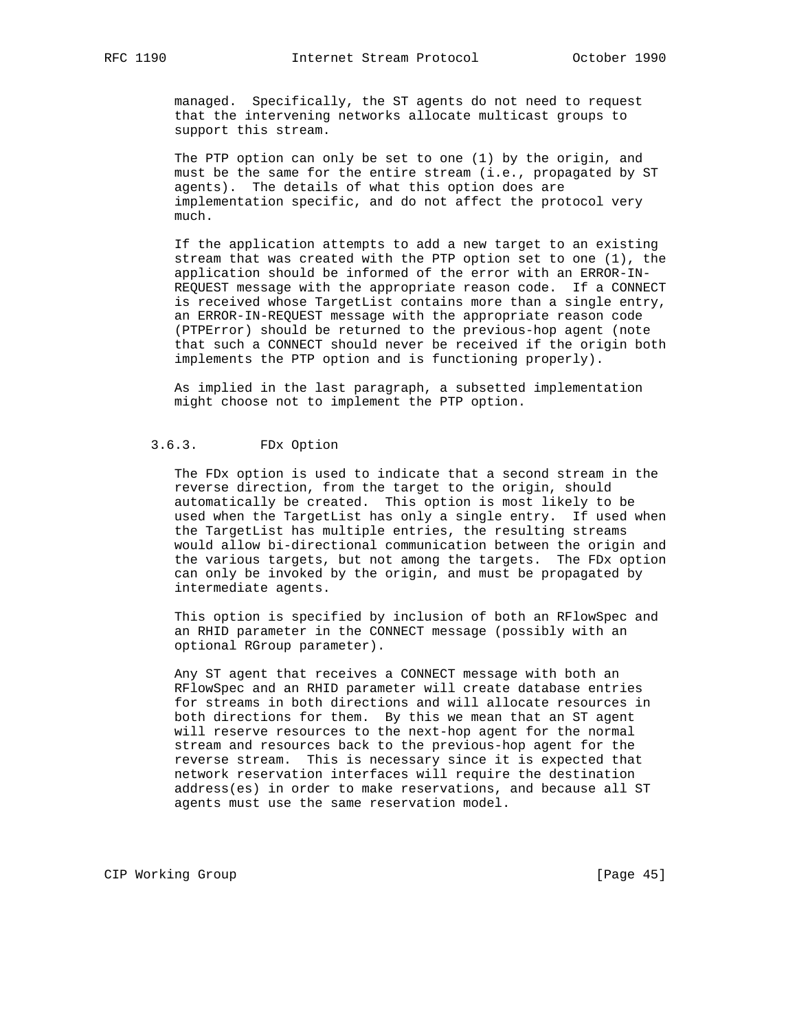managed. Specifically, the ST agents do not need to request that the intervening networks allocate multicast groups to support this stream.

 The PTP option can only be set to one (1) by the origin, and must be the same for the entire stream (i.e., propagated by ST agents). The details of what this option does are implementation specific, and do not affect the protocol very much.

 If the application attempts to add a new target to an existing stream that was created with the PTP option set to one (1), the application should be informed of the error with an ERROR-IN- REQUEST message with the appropriate reason code. If a CONNECT is received whose TargetList contains more than a single entry, an ERROR-IN-REQUEST message with the appropriate reason code (PTPError) should be returned to the previous-hop agent (note that such a CONNECT should never be received if the origin both implements the PTP option and is functioning properly).

 As implied in the last paragraph, a subsetted implementation might choose not to implement the PTP option.

# 3.6.3. FDx Option

 The FDx option is used to indicate that a second stream in the reverse direction, from the target to the origin, should automatically be created. This option is most likely to be used when the TargetList has only a single entry. If used when the TargetList has multiple entries, the resulting streams would allow bi-directional communication between the origin and the various targets, but not among the targets. The FDx option can only be invoked by the origin, and must be propagated by intermediate agents.

 This option is specified by inclusion of both an RFlowSpec and an RHID parameter in the CONNECT message (possibly with an optional RGroup parameter).

 Any ST agent that receives a CONNECT message with both an RFlowSpec and an RHID parameter will create database entries for streams in both directions and will allocate resources in both directions for them. By this we mean that an ST agent will reserve resources to the next-hop agent for the normal stream and resources back to the previous-hop agent for the reverse stream. This is necessary since it is expected that network reservation interfaces will require the destination address(es) in order to make reservations, and because all ST agents must use the same reservation model.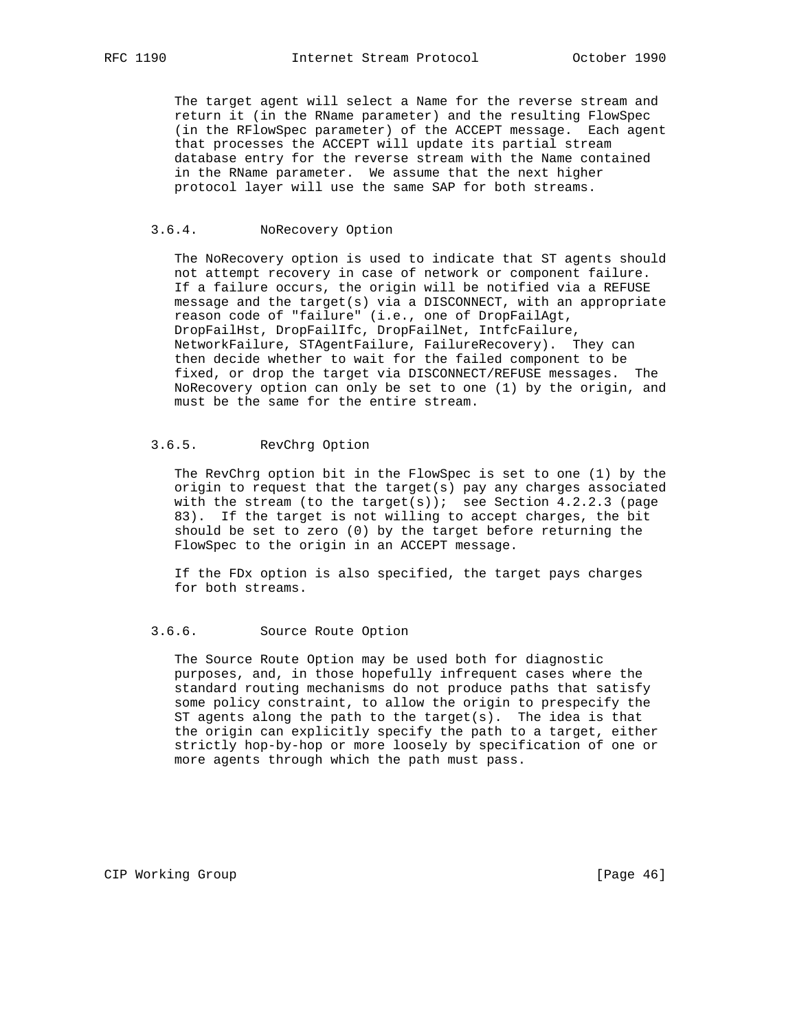The target agent will select a Name for the reverse stream and return it (in the RName parameter) and the resulting FlowSpec (in the RFlowSpec parameter) of the ACCEPT message. Each agent that processes the ACCEPT will update its partial stream database entry for the reverse stream with the Name contained in the RName parameter. We assume that the next higher protocol layer will use the same SAP for both streams.

## 3.6.4. NoRecovery Option

 The NoRecovery option is used to indicate that ST agents should not attempt recovery in case of network or component failure. If a failure occurs, the origin will be notified via a REFUSE message and the target(s) via a DISCONNECT, with an appropriate reason code of "failure" (i.e., one of DropFailAgt, DropFailHst, DropFailIfc, DropFailNet, IntfcFailure, NetworkFailure, STAgentFailure, FailureRecovery). They can then decide whether to wait for the failed component to be fixed, or drop the target via DISCONNECT/REFUSE messages. The NoRecovery option can only be set to one (1) by the origin, and must be the same for the entire stream.

# 3.6.5. RevChrg Option

 The RevChrg option bit in the FlowSpec is set to one (1) by the origin to request that the target(s) pay any charges associated with the stream (to the target(s)); see Section 4.2.2.3 (page 83). If the target is not willing to accept charges, the bit should be set to zero (0) by the target before returning the FlowSpec to the origin in an ACCEPT message.

 If the FDx option is also specified, the target pays charges for both streams.

## 3.6.6. Source Route Option

 The Source Route Option may be used both for diagnostic purposes, and, in those hopefully infrequent cases where the standard routing mechanisms do not produce paths that satisfy some policy constraint, to allow the origin to prespecify the ST agents along the path to the target(s). The idea is that the origin can explicitly specify the path to a target, either strictly hop-by-hop or more loosely by specification of one or more agents through which the path must pass.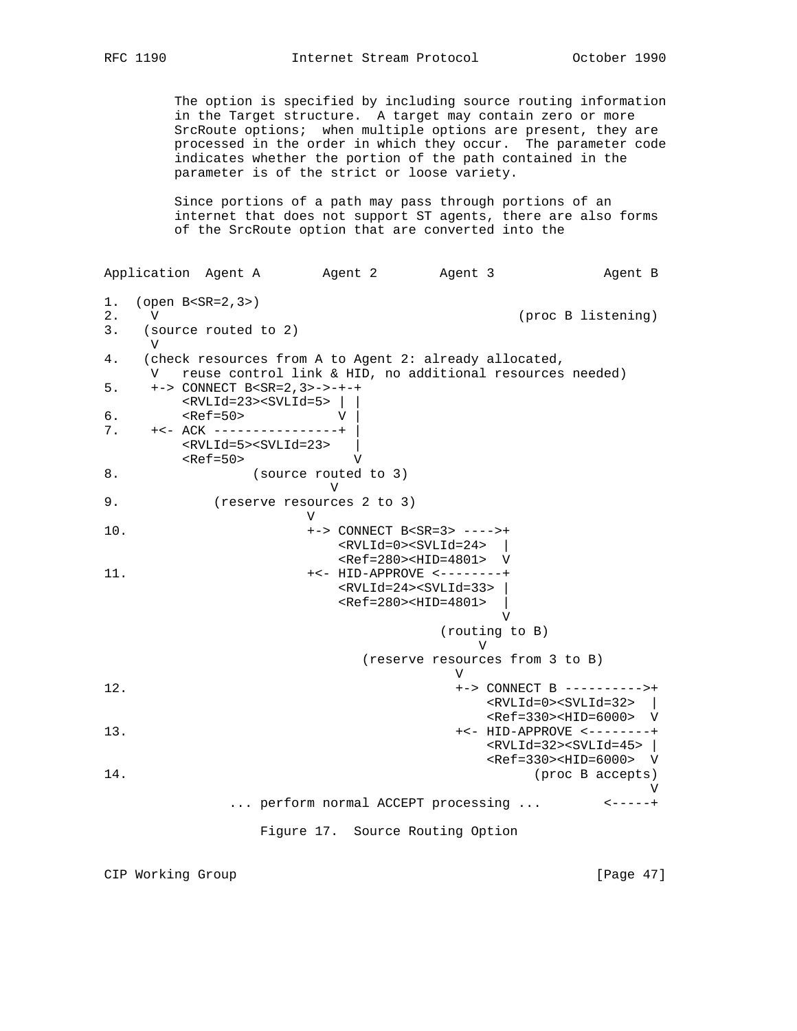The option is specified by including source routing information in the Target structure. A target may contain zero or more SrcRoute options; when multiple options are present, they are processed in the order in which they occur. The parameter code indicates whether the portion of the path contained in the parameter is of the strict or loose variety.

 Since portions of a path may pass through portions of an internet that does not support ST agents, there are also forms of the SrcRoute option that are converted into the

Application Agent A Agent 2 Agent 3 Agent B 1. (open B<SR=2,3>) 2. V (proc B listening) 3. (source routed to 2) V 4. (check resources from A to Agent 2: already allocated, V reuse control link & HID, no additional resources needed) 5. +-> CONNECT B<SR=2,3>->-+-+ <RVLId=23><SVLId=5> | | 6. <Ref=50> V | 7. +<- ACK ----------------+ |  $<$ RVLId=5> $<$ SVLId=23> | <Ref=50> V 8. (source routed to 3) V 9. (reserve resources 2 to 3) V 10. +-> CONNECT B<SR=3> ---->+  $<$ RVLId=0> $<$ SVLId=24> | <Ref=280><HID=4801> V 11. +<- HID-APPROVE <--------+  $<$ RVLId=24> $<$ SVLId=33> | <Ref=280><HID=4801> | V (routing to B) V (reserve resources from 3 to B) V 12. +-> CONNECT B ---------->+  $<$ RVLId=0> $<$ SVLId=32> | <Ref=330><HID=6000> V 13. +<- HID-APPROVE <--------+ <RVLId=32><SVLId=45> | <Ref=330><HID=6000> V 14. (proc B accepts) V ... perform normal ACCEPT processing ... <-----+ Figure 17. Source Routing Option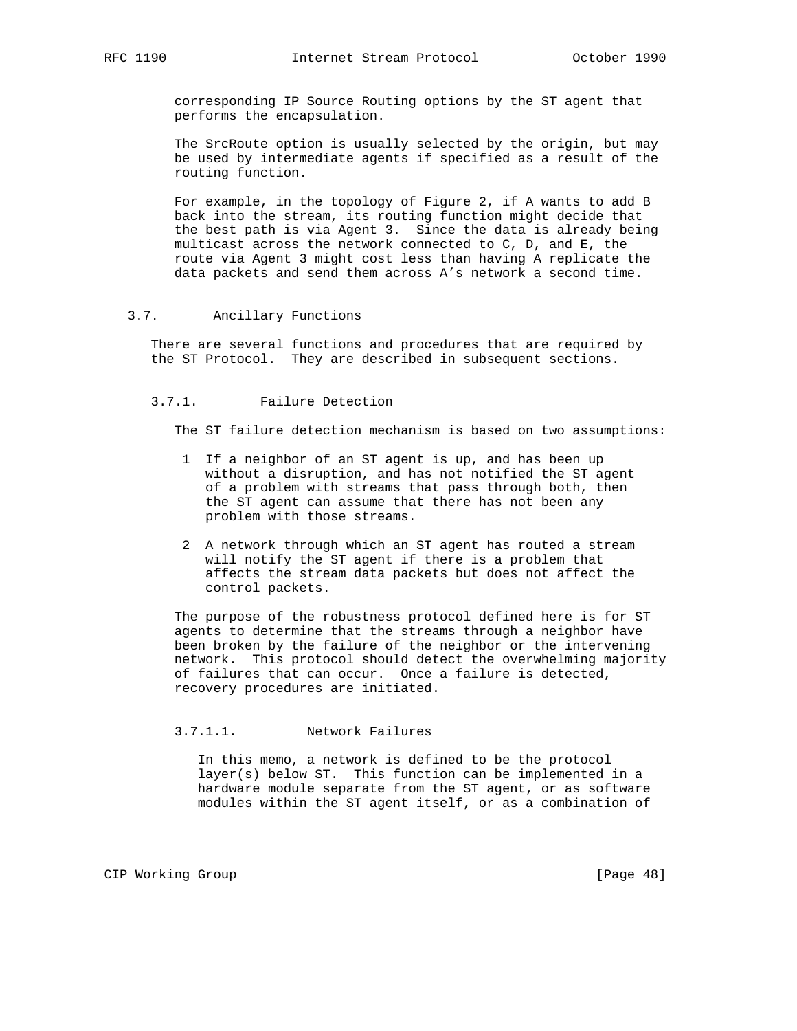corresponding IP Source Routing options by the ST agent that performs the encapsulation.

 The SrcRoute option is usually selected by the origin, but may be used by intermediate agents if specified as a result of the routing function.

 For example, in the topology of Figure 2, if A wants to add B back into the stream, its routing function might decide that the best path is via Agent 3. Since the data is already being multicast across the network connected to C, D, and E, the route via Agent 3 might cost less than having A replicate the data packets and send them across A's network a second time.

## 3.7. Ancillary Functions

 There are several functions and procedures that are required by the ST Protocol. They are described in subsequent sections.

## 3.7.1. Failure Detection

The ST failure detection mechanism is based on two assumptions:

- 1 If a neighbor of an ST agent is up, and has been up without a disruption, and has not notified the ST agent of a problem with streams that pass through both, then the ST agent can assume that there has not been any problem with those streams.
- 2 A network through which an ST agent has routed a stream will notify the ST agent if there is a problem that affects the stream data packets but does not affect the control packets.

 The purpose of the robustness protocol defined here is for ST agents to determine that the streams through a neighbor have been broken by the failure of the neighbor or the intervening network. This protocol should detect the overwhelming majority of failures that can occur. Once a failure is detected, recovery procedures are initiated.

## 3.7.1.1. Network Failures

 In this memo, a network is defined to be the protocol layer(s) below ST. This function can be implemented in a hardware module separate from the ST agent, or as software modules within the ST agent itself, or as a combination of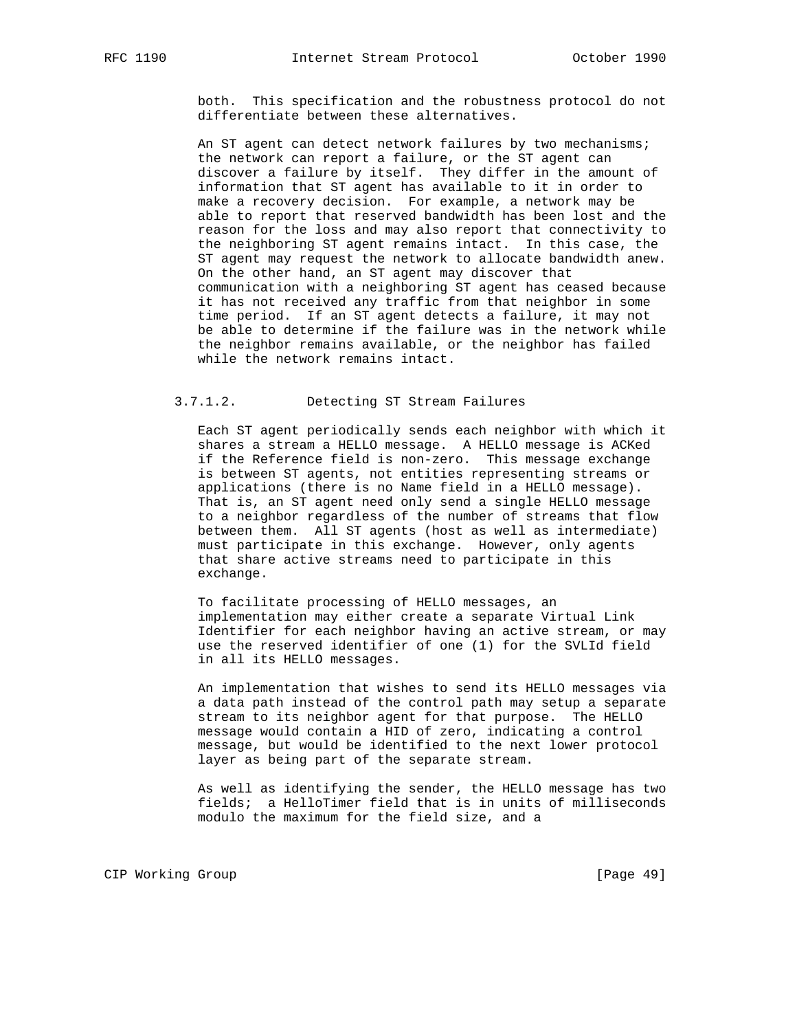both. This specification and the robustness protocol do not differentiate between these alternatives.

An ST agent can detect network failures by two mechanisms; the network can report a failure, or the ST agent can discover a failure by itself. They differ in the amount of information that ST agent has available to it in order to make a recovery decision. For example, a network may be able to report that reserved bandwidth has been lost and the reason for the loss and may also report that connectivity to the neighboring ST agent remains intact. In this case, the ST agent may request the network to allocate bandwidth anew. On the other hand, an ST agent may discover that communication with a neighboring ST agent has ceased because it has not received any traffic from that neighbor in some time period. If an ST agent detects a failure, it may not be able to determine if the failure was in the network while the neighbor remains available, or the neighbor has failed while the network remains intact.

## 3.7.1.2. Detecting ST Stream Failures

 Each ST agent periodically sends each neighbor with which it shares a stream a HELLO message. A HELLO message is ACKed if the Reference field is non-zero. This message exchange is between ST agents, not entities representing streams or applications (there is no Name field in a HELLO message). That is, an ST agent need only send a single HELLO message to a neighbor regardless of the number of streams that flow between them. All ST agents (host as well as intermediate) must participate in this exchange. However, only agents that share active streams need to participate in this exchange.

 To facilitate processing of HELLO messages, an implementation may either create a separate Virtual Link Identifier for each neighbor having an active stream, or may use the reserved identifier of one (1) for the SVLId field in all its HELLO messages.

 An implementation that wishes to send its HELLO messages via a data path instead of the control path may setup a separate stream to its neighbor agent for that purpose. The HELLO message would contain a HID of zero, indicating a control message, but would be identified to the next lower protocol layer as being part of the separate stream.

 As well as identifying the sender, the HELLO message has two fields; a HelloTimer field that is in units of milliseconds modulo the maximum for the field size, and a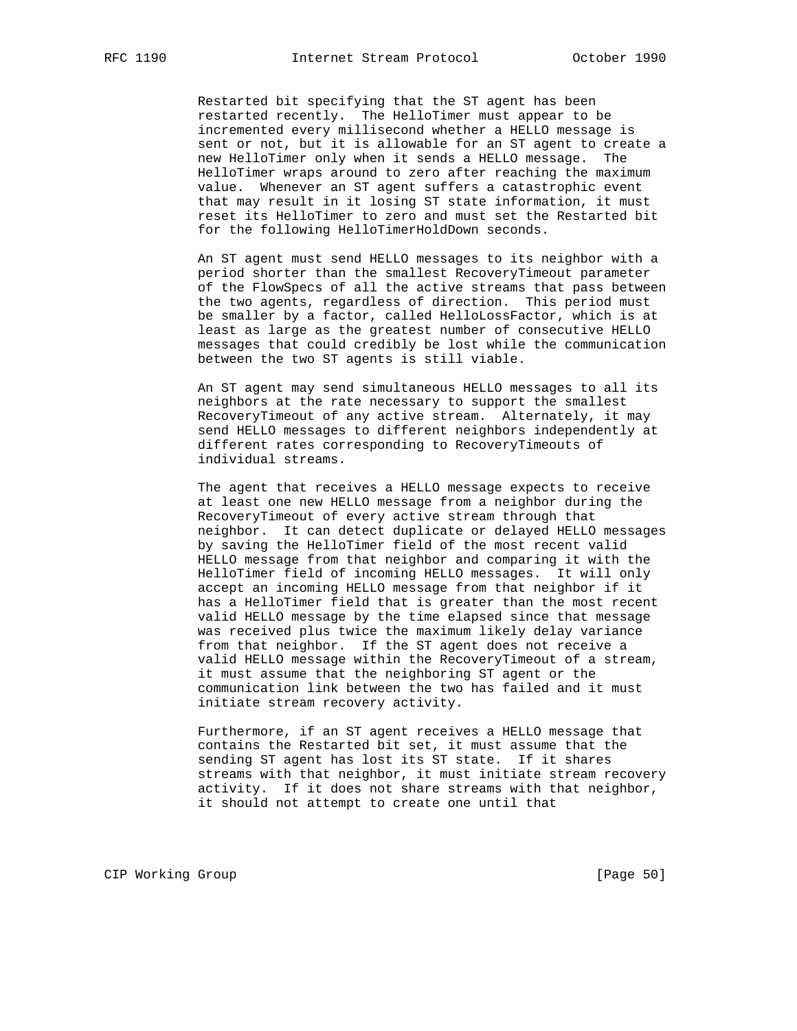Restarted bit specifying that the ST agent has been restarted recently. The HelloTimer must appear to be incremented every millisecond whether a HELLO message is sent or not, but it is allowable for an ST agent to create a new HelloTimer only when it sends a HELLO message. The HelloTimer wraps around to zero after reaching the maximum value. Whenever an ST agent suffers a catastrophic event that may result in it losing ST state information, it must reset its HelloTimer to zero and must set the Restarted bit for the following HelloTimerHoldDown seconds.

 An ST agent must send HELLO messages to its neighbor with a period shorter than the smallest RecoveryTimeout parameter of the FlowSpecs of all the active streams that pass between the two agents, regardless of direction. This period must be smaller by a factor, called HelloLossFactor, which is at least as large as the greatest number of consecutive HELLO messages that could credibly be lost while the communication between the two ST agents is still viable.

 An ST agent may send simultaneous HELLO messages to all its neighbors at the rate necessary to support the smallest RecoveryTimeout of any active stream. Alternately, it may send HELLO messages to different neighbors independently at different rates corresponding to RecoveryTimeouts of individual streams.

 The agent that receives a HELLO message expects to receive at least one new HELLO message from a neighbor during the RecoveryTimeout of every active stream through that neighbor. It can detect duplicate or delayed HELLO messages by saving the HelloTimer field of the most recent valid HELLO message from that neighbor and comparing it with the HelloTimer field of incoming HELLO messages. It will only accept an incoming HELLO message from that neighbor if it has a HelloTimer field that is greater than the most recent valid HELLO message by the time elapsed since that message was received plus twice the maximum likely delay variance from that neighbor. If the ST agent does not receive a valid HELLO message within the RecoveryTimeout of a stream, it must assume that the neighboring ST agent or the communication link between the two has failed and it must initiate stream recovery activity.

 Furthermore, if an ST agent receives a HELLO message that contains the Restarted bit set, it must assume that the sending ST agent has lost its ST state. If it shares streams with that neighbor, it must initiate stream recovery activity. If it does not share streams with that neighbor, it should not attempt to create one until that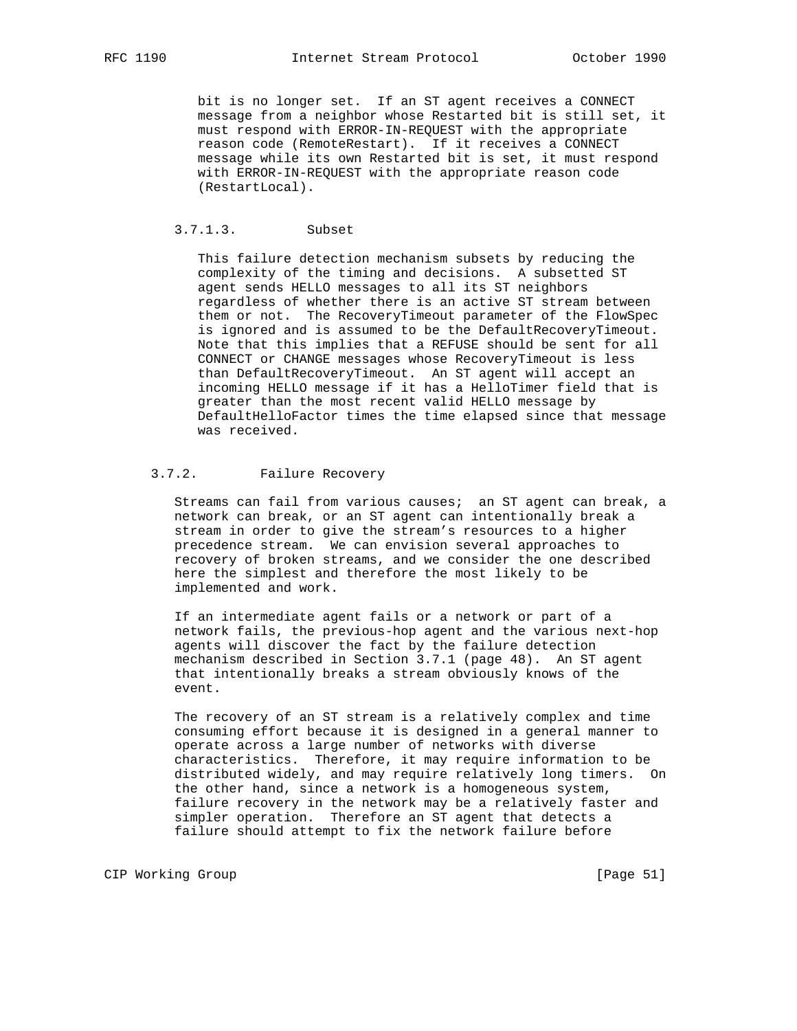bit is no longer set. If an ST agent receives a CONNECT message from a neighbor whose Restarted bit is still set, it must respond with ERROR-IN-REQUEST with the appropriate reason code (RemoteRestart). If it receives a CONNECT message while its own Restarted bit is set, it must respond with ERROR-IN-REQUEST with the appropriate reason code (RestartLocal).

# 3.7.1.3. Subset

 This failure detection mechanism subsets by reducing the complexity of the timing and decisions. A subsetted ST agent sends HELLO messages to all its ST neighbors regardless of whether there is an active ST stream between them or not. The RecoveryTimeout parameter of the FlowSpec is ignored and is assumed to be the DefaultRecoveryTimeout. Note that this implies that a REFUSE should be sent for all CONNECT or CHANGE messages whose RecoveryTimeout is less than DefaultRecoveryTimeout. An ST agent will accept an incoming HELLO message if it has a HelloTimer field that is greater than the most recent valid HELLO message by DefaultHelloFactor times the time elapsed since that message was received.

# 3.7.2. Failure Recovery

 Streams can fail from various causes; an ST agent can break, a network can break, or an ST agent can intentionally break a stream in order to give the stream's resources to a higher precedence stream. We can envision several approaches to recovery of broken streams, and we consider the one described here the simplest and therefore the most likely to be implemented and work.

 If an intermediate agent fails or a network or part of a network fails, the previous-hop agent and the various next-hop agents will discover the fact by the failure detection mechanism described in Section 3.7.1 (page 48). An ST agent that intentionally breaks a stream obviously knows of the event.

 The recovery of an ST stream is a relatively complex and time consuming effort because it is designed in a general manner to operate across a large number of networks with diverse characteristics. Therefore, it may require information to be distributed widely, and may require relatively long timers. On the other hand, since a network is a homogeneous system, failure recovery in the network may be a relatively faster and simpler operation. Therefore an ST agent that detects a failure should attempt to fix the network failure before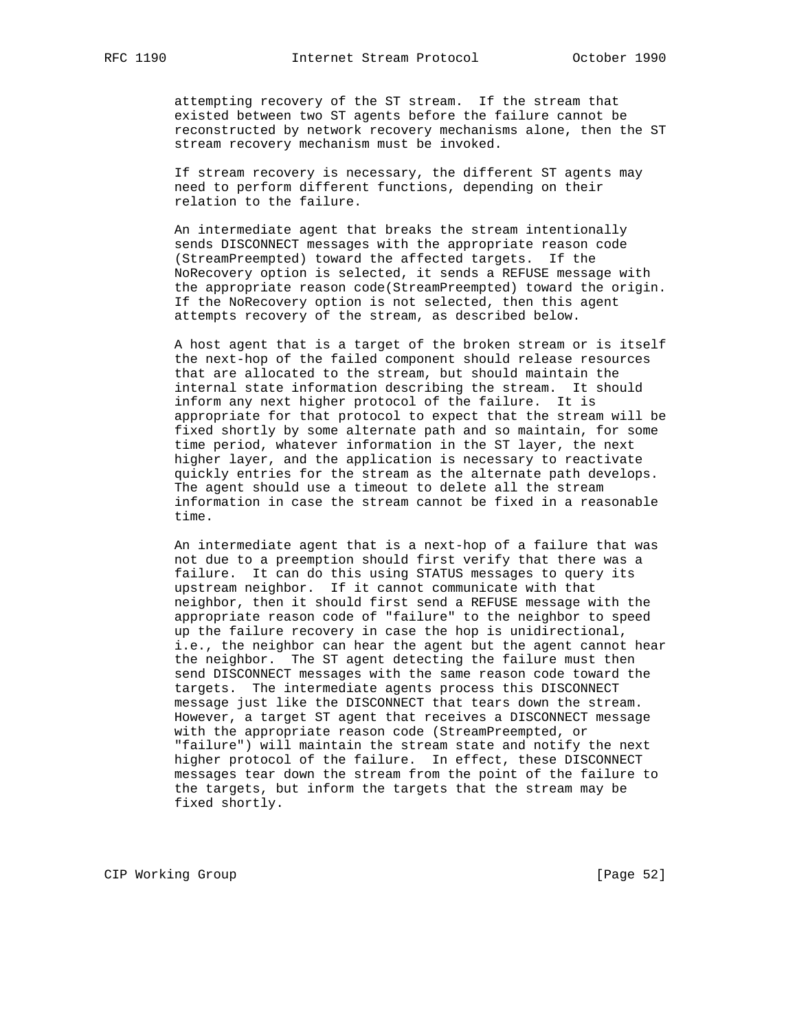attempting recovery of the ST stream. If the stream that existed between two ST agents before the failure cannot be reconstructed by network recovery mechanisms alone, then the ST stream recovery mechanism must be invoked.

 If stream recovery is necessary, the different ST agents may need to perform different functions, depending on their relation to the failure.

 An intermediate agent that breaks the stream intentionally sends DISCONNECT messages with the appropriate reason code (StreamPreempted) toward the affected targets. If the NoRecovery option is selected, it sends a REFUSE message with the appropriate reason code(StreamPreempted) toward the origin. If the NoRecovery option is not selected, then this agent attempts recovery of the stream, as described below.

 A host agent that is a target of the broken stream or is itself the next-hop of the failed component should release resources that are allocated to the stream, but should maintain the internal state information describing the stream. It should inform any next higher protocol of the failure. It is appropriate for that protocol to expect that the stream will be fixed shortly by some alternate path and so maintain, for some time period, whatever information in the ST layer, the next higher layer, and the application is necessary to reactivate quickly entries for the stream as the alternate path develops. The agent should use a timeout to delete all the stream information in case the stream cannot be fixed in a reasonable time.

 An intermediate agent that is a next-hop of a failure that was not due to a preemption should first verify that there was a failure. It can do this using STATUS messages to query its upstream neighbor. If it cannot communicate with that neighbor, then it should first send a REFUSE message with the appropriate reason code of "failure" to the neighbor to speed up the failure recovery in case the hop is unidirectional, i.e., the neighbor can hear the agent but the agent cannot hear the neighbor. The ST agent detecting the failure must then send DISCONNECT messages with the same reason code toward the targets. The intermediate agents process this DISCONNECT message just like the DISCONNECT that tears down the stream. However, a target ST agent that receives a DISCONNECT message with the appropriate reason code (StreamPreempted, or "failure") will maintain the stream state and notify the next higher protocol of the failure. In effect, these DISCONNECT messages tear down the stream from the point of the failure to the targets, but inform the targets that the stream may be fixed shortly.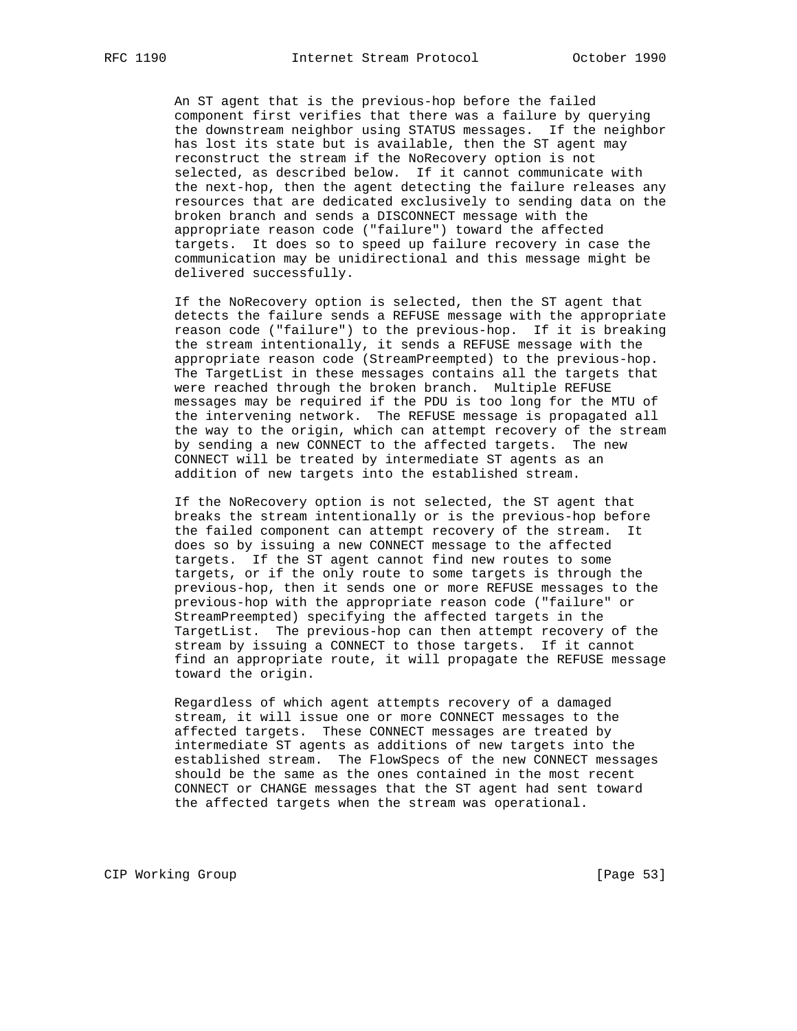An ST agent that is the previous-hop before the failed component first verifies that there was a failure by querying the downstream neighbor using STATUS messages. If the neighbor has lost its state but is available, then the ST agent may reconstruct the stream if the NoRecovery option is not selected, as described below. If it cannot communicate with the next-hop, then the agent detecting the failure releases any resources that are dedicated exclusively to sending data on the broken branch and sends a DISCONNECT message with the appropriate reason code ("failure") toward the affected targets. It does so to speed up failure recovery in case the communication may be unidirectional and this message might be delivered successfully.

 If the NoRecovery option is selected, then the ST agent that detects the failure sends a REFUSE message with the appropriate reason code ("failure") to the previous-hop. If it is breaking the stream intentionally, it sends a REFUSE message with the appropriate reason code (StreamPreempted) to the previous-hop. The TargetList in these messages contains all the targets that were reached through the broken branch. Multiple REFUSE messages may be required if the PDU is too long for the MTU of the intervening network. The REFUSE message is propagated all the way to the origin, which can attempt recovery of the stream by sending a new CONNECT to the affected targets. The new CONNECT will be treated by intermediate ST agents as an addition of new targets into the established stream.

 If the NoRecovery option is not selected, the ST agent that breaks the stream intentionally or is the previous-hop before the failed component can attempt recovery of the stream. It does so by issuing a new CONNECT message to the affected targets. If the ST agent cannot find new routes to some targets, or if the only route to some targets is through the previous-hop, then it sends one or more REFUSE messages to the previous-hop with the appropriate reason code ("failure" or StreamPreempted) specifying the affected targets in the TargetList. The previous-hop can then attempt recovery of the stream by issuing a CONNECT to those targets. If it cannot find an appropriate route, it will propagate the REFUSE message toward the origin.

 Regardless of which agent attempts recovery of a damaged stream, it will issue one or more CONNECT messages to the affected targets. These CONNECT messages are treated by intermediate ST agents as additions of new targets into the established stream. The FlowSpecs of the new CONNECT messages should be the same as the ones contained in the most recent CONNECT or CHANGE messages that the ST agent had sent toward the affected targets when the stream was operational.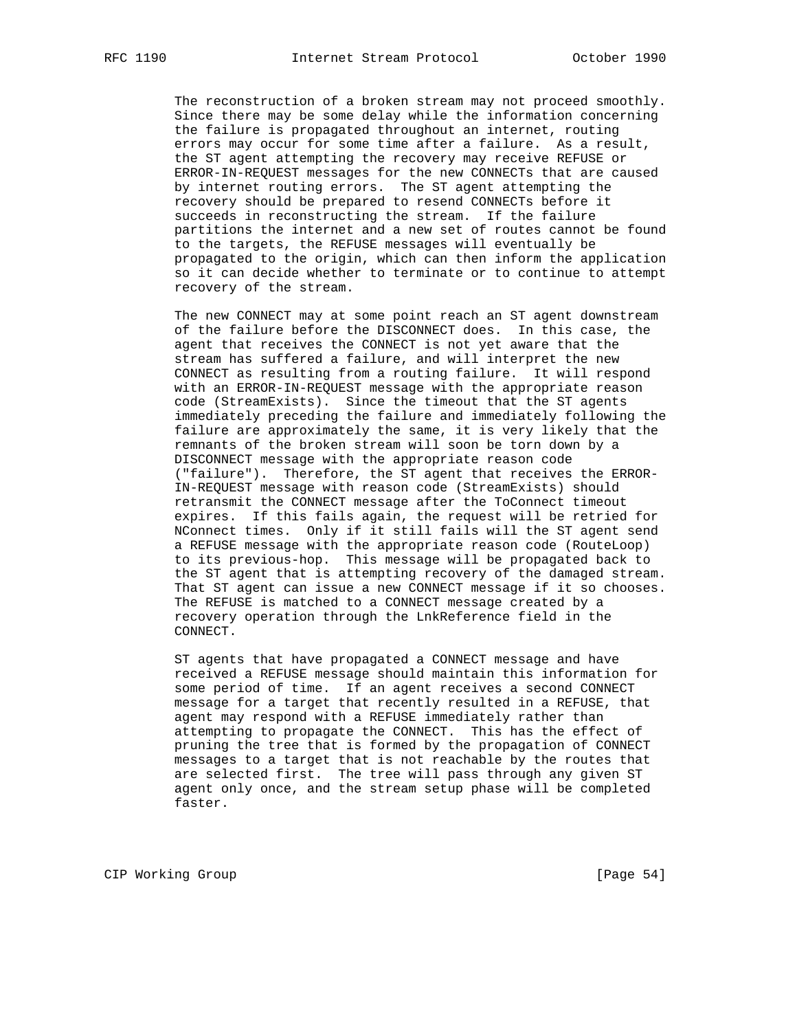The reconstruction of a broken stream may not proceed smoothly. Since there may be some delay while the information concerning the failure is propagated throughout an internet, routing errors may occur for some time after a failure. As a result, the ST agent attempting the recovery may receive REFUSE or ERROR-IN-REQUEST messages for the new CONNECTs that are caused by internet routing errors. The ST agent attempting the recovery should be prepared to resend CONNECTs before it succeeds in reconstructing the stream. If the failure partitions the internet and a new set of routes cannot be found to the targets, the REFUSE messages will eventually be propagated to the origin, which can then inform the application so it can decide whether to terminate or to continue to attempt recovery of the stream.

 The new CONNECT may at some point reach an ST agent downstream of the failure before the DISCONNECT does. In this case, the agent that receives the CONNECT is not yet aware that the stream has suffered a failure, and will interpret the new CONNECT as resulting from a routing failure. It will respond with an ERROR-IN-REQUEST message with the appropriate reason code (StreamExists). Since the timeout that the ST agents immediately preceding the failure and immediately following the failure are approximately the same, it is very likely that the remnants of the broken stream will soon be torn down by a DISCONNECT message with the appropriate reason code ("failure"). Therefore, the ST agent that receives the ERROR- IN-REQUEST message with reason code (StreamExists) should retransmit the CONNECT message after the ToConnect timeout expires. If this fails again, the request will be retried for NConnect times. Only if it still fails will the ST agent send a REFUSE message with the appropriate reason code (RouteLoop) to its previous-hop. This message will be propagated back to the ST agent that is attempting recovery of the damaged stream. That ST agent can issue a new CONNECT message if it so chooses. The REFUSE is matched to a CONNECT message created by a recovery operation through the LnkReference field in the CONNECT.

 ST agents that have propagated a CONNECT message and have received a REFUSE message should maintain this information for some period of time. If an agent receives a second CONNECT message for a target that recently resulted in a REFUSE, that agent may respond with a REFUSE immediately rather than attempting to propagate the CONNECT. This has the effect of pruning the tree that is formed by the propagation of CONNECT messages to a target that is not reachable by the routes that are selected first. The tree will pass through any given ST agent only once, and the stream setup phase will be completed faster.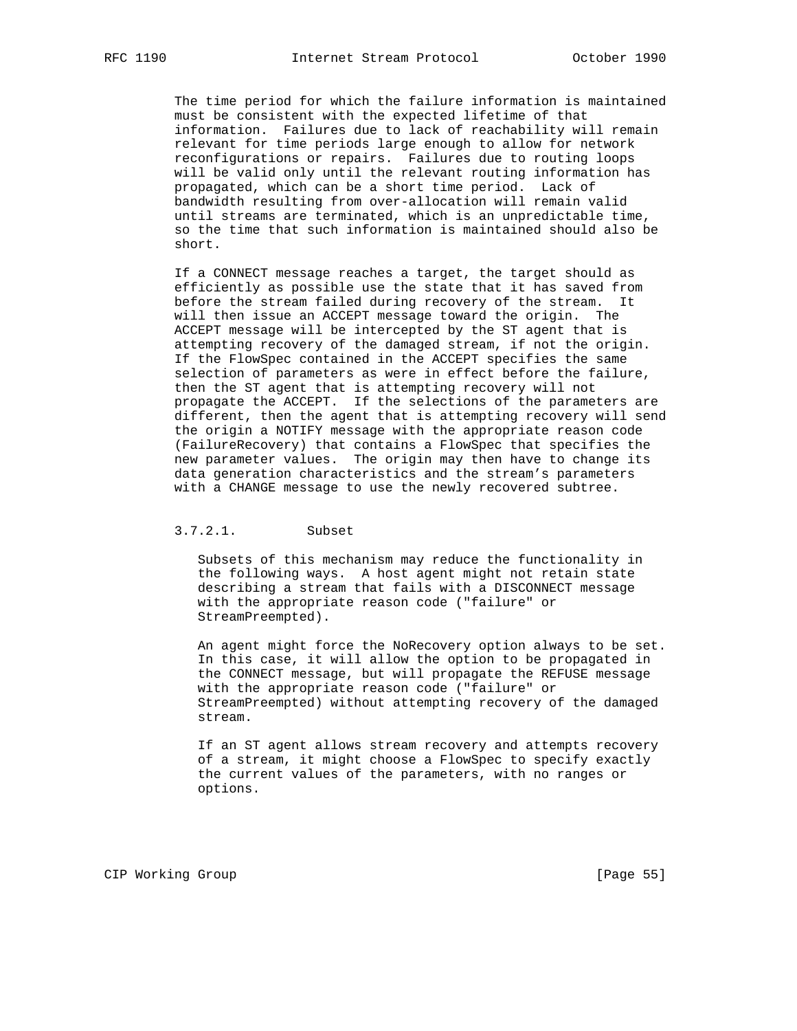The time period for which the failure information is maintained must be consistent with the expected lifetime of that information. Failures due to lack of reachability will remain relevant for time periods large enough to allow for network reconfigurations or repairs. Failures due to routing loops will be valid only until the relevant routing information has propagated, which can be a short time period. Lack of bandwidth resulting from over-allocation will remain valid until streams are terminated, which is an unpredictable time, so the time that such information is maintained should also be short.

 If a CONNECT message reaches a target, the target should as efficiently as possible use the state that it has saved from before the stream failed during recovery of the stream. It will then issue an ACCEPT message toward the origin. The ACCEPT message will be intercepted by the ST agent that is attempting recovery of the damaged stream, if not the origin. If the FlowSpec contained in the ACCEPT specifies the same selection of parameters as were in effect before the failure, then the ST agent that is attempting recovery will not propagate the ACCEPT. If the selections of the parameters are different, then the agent that is attempting recovery will send the origin a NOTIFY message with the appropriate reason code (FailureRecovery) that contains a FlowSpec that specifies the new parameter values. The origin may then have to change its data generation characteristics and the stream's parameters with a CHANGE message to use the newly recovered subtree.

# 3.7.2.1. Subset

 Subsets of this mechanism may reduce the functionality in the following ways. A host agent might not retain state describing a stream that fails with a DISCONNECT message with the appropriate reason code ("failure" or StreamPreempted).

 An agent might force the NoRecovery option always to be set. In this case, it will allow the option to be propagated in the CONNECT message, but will propagate the REFUSE message with the appropriate reason code ("failure" or StreamPreempted) without attempting recovery of the damaged stream.

 If an ST agent allows stream recovery and attempts recovery of a stream, it might choose a FlowSpec to specify exactly the current values of the parameters, with no ranges or options.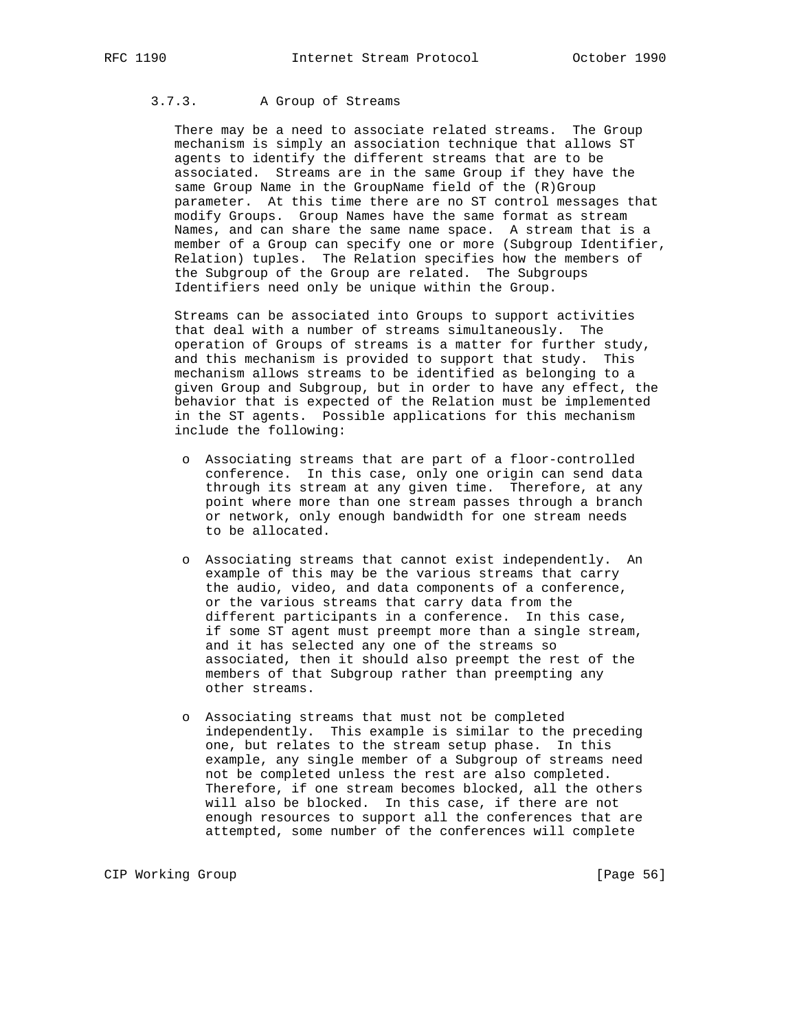# 3.7.3. A Group of Streams

 There may be a need to associate related streams. The Group mechanism is simply an association technique that allows ST agents to identify the different streams that are to be associated. Streams are in the same Group if they have the same Group Name in the GroupName field of the (R)Group parameter. At this time there are no ST control messages that modify Groups. Group Names have the same format as stream Names, and can share the same name space. A stream that is a member of a Group can specify one or more (Subgroup Identifier, Relation) tuples. The Relation specifies how the members of the Subgroup of the Group are related. The Subgroups Identifiers need only be unique within the Group.

 Streams can be associated into Groups to support activities that deal with a number of streams simultaneously. The operation of Groups of streams is a matter for further study, and this mechanism is provided to support that study. This mechanism allows streams to be identified as belonging to a given Group and Subgroup, but in order to have any effect, the behavior that is expected of the Relation must be implemented in the ST agents. Possible applications for this mechanism include the following:

- o Associating streams that are part of a floor-controlled conference. In this case, only one origin can send data through its stream at any given time. Therefore, at any point where more than one stream passes through a branch or network, only enough bandwidth for one stream needs to be allocated.
- o Associating streams that cannot exist independently. An example of this may be the various streams that carry the audio, video, and data components of a conference, or the various streams that carry data from the different participants in a conference. In this case, if some ST agent must preempt more than a single stream, and it has selected any one of the streams so associated, then it should also preempt the rest of the members of that Subgroup rather than preempting any other streams.
- o Associating streams that must not be completed independently. This example is similar to the preceding one, but relates to the stream setup phase. In this example, any single member of a Subgroup of streams need not be completed unless the rest are also completed. Therefore, if one stream becomes blocked, all the others will also be blocked. In this case, if there are not enough resources to support all the conferences that are attempted, some number of the conferences will complete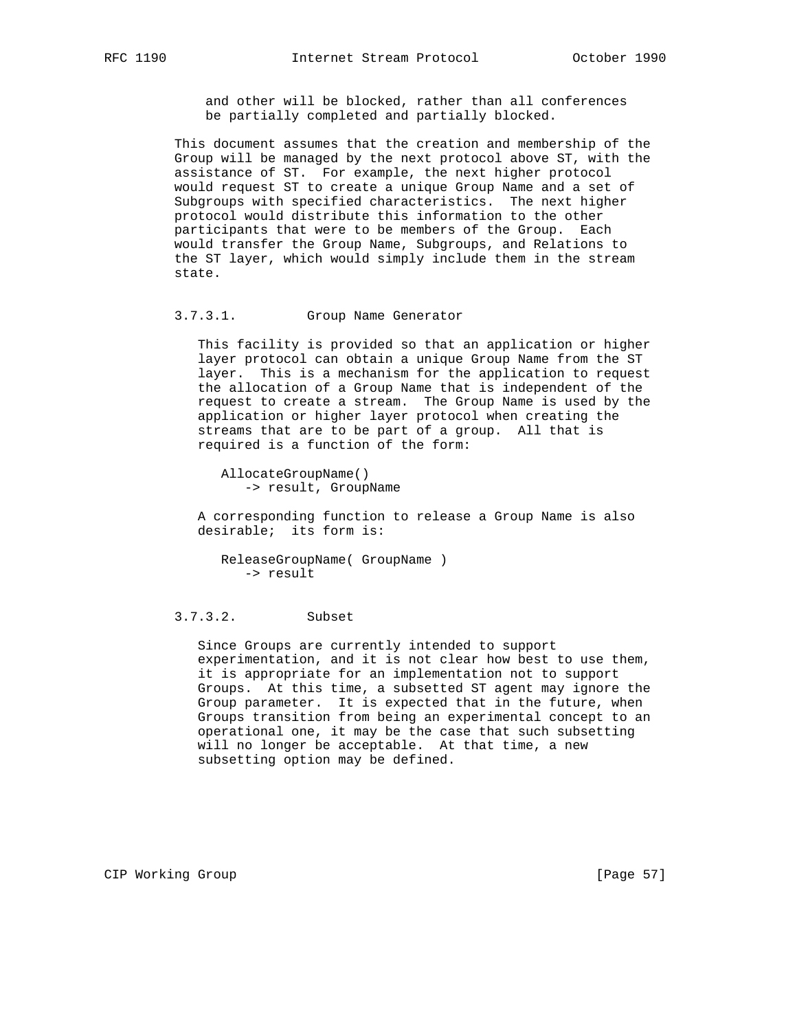and other will be blocked, rather than all conferences be partially completed and partially blocked.

 This document assumes that the creation and membership of the Group will be managed by the next protocol above ST, with the assistance of ST. For example, the next higher protocol would request ST to create a unique Group Name and a set of Subgroups with specified characteristics. The next higher protocol would distribute this information to the other participants that were to be members of the Group. Each would transfer the Group Name, Subgroups, and Relations to the ST layer, which would simply include them in the stream state.

## 3.7.3.1. Group Name Generator

 This facility is provided so that an application or higher layer protocol can obtain a unique Group Name from the ST layer. This is a mechanism for the application to request the allocation of a Group Name that is independent of the request to create a stream. The Group Name is used by the application or higher layer protocol when creating the streams that are to be part of a group. All that is required is a function of the form:

 AllocateGroupName() -> result, GroupName

 A corresponding function to release a Group Name is also desirable; its form is:

 ReleaseGroupName( GroupName ) -> result

## 3.7.3.2. Subset

 Since Groups are currently intended to support experimentation, and it is not clear how best to use them, it is appropriate for an implementation not to support Groups. At this time, a subsetted ST agent may ignore the Group parameter. It is expected that in the future, when Groups transition from being an experimental concept to an operational one, it may be the case that such subsetting will no longer be acceptable. At that time, a new subsetting option may be defined.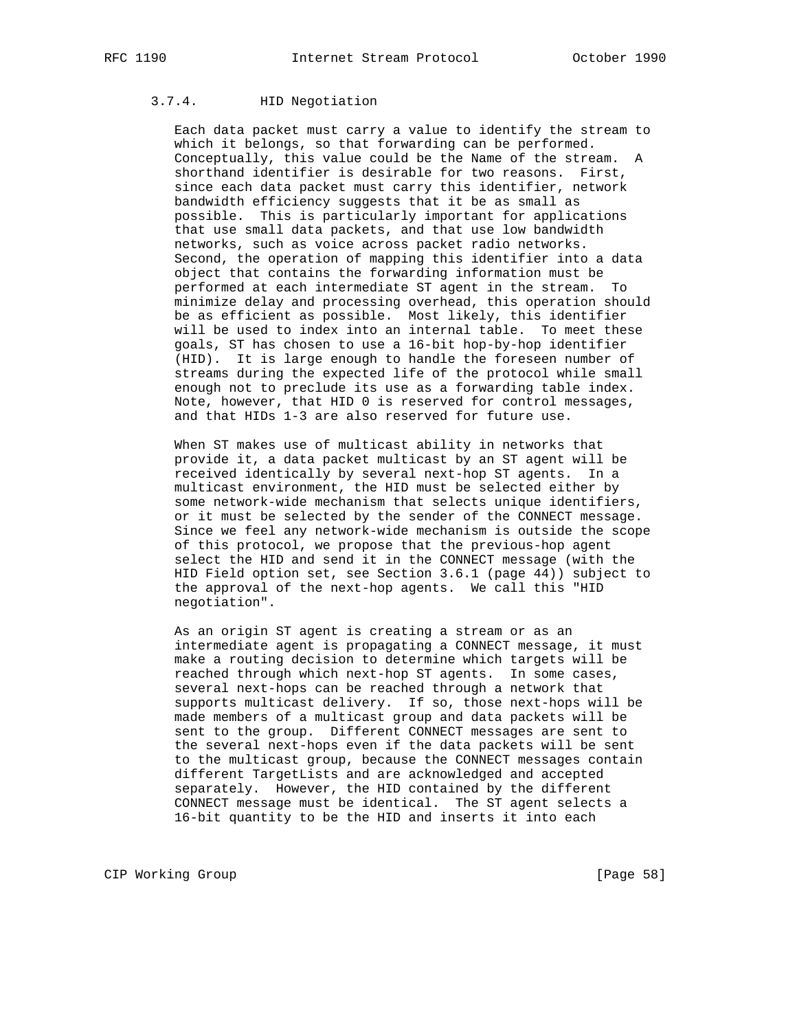## 3.7.4. HID Negotiation

 Each data packet must carry a value to identify the stream to which it belongs, so that forwarding can be performed. Conceptually, this value could be the Name of the stream. A shorthand identifier is desirable for two reasons. First, since each data packet must carry this identifier, network bandwidth efficiency suggests that it be as small as possible. This is particularly important for applications that use small data packets, and that use low bandwidth networks, such as voice across packet radio networks. Second, the operation of mapping this identifier into a data object that contains the forwarding information must be performed at each intermediate ST agent in the stream. To minimize delay and processing overhead, this operation should be as efficient as possible. Most likely, this identifier will be used to index into an internal table. To meet these goals, ST has chosen to use a 16-bit hop-by-hop identifier (HID). It is large enough to handle the foreseen number of streams during the expected life of the protocol while small enough not to preclude its use as a forwarding table index. Note, however, that HID 0 is reserved for control messages, and that HIDs 1-3 are also reserved for future use.

 When ST makes use of multicast ability in networks that provide it, a data packet multicast by an ST agent will be received identically by several next-hop ST agents. In a multicast environment, the HID must be selected either by some network-wide mechanism that selects unique identifiers, or it must be selected by the sender of the CONNECT message. Since we feel any network-wide mechanism is outside the scope of this protocol, we propose that the previous-hop agent select the HID and send it in the CONNECT message (with the HID Field option set, see Section 3.6.1 (page 44)) subject to the approval of the next-hop agents. We call this "HID negotiation".

 As an origin ST agent is creating a stream or as an intermediate agent is propagating a CONNECT message, it must make a routing decision to determine which targets will be reached through which next-hop ST agents. In some cases, several next-hops can be reached through a network that supports multicast delivery. If so, those next-hops will be made members of a multicast group and data packets will be sent to the group. Different CONNECT messages are sent to the several next-hops even if the data packets will be sent to the multicast group, because the CONNECT messages contain different TargetLists and are acknowledged and accepted separately. However, the HID contained by the different CONNECT message must be identical. The ST agent selects a 16-bit quantity to be the HID and inserts it into each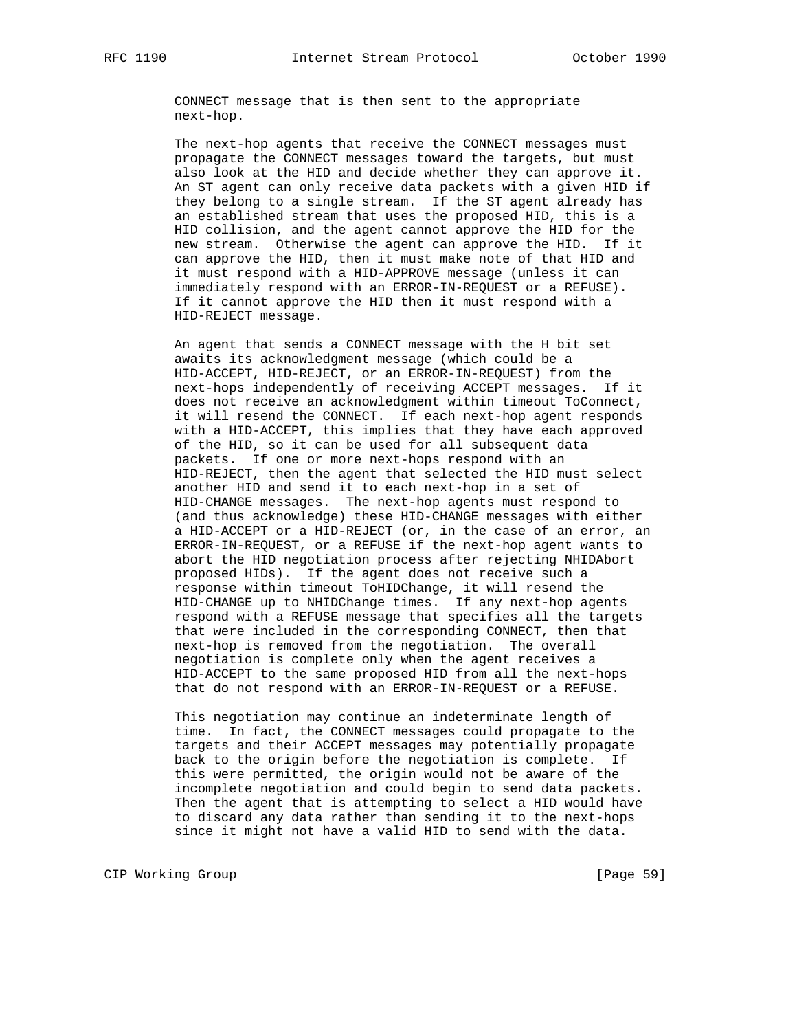CONNECT message that is then sent to the appropriate next-hop.

 The next-hop agents that receive the CONNECT messages must propagate the CONNECT messages toward the targets, but must also look at the HID and decide whether they can approve it. An ST agent can only receive data packets with a given HID if they belong to a single stream. If the ST agent already has an established stream that uses the proposed HID, this is a HID collision, and the agent cannot approve the HID for the new stream. Otherwise the agent can approve the HID. If it can approve the HID, then it must make note of that HID and it must respond with a HID-APPROVE message (unless it can immediately respond with an ERROR-IN-REQUEST or a REFUSE). If it cannot approve the HID then it must respond with a HID-REJECT message.

 An agent that sends a CONNECT message with the H bit set awaits its acknowledgment message (which could be a HID-ACCEPT, HID-REJECT, or an ERROR-IN-REQUEST) from the next-hops independently of receiving ACCEPT messages. If it does not receive an acknowledgment within timeout ToConnect, it will resend the CONNECT. If each next-hop agent responds with a HID-ACCEPT, this implies that they have each approved of the HID, so it can be used for all subsequent data packets. If one or more next-hops respond with an HID-REJECT, then the agent that selected the HID must select another HID and send it to each next-hop in a set of HID-CHANGE messages. The next-hop agents must respond to (and thus acknowledge) these HID-CHANGE messages with either a HID-ACCEPT or a HID-REJECT (or, in the case of an error, an ERROR-IN-REQUEST, or a REFUSE if the next-hop agent wants to abort the HID negotiation process after rejecting NHIDAbort proposed HIDs). If the agent does not receive such a response within timeout ToHIDChange, it will resend the HID-CHANGE up to NHIDChange times. If any next-hop agents respond with a REFUSE message that specifies all the targets that were included in the corresponding CONNECT, then that next-hop is removed from the negotiation. The overall negotiation is complete only when the agent receives a HID-ACCEPT to the same proposed HID from all the next-hops that do not respond with an ERROR-IN-REQUEST or a REFUSE.

 This negotiation may continue an indeterminate length of time. In fact, the CONNECT messages could propagate to the targets and their ACCEPT messages may potentially propagate back to the origin before the negotiation is complete. If this were permitted, the origin would not be aware of the incomplete negotiation and could begin to send data packets. Then the agent that is attempting to select a HID would have to discard any data rather than sending it to the next-hops since it might not have a valid HID to send with the data.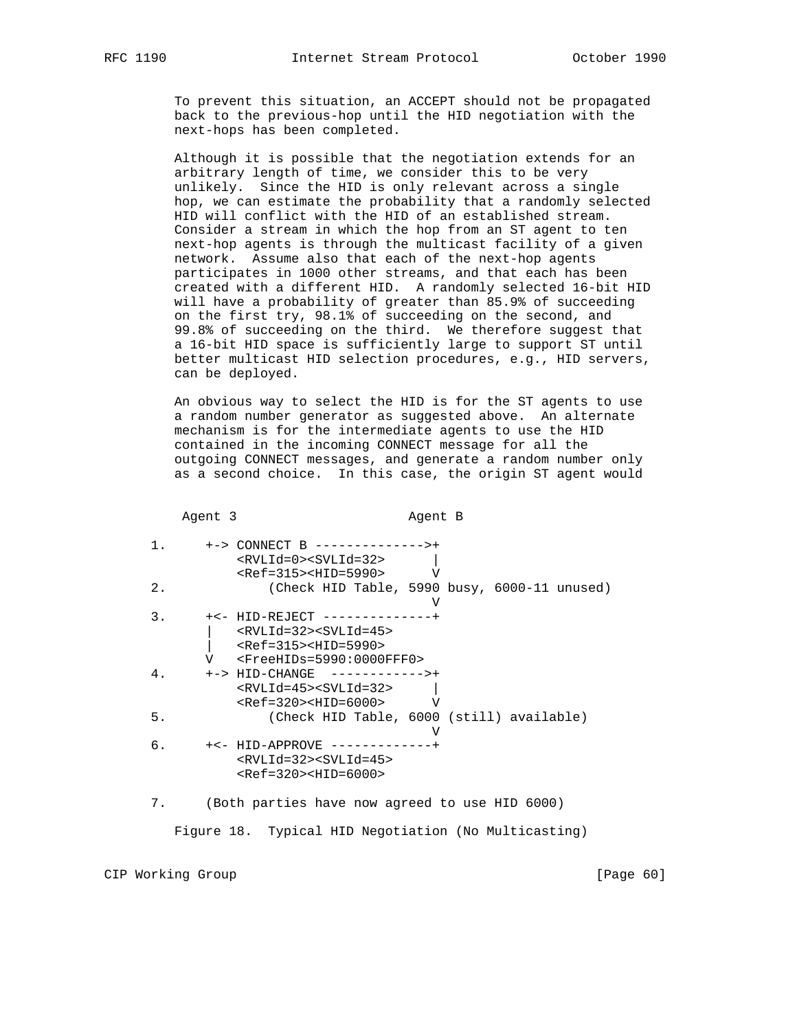To prevent this situation, an ACCEPT should not be propagated back to the previous-hop until the HID negotiation with the next-hops has been completed.

 Although it is possible that the negotiation extends for an arbitrary length of time, we consider this to be very unlikely. Since the HID is only relevant across a single hop, we can estimate the probability that a randomly selected HID will conflict with the HID of an established stream. Consider a stream in which the hop from an ST agent to ten next-hop agents is through the multicast facility of a given network. Assume also that each of the next-hop agents participates in 1000 other streams, and that each has been created with a different HID. A randomly selected 16-bit HID will have a probability of greater than 85.9% of succeeding on the first try, 98.1% of succeeding on the second, and 99.8% of succeeding on the third. We therefore suggest that a 16-bit HID space is sufficiently large to support ST until better multicast HID selection procedures, e.g., HID servers, can be deployed.

 An obvious way to select the HID is for the ST agents to use a random number generator as suggested above. An alternate mechanism is for the intermediate agents to use the HID contained in the incoming CONNECT message for all the outgoing CONNECT messages, and generate a random number only as a second choice. In this case, the origin ST agent would

Agent 3 Agent B

| 1. | +-> CONNECT B -------------->+                          |
|----|---------------------------------------------------------|
|    | $<$ RVLId=0> $<$ SVLId=32>                              |
|    | $<$ Ref=315> <hid=5990><br/>V</hid=5990>                |
| 2. | (Check HID Table, 5990 busy, 6000-11 unused)            |
|    | V                                                       |
| 3. | +<- HID-REJECT --------------+                          |
|    | $<$ RVLId=32> $<$ SVLId=45>                             |
|    | $<$ Ref=315> <hid=5990></hid=5990>                      |
|    | <freehids=5990:0000fff0><br/>V</freehids=5990:0000fff0> |
| 4. |                                                         |
|    | $<$ RVLId=45> $<$ SVLId=32>                             |
|    | $<$ Ref=320> <hid=6000> V</hid=6000>                    |
| 5. | (Check HID Table, 6000 (still) available)               |
|    | ٦Z                                                      |
| б. | +<- HID-APPROVE -------------+                          |
|    | $<$ RVLId=32> <svlid=45></svlid=45>                     |
|    | $<$ Ref=320> <hid=6000></hid=6000>                      |
|    |                                                         |
| 7. | (Both parties have now agreed to use HID 6000)          |

Figure 18. Typical HID Negotiation (No Multicasting)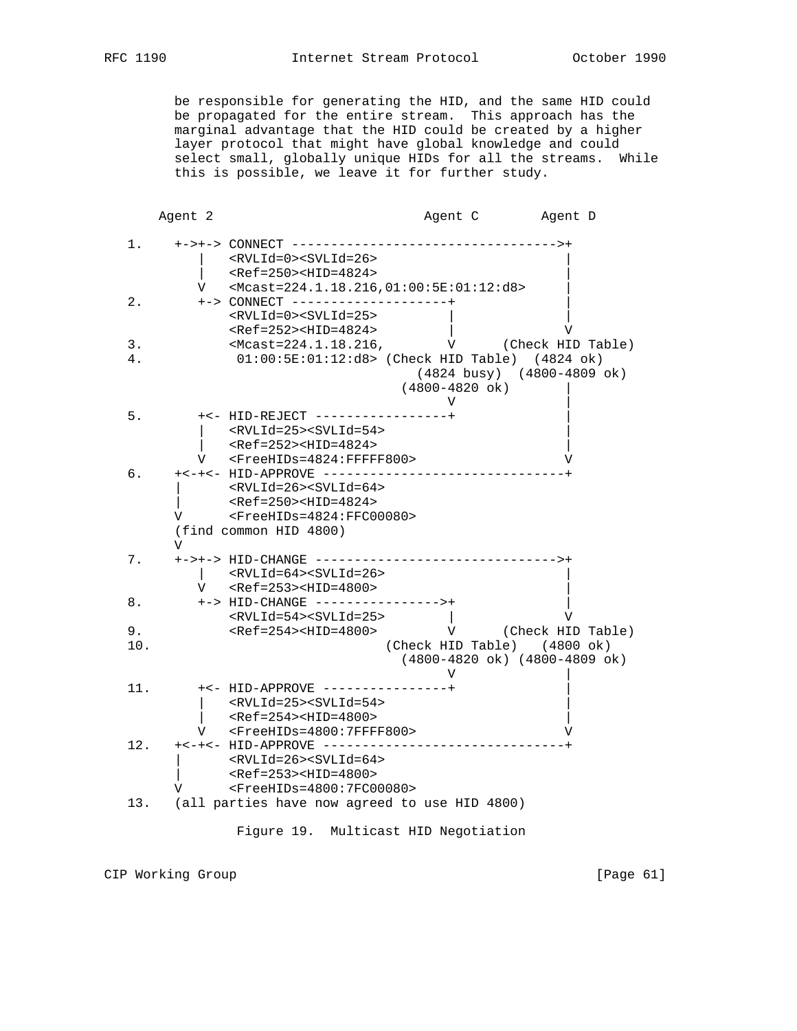be responsible for generating the HID, and the same HID could be propagated for the entire stream. This approach has the marginal advantage that the HID could be created by a higher layer protocol that might have global knowledge and could select small, globally unique HIDs for all the streams. While this is possible, we leave it for further study.

Agent 2 Agent C Agent D 1. +->+-> CONNECT ---------------------------------->+ | <RVLId=0><SVLId=26> | | <Ref=250><HID=4824> |  $V$  <Mcast=224.1.18.216,01:00:5E:01:12:d8> 2. +-> CONNECT --------------------+ | <RVLId=0><SVLId=25> | | <Ref=252><HID=4824> | V 3. <Mcast=224.1.18.216, V (Check HID Table) 4. 01:00:5E:01:12:d8> (Check HID Table) (4824 ok) (4824 busy) (4800-4809 ok) (4800-4820 ok) | V | 5. +<- HID-REJECT -----------------+ |  $|\times$ RVLId=25><SVLId=54>  $|\times$  $\vert$  <Ref=252><HID=4824>  $\vert$  V <FreeHIDs=4824:FFFFF800> V 6. +<-+<- HID-APPROVE -------------------------------+ | <RVLId=26><SVLId=64> | <Ref=250><HID=4824> V <FreeHIDs=4824:FFC00080> (find common HID 4800) V 7. +->+-> HID-CHANGE ------------------------------->+ | <RVLId=64><SVLId=26> | V <Ref=253><HID=4800><br>+-> HID-CHANGE ---------------->+ 8. +-> HID-CHANGE ---------------->+ | <RVLId=54><SVLId=25> | V 9. <Ref=254><HID=4800> V (Check HID Table) 10. (Check HID Table) (4800 ok) (4800-4820 ok) (4800-4809 ok)  $\mathbf V$  11. +<- HID-APPROVE ----------------+ | | <RVLId=25><SVLId=54> |  $\vert$  <Ref=254><HID=4800> V <FreeHIDs=4800:7FFFF800> V 12. +<-+<- HID-APPROVE -------------------------------+ | <RVLId=26><SVLId=64> | <Ref=253><HID=4800>  $V$  <FreeHIDs=4800:7FC00080> 13. (all parties have now agreed to use HID 4800)

Figure 19. Multicast HID Negotiation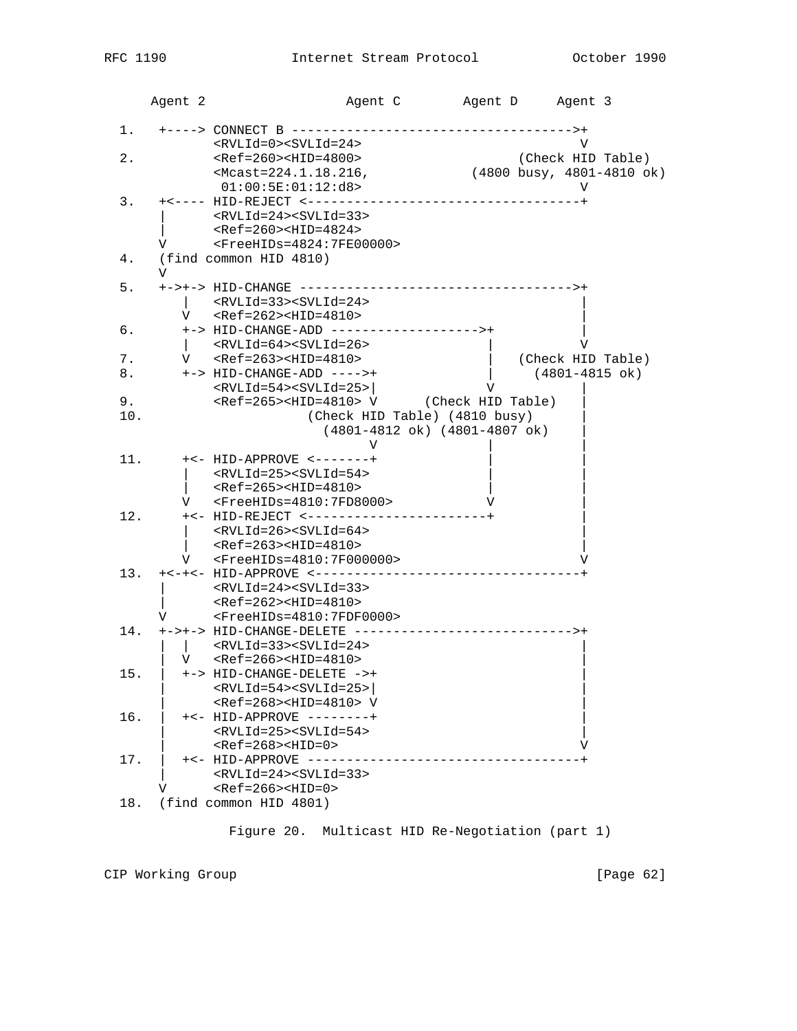|     | Agent 2 |                                                              | Agent C Agent D Agent 3                           |                            |
|-----|---------|--------------------------------------------------------------|---------------------------------------------------|----------------------------|
|     |         |                                                              |                                                   |                            |
|     |         | <rvlid=0><svlid=24></svlid=24></rvlid=0>                     |                                                   | V                          |
| 2.  |         | $<$ Ref=260> <hid=4800></hid=4800>                           |                                                   | (Check HID Table)          |
|     |         | $<$ Mcast=224.1.18.216,                                      |                                                   | (4800 busy, 4801-4810 ok)  |
|     |         | 01:00:5E:01:12:dB>                                           |                                                   | $\mathbf{V}$               |
|     |         |                                                              |                                                   |                            |
|     |         | <rvlid=24><svlid=33></svlid=33></rvlid=24>                   |                                                   |                            |
|     |         | $<$ Ref=260> <hid=4824></hid=4824>                           |                                                   |                            |
|     | V       | <freehids=4824:7fe00000></freehids=4824:7fe00000>            |                                                   |                            |
| 4.  |         | (find common HID 4810)                                       |                                                   |                            |
|     | V       |                                                              |                                                   |                            |
| 5.  |         |                                                              |                                                   |                            |
|     |         | $<$ RVLId=33> <svlid=24></svlid=24>                          |                                                   |                            |
|     |         | $V \,$ <ref=262><hid=4810></hid=4810></ref=262>              |                                                   |                            |
| 6.  |         | +-> HID-CHANGE-ADD ------------------->+                     |                                                   |                            |
|     |         | <rvlid=64><svlid=26></svlid=26></rvlid=64>                   |                                                   | V                          |
| 7.  |         | $V$ <ref=263><hid=4810></hid=4810></ref=263>                 |                                                   | (Check HID Table)          |
| 8.  |         | $\leftarrow$ > HID-CHANGE-ADD ---->+                         |                                                   | $(4801 - 4815 \text{ ok})$ |
|     |         | $<$ RVLId=54> $<$ SVLId=25> $ $                              | V                                                 |                            |
| 9.  |         | <ref=265><hid=4810> V (Check HID Table)</hid=4810></ref=265> |                                                   |                            |
| 10. |         |                                                              | (Check HID Table) (4810 busy)                     |                            |
|     |         |                                                              | $(4801-4812 \text{ ok})$ $(4801-4807 \text{ ok})$ |                            |
|     |         | V                                                            |                                                   |                            |
| 11. |         |                                                              |                                                   |                            |
|     |         | <rvlid=25><svlid=54></svlid=54></rvlid=25>                   |                                                   |                            |
|     |         | $<$ Ref=265> <hid=4810></hid=4810>                           |                                                   |                            |
|     |         | V <freehids=4810:7fd8000></freehids=4810:7fd8000>            | V                                                 |                            |
| 12. |         |                                                              |                                                   |                            |
|     |         | $<$ RVLId=26> $<$ SVLId=64>                                  |                                                   |                            |
|     |         | $<$ Ref=263> <hid=4810></hid=4810>                           |                                                   |                            |
|     |         | $V$ <freehids=4810:7f000000></freehids=4810:7f000000>        |                                                   | V                          |
|     |         |                                                              |                                                   |                            |
|     |         | $<$ RVLId=24> $<$ SVLId=33>                                  |                                                   |                            |
|     |         | $<$ Ref=262> <hid=4810></hid=4810>                           |                                                   |                            |
|     | V       | <freehids=4810:7fdf0000></freehids=4810:7fdf0000>            |                                                   |                            |
|     |         | 14. +->+-> HID-CHANGE-DELETE ------------------------------- |                                                   |                            |
|     |         | $ $ <rvlid=33><svlid=24></svlid=24></rvlid=33>               |                                                   |                            |
|     |         | $V$ <ref=266><hid=4810></hid=4810></ref=266>                 |                                                   |                            |
| 15. |         | +-> HID-CHANGE-DELETE ->+                                    |                                                   |                            |
|     |         | $<$ RVLId=54> <svlid=25></svlid=25>                          |                                                   |                            |
|     |         | $<$ Ref=268> <hid=4810> V</hid=4810>                         |                                                   |                            |
| 16. |         | +<- HID-APPROVE --------+                                    |                                                   |                            |
|     |         | <rvlid=25><svlid=54></svlid=54></rvlid=25>                   |                                                   |                            |
|     |         | $<$ Ref=268> <hid=0></hid=0>                                 |                                                   | V                          |
| 17. |         | +<- HID-APPROVE ------------------------------               |                                                   |                            |
|     |         | <rvlid=24><svlid=33></svlid=33></rvlid=24>                   |                                                   |                            |
|     | V       | $<$ Ref=266> <hid=0></hid=0>                                 |                                                   |                            |
| 18. |         | (find common HID 4801)                                       |                                                   |                            |
|     |         |                                                              |                                                   |                            |

Figure 20. Multicast HID Re-Negotiation (part 1)

CIP Working Group **compared to the CIP CIP Working Group [Page 62]**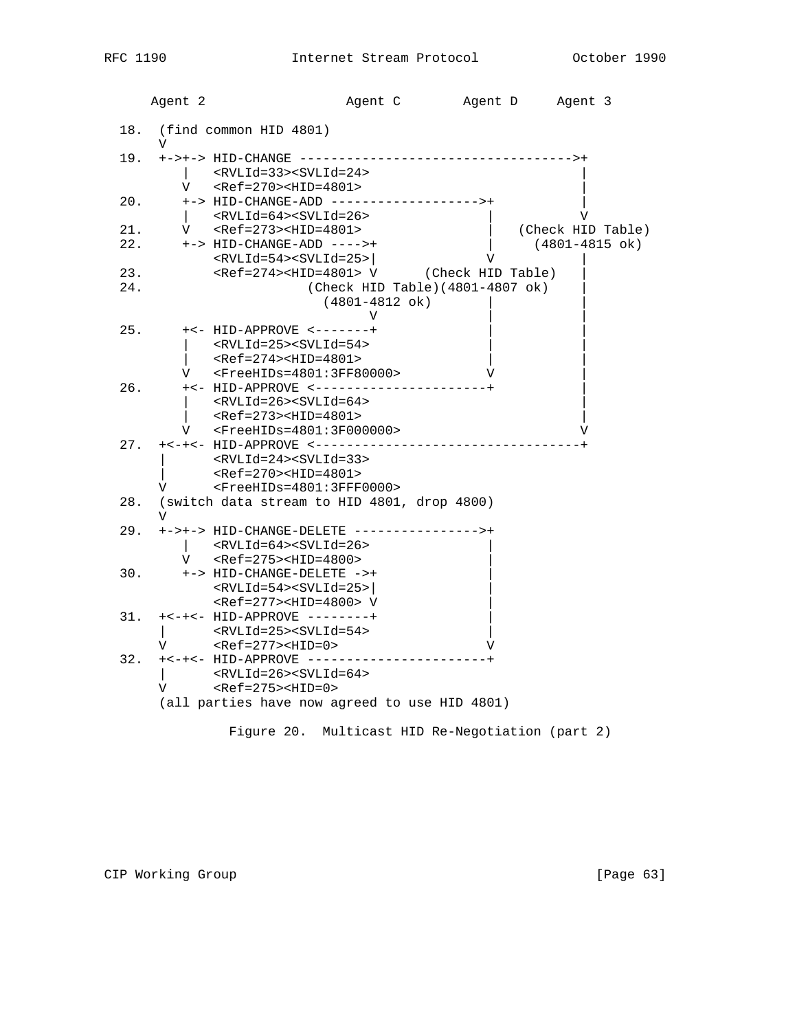

Figure 20. Multicast HID Re-Negotiation (part 2)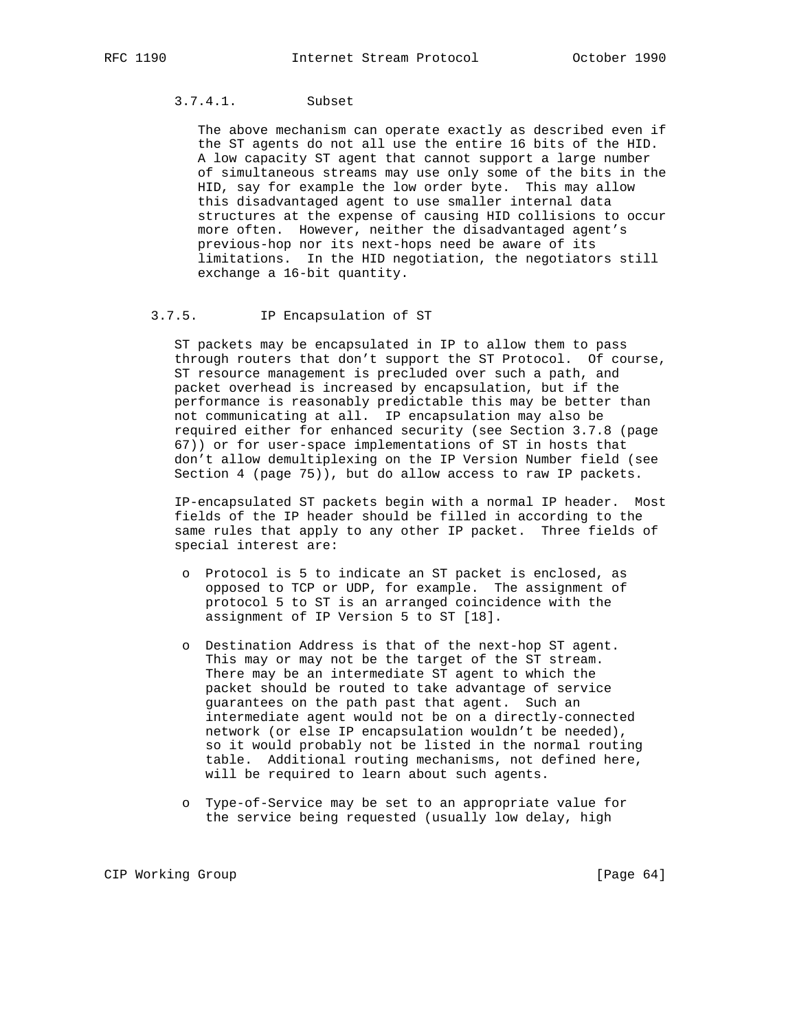# 3.7.4.1. Subset

 The above mechanism can operate exactly as described even if the ST agents do not all use the entire 16 bits of the HID. A low capacity ST agent that cannot support a large number of simultaneous streams may use only some of the bits in the HID, say for example the low order byte. This may allow this disadvantaged agent to use smaller internal data structures at the expense of causing HID collisions to occur more often. However, neither the disadvantaged agent's previous-hop nor its next-hops need be aware of its limitations. In the HID negotiation, the negotiators still exchange a 16-bit quantity.

## 3.7.5. IP Encapsulation of ST

 ST packets may be encapsulated in IP to allow them to pass through routers that don't support the ST Protocol. Of course, ST resource management is precluded over such a path, and packet overhead is increased by encapsulation, but if the performance is reasonably predictable this may be better than not communicating at all. IP encapsulation may also be required either for enhanced security (see Section 3.7.8 (page 67)) or for user-space implementations of ST in hosts that don't allow demultiplexing on the IP Version Number field (see Section 4 (page 75)), but do allow access to raw IP packets.

 IP-encapsulated ST packets begin with a normal IP header. Most fields of the IP header should be filled in according to the same rules that apply to any other IP packet. Three fields of special interest are:

- o Protocol is 5 to indicate an ST packet is enclosed, as opposed to TCP or UDP, for example. The assignment of protocol 5 to ST is an arranged coincidence with the assignment of IP Version 5 to ST [18].
- o Destination Address is that of the next-hop ST agent. This may or may not be the target of the ST stream. There may be an intermediate ST agent to which the packet should be routed to take advantage of service guarantees on the path past that agent. Such an intermediate agent would not be on a directly-connected network (or else IP encapsulation wouldn't be needed), so it would probably not be listed in the normal routing table. Additional routing mechanisms, not defined here, will be required to learn about such agents.
- o Type-of-Service may be set to an appropriate value for the service being requested (usually low delay, high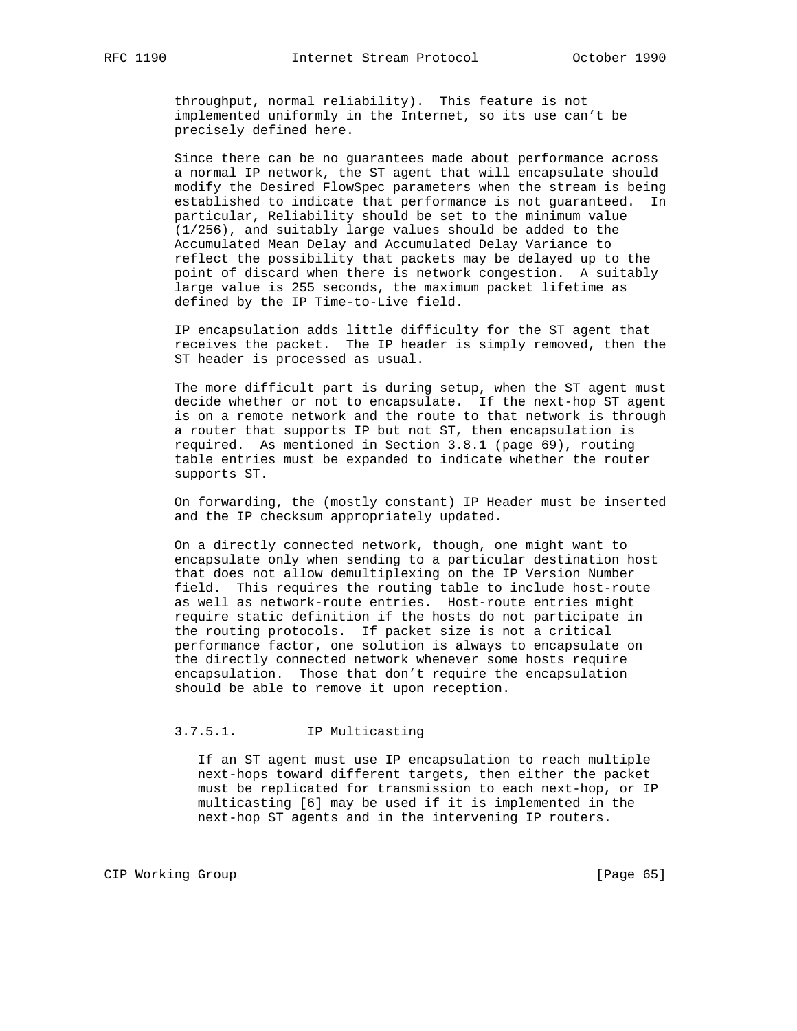throughput, normal reliability). This feature is not implemented uniformly in the Internet, so its use can't be precisely defined here.

 Since there can be no guarantees made about performance across a normal IP network, the ST agent that will encapsulate should modify the Desired FlowSpec parameters when the stream is being established to indicate that performance is not guaranteed. In particular, Reliability should be set to the minimum value (1/256), and suitably large values should be added to the Accumulated Mean Delay and Accumulated Delay Variance to reflect the possibility that packets may be delayed up to the point of discard when there is network congestion. A suitably large value is 255 seconds, the maximum packet lifetime as defined by the IP Time-to-Live field.

 IP encapsulation adds little difficulty for the ST agent that receives the packet. The IP header is simply removed, then the ST header is processed as usual.

 The more difficult part is during setup, when the ST agent must decide whether or not to encapsulate. If the next-hop ST agent is on a remote network and the route to that network is through a router that supports IP but not ST, then encapsulation is required. As mentioned in Section 3.8.1 (page 69), routing table entries must be expanded to indicate whether the router supports ST.

 On forwarding, the (mostly constant) IP Header must be inserted and the IP checksum appropriately updated.

 On a directly connected network, though, one might want to encapsulate only when sending to a particular destination host that does not allow demultiplexing on the IP Version Number field. This requires the routing table to include host-route as well as network-route entries. Host-route entries might require static definition if the hosts do not participate in the routing protocols. If packet size is not a critical performance factor, one solution is always to encapsulate on the directly connected network whenever some hosts require encapsulation. Those that don't require the encapsulation should be able to remove it upon reception.

# 3.7.5.1. IP Multicasting

 If an ST agent must use IP encapsulation to reach multiple next-hops toward different targets, then either the packet must be replicated for transmission to each next-hop, or IP multicasting [6] may be used if it is implemented in the next-hop ST agents and in the intervening IP routers.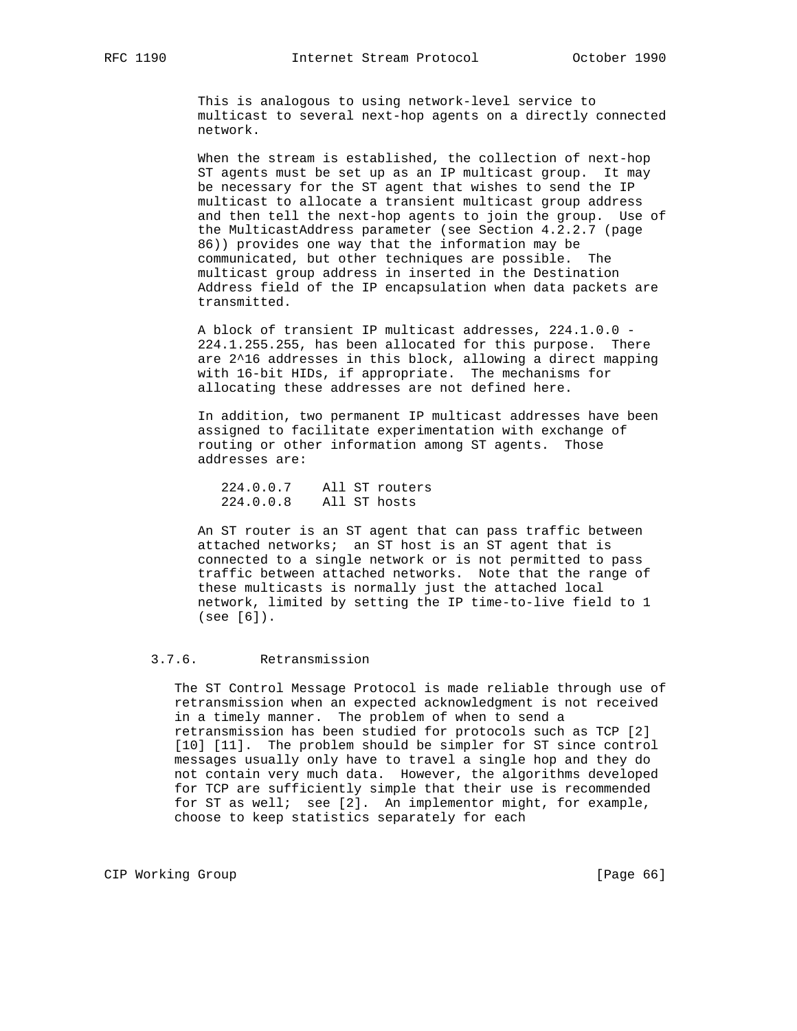This is analogous to using network-level service to multicast to several next-hop agents on a directly connected network.

 When the stream is established, the collection of next-hop ST agents must be set up as an IP multicast group. It may be necessary for the ST agent that wishes to send the IP multicast to allocate a transient multicast group address and then tell the next-hop agents to join the group. Use of the MulticastAddress parameter (see Section 4.2.2.7 (page 86)) provides one way that the information may be communicated, but other techniques are possible. The multicast group address in inserted in the Destination Address field of the IP encapsulation when data packets are transmitted.

 A block of transient IP multicast addresses, 224.1.0.0 - 224.1.255.255, has been allocated for this purpose. There are 2^16 addresses in this block, allowing a direct mapping with 16-bit HIDs, if appropriate. The mechanisms for allocating these addresses are not defined here.

 In addition, two permanent IP multicast addresses have been assigned to facilitate experimentation with exchange of routing or other information among ST agents. Those addresses are:

 224.0.0.7 All ST routers 224.0.0.8 All ST hosts

 An ST router is an ST agent that can pass traffic between attached networks; an ST host is an ST agent that is connected to a single network or is not permitted to pass traffic between attached networks. Note that the range of these multicasts is normally just the attached local network, limited by setting the IP time-to-live field to 1 (see [6]).

## 3.7.6. Retransmission

 The ST Control Message Protocol is made reliable through use of retransmission when an expected acknowledgment is not received in a timely manner. The problem of when to send a retransmission has been studied for protocols such as TCP [2] [10] [11]. The problem should be simpler for ST since control messages usually only have to travel a single hop and they do not contain very much data. However, the algorithms developed for TCP are sufficiently simple that their use is recommended for ST as well; see [2]. An implementor might, for example, choose to keep statistics separately for each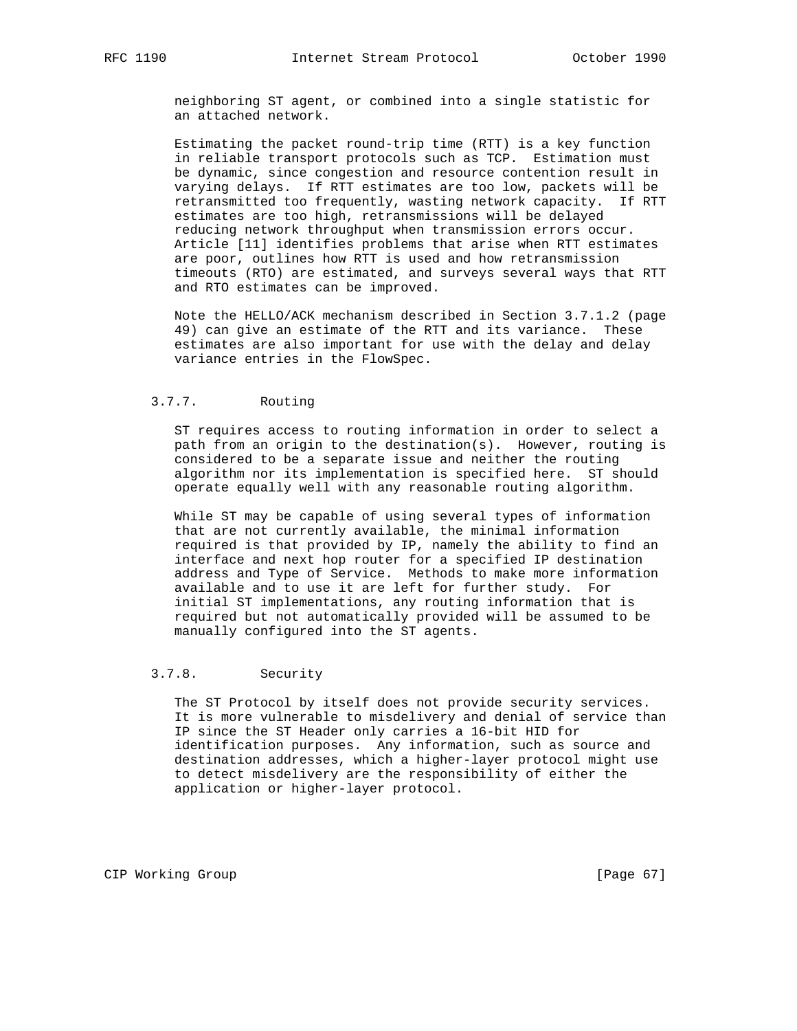neighboring ST agent, or combined into a single statistic for an attached network.

 Estimating the packet round-trip time (RTT) is a key function in reliable transport protocols such as TCP. Estimation must be dynamic, since congestion and resource contention result in varying delays. If RTT estimates are too low, packets will be retransmitted too frequently, wasting network capacity. If RTT estimates are too high, retransmissions will be delayed reducing network throughput when transmission errors occur. Article [11] identifies problems that arise when RTT estimates are poor, outlines how RTT is used and how retransmission timeouts (RTO) are estimated, and surveys several ways that RTT and RTO estimates can be improved.

 Note the HELLO/ACK mechanism described in Section 3.7.1.2 (page 49) can give an estimate of the RTT and its variance. These estimates are also important for use with the delay and delay variance entries in the FlowSpec.

## 3.7.7. Routing

 ST requires access to routing information in order to select a path from an origin to the destination(s). However, routing is considered to be a separate issue and neither the routing algorithm nor its implementation is specified here. ST should operate equally well with any reasonable routing algorithm.

 While ST may be capable of using several types of information that are not currently available, the minimal information required is that provided by IP, namely the ability to find an interface and next hop router for a specified IP destination address and Type of Service. Methods to make more information available and to use it are left for further study. For initial ST implementations, any routing information that is required but not automatically provided will be assumed to be manually configured into the ST agents.

## 3.7.8. Security

 The ST Protocol by itself does not provide security services. It is more vulnerable to misdelivery and denial of service than IP since the ST Header only carries a 16-bit HID for identification purposes. Any information, such as source and destination addresses, which a higher-layer protocol might use to detect misdelivery are the responsibility of either the application or higher-layer protocol.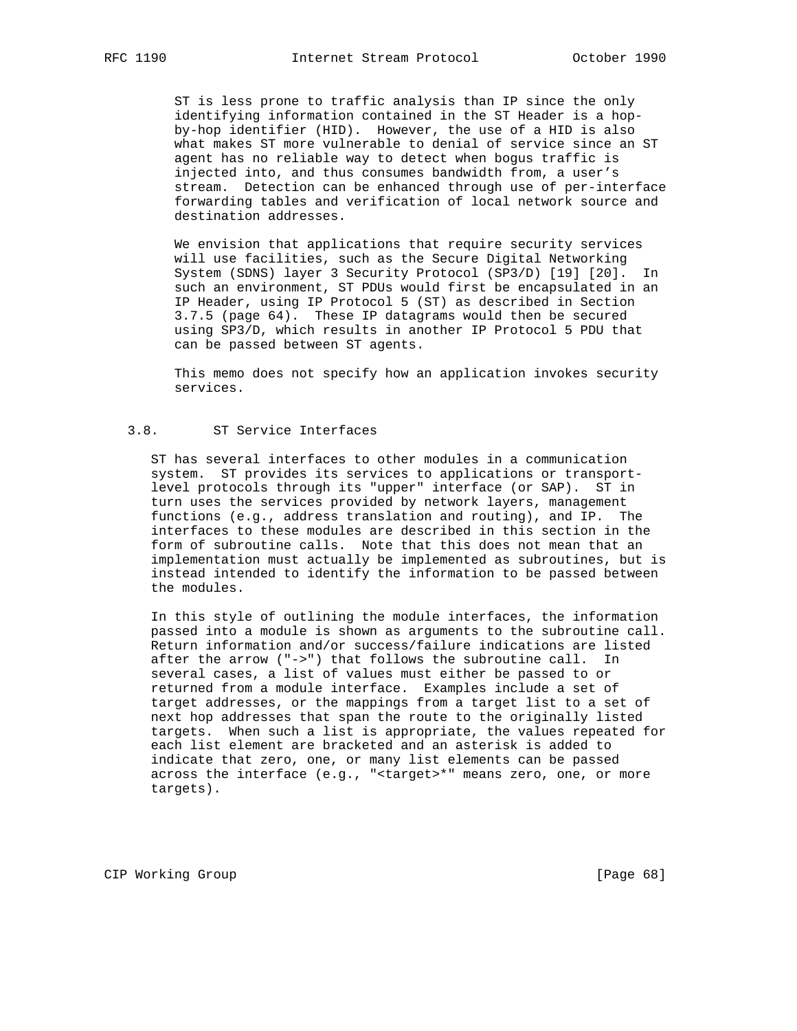ST is less prone to traffic analysis than IP since the only identifying information contained in the ST Header is a hop by-hop identifier (HID). However, the use of a HID is also what makes ST more vulnerable to denial of service since an ST agent has no reliable way to detect when bogus traffic is injected into, and thus consumes bandwidth from, a user's stream. Detection can be enhanced through use of per-interface forwarding tables and verification of local network source and destination addresses.

 We envision that applications that require security services will use facilities, such as the Secure Digital Networking System (SDNS) layer 3 Security Protocol (SP3/D) [19] [20]. In such an environment, ST PDUs would first be encapsulated in an IP Header, using IP Protocol 5 (ST) as described in Section 3.7.5 (page 64). These IP datagrams would then be secured using SP3/D, which results in another IP Protocol 5 PDU that can be passed between ST agents.

 This memo does not specify how an application invokes security services.

## 3.8. ST Service Interfaces

 ST has several interfaces to other modules in a communication system. ST provides its services to applications or transport level protocols through its "upper" interface (or SAP). ST in turn uses the services provided by network layers, management functions (e.g., address translation and routing), and IP. The interfaces to these modules are described in this section in the form of subroutine calls. Note that this does not mean that an implementation must actually be implemented as subroutines, but is instead intended to identify the information to be passed between the modules.

 In this style of outlining the module interfaces, the information passed into a module is shown as arguments to the subroutine call. Return information and/or success/failure indications are listed after the arrow ("->") that follows the subroutine call. In several cases, a list of values must either be passed to or returned from a module interface. Examples include a set of target addresses, or the mappings from a target list to a set of next hop addresses that span the route to the originally listed targets. When such a list is appropriate, the values repeated for each list element are bracketed and an asterisk is added to indicate that zero, one, or many list elements can be passed across the interface (e.g., "<target>\*" means zero, one, or more targets).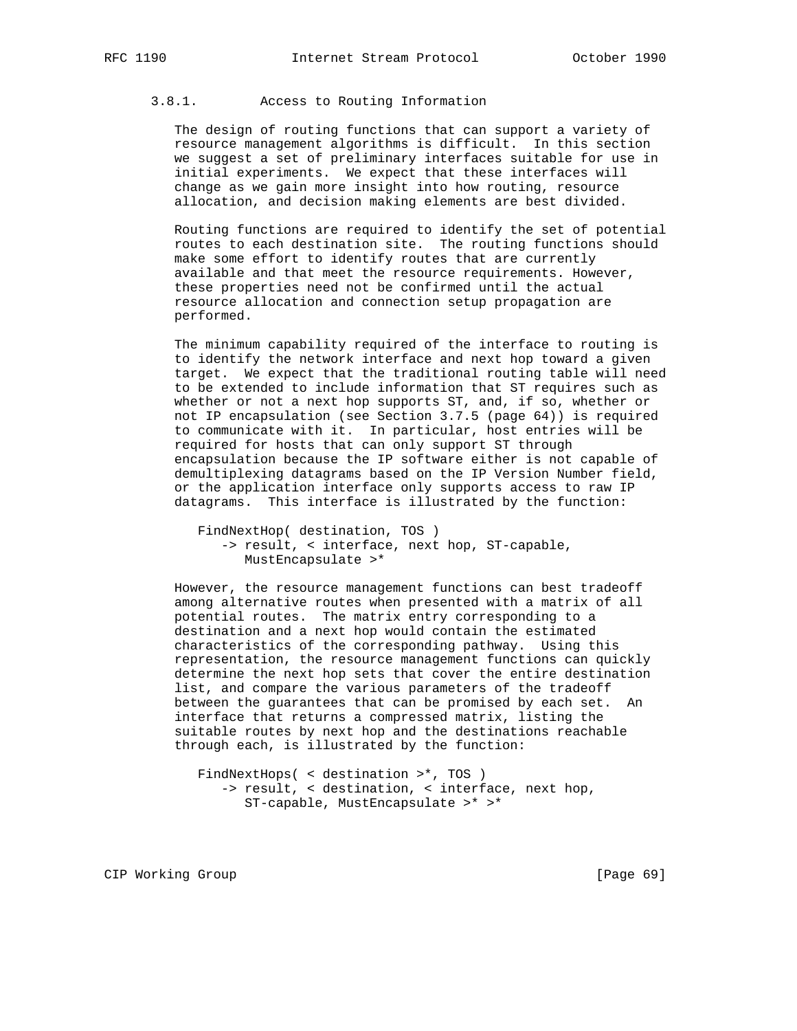## 3.8.1. Access to Routing Information

 The design of routing functions that can support a variety of resource management algorithms is difficult. In this section we suggest a set of preliminary interfaces suitable for use in initial experiments. We expect that these interfaces will change as we gain more insight into how routing, resource allocation, and decision making elements are best divided.

 Routing functions are required to identify the set of potential routes to each destination site. The routing functions should make some effort to identify routes that are currently available and that meet the resource requirements. However, these properties need not be confirmed until the actual resource allocation and connection setup propagation are performed.

 The minimum capability required of the interface to routing is to identify the network interface and next hop toward a given target. We expect that the traditional routing table will need to be extended to include information that ST requires such as whether or not a next hop supports ST, and, if so, whether or not IP encapsulation (see Section 3.7.5 (page 64)) is required to communicate with it. In particular, host entries will be required for hosts that can only support ST through encapsulation because the IP software either is not capable of demultiplexing datagrams based on the IP Version Number field, or the application interface only supports access to raw IP datagrams. This interface is illustrated by the function:

```
 FindNextHop( destination, TOS )
 -> result, < interface, next hop, ST-capable,
   MustEncapsulate >*
```
 However, the resource management functions can best tradeoff among alternative routes when presented with a matrix of all potential routes. The matrix entry corresponding to a destination and a next hop would contain the estimated characteristics of the corresponding pathway. Using this representation, the resource management functions can quickly determine the next hop sets that cover the entire destination list, and compare the various parameters of the tradeoff between the guarantees that can be promised by each set. An interface that returns a compressed matrix, listing the suitable routes by next hop and the destinations reachable through each, is illustrated by the function:

```
 FindNextHops( < destination >*, TOS )
 -> result, < destination, < interface, next hop,
    ST-capable, MustEncapsulate >* >*
```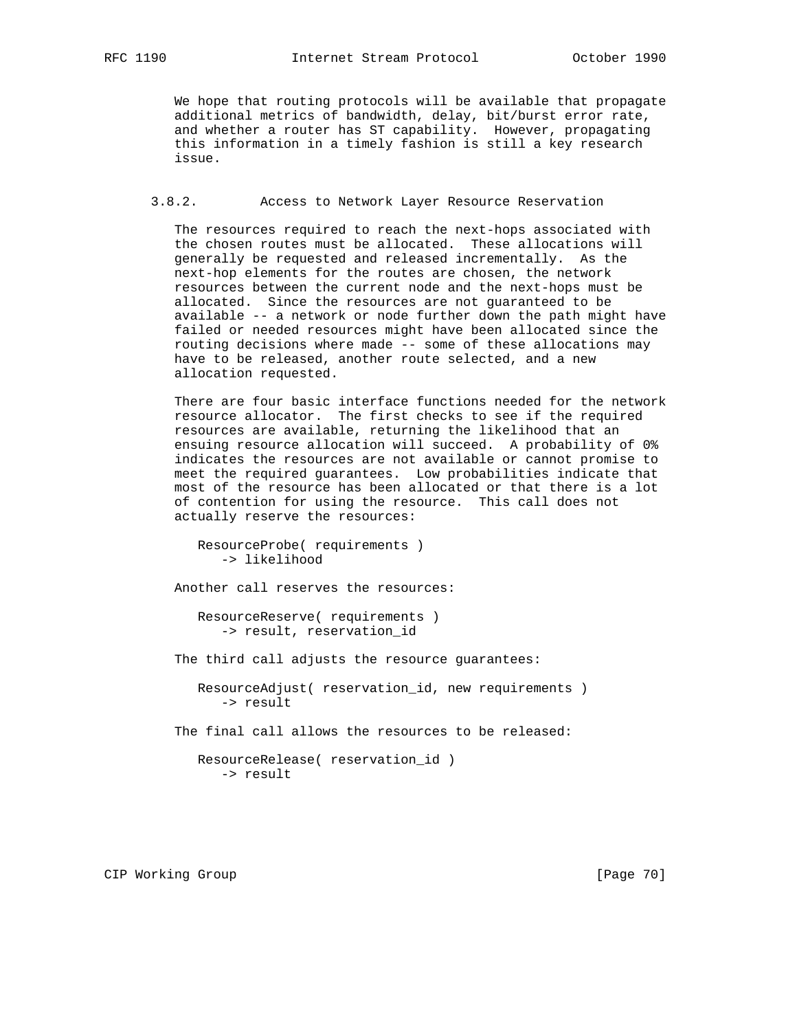We hope that routing protocols will be available that propagate additional metrics of bandwidth, delay, bit/burst error rate, and whether a router has ST capability. However, propagating this information in a timely fashion is still a key research issue.

## 3.8.2. Access to Network Layer Resource Reservation

 The resources required to reach the next-hops associated with the chosen routes must be allocated. These allocations will generally be requested and released incrementally. As the next-hop elements for the routes are chosen, the network resources between the current node and the next-hops must be allocated. Since the resources are not guaranteed to be available -- a network or node further down the path might have failed or needed resources might have been allocated since the routing decisions where made -- some of these allocations may have to be released, another route selected, and a new allocation requested.

 There are four basic interface functions needed for the network resource allocator. The first checks to see if the required resources are available, returning the likelihood that an ensuing resource allocation will succeed. A probability of 0% indicates the resources are not available or cannot promise to meet the required guarantees. Low probabilities indicate that most of the resource has been allocated or that there is a lot of contention for using the resource. This call does not actually reserve the resources:

```
 ResourceProbe( requirements )
 -> likelihood
```
Another call reserves the resources:

```
 ResourceReserve( requirements )
 -> result, reservation_id
```
The third call adjusts the resource guarantees:

```
 ResourceAdjust( reservation_id, new requirements )
 -> result
```
The final call allows the resources to be released:

```
 ResourceRelease( reservation_id )
-> result
```
CIP Working Group **compared to the CIP Working Group compared to the CIP Working Group compared to the CIP**  $\sim$  [Page 70]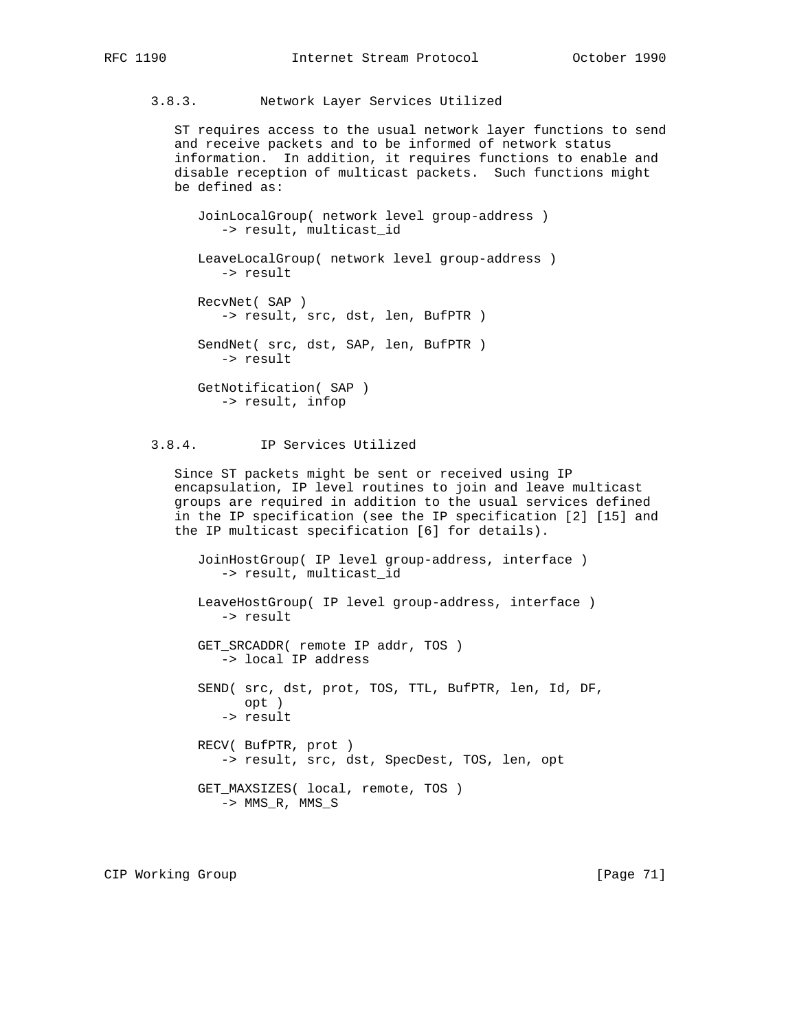3.8.3. Network Layer Services Utilized

 ST requires access to the usual network layer functions to send and receive packets and to be informed of network status information. In addition, it requires functions to enable and disable reception of multicast packets. Such functions might be defined as:

 JoinLocalGroup( network level group-address ) -> result, multicast\_id LeaveLocalGroup( network level group-address ) -> result RecvNet( SAP ) -> result, src, dst, len, BufPTR ) SendNet( src, dst, SAP, len, BufPTR ) -> result GetNotification( SAP ) -> result, infop

# 3.8.4. IP Services Utilized

 Since ST packets might be sent or received using IP encapsulation, IP level routines to join and leave multicast groups are required in addition to the usual services defined in the IP specification (see the IP specification [2] [15] and the IP multicast specification [6] for details).

 JoinHostGroup( IP level group-address, interface ) -> result, multicast\_id LeaveHostGroup( IP level group-address, interface ) -> result GET\_SRCADDR( remote IP addr, TOS ) -> local IP address SEND( src, dst, prot, TOS, TTL, BufPTR, len, Id, DF, opt ) -> result RECV( BufPTR, prot ) -> result, src, dst, SpecDest, TOS, len, opt GET\_MAXSIZES( local, remote, TOS ) -> MMS\_R, MMS\_S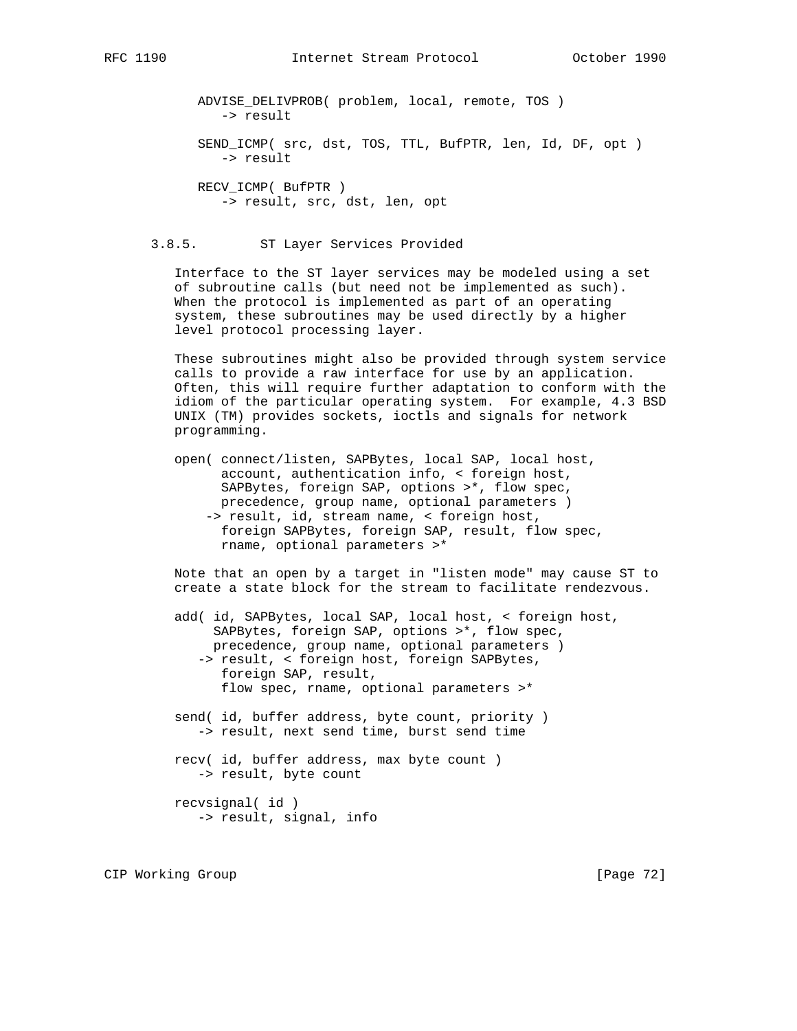ADVISE\_DELIVPROB( problem, local, remote, TOS ) -> result SEND ICMP( src, dst, TOS, TTL, BufPTR, len, Id, DF, opt ) -> result RECV\_ICMP( BufPTR ) -> result, src, dst, len, opt

# 3.8.5. ST Layer Services Provided

 Interface to the ST layer services may be modeled using a set of subroutine calls (but need not be implemented as such). When the protocol is implemented as part of an operating system, these subroutines may be used directly by a higher level protocol processing layer.

 These subroutines might also be provided through system service calls to provide a raw interface for use by an application. Often, this will require further adaptation to conform with the idiom of the particular operating system. For example, 4.3 BSD UNIX (TM) provides sockets, ioctls and signals for network programming.

 open( connect/listen, SAPBytes, local SAP, local host, account, authentication info, < foreign host, SAPBytes, foreign SAP, options >\*, flow spec, precedence, group name, optional parameters ) -> result, id, stream name, < foreign host, foreign SAPBytes, foreign SAP, result, flow spec, rname, optional parameters >\*

 Note that an open by a target in "listen mode" may cause ST to create a state block for the stream to facilitate rendezvous.

- add( id, SAPBytes, local SAP, local host, < foreign host, SAPBytes, foreign SAP, options >\*, flow spec, precedence, group name, optional parameters ) -> result, < foreign host, foreign SAPBytes, foreign SAP, result, flow spec, rname, optional parameters >\*
- send( id, buffer address, byte count, priority ) -> result, next send time, burst send time

 recv( id, buffer address, max byte count ) -> result, byte count

 recvsignal( id ) -> result, signal, info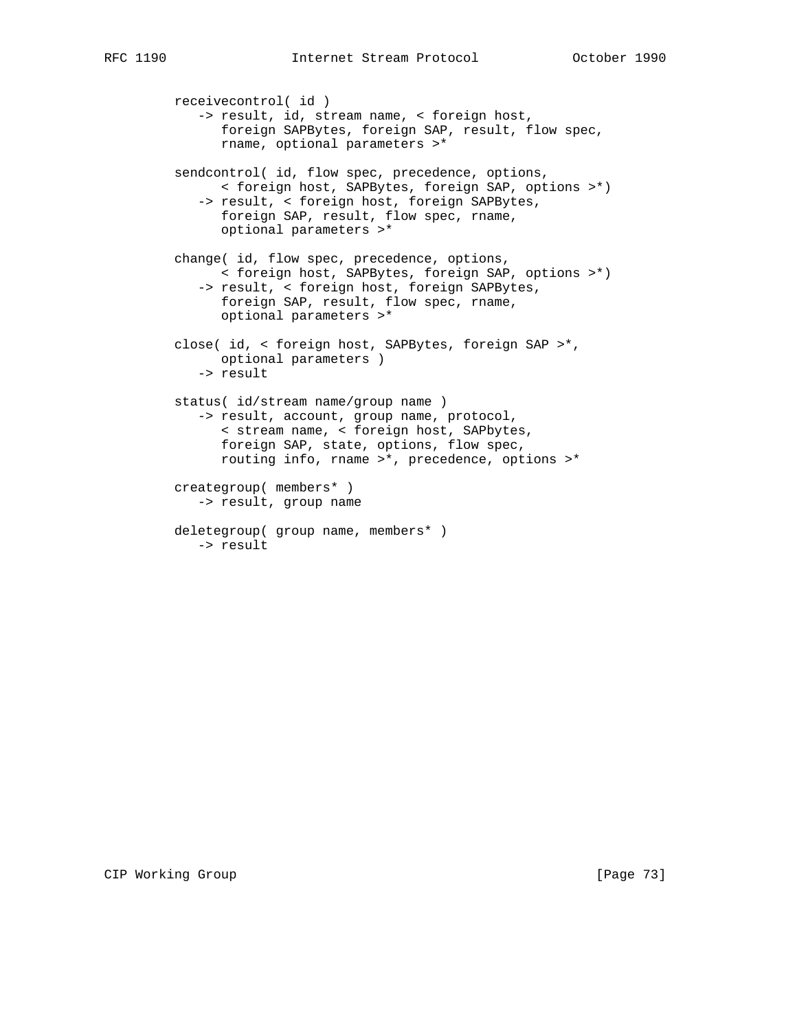receivecontrol( id ) -> result, id, stream name, < foreign host, foreign SAPBytes, foreign SAP, result, flow spec, rname, optional parameters >\* sendcontrol( id, flow spec, precedence, options, < foreign host, SAPBytes, foreign SAP, options >\*) -> result, < foreign host, foreign SAPBytes, foreign SAP, result, flow spec, rname, optional parameters >\* change( id, flow spec, precedence, options, < foreign host, SAPBytes, foreign SAP, options >\*) -> result, < foreign host, foreign SAPBytes, foreign SAP, result, flow spec, rname, optional parameters >\* close( id, < foreign host, SAPBytes, foreign SAP >\*, optional parameters ) -> result status( id/stream name/group name ) -> result, account, group name, protocol, < stream name, < foreign host, SAPbytes, foreign SAP, state, options, flow spec, routing info, rname >\*, precedence, options >\* creategroup( members\* ) -> result, group name deletegroup( group name, members\* ) -> result

CIP Working Group **compared to the CIP Working Group compared to the CIP Working Group compared to the CIP** Working C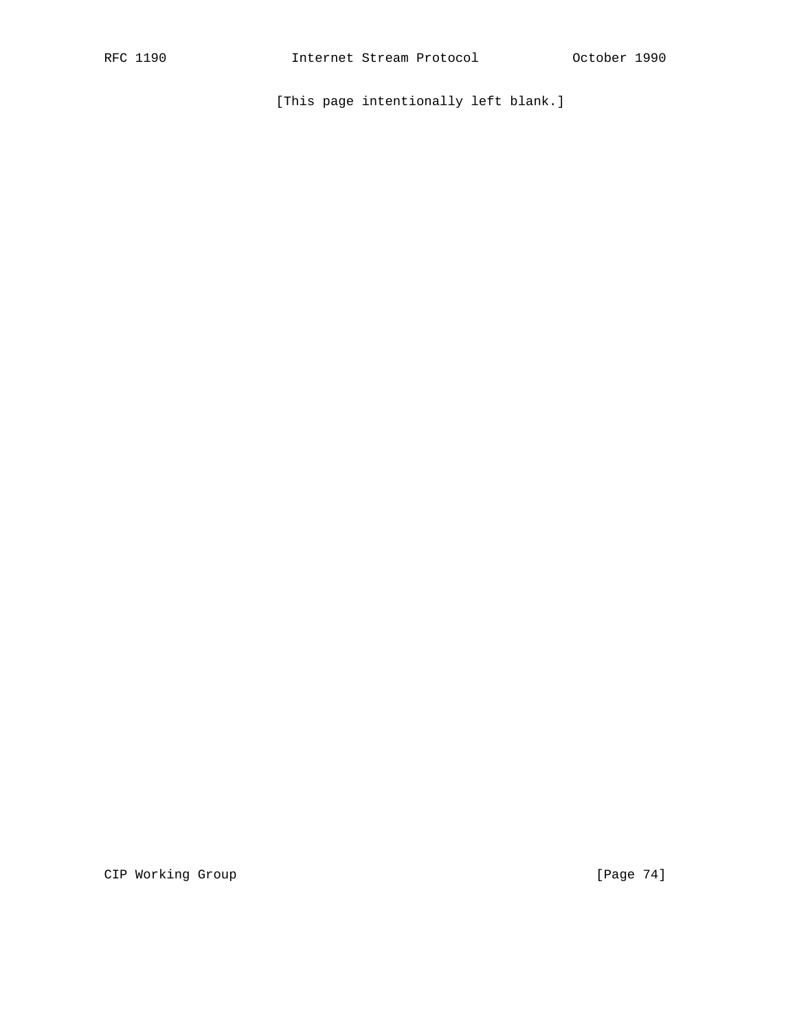[This page intentionally left blank.]

CIP Working Group [Page 74]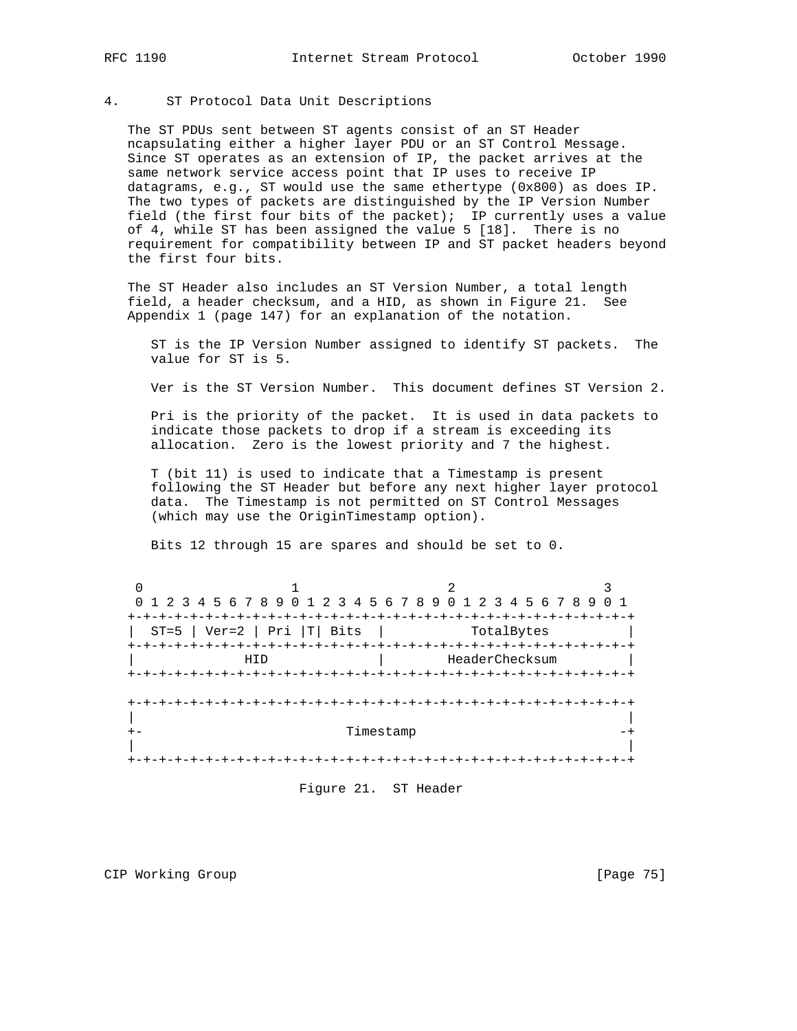## 4. ST Protocol Data Unit Descriptions

 The ST PDUs sent between ST agents consist of an ST Header ncapsulating either a higher layer PDU or an ST Control Message. Since ST operates as an extension of IP, the packet arrives at the same network service access point that IP uses to receive IP datagrams, e.g., ST would use the same ethertype (0x800) as does IP. The two types of packets are distinguished by the IP Version Number field (the first four bits of the packet); IP currently uses a value of 4, while ST has been assigned the value 5 [18]. There is no requirement for compatibility between IP and ST packet headers beyond the first four bits.

 The ST Header also includes an ST Version Number, a total length field, a header checksum, and a HID, as shown in Figure 21. See Appendix 1 (page 147) for an explanation of the notation.

 ST is the IP Version Number assigned to identify ST packets. The value for ST is 5.

Ver is the ST Version Number. This document defines ST Version 2.

 Pri is the priority of the packet. It is used in data packets to indicate those packets to drop if a stream is exceeding its allocation. Zero is the lowest priority and 7 the highest.

 T (bit 11) is used to indicate that a Timestamp is present following the ST Header but before any next higher layer protocol data. The Timestamp is not permitted on ST Control Messages (which may use the OriginTimestamp option).

Bits 12 through 15 are spares and should be set to 0.

| 0 1 2 3 4 5 6 7 8 9 0 1 2 3 4 5 6 7 8 9 0 1 2 3 4 5 6 7 8 9 |  |                |            |  |  |  |  |  |  |  |  |
|-------------------------------------------------------------|--|----------------|------------|--|--|--|--|--|--|--|--|
| $ST=5$   Ver=2   Pri  T  Bits                               |  |                | TotalBytes |  |  |  |  |  |  |  |  |
| HID                                                         |  | HeaderChecksum |            |  |  |  |  |  |  |  |  |
|                                                             |  |                |            |  |  |  |  |  |  |  |  |
|                                                             |  |                |            |  |  |  |  |  |  |  |  |
|                                                             |  | Timestamp      |            |  |  |  |  |  |  |  |  |
|                                                             |  |                |            |  |  |  |  |  |  |  |  |

Figure 21. ST Header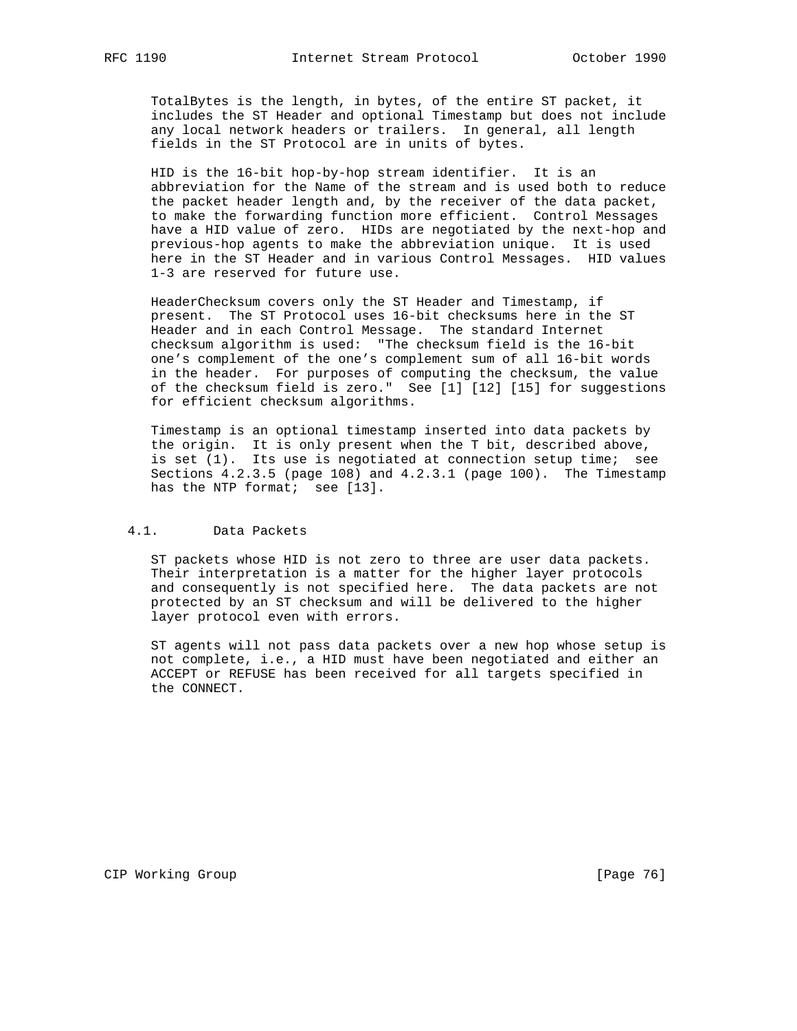TotalBytes is the length, in bytes, of the entire ST packet, it includes the ST Header and optional Timestamp but does not include any local network headers or trailers. In general, all length fields in the ST Protocol are in units of bytes.

 HID is the 16-bit hop-by-hop stream identifier. It is an abbreviation for the Name of the stream and is used both to reduce the packet header length and, by the receiver of the data packet, to make the forwarding function more efficient. Control Messages have a HID value of zero. HIDs are negotiated by the next-hop and previous-hop agents to make the abbreviation unique. It is used here in the ST Header and in various Control Messages. HID values 1-3 are reserved for future use.

 HeaderChecksum covers only the ST Header and Timestamp, if present. The ST Protocol uses 16-bit checksums here in the ST Header and in each Control Message. The standard Internet checksum algorithm is used: "The checksum field is the 16-bit one's complement of the one's complement sum of all 16-bit words in the header. For purposes of computing the checksum, the value of the checksum field is zero." See [1] [12] [15] for suggestions for efficient checksum algorithms.

 Timestamp is an optional timestamp inserted into data packets by the origin. It is only present when the T bit, described above, is set (1). Its use is negotiated at connection setup time; see Sections 4.2.3.5 (page 108) and 4.2.3.1 (page 100). The Timestamp has the NTP format; see [13].

## 4.1. Data Packets

 ST packets whose HID is not zero to three are user data packets. Their interpretation is a matter for the higher layer protocols and consequently is not specified here. The data packets are not protected by an ST checksum and will be delivered to the higher layer protocol even with errors.

 ST agents will not pass data packets over a new hop whose setup is not complete, i.e., a HID must have been negotiated and either an ACCEPT or REFUSE has been received for all targets specified in the CONNECT.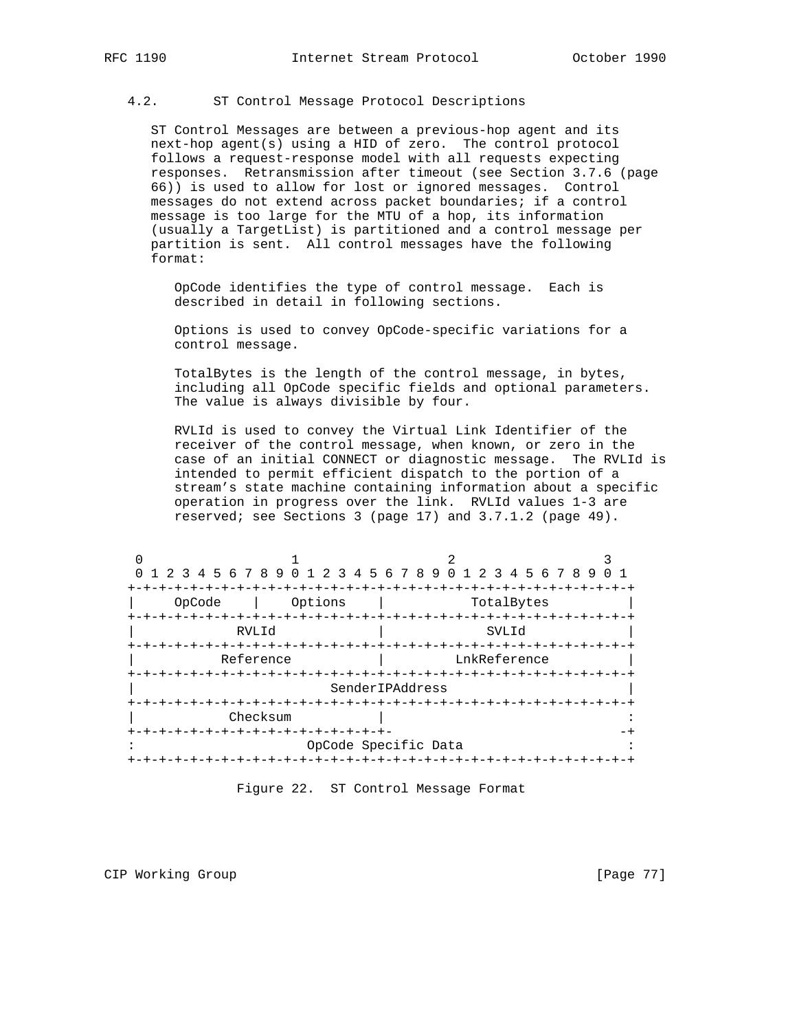### 4.2. ST Control Message Protocol Descriptions

 ST Control Messages are between a previous-hop agent and its next-hop agent(s) using a HID of zero. The control protocol follows a request-response model with all requests expecting responses. Retransmission after timeout (see Section 3.7.6 (page 66)) is used to allow for lost or ignored messages. Control messages do not extend across packet boundaries; if a control message is too large for the MTU of a hop, its information (usually a TargetList) is partitioned and a control message per partition is sent. All control messages have the following format:

 OpCode identifies the type of control message. Each is described in detail in following sections.

 Options is used to convey OpCode-specific variations for a control message.

 TotalBytes is the length of the control message, in bytes, including all OpCode specific fields and optional parameters. The value is always divisible by four.

 RVLId is used to convey the Virtual Link Identifier of the receiver of the control message, when known, or zero in the case of an initial CONNECT or diagnostic message. The RVLId is intended to permit efficient dispatch to the portion of a stream's state machine containing information about a specific operation in progress over the link. RVLId values 1-3 are reserved; see Sections 3 (page 17) and 3.7.1.2 (page 49).

|        |                      | 1 2 3 4 5 6 7 8 9 0 1 2 3 4 5 6 7 8 9 0 1 2 3 4 5 6 7 8 9 |  |  |  |  |  |  |  |  |  |  |
|--------|----------------------|-----------------------------------------------------------|--|--|--|--|--|--|--|--|--|--|
|        |                      |                                                           |  |  |  |  |  |  |  |  |  |  |
| OpCode | Options              | TotalBytes                                                |  |  |  |  |  |  |  |  |  |  |
|        |                      |                                                           |  |  |  |  |  |  |  |  |  |  |
|        | RVLId                | SVLId                                                     |  |  |  |  |  |  |  |  |  |  |
|        |                      |                                                           |  |  |  |  |  |  |  |  |  |  |
|        | Reference            | LnkReference                                              |  |  |  |  |  |  |  |  |  |  |
|        | -+-+-+-+             |                                                           |  |  |  |  |  |  |  |  |  |  |
|        | SenderIPAddress      |                                                           |  |  |  |  |  |  |  |  |  |  |
|        |                      |                                                           |  |  |  |  |  |  |  |  |  |  |
|        | Checksum             |                                                           |  |  |  |  |  |  |  |  |  |  |
|        | +-+-+-+-+-+-+-       |                                                           |  |  |  |  |  |  |  |  |  |  |
|        | OpCode Specific Data |                                                           |  |  |  |  |  |  |  |  |  |  |
|        |                      |                                                           |  |  |  |  |  |  |  |  |  |  |

Figure 22. ST Control Message Format

CIP Working Group **compared to the CIP Working Group compared to the CIP Working Group compared to the CIP**  $\sim$  [Page 77]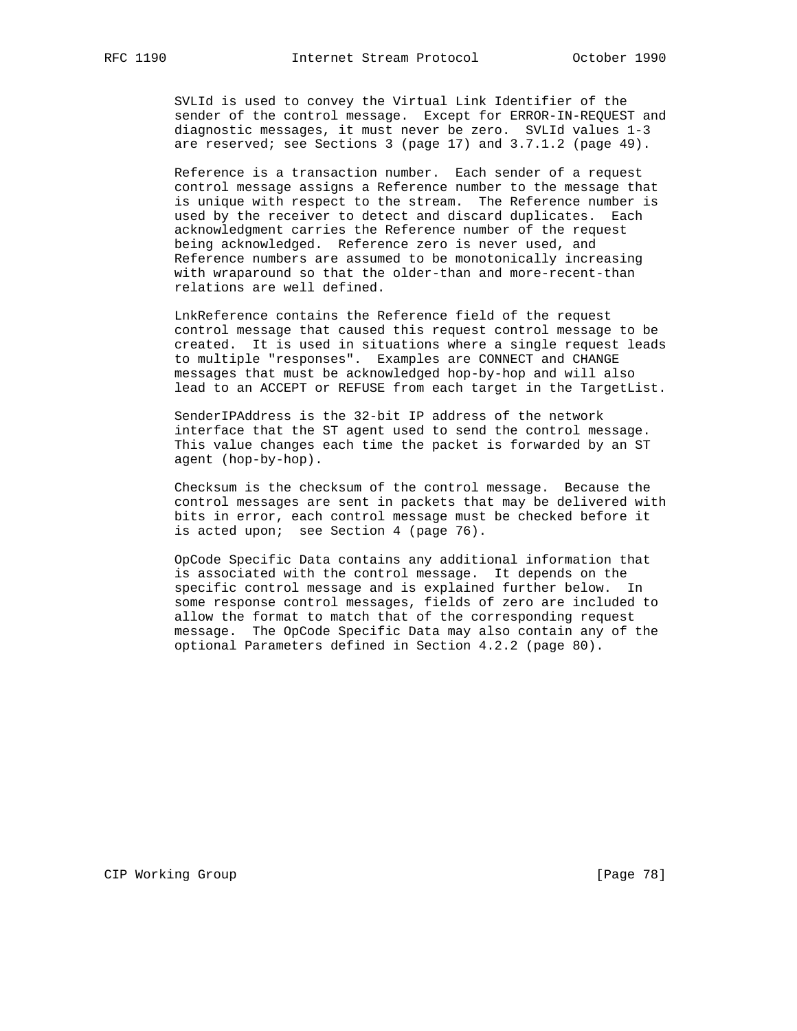SVLId is used to convey the Virtual Link Identifier of the sender of the control message. Except for ERROR-IN-REQUEST and diagnostic messages, it must never be zero. SVLId values 1-3 are reserved; see Sections 3 (page 17) and 3.7.1.2 (page 49).

 Reference is a transaction number. Each sender of a request control message assigns a Reference number to the message that is unique with respect to the stream. The Reference number is used by the receiver to detect and discard duplicates. Each acknowledgment carries the Reference number of the request being acknowledged. Reference zero is never used, and Reference numbers are assumed to be monotonically increasing with wraparound so that the older-than and more-recent-than relations are well defined.

 LnkReference contains the Reference field of the request control message that caused this request control message to be created. It is used in situations where a single request leads to multiple "responses". Examples are CONNECT and CHANGE messages that must be acknowledged hop-by-hop and will also lead to an ACCEPT or REFUSE from each target in the TargetList.

 SenderIPAddress is the 32-bit IP address of the network interface that the ST agent used to send the control message. This value changes each time the packet is forwarded by an ST agent (hop-by-hop).

 Checksum is the checksum of the control message. Because the control messages are sent in packets that may be delivered with bits in error, each control message must be checked before it is acted upon; see Section 4 (page 76).

 OpCode Specific Data contains any additional information that is associated with the control message. It depends on the specific control message and is explained further below. In some response control messages, fields of zero are included to allow the format to match that of the corresponding request message. The OpCode Specific Data may also contain any of the optional Parameters defined in Section 4.2.2 (page 80).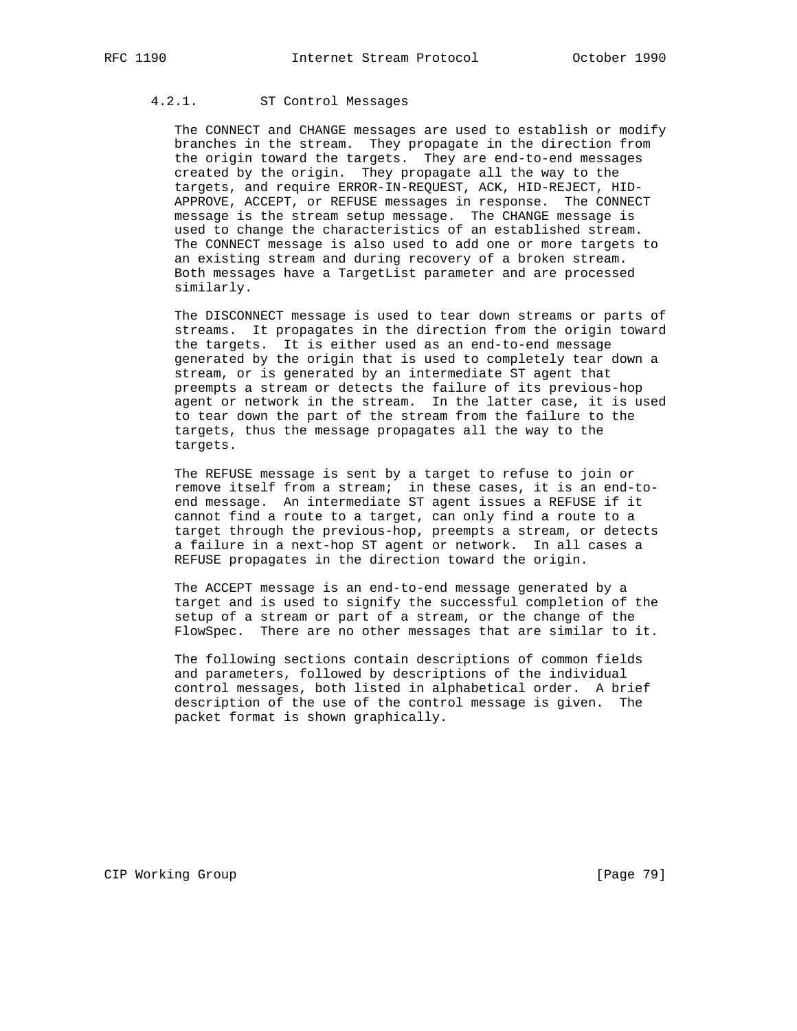## 4.2.1. ST Control Messages

 The CONNECT and CHANGE messages are used to establish or modify branches in the stream. They propagate in the direction from the origin toward the targets. They are end-to-end messages created by the origin. They propagate all the way to the targets, and require ERROR-IN-REQUEST, ACK, HID-REJECT, HID- APPROVE, ACCEPT, or REFUSE messages in response. The CONNECT message is the stream setup message. The CHANGE message is used to change the characteristics of an established stream. The CONNECT message is also used to add one or more targets to an existing stream and during recovery of a broken stream. Both messages have a TargetList parameter and are processed similarly.

 The DISCONNECT message is used to tear down streams or parts of streams. It propagates in the direction from the origin toward the targets. It is either used as an end-to-end message generated by the origin that is used to completely tear down a stream, or is generated by an intermediate ST agent that preempts a stream or detects the failure of its previous-hop agent or network in the stream. In the latter case, it is used to tear down the part of the stream from the failure to the targets, thus the message propagates all the way to the targets.

 The REFUSE message is sent by a target to refuse to join or remove itself from a stream; in these cases, it is an end-to end message. An intermediate ST agent issues a REFUSE if it cannot find a route to a target, can only find a route to a target through the previous-hop, preempts a stream, or detects a failure in a next-hop ST agent or network. In all cases a REFUSE propagates in the direction toward the origin.

 The ACCEPT message is an end-to-end message generated by a target and is used to signify the successful completion of the setup of a stream or part of a stream, or the change of the FlowSpec. There are no other messages that are similar to it.

 The following sections contain descriptions of common fields and parameters, followed by descriptions of the individual control messages, both listed in alphabetical order. A brief description of the use of the control message is given. The packet format is shown graphically.

CIP Working Group **compared to the CIP Working Group compared to the CIP Working Group compared to the CIP**  $\sim$  [Page 79]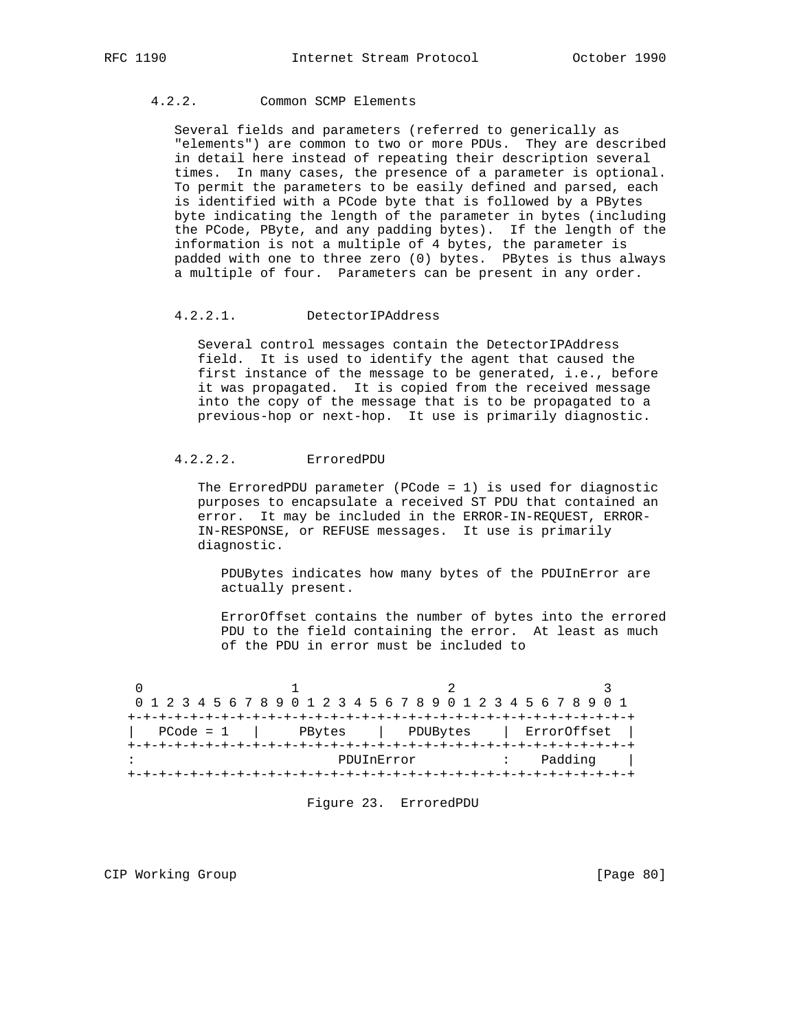## 4.2.2. Common SCMP Elements

 Several fields and parameters (referred to generically as "elements") are common to two or more PDUs. They are described in detail here instead of repeating their description several times. In many cases, the presence of a parameter is optional. To permit the parameters to be easily defined and parsed, each is identified with a PCode byte that is followed by a PBytes byte indicating the length of the parameter in bytes (including the PCode, PByte, and any padding bytes). If the length of the information is not a multiple of 4 bytes, the parameter is padded with one to three zero (0) bytes. PBytes is thus always a multiple of four. Parameters can be present in any order.

## 4.2.2.1. DetectorIPAddress

 Several control messages contain the DetectorIPAddress field. It is used to identify the agent that caused the first instance of the message to be generated, i.e., before it was propagated. It is copied from the received message into the copy of the message that is to be propagated to a previous-hop or next-hop. It use is primarily diagnostic.

## 4.2.2.2. ErroredPDU

 The ErroredPDU parameter (PCode = 1) is used for diagnostic purposes to encapsulate a received ST PDU that contained an error. It may be included in the ERROR-IN-REQUEST, ERROR- IN-RESPONSE, or REFUSE messages. It use is primarily diagnostic.

 PDUBytes indicates how many bytes of the PDUInError are actually present.

 ErrorOffset contains the number of bytes into the errored PDU to the field containing the error. At least as much of the PDU in error must be included to

0  $1$  2 3 0 1 2 3 4 5 6 7 8 9 0 1 2 3 4 5 6 7 8 9 0 1 2 3 4 5 6 7 8 9 0 1 +-+-+-+-+-+-+-+-+-+-+-+-+-+-+-+-+-+-+-+-+-+-+-+-+-+-+-+-+-+-+-+-+ | PCode = 1 | PBytes | PDUBytes | ErrorOffset | +-+-+-+-+-+-+-+-+-+-+-+-+-+-+-+-+-+-+-+-+-+-+-+-+-+-+-+-+-+-+-+-+ : PDUInError : Padding | +-+-+-+-+-+-+-+-+-+-+-+-+-+-+-+-+-+-+-+-+-+-+-+-+-+-+-+-+-+-+-+-+

Figure 23. ErroredPDU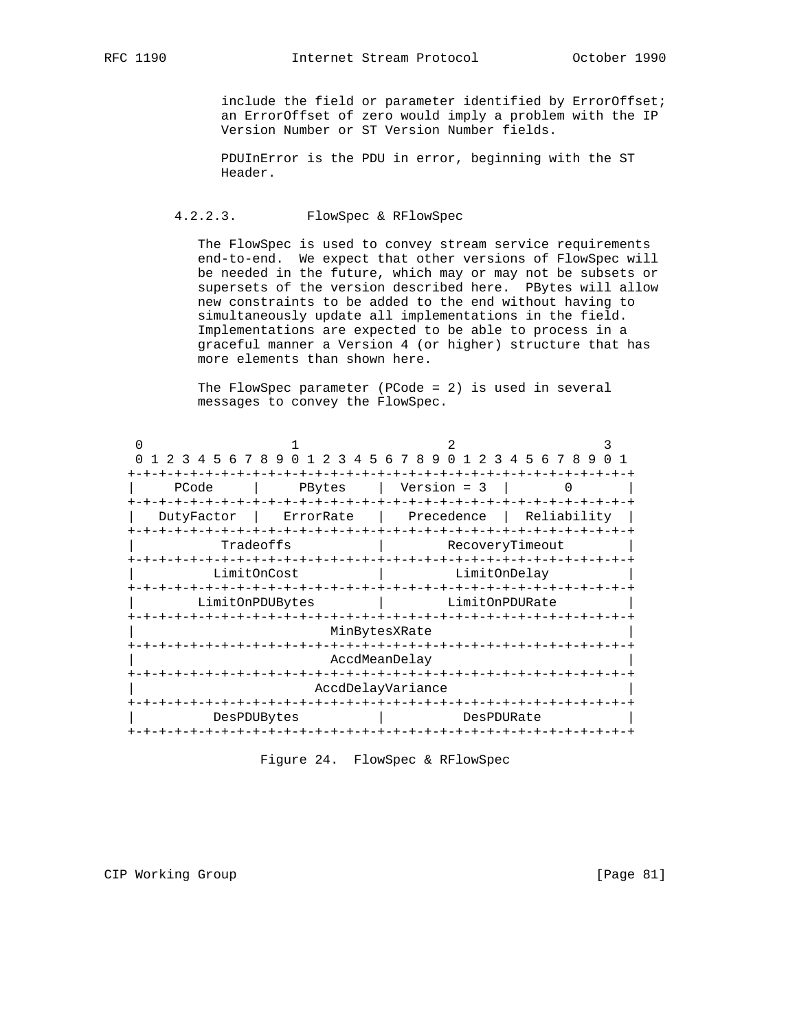include the field or parameter identified by ErrorOffset; an ErrorOffset of zero would imply a problem with the IP Version Number or ST Version Number fields.

 PDUInError is the PDU in error, beginning with the ST Header.

4.2.2.3. FlowSpec & RFlowSpec

 The FlowSpec is used to convey stream service requirements end-to-end. We expect that other versions of FlowSpec will be needed in the future, which may or may not be subsets or supersets of the version described here. PBytes will allow new constraints to be added to the end without having to simultaneously update all implementations in the field. Implementations are expected to be able to process in a graceful manner a Version 4 (or higher) structure that has more elements than shown here.

 The FlowSpec parameter (PCode = 2) is used in several messages to convey the FlowSpec.

|                       |                 |                                 | 0 1 2 3 4 5 6 7 8 9 0 1 2 3 4 5 6 7 8 9 0 1 2 3 4 5 6 7 8 9 |             |  |  |  |  |  |  |  |
|-----------------------|-----------------|---------------------------------|-------------------------------------------------------------|-------------|--|--|--|--|--|--|--|
|                       |                 |                                 |                                                             |             |  |  |  |  |  |  |  |
| PCode                 |                 | PBytes                          | $Version = 3$                                               |             |  |  |  |  |  |  |  |
|                       |                 |                                 |                                                             |             |  |  |  |  |  |  |  |
| DutyFactor            |                 | ErrorRate                       | Precedence                                                  | Reliability |  |  |  |  |  |  |  |
| - + – + – + – + – + – |                 |                                 |                                                             |             |  |  |  |  |  |  |  |
|                       | Tradeoffs       | the contract of the contract of | RecoveryTimeout                                             |             |  |  |  |  |  |  |  |
|                       |                 |                                 |                                                             |             |  |  |  |  |  |  |  |
|                       | LimitOnCost     |                                 | LimitOnDelay                                                |             |  |  |  |  |  |  |  |
|                       |                 |                                 |                                                             |             |  |  |  |  |  |  |  |
|                       | LimitOnPDUBytes |                                 | LimitOnPDURate                                              |             |  |  |  |  |  |  |  |
|                       |                 |                                 |                                                             |             |  |  |  |  |  |  |  |
|                       |                 | MinBytesXRate                   |                                                             |             |  |  |  |  |  |  |  |
|                       |                 |                                 |                                                             |             |  |  |  |  |  |  |  |
|                       | AccdMeanDelay   |                                 |                                                             |             |  |  |  |  |  |  |  |
|                       |                 | $-+ - + - + - + -$              | +-+-+-+-+-+-+-+-+-+-+-+-+-+-+                               |             |  |  |  |  |  |  |  |
|                       |                 | AccdDelayVariance               |                                                             |             |  |  |  |  |  |  |  |
|                       | DesPDUBytes     |                                 | DesPDURate                                                  |             |  |  |  |  |  |  |  |
|                       |                 |                                 |                                                             |             |  |  |  |  |  |  |  |
|                       |                 |                                 |                                                             |             |  |  |  |  |  |  |  |

Figure 24. FlowSpec & RFlowSpec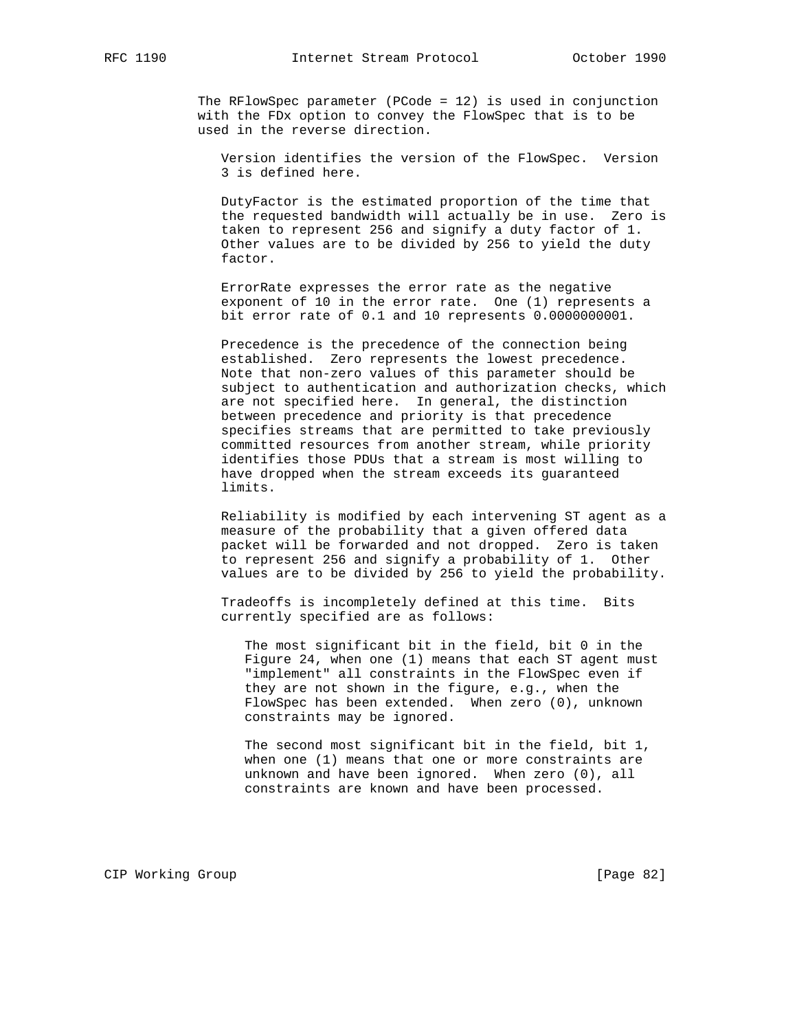The RFlowSpec parameter (PCode = 12) is used in conjunction with the FDx option to convey the FlowSpec that is to be used in the reverse direction.

 Version identifies the version of the FlowSpec. Version 3 is defined here.

 DutyFactor is the estimated proportion of the time that the requested bandwidth will actually be in use. Zero is taken to represent 256 and signify a duty factor of 1. Other values are to be divided by 256 to yield the duty factor.

 ErrorRate expresses the error rate as the negative exponent of 10 in the error rate. One (1) represents a bit error rate of 0.1 and 10 represents 0.0000000001.

 Precedence is the precedence of the connection being established. Zero represents the lowest precedence. Note that non-zero values of this parameter should be subject to authentication and authorization checks, which are not specified here. In general, the distinction between precedence and priority is that precedence specifies streams that are permitted to take previously committed resources from another stream, while priority identifies those PDUs that a stream is most willing to have dropped when the stream exceeds its guaranteed limits.

 Reliability is modified by each intervening ST agent as a measure of the probability that a given offered data packet will be forwarded and not dropped. Zero is taken to represent 256 and signify a probability of 1. Other values are to be divided by 256 to yield the probability.

 Tradeoffs is incompletely defined at this time. Bits currently specified are as follows:

 The most significant bit in the field, bit 0 in the Figure 24, when one (1) means that each ST agent must "implement" all constraints in the FlowSpec even if they are not shown in the figure, e.g., when the FlowSpec has been extended. When zero (0), unknown constraints may be ignored.

 The second most significant bit in the field, bit 1, when one (1) means that one or more constraints are unknown and have been ignored. When zero (0), all constraints are known and have been processed.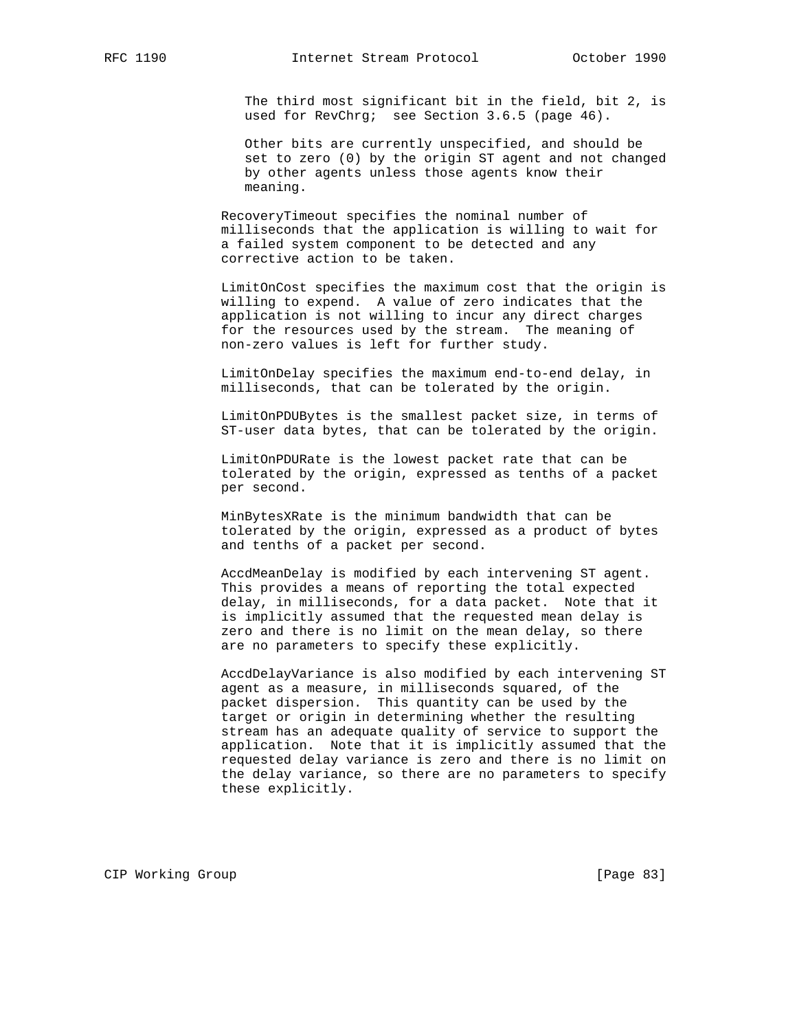The third most significant bit in the field, bit 2, is used for RevChrg; see Section 3.6.5 (page 46).

 Other bits are currently unspecified, and should be set to zero (0) by the origin ST agent and not changed by other agents unless those agents know their meaning.

 RecoveryTimeout specifies the nominal number of milliseconds that the application is willing to wait for a failed system component to be detected and any corrective action to be taken.

 LimitOnCost specifies the maximum cost that the origin is willing to expend. A value of zero indicates that the application is not willing to incur any direct charges for the resources used by the stream. The meaning of non-zero values is left for further study.

 LimitOnDelay specifies the maximum end-to-end delay, in milliseconds, that can be tolerated by the origin.

 LimitOnPDUBytes is the smallest packet size, in terms of ST-user data bytes, that can be tolerated by the origin.

 LimitOnPDURate is the lowest packet rate that can be tolerated by the origin, expressed as tenths of a packet per second.

 MinBytesXRate is the minimum bandwidth that can be tolerated by the origin, expressed as a product of bytes and tenths of a packet per second.

 AccdMeanDelay is modified by each intervening ST agent. This provides a means of reporting the total expected delay, in milliseconds, for a data packet. Note that it is implicitly assumed that the requested mean delay is zero and there is no limit on the mean delay, so there are no parameters to specify these explicitly.

 AccdDelayVariance is also modified by each intervening ST agent as a measure, in milliseconds squared, of the packet dispersion. This quantity can be used by the target or origin in determining whether the resulting stream has an adequate quality of service to support the application. Note that it is implicitly assumed that the requested delay variance is zero and there is no limit on the delay variance, so there are no parameters to specify these explicitly.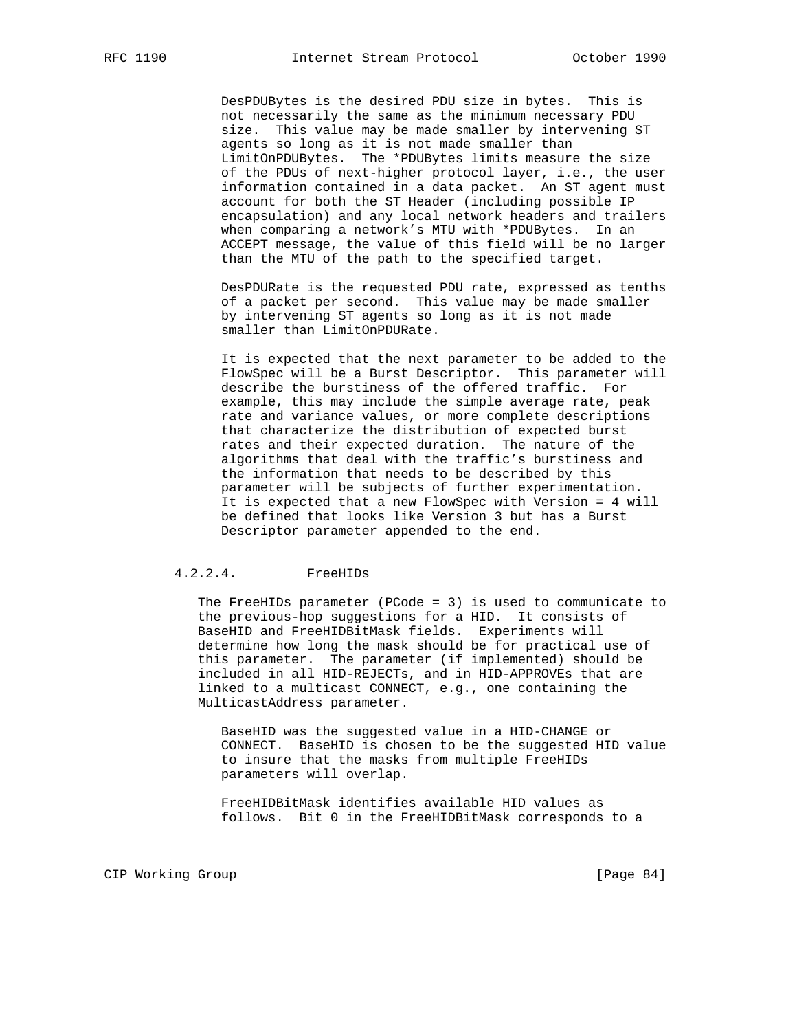DesPDUBytes is the desired PDU size in bytes. This is not necessarily the same as the minimum necessary PDU size. This value may be made smaller by intervening ST agents so long as it is not made smaller than LimitOnPDUBytes. The \*PDUBytes limits measure the size of the PDUs of next-higher protocol layer, i.e., the user information contained in a data packet. An ST agent must account for both the ST Header (including possible IP encapsulation) and any local network headers and trailers when comparing a network's MTU with \*PDUBytes. In an ACCEPT message, the value of this field will be no larger than the MTU of the path to the specified target.

 DesPDURate is the requested PDU rate, expressed as tenths of a packet per second. This value may be made smaller by intervening ST agents so long as it is not made smaller than LimitOnPDURate.

 It is expected that the next parameter to be added to the FlowSpec will be a Burst Descriptor. This parameter will describe the burstiness of the offered traffic. For example, this may include the simple average rate, peak rate and variance values, or more complete descriptions that characterize the distribution of expected burst rates and their expected duration. The nature of the algorithms that deal with the traffic's burstiness and the information that needs to be described by this parameter will be subjects of further experimentation. It is expected that a new FlowSpec with Version = 4 will be defined that looks like Version 3 but has a Burst Descriptor parameter appended to the end.

### 4.2.2.4. FreeHIDs

 The FreeHIDs parameter (PCode = 3) is used to communicate to the previous-hop suggestions for a HID. It consists of BaseHID and FreeHIDBitMask fields. Experiments will determine how long the mask should be for practical use of this parameter. The parameter (if implemented) should be included in all HID-REJECTs, and in HID-APPROVEs that are linked to a multicast CONNECT, e.g., one containing the MulticastAddress parameter.

 BaseHID was the suggested value in a HID-CHANGE or CONNECT. BaseHID is chosen to be the suggested HID value to insure that the masks from multiple FreeHIDs parameters will overlap.

 FreeHIDBitMask identifies available HID values as follows. Bit 0 in the FreeHIDBitMask corresponds to a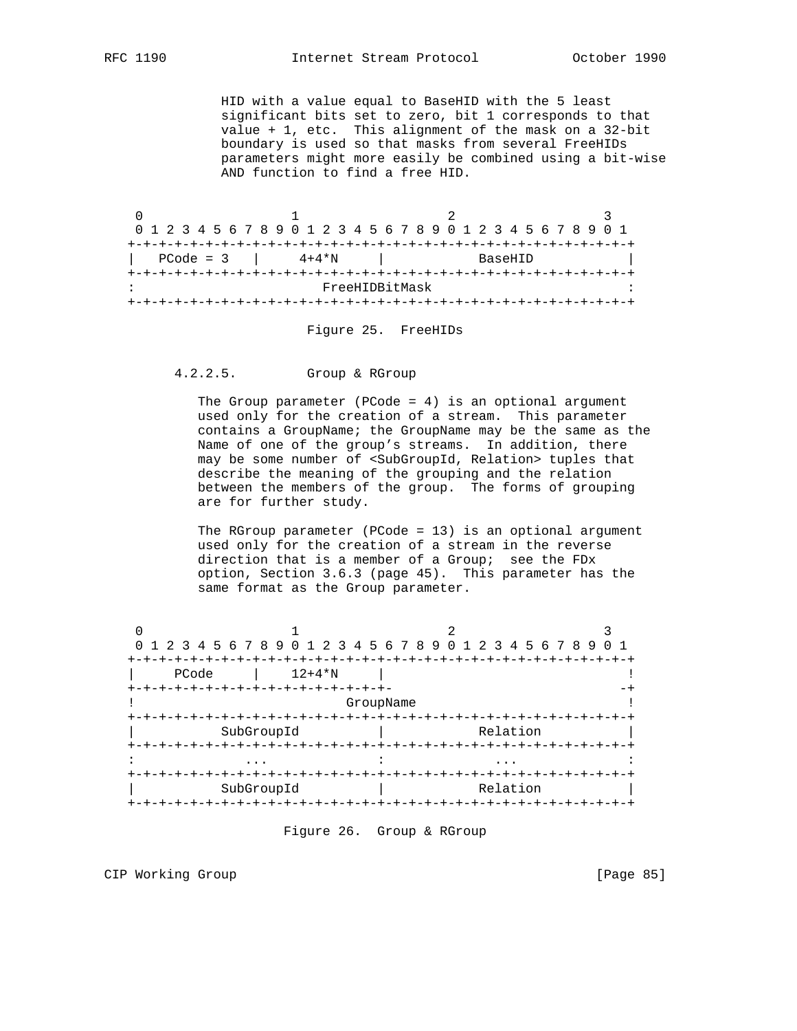HID with a value equal to BaseHID with the 5 least significant bits set to zero, bit 1 corresponds to that value + 1, etc. This alignment of the mask on a 32-bit boundary is used so that masks from several FreeHIDs parameters might more easily be combined using a bit-wise AND function to find a free HID.

|                | 0 1 2 3 4 5 6 7 8 9 0 1 2 3 4 5 6 7 8 9 0 1 2 3 4 5 6 7 8 9 0 1 |  |  |  |  |  |  |  |             |  |  |  |  |  |         |  |  |  |  |
|----------------|-----------------------------------------------------------------|--|--|--|--|--|--|--|-------------|--|--|--|--|--|---------|--|--|--|--|
|                |                                                                 |  |  |  |  |  |  |  |             |  |  |  |  |  |         |  |  |  |  |
|                | $PCode = 3$                                                     |  |  |  |  |  |  |  | $4 + 4 * N$ |  |  |  |  |  | BaseHID |  |  |  |  |
|                |                                                                 |  |  |  |  |  |  |  |             |  |  |  |  |  |         |  |  |  |  |
| FreeHIDBitMask |                                                                 |  |  |  |  |  |  |  |             |  |  |  |  |  |         |  |  |  |  |
|                |                                                                 |  |  |  |  |  |  |  |             |  |  |  |  |  |         |  |  |  |  |

Figure 25. FreeHIDs

4.2.2.5. Group & RGroup

 The Group parameter (PCode = 4) is an optional argument used only for the creation of a stream. This parameter contains a GroupName; the GroupName may be the same as the Name of one of the group's streams. In addition, there may be some number of <SubGroupId, Relation> tuples that describe the meaning of the grouping and the relation between the members of the group. The forms of grouping are for further study.

 The RGroup parameter (PCode = 13) is an optional argument used only for the creation of a stream in the reverse direction that is a member of a Group; see the FDx option, Section 3.6.3 (page 45). This parameter has the same format as the Group parameter.

|                                               |            | 0 1 2 3 4 5 6 7 8 9 0 1 2 3 4 5 6 7 8 9 0 1 2 3 4 5 6 7 8 9 |  |
|-----------------------------------------------|------------|-------------------------------------------------------------|--|
| PCode<br>+-+-+-+-+-+-+-+-+-+-+-+-+-+-+-+-+-+- | $12 + 4*N$ |                                                             |  |
|                                               |            | GroupName                                                   |  |
|                                               | SubGroupId | Relation                                                    |  |
|                                               |            |                                                             |  |
|                                               | SubGroupId | Relation                                                    |  |
|                                               |            |                                                             |  |

Figure 26. Group & RGroup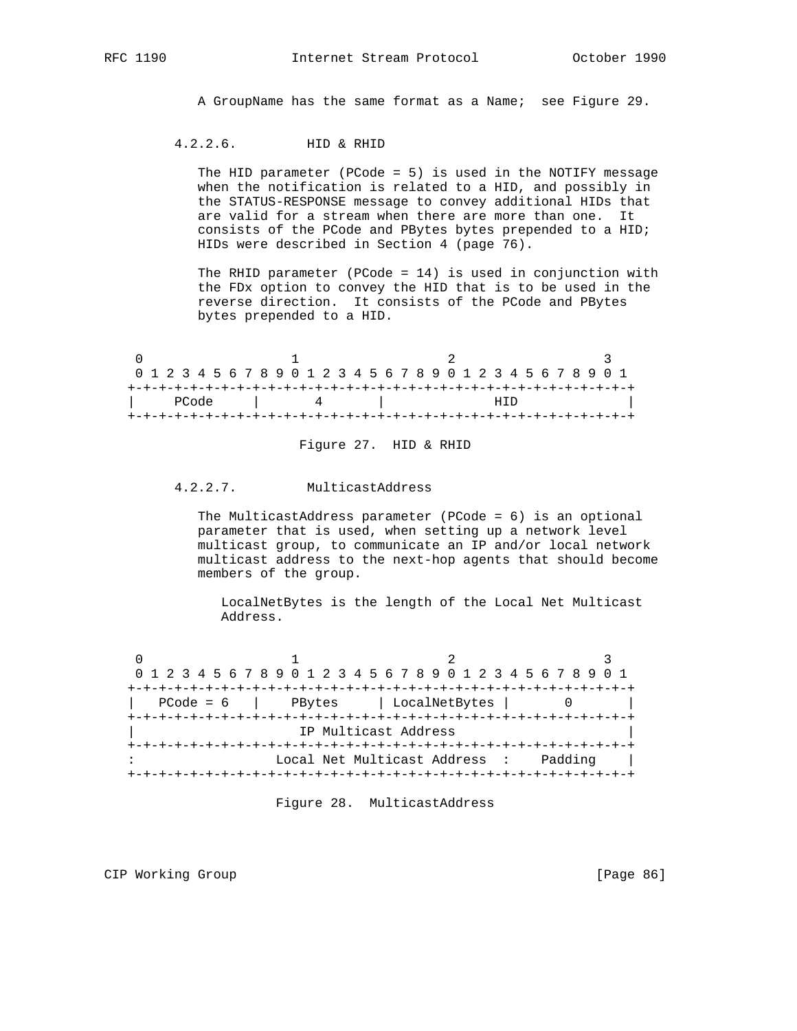A GroupName has the same format as a Name; see Figure 29.

4.2.2.6. HID & RHID

 The HID parameter (PCode = 5) is used in the NOTIFY message when the notification is related to a HID, and possibly in the STATUS-RESPONSE message to convey additional HIDs that are valid for a stream when there are more than one. It consists of the PCode and PBytes bytes prepended to a HID; HIDs were described in Section 4 (page 76).

 The RHID parameter (PCode = 14) is used in conjunction with the FDx option to convey the HID that is to be used in the reverse direction. It consists of the PCode and PBytes bytes prepended to a HID.

0  $1$  2 3 0 1 2 3 4 5 6 7 8 9 0 1 2 3 4 5 6 7 8 9 0 1 2 3 4 5 6 7 8 9 0 1 +-+-+-+-+-+-+-+-+-+-+-+-+-+-+-+-+-+-+-+-+-+-+-+-+-+-+-+-+-+-+-+-+ | PCode | 4 | HID | +-+-+-+-+-+-+-+-+-+-+-+-+-+-+-+-+-+-+-+-+-+-+-+-+-+-+-+-+-+-+-+-+

Figure 27. HID & RHID

4.2.2.7. MulticastAddress

 The MulticastAddress parameter (PCode = 6) is an optional parameter that is used, when setting up a network level multicast group, to communicate an IP and/or local network multicast address to the next-hop agents that should become members of the group.

 LocalNetBytes is the length of the Local Net Multicast Address.

0  $1$  2 3 0 1 2 3 4 5 6 7 8 9 0 1 2 3 4 5 6 7 8 9 0 1 2 3 4 5 6 7 8 9 0 1 +-+-+-+-+-+-+-+-+-+-+-+-+-+-+-+-+-+-+-+-+-+-+-+-+-+-+-+-+-+-+-+-+ | PCode = 6 | PBytes | LocalNetBytes | 0 | +-+-+-+-+-+-+-+-+-+-+-+-+-+-+-+-+-+-+-+-+-+-+-+-+-+-+-+-+-+-+-+-+ IP Multicast Address +-+-+-+-+-+-+-+-+-+-+-+-+-+-+-+-+-+-+-+-+-+-+-+-+-+-+-+-+-+-+-+-+ Local Net Multicast Address : Padding | +-+-+-+-+-+-+-+-+-+-+-+-+-+-+-+-+-+-+-+-+-+-+-+-+-+-+-+-+-+-+-+-+

Figure 28. MulticastAddress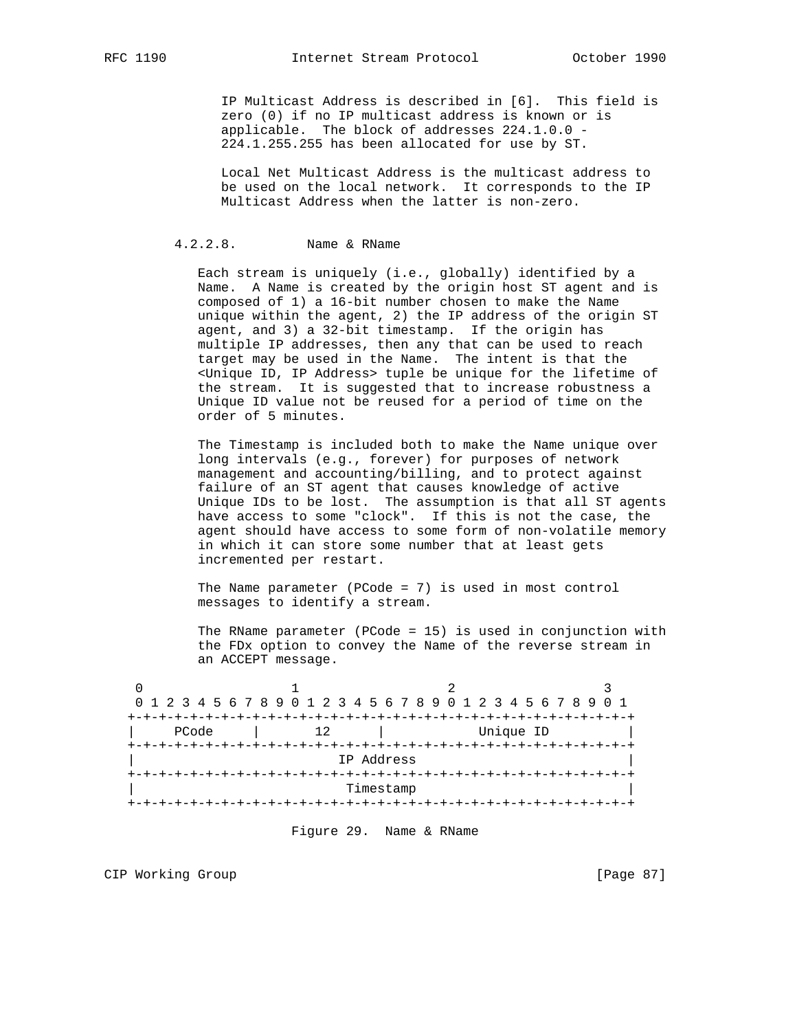IP Multicast Address is described in [6]. This field is zero (0) if no IP multicast address is known or is applicable. The block of addresses 224.1.0.0 - 224.1.255.255 has been allocated for use by ST.

 Local Net Multicast Address is the multicast address to be used on the local network. It corresponds to the IP Multicast Address when the latter is non-zero.

### 4.2.2.8. Name & RName

 Each stream is uniquely (i.e., globally) identified by a Name. A Name is created by the origin host ST agent and is composed of 1) a 16-bit number chosen to make the Name unique within the agent, 2) the IP address of the origin ST agent, and 3) a 32-bit timestamp. If the origin has multiple IP addresses, then any that can be used to reach target may be used in the Name. The intent is that the <Unique ID, IP Address> tuple be unique for the lifetime of the stream. It is suggested that to increase robustness a Unique ID value not be reused for a period of time on the order of 5 minutes.

 The Timestamp is included both to make the Name unique over long intervals (e.g., forever) for purposes of network management and accounting/billing, and to protect against failure of an ST agent that causes knowledge of active Unique IDs to be lost. The assumption is that all ST agents have access to some "clock". If this is not the case, the agent should have access to some form of non-volatile memory in which it can store some number that at least gets incremented per restart.

 The Name parameter (PCode = 7) is used in most control messages to identify a stream.

 The RName parameter (PCode = 15) is used in conjunction with the FDx option to convey the Name of the reverse stream in an ACCEPT message.

0  $1$  2 3 0 1 2 3 4 5 6 7 8 9 0 1 2 3 4 5 6 7 8 9 0 1 2 3 4 5 6 7 8 9 0 1 +-+-+-+-+-+-+-+-+-+-+-+-+-+-+-+-+-+-+-+-+-+-+-+-+-+-+-+-+-+-+-+-+ | PCode | 12 | Unique ID | +-+-+-+-+-+-+-+-+-+-+-+-+-+-+-+-+-+-+-+-+-+-+-+-+-+-+-+-+-+-+-+-+ | IP Address | +-+-+-+-+-+-+-+-+-+-+-+-+-+-+-+-+-+-+-+-+-+-+-+-+-+-+-+-+-+-+-+-+ Timestamp +-+-+-+-+-+-+-+-+-+-+-+-+-+-+-+-+-+-+-+-+-+-+-+-+-+-+-+-+-+-+-+-+

Figure 29. Name & RName

CIP Working Group **compared to the CIP Working Group compared to the CIP Working Group compared to the CIP** Working C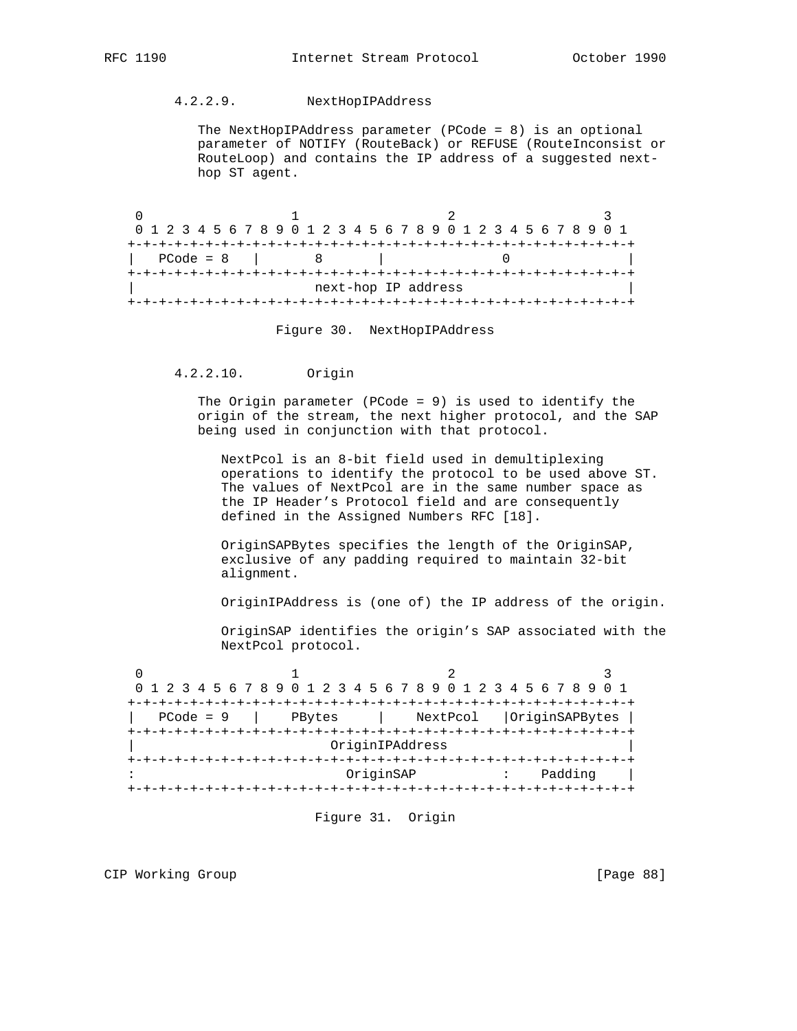```
 4.2.2.9. NextHopIPAddress
```
 The NextHopIPAddress parameter (PCode = 8) is an optional parameter of NOTIFY (RouteBack) or REFUSE (RouteInconsist or RouteLoop) and contains the IP address of a suggested next hop ST agent.

0  $1$  2 3 0 1 2 3 4 5 6 7 8 9 0 1 2 3 4 5 6 7 8 9 0 1 2 3 4 5 6 7 8 9 0 1 +-+-+-+-+-+-+-+-+-+-+-+-+-+-+-+-+-+-+-+-+-+-+-+-+-+-+-+-+-+-+-+-+  $PCode = 8$  | 8 | 0 +-+-+-+-+-+-+-+-+-+-+-+-+-+-+-+-+-+-+-+-+-+-+-+-+-+-+-+-+-+-+-+-+ next-hop IP address +-+-+-+-+-+-+-+-+-+-+-+-+-+-+-+-+-+-+-+-+-+-+-+-+-+-+-+-+-+-+-+-+

Figure 30. NextHopIPAddress

4.2.2.10. Origin

 The Origin parameter (PCode = 9) is used to identify the origin of the stream, the next higher protocol, and the SAP being used in conjunction with that protocol.

 NextPcol is an 8-bit field used in demultiplexing operations to identify the protocol to be used above ST. The values of NextPcol are in the same number space as the IP Header's Protocol field and are consequently defined in the Assigned Numbers RFC [18].

 OriginSAPBytes specifies the length of the OriginSAP, exclusive of any padding required to maintain 32-bit alignment.

OriginIPAddress is (one of) the IP address of the origin.

 OriginSAP identifies the origin's SAP associated with the NextPcol protocol.

0  $1$  2 3 0 1 2 3 4 5 6 7 8 9 0 1 2 3 4 5 6 7 8 9 0 1 2 3 4 5 6 7 8 9 0 1 +-+-+-+-+-+-+-+-+-+-+-+-+-+-+-+-+-+-+-+-+-+-+-+-+-+-+-+-+-+-+-+-+ | PCode = 9 | PBytes | NextPcol |OriginSAPBytes | +-+-+-+-+-+-+-+-+-+-+-+-+-+-+-+-+-+-+-+-+-+-+-+-+-+-+-+-+-+-+-+-+ | OriginIPAddress | +-+-+-+-+-+-+-+-+-+-+-+-+-+-+-+-+-+-+-+-+-+-+-+-+-+-+-+-+-+-+-+-+ : OriginSAP : Padding | +-+-+-+-+-+-+-+-+-+-+-+-+-+-+-+-+-+-+-+-+-+-+-+-+-+-+-+-+-+-+-+-+

Figure 31. Origin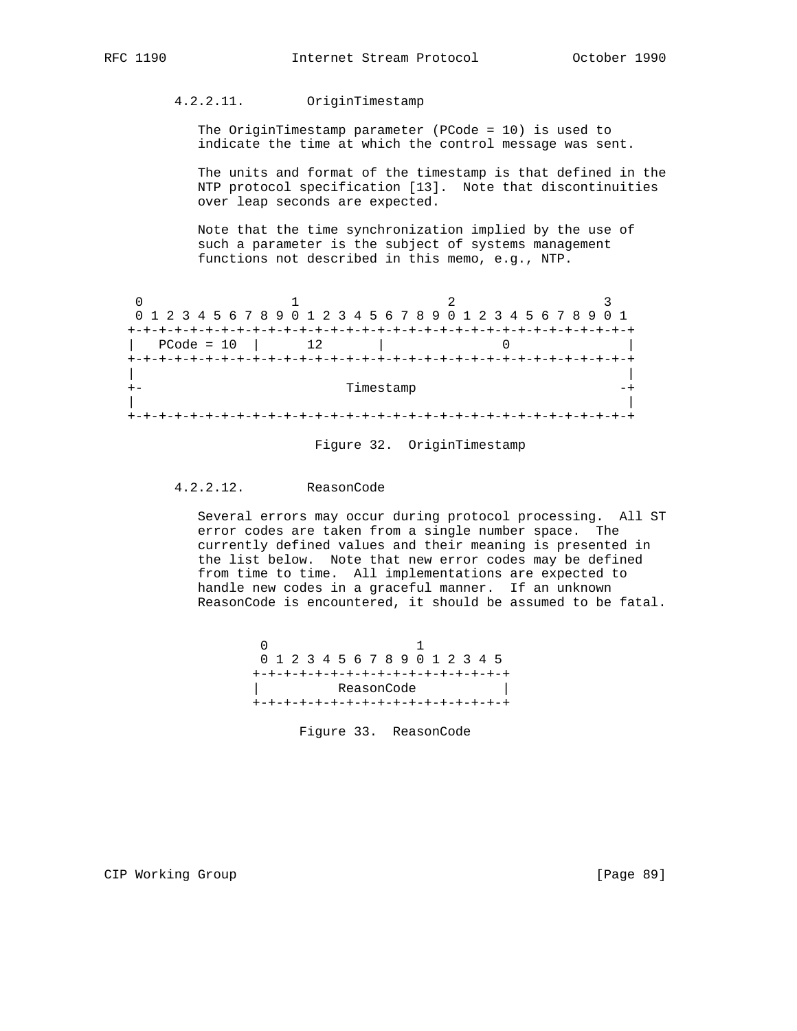## 4.2.2.11. OriginTimestamp

 The OriginTimestamp parameter (PCode = 10) is used to indicate the time at which the control message was sent.

 The units and format of the timestamp is that defined in the NTP protocol specification [13]. Note that discontinuities over leap seconds are expected.

 Note that the time synchronization implied by the use of such a parameter is the subject of systems management functions not described in this memo, e.g., NTP.

|              | 0 1 2 3 4 5 6 7 8 9 0 1 2 3 4 5 6 7 8 9 0 1 2 3 4 5 6 7 8 9 0 1 |  |  |  |  |  |  |  |  |  |
|--------------|-----------------------------------------------------------------|--|--|--|--|--|--|--|--|--|
|              |                                                                 |  |  |  |  |  |  |  |  |  |
| $PCode = 10$ | 12                                                              |  |  |  |  |  |  |  |  |  |
|              |                                                                 |  |  |  |  |  |  |  |  |  |
|              |                                                                 |  |  |  |  |  |  |  |  |  |
|              | Timestamp                                                       |  |  |  |  |  |  |  |  |  |
|              |                                                                 |  |  |  |  |  |  |  |  |  |
|              |                                                                 |  |  |  |  |  |  |  |  |  |

## Figure 32. OriginTimestamp

### 4.2.2.12. ReasonCode

 Several errors may occur during protocol processing. All ST error codes are taken from a single number space. The currently defined values and their meaning is presented in the list below. Note that new error codes may be defined from time to time. All implementations are expected to handle new codes in a graceful manner. If an unknown ReasonCode is encountered, it should be assumed to be fatal.

 $\sim$  1 0 1 2 3 4 5 6 7 8 9 0 1 2 3 4 5 +-+-+-+-+-+-+-+-+-+-+-+-+-+-+-+-+ | ReasonCode | +-+-+-+-+-+-+-+-+-+-+-+-+-+-+-+-+

Figure 33. ReasonCode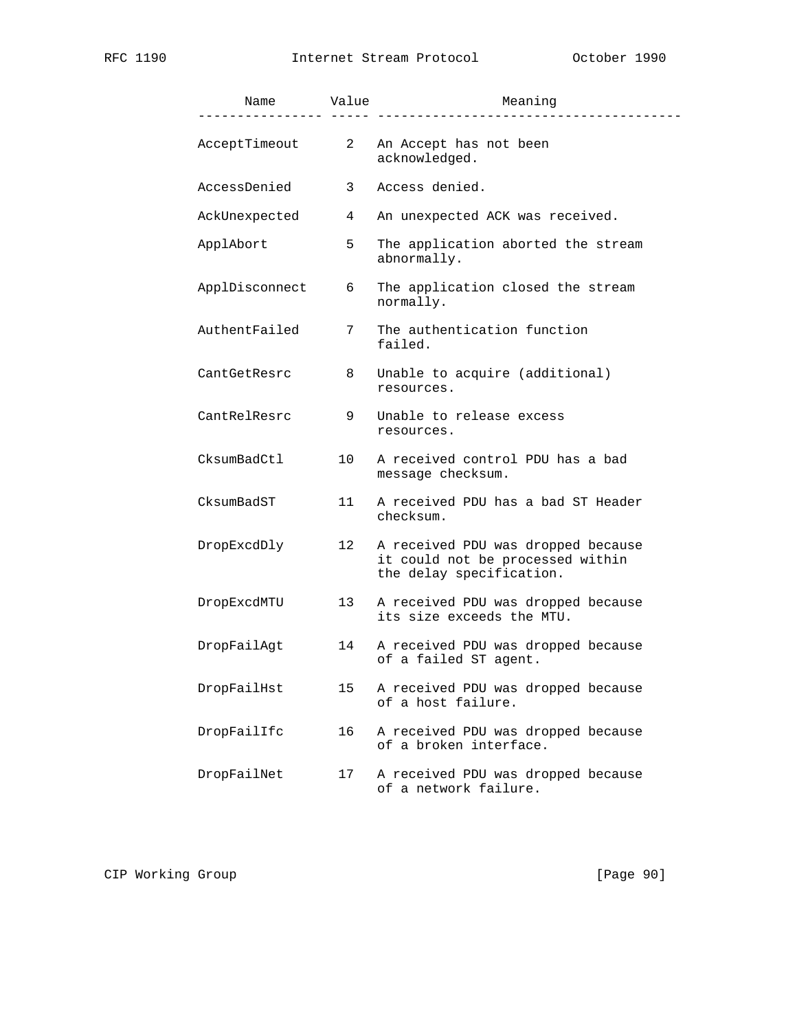| Name           | Value        | Meaning                                                                                            |
|----------------|--------------|----------------------------------------------------------------------------------------------------|
| AcceptTimeout  | $\mathbf{2}$ | An Accept has not been<br>acknowledged.                                                            |
| AccessDenied   | 3            | Access denied.                                                                                     |
| AckUnexpected  | 4            | An unexpected ACK was received.                                                                    |
| ApplAbort      | 5            | The application aborted the stream<br>abnormally.                                                  |
| ApplDisconnect | 6            | The application closed the stream<br>normally.                                                     |
| AuthentFailed  | 7            | The authentication function<br>failed.                                                             |
| CantGetResrc   | 8            | Unable to acquire (additional)<br>resources.                                                       |
| CantRelResrc   | 9            | Unable to release excess<br>resources.                                                             |
| CksumBadCtl    | 10           | A received control PDU has a bad<br>message checksum.                                              |
| CksumBadST     | 11           | A received PDU has a bad ST Header<br>checksum.                                                    |
| DropExcdDly    | 12           | A received PDU was dropped because<br>it could not be processed within<br>the delay specification. |
| DropExcdMTU    | 13           | A received PDU was dropped because<br>its size exceeds the MTU.                                    |
| DropFailAgt    | 14           | A received PDU was dropped because<br>of a failed ST agent.                                        |
| DropFailHst    | 15           | A received PDU was dropped because<br>of a host failure.                                           |
| DropFailIfc    | 16           | A received PDU was dropped because<br>of a broken interface.                                       |
| DropFailNet    | 17           | A received PDU was dropped because<br>of a network failure.                                        |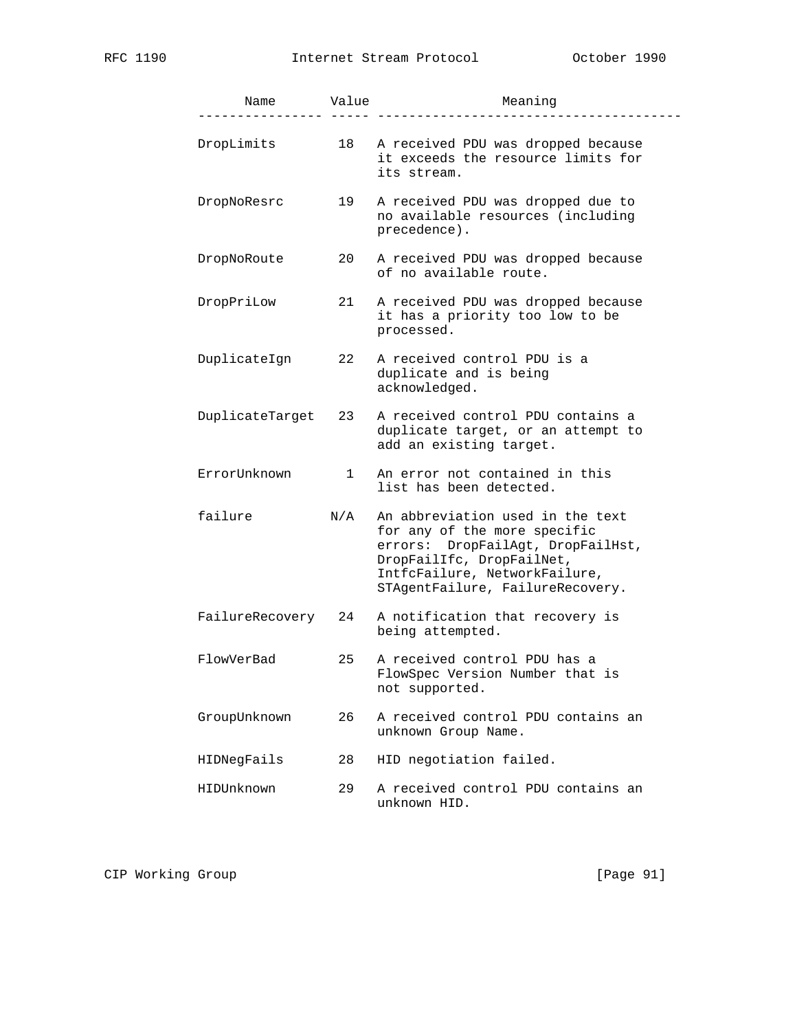| Name            | Value        | Meaning                                                                                                                                                                                                 |
|-----------------|--------------|---------------------------------------------------------------------------------------------------------------------------------------------------------------------------------------------------------|
| DropLimits      | 18           | A received PDU was dropped because<br>it exceeds the resource limits for<br>its stream.                                                                                                                 |
| DropNoResrc     | 19           | A received PDU was dropped due to<br>no available resources (including<br>precedence).                                                                                                                  |
| DropNoRoute     | 20           | A received PDU was dropped because<br>of no available route.                                                                                                                                            |
| DropPriLow      | 21           | A received PDU was dropped because<br>it has a priority too low to be<br>processed.                                                                                                                     |
| DuplicateIgn    | 22           | A received control PDU is a<br>duplicate and is being<br>acknowledged.                                                                                                                                  |
| DuplicateTarget | 23           | A received control PDU contains a<br>duplicate target, or an attempt to<br>add an existing target.                                                                                                      |
| ErrorUnknown    | $\mathbf{1}$ | An error not contained in this<br>list has been detected.                                                                                                                                               |
| failure         | N/A          | An abbreviation used in the text<br>for any of the more specific<br>errors: DropFailAgt, DropFailHst,<br>DropFailIfc, DropFailNet,<br>IntfcFailure, NetworkFailure,<br>STAgentFailure, FailureRecovery. |
| FailureRecovery | 24           | A notification that recovery is<br>being attempted.                                                                                                                                                     |
| FlowVerBad      | 25           | A received control PDU has a<br>FlowSpec Version Number that is<br>not supported.                                                                                                                       |
| GroupUnknown    | 26           | A received control PDU contains an<br>unknown Group Name.                                                                                                                                               |
| HIDNegFails     | 28           | HID negotiation failed.                                                                                                                                                                                 |
| HIDUnknown      | 29           | A received control PDU contains an<br>unknown HID.                                                                                                                                                      |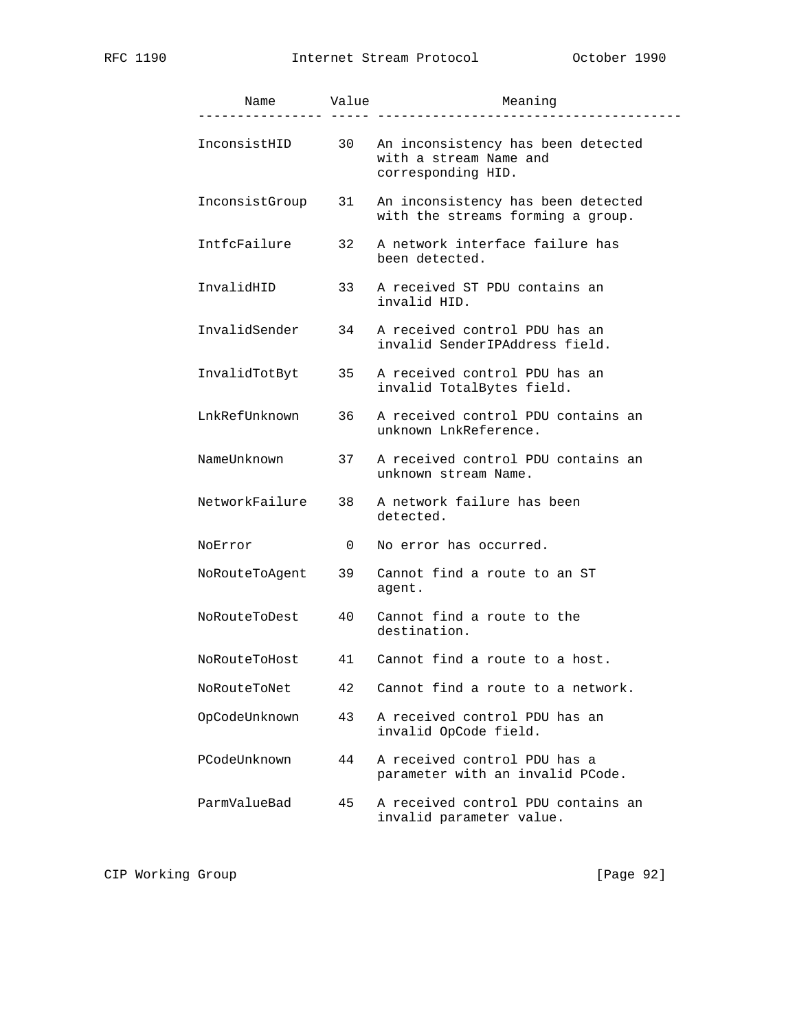| Name           | Value | Meaning                                                                            |
|----------------|-------|------------------------------------------------------------------------------------|
| InconsistHID   | 30    | An inconsistency has been detected<br>with a stream Name and<br>corresponding HID. |
| InconsistGroup | 31    | An inconsistency has been detected<br>with the streams forming a group.            |
| IntfcFailure   | 32    | A network interface failure has<br>been detected.                                  |
| InvalidHID     | 33    | A received ST PDU contains an<br>invalid HID.                                      |
| InvalidSender  | 34    | A received control PDU has an<br>invalid SenderIPAddress field.                    |
| InvalidTotByt  | 35    | A received control PDU has an<br>invalid TotalBytes field.                         |
| LnkRefUnknown  | 36    | A received control PDU contains an<br>unknown LnkReference.                        |
| NameUnknown    | 37    | A received control PDU contains an<br>unknown stream Name.                         |
| NetworkFailure | 38    | A network failure has been<br>detected.                                            |
| NoError        | 0     | No error has occurred.                                                             |
| NoRouteToAgent | 39    | Cannot find a route to an ST<br>agent.                                             |
| NoRouteToDest  | 40    | Cannot find a route to the<br>destination.                                         |
| NoRouteToHost  | 41    | Cannot find a route to a host.                                                     |
| NoRouteToNet   | 42    | Cannot find a route to a network.                                                  |
| OpCodeUnknown  | 43    | A received control PDU has an<br>invalid OpCode field.                             |
| PCodeUnknown   | 44    | A received control PDU has a<br>parameter with an invalid PCode.                   |
| ParmValueBad   | 45    | A received control PDU contains an<br>invalid parameter value.                     |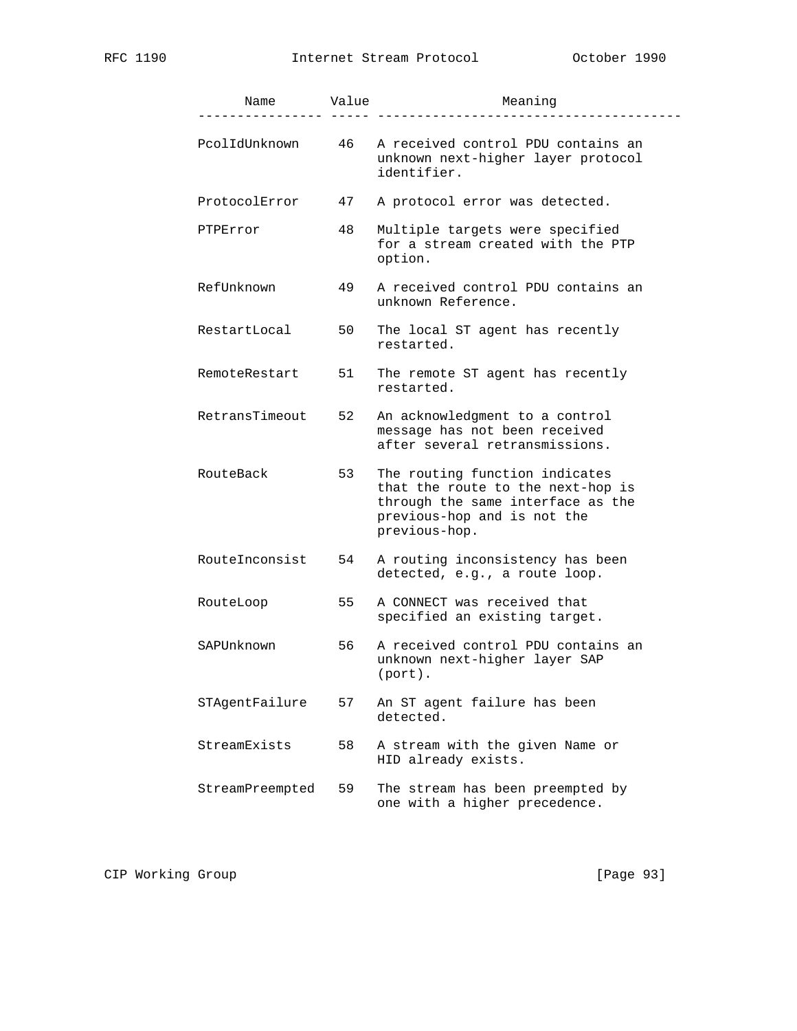| Name            | Value | Meaning                                                                                                                                                  |
|-----------------|-------|----------------------------------------------------------------------------------------------------------------------------------------------------------|
| PcolIdUnknown   | 46    | A received control PDU contains an<br>unknown next-higher layer protocol<br>identifier.                                                                  |
| ProtocolError   | 47    | A protocol error was detected.                                                                                                                           |
| PTPError        | 48    | Multiple targets were specified<br>for a stream created with the PTP<br>option.                                                                          |
| RefUnknown      | 49    | A received control PDU contains an<br>unknown Reference.                                                                                                 |
| RestartLocal    | 50    | The local ST agent has recently<br>restarted.                                                                                                            |
| RemoteRestart   | 51    | The remote ST agent has recently<br>restarted.                                                                                                           |
| RetransTimeout  | 52    | An acknowledgment to a control<br>message has not been received<br>after several retransmissions.                                                        |
| RouteBack       | 53    | The routing function indicates<br>that the route to the next-hop is<br>through the same interface as the<br>previous-hop and is not the<br>previous-hop. |
| RouteInconsist  | 54    | A routing inconsistency has been<br>detected, e.g., a route loop.                                                                                        |
| RouteLoop       | 55    | A CONNECT was received that<br>specified an existing target.                                                                                             |
| SAPUnknown      | 56    | A received control PDU contains an<br>unknown next-higher layer SAP<br>(port).                                                                           |
| STAgentFailure  | 57    | An ST agent failure has been<br>detected.                                                                                                                |
| StreamExists    | 58    | A stream with the given Name or<br>HID already exists.                                                                                                   |
| StreamPreempted | 59    | The stream has been preempted by<br>one with a higher precedence.                                                                                        |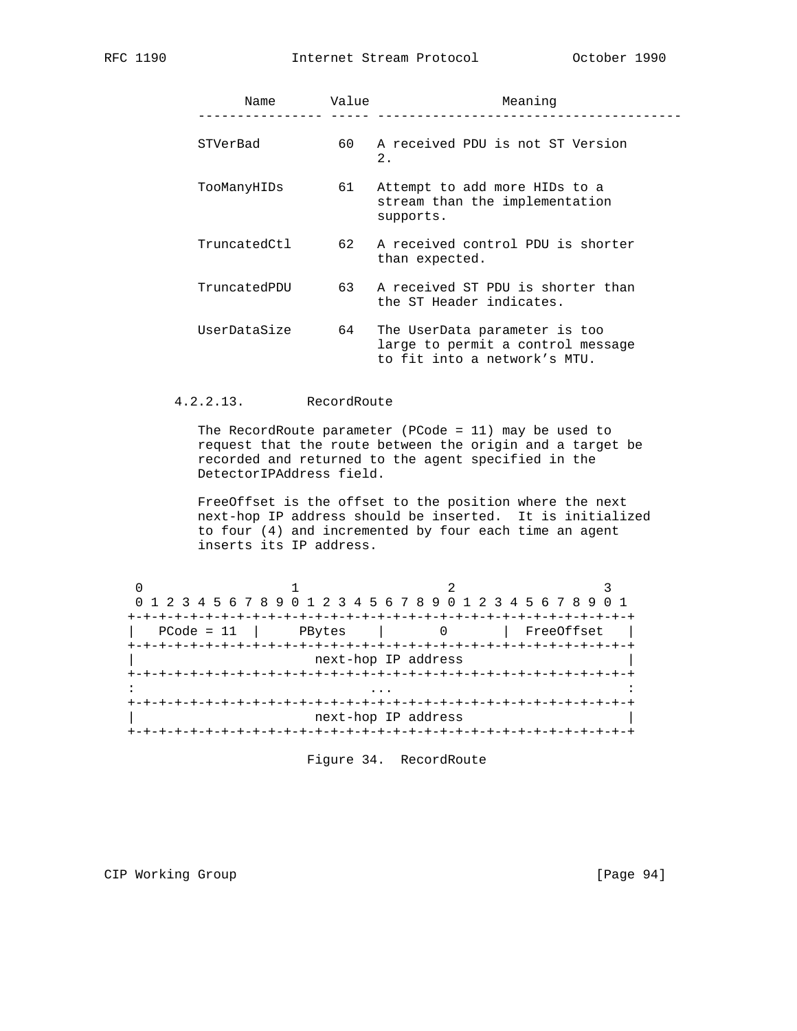| Name         | Value | Meaning                                                                                            |
|--------------|-------|----------------------------------------------------------------------------------------------------|
| STVerBad     | 60 -  | A received PDU is not ST Version<br>2.                                                             |
| TooManyHIDs  | 61    | Attempt to add more HIDs to a<br>stream than the implementation<br>supports.                       |
| TruncatedCtl | 62    | A received control PDU is shorter<br>than expected.                                                |
| TruncatedPDU | 63    | A received ST PDU is shorter than<br>the ST Header indicates.                                      |
| UserDataSize | 64    | The UserData parameter is too<br>large to permit a control message<br>to fit into a network's MTU. |

## 4.2.2.13. RecordRoute

 The RecordRoute parameter (PCode = 11) may be used to request that the route between the origin and a target be recorded and returned to the agent specified in the DetectorIPAddress field.

 FreeOffset is the offset to the position where the next next-hop IP address should be inserted. It is initialized to four (4) and incremented by four each time an agent inserts its IP address.

|              | 0 1 2 3 4 5 6 7 8 9 0 1 2 3 4 5 6 7 8 9 0 1 2 3 4 5 6 7 8 9 0 1 |                     |            |  |  |  |  |  |  |  |  |
|--------------|-----------------------------------------------------------------|---------------------|------------|--|--|--|--|--|--|--|--|
|              |                                                                 |                     |            |  |  |  |  |  |  |  |  |
| $PCode = 11$ | PBytes                                                          | $\overline{0}$      | FreeOffset |  |  |  |  |  |  |  |  |
|              |                                                                 |                     |            |  |  |  |  |  |  |  |  |
|              | next-hop IP address                                             |                     |            |  |  |  |  |  |  |  |  |
|              |                                                                 |                     |            |  |  |  |  |  |  |  |  |
|              |                                                                 |                     |            |  |  |  |  |  |  |  |  |
|              |                                                                 |                     |            |  |  |  |  |  |  |  |  |
|              |                                                                 | next-hop IP address |            |  |  |  |  |  |  |  |  |
|              |                                                                 |                     |            |  |  |  |  |  |  |  |  |

Figure 34. RecordRoute

CIP Working Group [Page 94]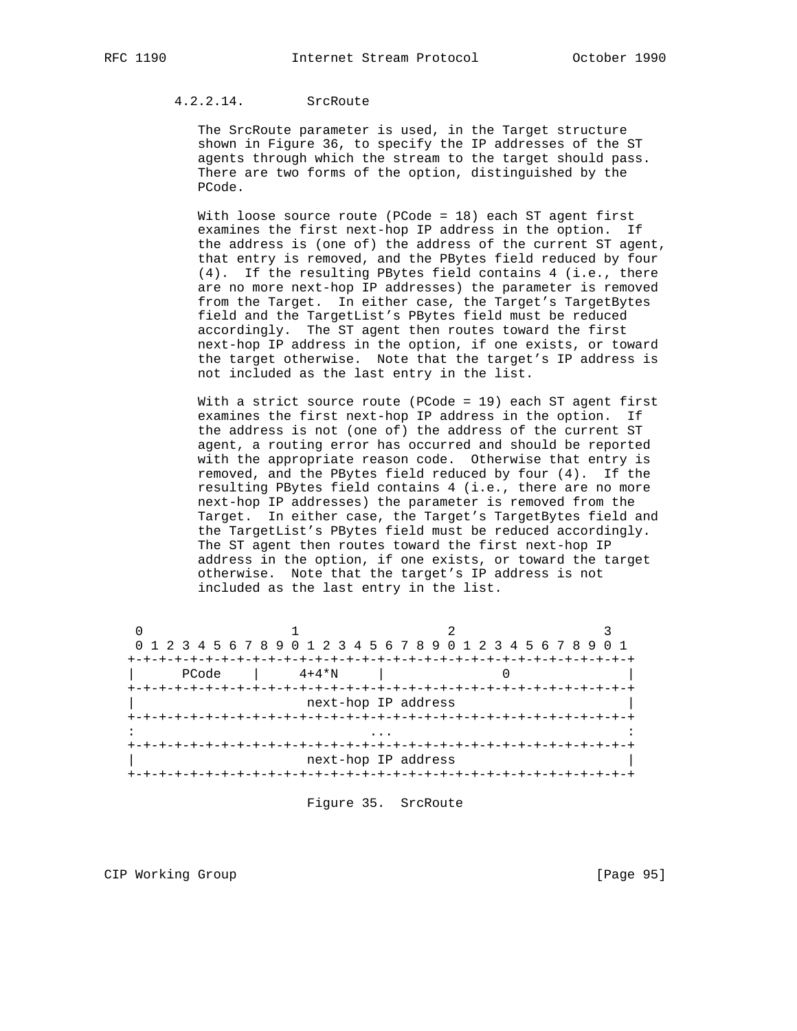## 4.2.2.14. SrcRoute

 The SrcRoute parameter is used, in the Target structure shown in Figure 36, to specify the IP addresses of the ST agents through which the stream to the target should pass. There are two forms of the option, distinguished by the PCode.

 With loose source route (PCode = 18) each ST agent first examines the first next-hop IP address in the option. If the address is (one of) the address of the current ST agent, that entry is removed, and the PBytes field reduced by four (4). If the resulting PBytes field contains 4 (i.e., there are no more next-hop IP addresses) the parameter is removed from the Target. In either case, the Target's TargetBytes field and the TargetList's PBytes field must be reduced accordingly. The ST agent then routes toward the first next-hop IP address in the option, if one exists, or toward the target otherwise. Note that the target's IP address is not included as the last entry in the list.

 With a strict source route (PCode = 19) each ST agent first examines the first next-hop IP address in the option. If the address is not (one of) the address of the current ST agent, a routing error has occurred and should be reported with the appropriate reason code. Otherwise that entry is removed, and the PBytes field reduced by four (4). If the resulting PBytes field contains 4 (i.e., there are no more next-hop IP addresses) the parameter is removed from the Target. In either case, the Target's TargetBytes field and the TargetList's PBytes field must be reduced accordingly. The ST agent then routes toward the first next-hop IP address in the option, if one exists, or toward the target otherwise. Note that the target's IP address is not included as the last entry in the list.

|              | 0 1 2 3 4 5 6 7 8 9 0 1 2 3 4 5 6 7 8 9 0 1 2 3 4 5 6 7 8 9 |                             |  |
|--------------|-------------------------------------------------------------|-----------------------------|--|
|              |                                                             |                             |  |
| PCode        | $4 + 4 * N$                                                 |                             |  |
| +-+-+-+-+-+- |                                                             |                             |  |
|              |                                                             | next-hop IP address         |  |
|              |                                                             | -+-+-+-+-+-+-+-+-+-+        |  |
|              |                                                             |                             |  |
|              |                                                             |                             |  |
|              |                                                             | -+-+-+-+-+-+-+-+-+-+-+-+-+- |  |
|              |                                                             | next-hop IP address         |  |
|              |                                                             |                             |  |
|              |                                                             |                             |  |

Figure 35. SrcRoute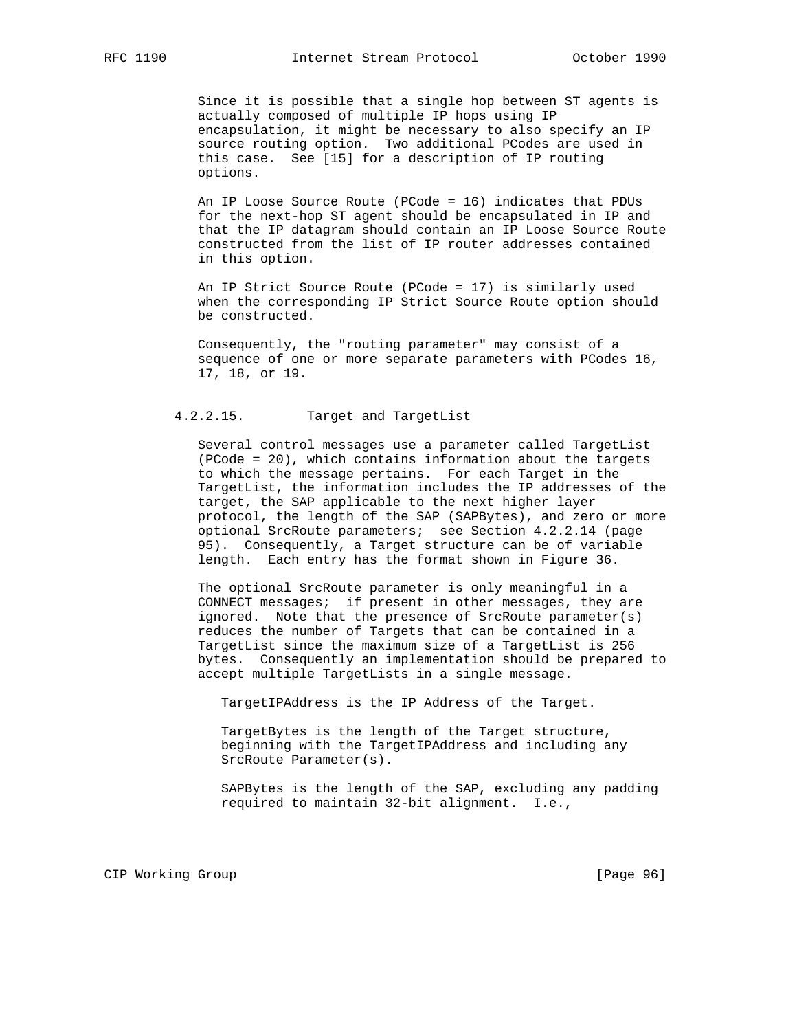Since it is possible that a single hop between ST agents is actually composed of multiple IP hops using IP encapsulation, it might be necessary to also specify an IP source routing option. Two additional PCodes are used in this case. See [15] for a description of IP routing options.

 An IP Loose Source Route (PCode = 16) indicates that PDUs for the next-hop ST agent should be encapsulated in IP and that the IP datagram should contain an IP Loose Source Route constructed from the list of IP router addresses contained in this option.

 An IP Strict Source Route (PCode = 17) is similarly used when the corresponding IP Strict Source Route option should be constructed.

 Consequently, the "routing parameter" may consist of a sequence of one or more separate parameters with PCodes 16, 17, 18, or 19.

### 4.2.2.15. Target and TargetList

 Several control messages use a parameter called TargetList (PCode = 20), which contains information about the targets to which the message pertains. For each Target in the TargetList, the information includes the IP addresses of the target, the SAP applicable to the next higher layer protocol, the length of the SAP (SAPBytes), and zero or more optional SrcRoute parameters; see Section 4.2.2.14 (page 95). Consequently, a Target structure can be of variable length. Each entry has the format shown in Figure 36.

 The optional SrcRoute parameter is only meaningful in a CONNECT messages; if present in other messages, they are ignored. Note that the presence of SrcRoute parameter(s) reduces the number of Targets that can be contained in a TargetList since the maximum size of a TargetList is 256 bytes. Consequently an implementation should be prepared to accept multiple TargetLists in a single message.

TargetIPAddress is the IP Address of the Target.

 TargetBytes is the length of the Target structure, beginning with the TargetIPAddress and including any SrcRoute Parameter(s).

 SAPBytes is the length of the SAP, excluding any padding required to maintain 32-bit alignment. I.e.,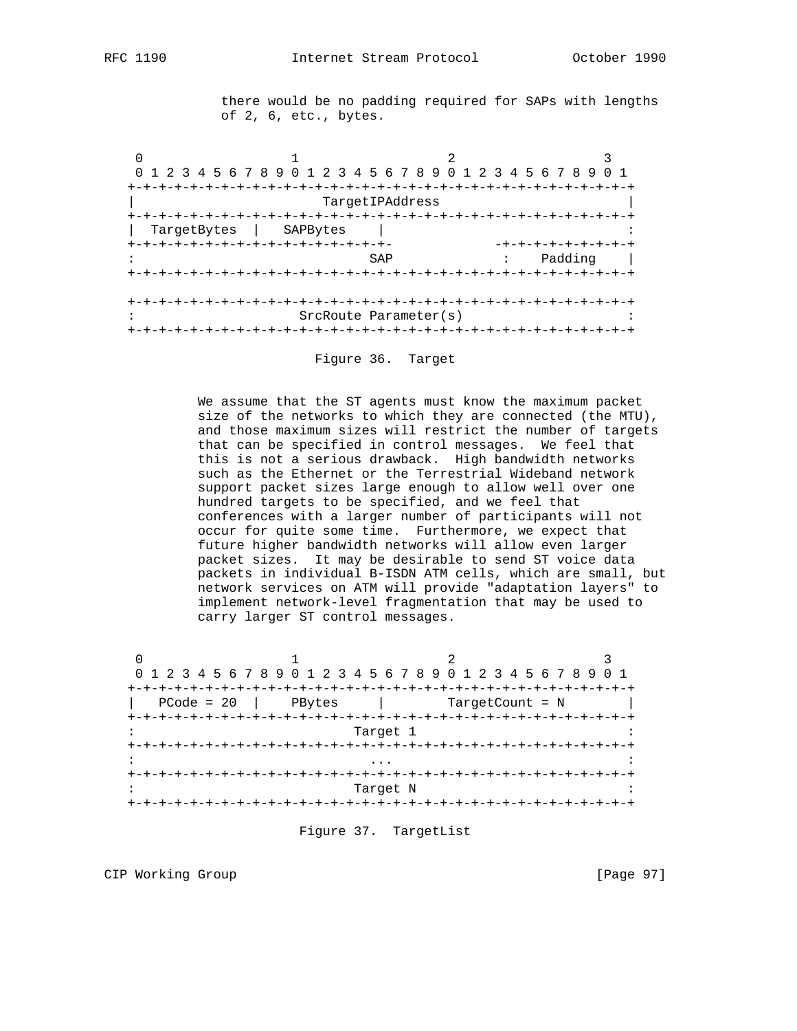there would be no padding required for SAPs with lengths of 2, 6, etc., bytes.

| 0 1 2 3 4 5 6 7 8 9 0 1 2 3 4 5 6 7 8 9 0 1 2 3 4 5 6 7 8 9 |                       |                 |                      |                           |         |  |  |
|-------------------------------------------------------------|-----------------------|-----------------|----------------------|---------------------------|---------|--|--|
|                                                             |                       |                 |                      |                           |         |  |  |
|                                                             |                       | TargetIPAddress |                      |                           |         |  |  |
| +-+-+-+-+-+-+                                               |                       |                 |                      |                           |         |  |  |
| TargetBytes                                                 | SAPBytes              |                 |                      |                           |         |  |  |
| -+-+-+-+-+-+-+-+-+-+-+-+-+-+-+-+-+-                         |                       |                 |                      | <u> + - + - + - + - ·</u> |         |  |  |
|                                                             |                       | SAP             | $\ddot{\phantom{a}}$ |                           | Padding |  |  |
|                                                             | $- + - + - + - + -$   |                 |                      | -+-+-+-+-+-+-+-+-+        |         |  |  |
|                                                             |                       |                 |                      |                           |         |  |  |
|                                                             |                       |                 |                      |                           |         |  |  |
|                                                             |                       |                 |                      |                           |         |  |  |
|                                                             | SrcRoute Parameter(s) |                 |                      |                           |         |  |  |

Figure 36. Target

 We assume that the ST agents must know the maximum packet size of the networks to which they are connected (the MTU), and those maximum sizes will restrict the number of targets that can be specified in control messages. We feel that this is not a serious drawback. High bandwidth networks such as the Ethernet or the Terrestrial Wideband network support packet sizes large enough to allow well over one hundred targets to be specified, and we feel that conferences with a larger number of participants will not occur for quite some time. Furthermore, we expect that future higher bandwidth networks will allow even larger packet sizes. It may be desirable to send ST voice data packets in individual B-ISDN ATM cells, which are small, but network services on ATM will provide "adaptation layers" to implement network-level fragmentation that may be used to carry larger ST control messages.

|              |          | 0 1 2 3 4 5 6 7 8 9 0 1 2 3 4 5 6 7 8 9 0 1 2 3 4 5 6 7 8 9 |  |  |  |  |  |  |  |  |  |  |  |  |  |
|--------------|----------|-------------------------------------------------------------|--|--|--|--|--|--|--|--|--|--|--|--|--|
|              |          |                                                             |  |  |  |  |  |  |  |  |  |  |  |  |  |
| $PCode = 20$ | PBytes   | TargetCount = N                                             |  |  |  |  |  |  |  |  |  |  |  |  |  |
|              |          |                                                             |  |  |  |  |  |  |  |  |  |  |  |  |  |
|              | Target 1 |                                                             |  |  |  |  |  |  |  |  |  |  |  |  |  |
|              |          |                                                             |  |  |  |  |  |  |  |  |  |  |  |  |  |
|              |          |                                                             |  |  |  |  |  |  |  |  |  |  |  |  |  |
|              |          |                                                             |  |  |  |  |  |  |  |  |  |  |  |  |  |
|              | Target N |                                                             |  |  |  |  |  |  |  |  |  |  |  |  |  |
|              |          |                                                             |  |  |  |  |  |  |  |  |  |  |  |  |  |

Figure 37. TargetList

CIP Working Group **compared to the CIP Working Group compared to the CIP Working Group compared to the CIP** Working C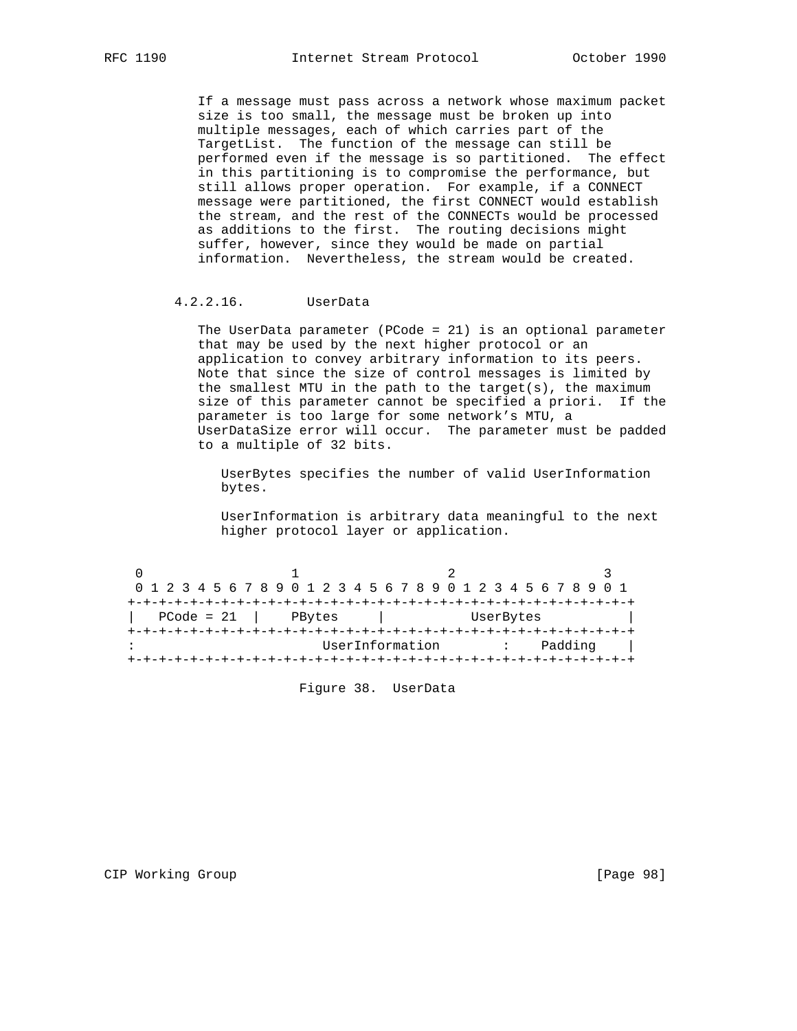If a message must pass across a network whose maximum packet size is too small, the message must be broken up into multiple messages, each of which carries part of the TargetList. The function of the message can still be performed even if the message is so partitioned. The effect in this partitioning is to compromise the performance, but still allows proper operation. For example, if a CONNECT message were partitioned, the first CONNECT would establish the stream, and the rest of the CONNECTs would be processed as additions to the first. The routing decisions might suffer, however, since they would be made on partial information. Nevertheless, the stream would be created.

## 4.2.2.16. UserData

 The UserData parameter (PCode = 21) is an optional parameter that may be used by the next higher protocol or an application to convey arbitrary information to its peers. Note that since the size of control messages is limited by the smallest MTU in the path to the target(s), the maximum size of this parameter cannot be specified a priori. If the parameter is too large for some network's MTU, a UserDataSize error will occur. The parameter must be padded to a multiple of 32 bits.

 UserBytes specifies the number of valid UserInformation bytes.

 UserInformation is arbitrary data meaningful to the next higher protocol layer or application.

|              | 0 1 2 3 4 5 6 7 8 9 0 1 2 3 4 5 6 7 8 9 0 1 2 3 4 5 6 7 8 9 0 1 |                 |           |  |  |  |  |  |  |  |  |  |  |
|--------------|-----------------------------------------------------------------|-----------------|-----------|--|--|--|--|--|--|--|--|--|--|
|              |                                                                 |                 |           |  |  |  |  |  |  |  |  |  |  |
| $PCode = 21$ | PBytes                                                          |                 | UserBytes |  |  |  |  |  |  |  |  |  |  |
|              |                                                                 |                 |           |  |  |  |  |  |  |  |  |  |  |
|              |                                                                 | UserInformation | Padding   |  |  |  |  |  |  |  |  |  |  |
|              |                                                                 |                 |           |  |  |  |  |  |  |  |  |  |  |

Figure 38. UserData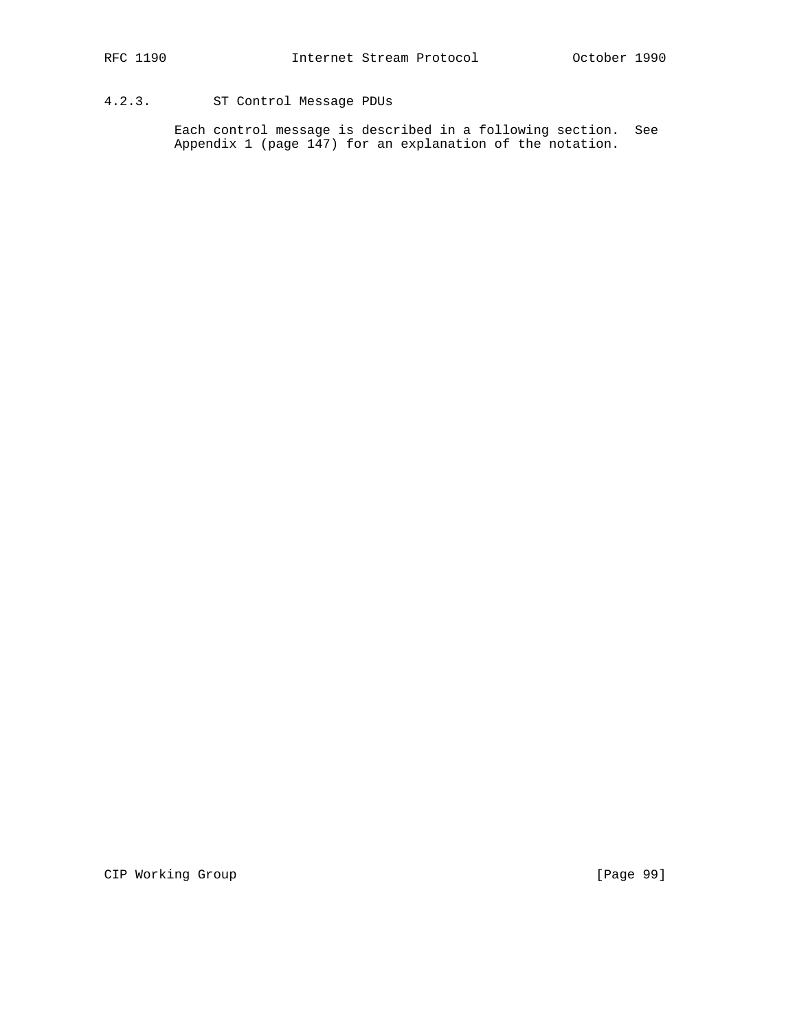# 4.2.3. ST Control Message PDUs

 Each control message is described in a following section. See Appendix 1 (page 147) for an explanation of the notation.

CIP Working Group [Page 99]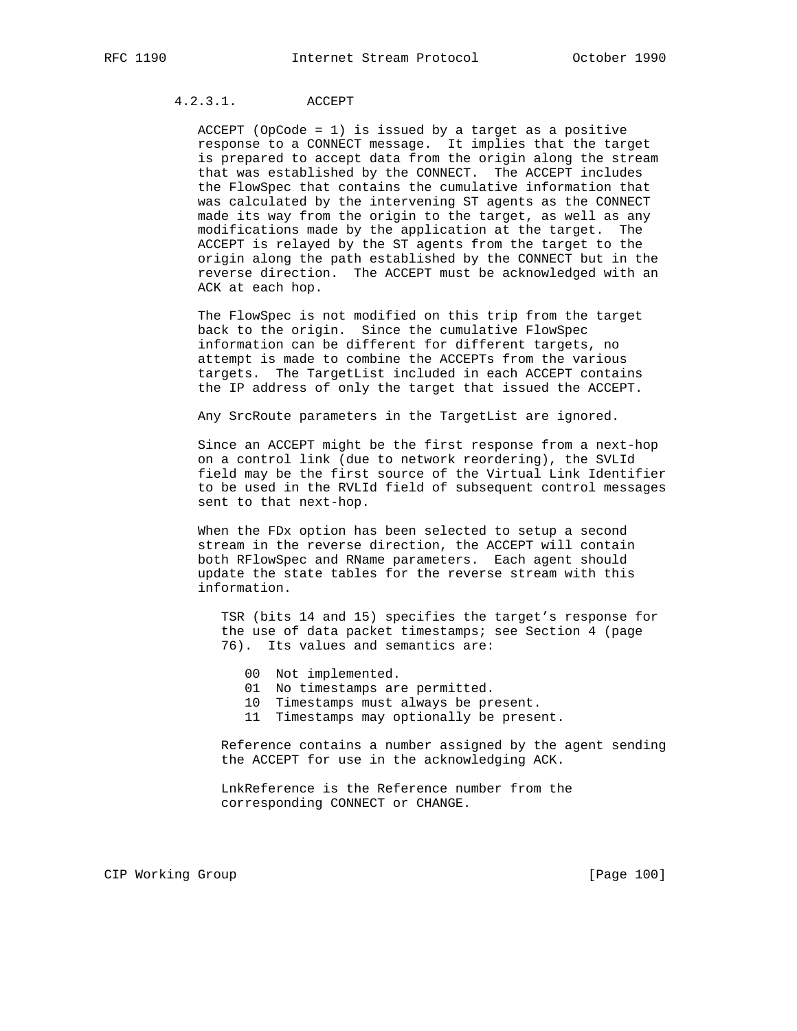## 4.2.3.1. ACCEPT

 ACCEPT (OpCode = 1) is issued by a target as a positive response to a CONNECT message. It implies that the target is prepared to accept data from the origin along the stream that was established by the CONNECT. The ACCEPT includes the FlowSpec that contains the cumulative information that was calculated by the intervening ST agents as the CONNECT made its way from the origin to the target, as well as any modifications made by the application at the target. The ACCEPT is relayed by the ST agents from the target to the origin along the path established by the CONNECT but in the reverse direction. The ACCEPT must be acknowledged with an ACK at each hop.

 The FlowSpec is not modified on this trip from the target back to the origin. Since the cumulative FlowSpec information can be different for different targets, no attempt is made to combine the ACCEPTs from the various targets. The TargetList included in each ACCEPT contains the IP address of only the target that issued the ACCEPT.

Any SrcRoute parameters in the TargetList are ignored.

 Since an ACCEPT might be the first response from a next-hop on a control link (due to network reordering), the SVLId field may be the first source of the Virtual Link Identifier to be used in the RVLId field of subsequent control messages sent to that next-hop.

 When the FDx option has been selected to setup a second stream in the reverse direction, the ACCEPT will contain both RFlowSpec and RName parameters. Each agent should update the state tables for the reverse stream with this information.

 TSR (bits 14 and 15) specifies the target's response for the use of data packet timestamps; see Section 4 (page 76). Its values and semantics are:

- 00 Not implemented.
- 01 No timestamps are permitted.
- 10 Timestamps must always be present.
- 11 Timestamps may optionally be present.

 Reference contains a number assigned by the agent sending the ACCEPT for use in the acknowledging ACK.

 LnkReference is the Reference number from the corresponding CONNECT or CHANGE.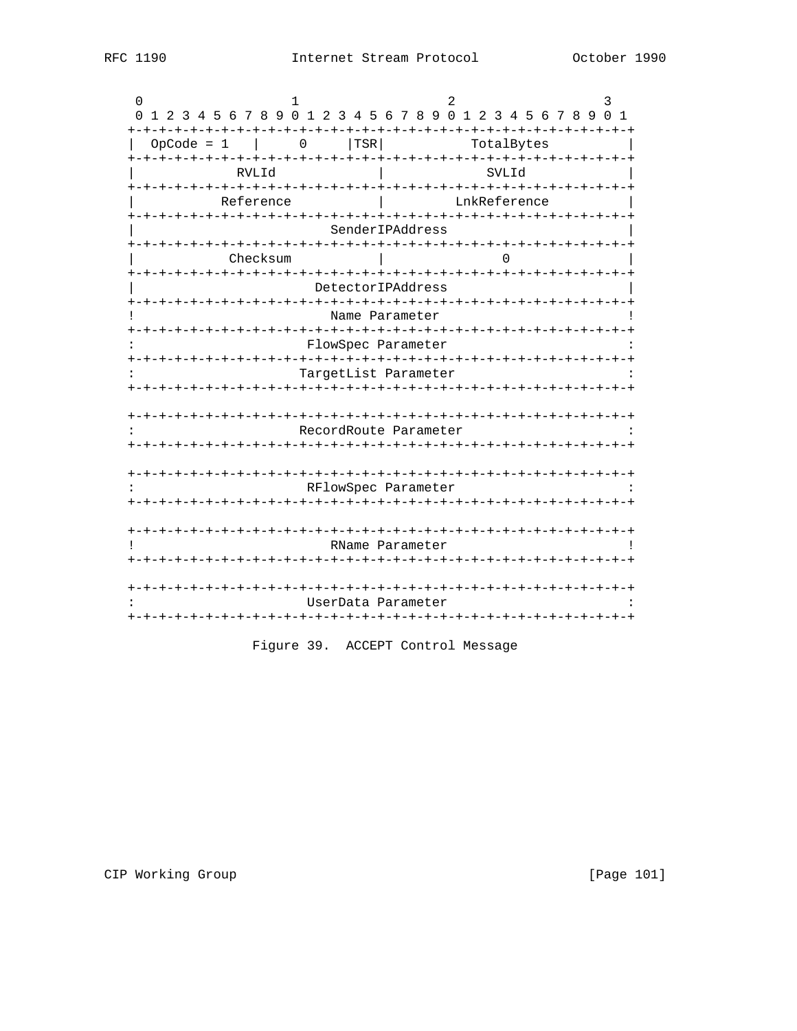| -+-+-+-+-+-+-+-+-+-+<br>$OpCode = 1$   0  TSR<br>TotalBytes<br>RVLId<br>SVLId<br>Reference<br>LnkReference<br>SenderIPAddress<br>Checksum<br>DetectorIPAddress<br>Name Parameter<br>FlowSpec Parameter<br>TargetList Parameter<br>RecordRoute Parameter<br>RFlowSpec Parameter |
|--------------------------------------------------------------------------------------------------------------------------------------------------------------------------------------------------------------------------------------------------------------------------------|
|                                                                                                                                                                                                                                                                                |
|                                                                                                                                                                                                                                                                                |
|                                                                                                                                                                                                                                                                                |
|                                                                                                                                                                                                                                                                                |
|                                                                                                                                                                                                                                                                                |
|                                                                                                                                                                                                                                                                                |
|                                                                                                                                                                                                                                                                                |
|                                                                                                                                                                                                                                                                                |
|                                                                                                                                                                                                                                                                                |
|                                                                                                                                                                                                                                                                                |
|                                                                                                                                                                                                                                                                                |
|                                                                                                                                                                                                                                                                                |
|                                                                                                                                                                                                                                                                                |
|                                                                                                                                                                                                                                                                                |
|                                                                                                                                                                                                                                                                                |
| RName Parameter                                                                                                                                                                                                                                                                |
|                                                                                                                                                                                                                                                                                |
| UserData Parameter                                                                                                                                                                                                                                                             |

Figure 39. ACCEPT Control Message

CIP Working Group

[Page 101]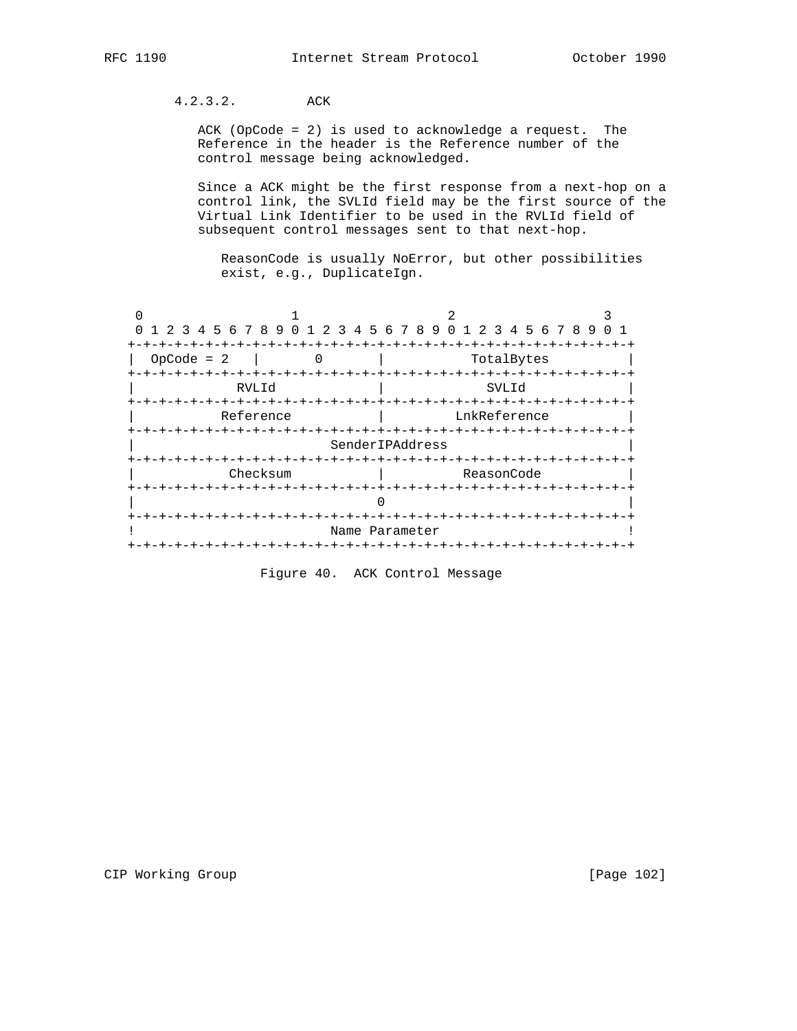4.2.3.2. ACK

 ACK (OpCode = 2) is used to acknowledge a request. The Reference in the header is the Reference number of the control message being acknowledged.

 Since a ACK might be the first response from a next-hop on a control link, the SVLId field may be the first source of the Virtual Link Identifier to be used in the RVLId field of subsequent control messages sent to that next-hop.

 ReasonCode is usually NoError, but other possibilities exist, e.g., DuplicateIgn.

|                      |                           | 0 1 2 3 4 5 6 7 8 9 0 1 2 3 4 5 6 7 8 9 0 1 2 3 4 5 6 7 8 9 |  |  |  |  |  |  |  |  |  |  |  |  |  |  |
|----------------------|---------------------------|-------------------------------------------------------------|--|--|--|--|--|--|--|--|--|--|--|--|--|--|
|                      |                           |                                                             |  |  |  |  |  |  |  |  |  |  |  |  |  |  |
| $OpCode = 2$         |                           | TotalBytes                                                  |  |  |  |  |  |  |  |  |  |  |  |  |  |  |
|                      |                           |                                                             |  |  |  |  |  |  |  |  |  |  |  |  |  |  |
|                      | RVLId                     | SVLId                                                       |  |  |  |  |  |  |  |  |  |  |  |  |  |  |
|                      |                           |                                                             |  |  |  |  |  |  |  |  |  |  |  |  |  |  |
|                      | Reference                 | LnkReference                                                |  |  |  |  |  |  |  |  |  |  |  |  |  |  |
| -+-+-+-+-+-+-+-+-+-+ |                           |                                                             |  |  |  |  |  |  |  |  |  |  |  |  |  |  |
|                      |                           |                                                             |  |  |  |  |  |  |  |  |  |  |  |  |  |  |
|                      |                           | SenderIPAddress                                             |  |  |  |  |  |  |  |  |  |  |  |  |  |  |
|                      |                           |                                                             |  |  |  |  |  |  |  |  |  |  |  |  |  |  |
|                      | Checksum                  | ReasonCode                                                  |  |  |  |  |  |  |  |  |  |  |  |  |  |  |
|                      | +-+-+-+-+-+-+-+-+-+-+-+-+ | +-+-+-+-+-+-+-+-+-+-+-+-+-+-                                |  |  |  |  |  |  |  |  |  |  |  |  |  |  |
|                      |                           |                                                             |  |  |  |  |  |  |  |  |  |  |  |  |  |  |
|                      |                           |                                                             |  |  |  |  |  |  |  |  |  |  |  |  |  |  |
|                      |                           | Name Parameter                                              |  |  |  |  |  |  |  |  |  |  |  |  |  |  |

Figure 40. ACK Control Message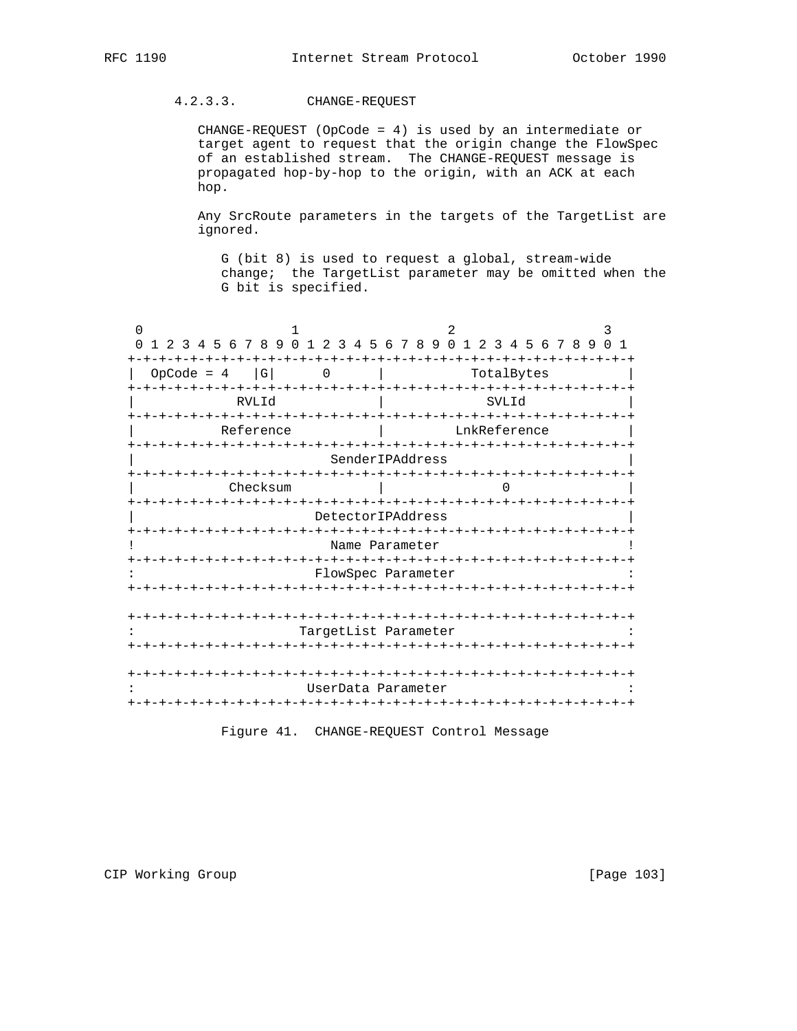## 4.2.3.3. CHANGE-REQUEST

 CHANGE-REQUEST (OpCode = 4) is used by an intermediate or target agent to request that the origin change the FlowSpec of an established stream. The CHANGE-REQUEST message is propagated hop-by-hop to the origin, with an ACK at each hop.

 Any SrcRoute parameters in the targets of the TargetList are ignored.

 G (bit 8) is used to request a global, stream-wide change; the TargetList parameter may be omitted when the G bit is specified.

| $\left( \right)$                                                                                                      |                                                            |                                 |                    |  |                   |  |               |          |                    |  |  |  |  |                 |  | 3            |                |
|-----------------------------------------------------------------------------------------------------------------------|------------------------------------------------------------|---------------------------------|--------------------|--|-------------------|--|---------------|----------|--------------------|--|--|--|--|-----------------|--|--------------|----------------|
| 4 5 6 7 8 9 0<br>$\mathcal{L}$<br>$\mathcal{R}$<br><sup>0</sup><br>1.                                                 |                                                            | $\mathcal{L}$<br>$\overline{1}$ | $\mathcal{R}$      |  |                   |  | 4 5 6 7 8 9   | $\Omega$ | $\overline{1}$     |  |  |  |  | 2 3 4 5 6 7 8 9 |  | <sup>n</sup> | $\overline{1}$ |
| $OpCode =$<br>- 4                                                                                                     | G<br>0<br>-+-+-+-+-+-+-+-+-+-+-+                           |                                 |                    |  |                   |  |               |          |                    |  |  |  |  |                 |  |              | - +            |
| RVLId                                                                                                                 | -+-+-+-+-+-+-+-+<br>SVLId<br>-+-+-+-+-+-+-+-+-<br>-+-+-+-+ |                                 |                    |  |                   |  |               |          |                    |  |  |  |  |                 |  |              |                |
| -+-+-+-+-+-+-+-+-+-+-+                                                                                                | Reference                                                  |                                 |                    |  | LnkReference      |  |               |          |                    |  |  |  |  |                 |  |              |                |
| -+-+-+-+-+-+<br>-+-+-+-+-+-+-+<br>-+-+-+-+-+-+-+-+-+-+<br>$^+$<br>- + - + - + - +<br>SenderIPAddress<br>$- + - + - +$ |                                                            |                                 |                    |  |                   |  |               |          |                    |  |  |  |  |                 |  |              |                |
|                                                                                                                       | Checksum                                                   |                                 |                    |  | ーナーナーナーナーナ<br>- + |  |               |          |                    |  |  |  |  |                 |  |              |                |
|                                                                                                                       | -+-+-+<br>DetectorIPAddress                                |                                 |                    |  |                   |  |               |          |                    |  |  |  |  |                 |  |              |                |
|                                                                                                                       |                                                            | -+-+-+                          | Name Parameter     |  |                   |  | $- + - + - +$ |          |                    |  |  |  |  |                 |  |              |                |
|                                                                                                                       | -+-+-+-+-+-+-+-+-+-+-+-+-+-+-                              |                                 | FlowSpec Parameter |  |                   |  |               |          | -+-+-+-+-+-+-+-+-+ |  |  |  |  |                 |  |              |                |
|                                                                                                                       |                                                            |                                 |                    |  |                   |  |               |          |                    |  |  |  |  |                 |  |              |                |
|                                                                                                                       |                                                            |                                 |                    |  |                   |  | ーキーキ          |          |                    |  |  |  |  |                 |  |              |                |
|                                                                                                                       |                                                            | TargetList Parameter            |                    |  |                   |  |               |          |                    |  |  |  |  |                 |  |              |                |
|                                                                                                                       |                                                            |                                 |                    |  |                   |  |               |          |                    |  |  |  |  |                 |  |              |                |
|                                                                                                                       |                                                            |                                 |                    |  |                   |  |               |          |                    |  |  |  |  |                 |  |              |                |
|                                                                                                                       |                                                            | UserData Parameter              |                    |  |                   |  |               |          |                    |  |  |  |  |                 |  |              |                |
|                                                                                                                       |                                                            |                                 |                    |  |                   |  |               |          |                    |  |  |  |  |                 |  |              |                |

Figure 41. CHANGE-REQUEST Control Message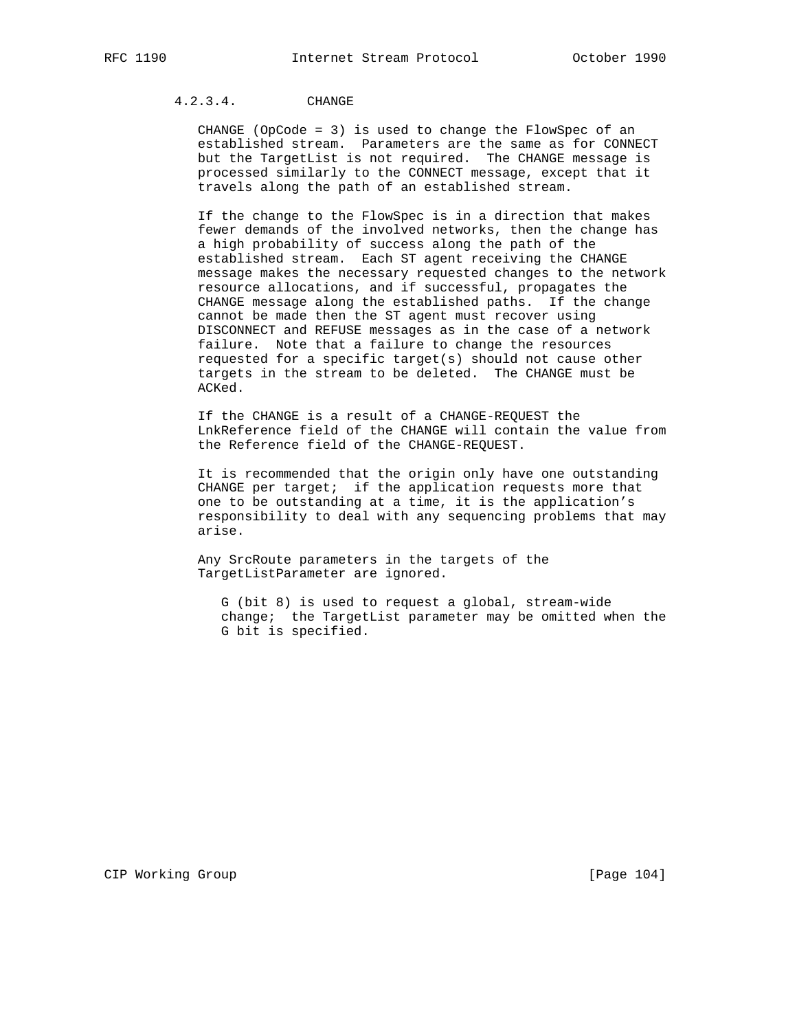## 4.2.3.4. CHANGE

 CHANGE (OpCode = 3) is used to change the FlowSpec of an established stream. Parameters are the same as for CONNECT but the TargetList is not required. The CHANGE message is processed similarly to the CONNECT message, except that it travels along the path of an established stream.

 If the change to the FlowSpec is in a direction that makes fewer demands of the involved networks, then the change has a high probability of success along the path of the established stream. Each ST agent receiving the CHANGE message makes the necessary requested changes to the network resource allocations, and if successful, propagates the CHANGE message along the established paths. If the change cannot be made then the ST agent must recover using DISCONNECT and REFUSE messages as in the case of a network failure. Note that a failure to change the resources requested for a specific target(s) should not cause other targets in the stream to be deleted. The CHANGE must be ACKed.

 If the CHANGE is a result of a CHANGE-REQUEST the LnkReference field of the CHANGE will contain the value from the Reference field of the CHANGE-REQUEST.

 It is recommended that the origin only have one outstanding CHANGE per target; if the application requests more that one to be outstanding at a time, it is the application's responsibility to deal with any sequencing problems that may arise.

 Any SrcRoute parameters in the targets of the TargetListParameter are ignored.

 G (bit 8) is used to request a global, stream-wide change; the TargetList parameter may be omitted when the G bit is specified.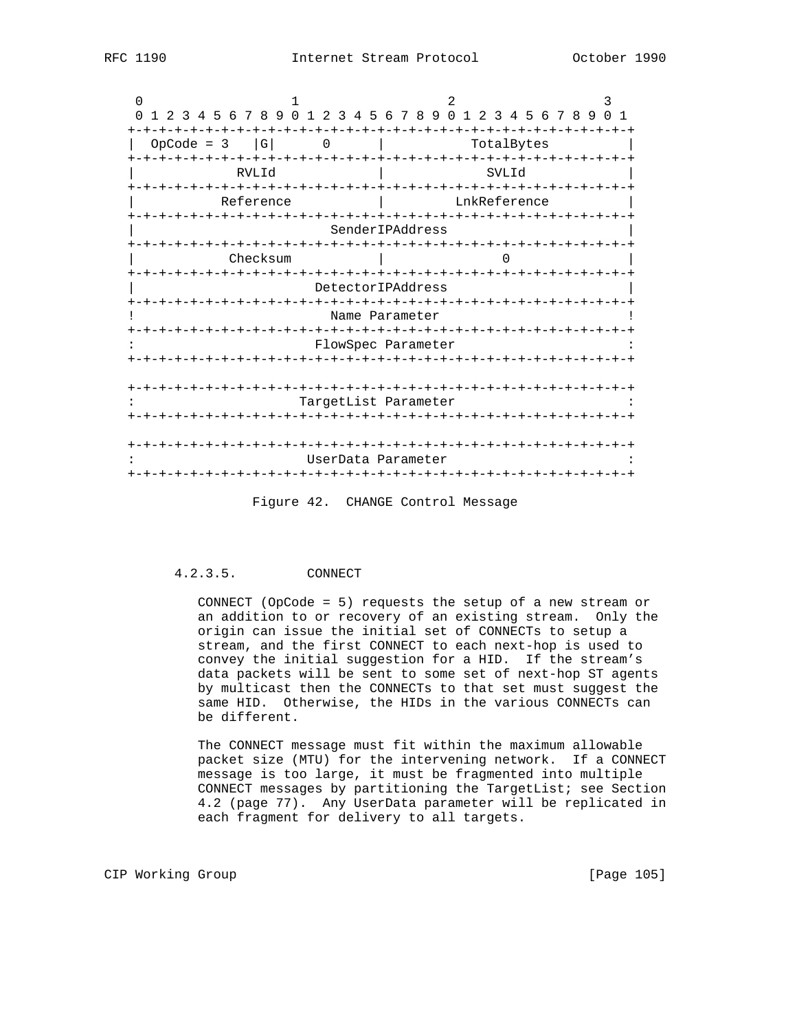| O<br>0                       | 1 2 3 4 5 6 7 8 9 0 1 2 3 4 5 6 7 8 9 0 1 2 3 4 5 6 7 8 9 |  |  |  |  |  |  |  |                 |  |  |                                 |       |  |                      |                                                 |        |  |  |                    |  | 2 |  |            |        |  |  |  |  |  | 3<br>0 <sub>1</sub> |          |
|------------------------------|-----------------------------------------------------------|--|--|--|--|--|--|--|-----------------|--|--|---------------------------------|-------|--|----------------------|-------------------------------------------------|--------|--|--|--------------------|--|---|--|------------|--------|--|--|--|--|--|---------------------|----------|
| $+ \cdot$                    | - + - + - + - +                                           |  |  |  |  |  |  |  |                 |  |  |                                 |       |  |                      |                                                 | -+-+-+ |  |  |                    |  |   |  |            | -+-+-+ |  |  |  |  |  |                     |          |
| $OpCode =$<br>- 3<br>G       |                                                           |  |  |  |  |  |  |  |                 |  |  |                                 |       |  |                      |                                                 |        |  |  |                    |  |   |  | TotalBytes |        |  |  |  |  |  |                     |          |
| RVLId                        |                                                           |  |  |  |  |  |  |  |                 |  |  |                                 | SVLId |  |                      |                                                 |        |  |  |                    |  |   |  |            |        |  |  |  |  |  |                     |          |
|                              | -+-+-+-+-+-+-+-+-+-+-+-+-+-+-                             |  |  |  |  |  |  |  | Reference       |  |  |                                 |       |  |                      | -+-+-+-+-+-+-+-+-+-+-+-+-+-+-+-<br>LnkReference |        |  |  |                    |  |   |  |            |        |  |  |  |  |  |                     |          |
| SenderIPAddress<br>+-+-+-+-+ |                                                           |  |  |  |  |  |  |  |                 |  |  |                                 |       |  |                      |                                                 |        |  |  |                    |  |   |  |            |        |  |  |  |  |  |                     |          |
|                              |                                                           |  |  |  |  |  |  |  | Checksum        |  |  |                                 |       |  |                      |                                                 |        |  |  |                    |  |   |  |            |        |  |  |  |  |  |                     |          |
|                              |                                                           |  |  |  |  |  |  |  | $+ - + - + - +$ |  |  | $- + - + - +$                   |       |  | $-+ - + - + - + - +$ |                                                 |        |  |  | DetectorIPAddress  |  |   |  |            |        |  |  |  |  |  |                     |          |
|                              | -+-+-+-+-+                                                |  |  |  |  |  |  |  |                 |  |  |                                 |       |  |                      |                                                 |        |  |  | Name Parameter     |  |   |  |            |        |  |  |  |  |  |                     | $-+ - +$ |
|                              |                                                           |  |  |  |  |  |  |  |                 |  |  | +-+-+-+-+-+-+-+-+-+-+-+-+-+-+-+ |       |  |                      |                                                 |        |  |  | FlowSpec Parameter |  |   |  |            |        |  |  |  |  |  |                     |          |
|                              |                                                           |  |  |  |  |  |  |  |                 |  |  |                                 |       |  |                      |                                                 |        |  |  |                    |  |   |  |            |        |  |  |  |  |  |                     |          |
|                              |                                                           |  |  |  |  |  |  |  |                 |  |  | TargetList Parameter            |       |  |                      |                                                 |        |  |  |                    |  |   |  |            |        |  |  |  |  |  |                     |          |
|                              |                                                           |  |  |  |  |  |  |  |                 |  |  | -+-+-+-+-+-+-+-+-+-+            |       |  |                      |                                                 |        |  |  |                    |  |   |  |            |        |  |  |  |  |  |                     |          |
|                              |                                                           |  |  |  |  |  |  |  |                 |  |  | UserData Parameter              |       |  |                      |                                                 |        |  |  |                    |  |   |  |            |        |  |  |  |  |  |                     |          |
|                              |                                                           |  |  |  |  |  |  |  |                 |  |  |                                 |       |  |                      |                                                 |        |  |  |                    |  |   |  |            |        |  |  |  |  |  |                     |          |

Figure 42. CHANGE Control Message

### 4.2.3.5. CONNECT

 CONNECT (OpCode = 5) requests the setup of a new stream or an addition to or recovery of an existing stream. Only the origin can issue the initial set of CONNECTs to setup a stream, and the first CONNECT to each next-hop is used to convey the initial suggestion for a HID. If the stream's data packets will be sent to some set of next-hop ST agents by multicast then the CONNECTs to that set must suggest the same HID. Otherwise, the HIDs in the various CONNECTs can be different.

 The CONNECT message must fit within the maximum allowable packet size (MTU) for the intervening network. If a CONNECT message is too large, it must be fragmented into multiple CONNECT messages by partitioning the TargetList; see Section 4.2 (page 77). Any UserData parameter will be replicated in each fragment for delivery to all targets.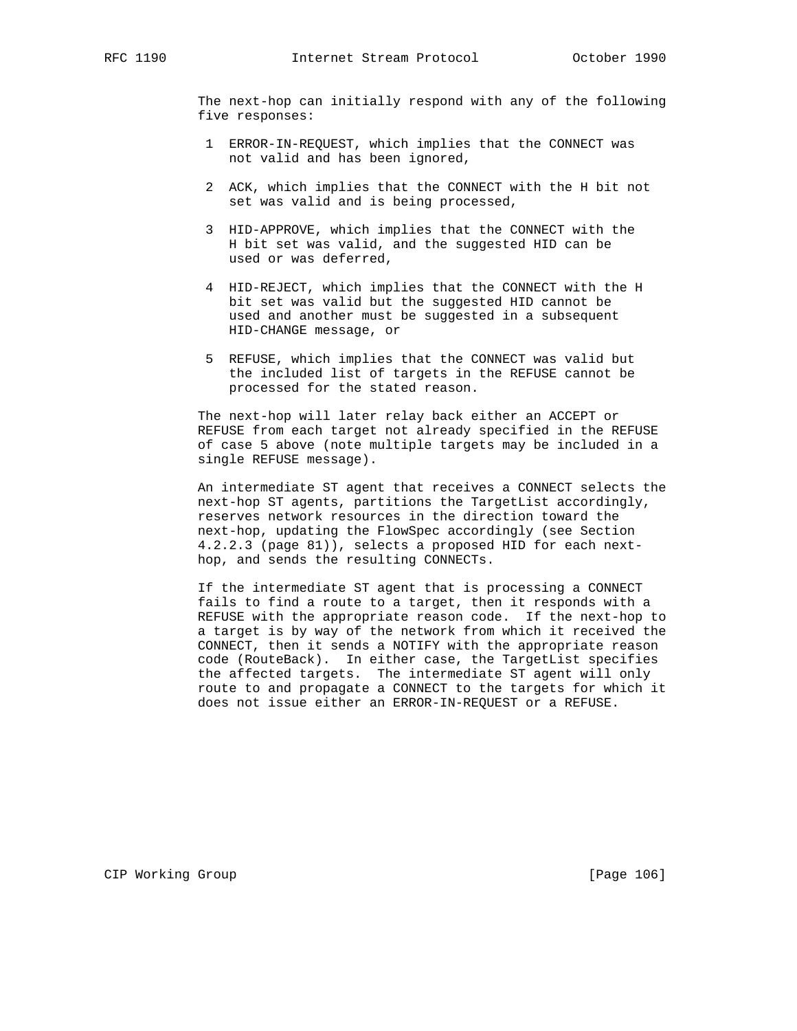The next-hop can initially respond with any of the following five responses:

- 1 ERROR-IN-REQUEST, which implies that the CONNECT was not valid and has been ignored,
- 2 ACK, which implies that the CONNECT with the H bit not set was valid and is being processed,
- 3 HID-APPROVE, which implies that the CONNECT with the H bit set was valid, and the suggested HID can be used or was deferred,
- 4 HID-REJECT, which implies that the CONNECT with the H bit set was valid but the suggested HID cannot be used and another must be suggested in a subsequent HID-CHANGE message, or
- 5 REFUSE, which implies that the CONNECT was valid but the included list of targets in the REFUSE cannot be processed for the stated reason.

 The next-hop will later relay back either an ACCEPT or REFUSE from each target not already specified in the REFUSE of case 5 above (note multiple targets may be included in a single REFUSE message).

 An intermediate ST agent that receives a CONNECT selects the next-hop ST agents, partitions the TargetList accordingly, reserves network resources in the direction toward the next-hop, updating the FlowSpec accordingly (see Section 4.2.2.3 (page 81)), selects a proposed HID for each next hop, and sends the resulting CONNECTs.

 If the intermediate ST agent that is processing a CONNECT fails to find a route to a target, then it responds with a REFUSE with the appropriate reason code. If the next-hop to a target is by way of the network from which it received the CONNECT, then it sends a NOTIFY with the appropriate reason code (RouteBack). In either case, the TargetList specifies the affected targets. The intermediate ST agent will only route to and propagate a CONNECT to the targets for which it does not issue either an ERROR-IN-REQUEST or a REFUSE.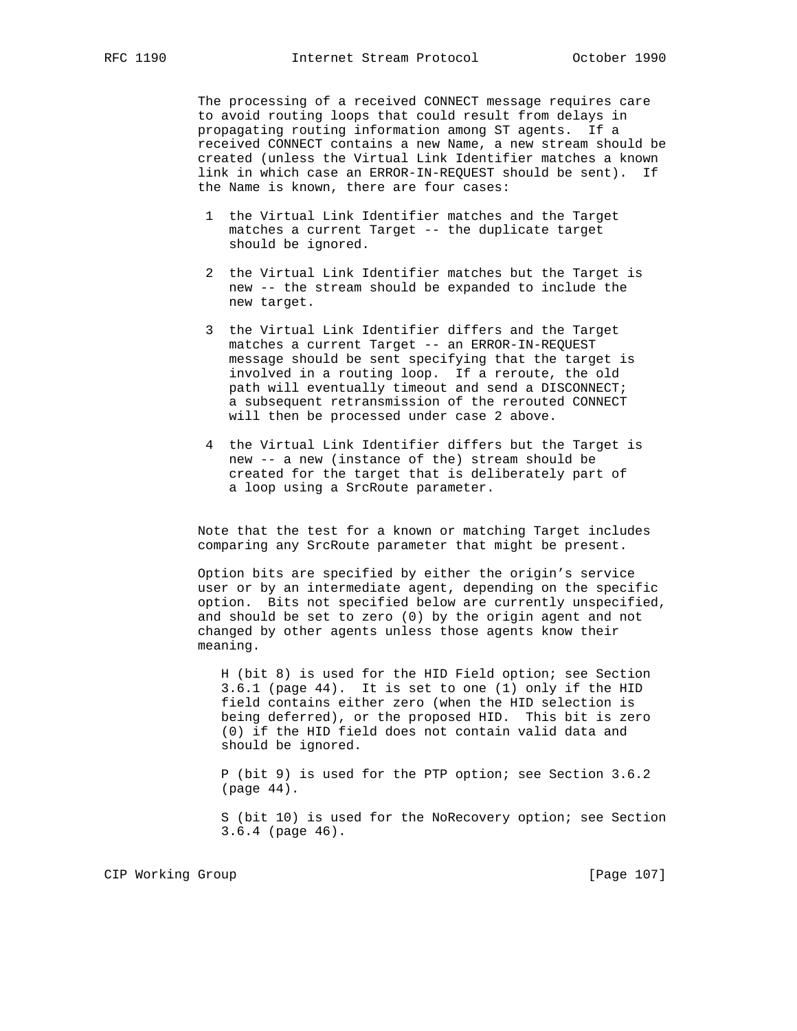The processing of a received CONNECT message requires care to avoid routing loops that could result from delays in propagating routing information among ST agents. If a received CONNECT contains a new Name, a new stream should be created (unless the Virtual Link Identifier matches a known link in which case an ERROR-IN-REQUEST should be sent). If the Name is known, there are four cases:

- 1 the Virtual Link Identifier matches and the Target matches a current Target -- the duplicate target should be ignored.
- 2 the Virtual Link Identifier matches but the Target is new -- the stream should be expanded to include the new target.
- 3 the Virtual Link Identifier differs and the Target matches a current Target -- an ERROR-IN-REQUEST message should be sent specifying that the target is involved in a routing loop. If a reroute, the old path will eventually timeout and send a DISCONNECT; a subsequent retransmission of the rerouted CONNECT will then be processed under case 2 above.
- 4 the Virtual Link Identifier differs but the Target is new -- a new (instance of the) stream should be created for the target that is deliberately part of a loop using a SrcRoute parameter.

 Note that the test for a known or matching Target includes comparing any SrcRoute parameter that might be present.

 Option bits are specified by either the origin's service user or by an intermediate agent, depending on the specific option. Bits not specified below are currently unspecified, and should be set to zero (0) by the origin agent and not changed by other agents unless those agents know their meaning.

 H (bit 8) is used for the HID Field option; see Section 3.6.1 (page 44). It is set to one (1) only if the HID field contains either zero (when the HID selection is being deferred), or the proposed HID. This bit is zero (0) if the HID field does not contain valid data and should be ignored.

 P (bit 9) is used for the PTP option; see Section 3.6.2 (page 44).

 S (bit 10) is used for the NoRecovery option; see Section 3.6.4 (page 46).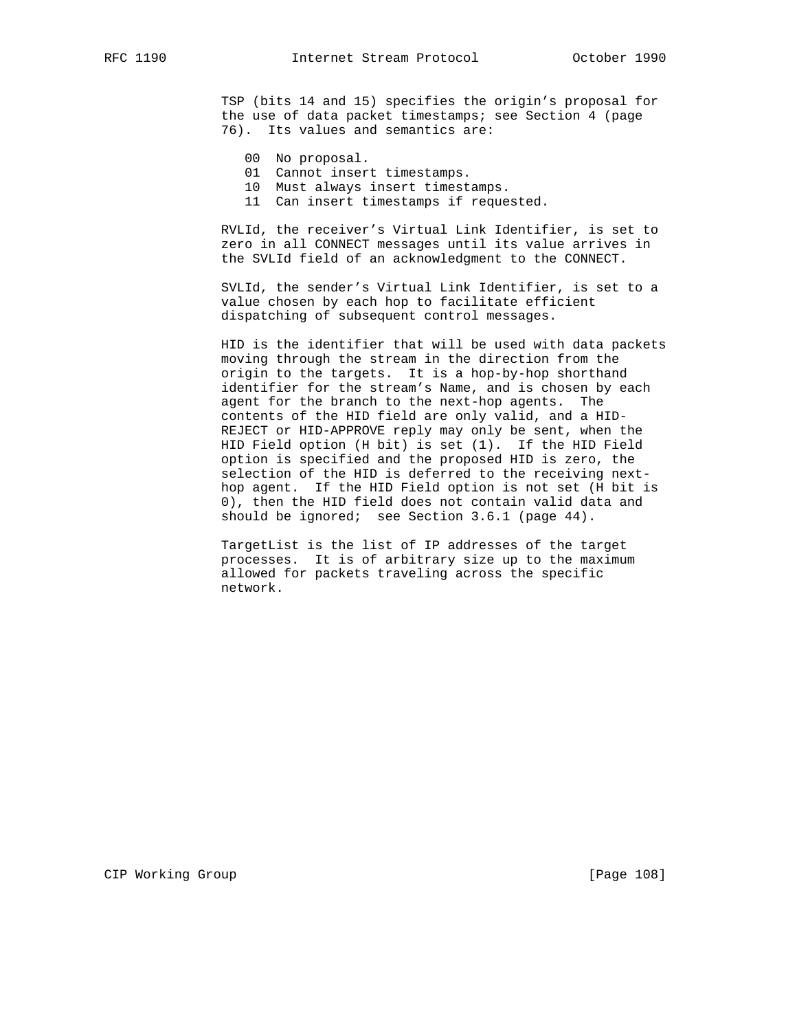TSP (bits 14 and 15) specifies the origin's proposal for the use of data packet timestamps; see Section 4 (page 76). Its values and semantics are:

- 00 No proposal.
- 01 Cannot insert timestamps.
- 10 Must always insert timestamps.
- 11 Can insert timestamps if requested.

 RVLId, the receiver's Virtual Link Identifier, is set to zero in all CONNECT messages until its value arrives in the SVLId field of an acknowledgment to the CONNECT.

 SVLId, the sender's Virtual Link Identifier, is set to a value chosen by each hop to facilitate efficient dispatching of subsequent control messages.

 HID is the identifier that will be used with data packets moving through the stream in the direction from the origin to the targets. It is a hop-by-hop shorthand identifier for the stream's Name, and is chosen by each agent for the branch to the next-hop agents. The contents of the HID field are only valid, and a HID- REJECT or HID-APPROVE reply may only be sent, when the HID Field option (H bit) is set (1). If the HID Field option is specified and the proposed HID is zero, the selection of the HID is deferred to the receiving next hop agent. If the HID Field option is not set (H bit is 0), then the HID field does not contain valid data and should be ignored; see Section 3.6.1 (page 44).

 TargetList is the list of IP addresses of the target processes. It is of arbitrary size up to the maximum allowed for packets traveling across the specific network.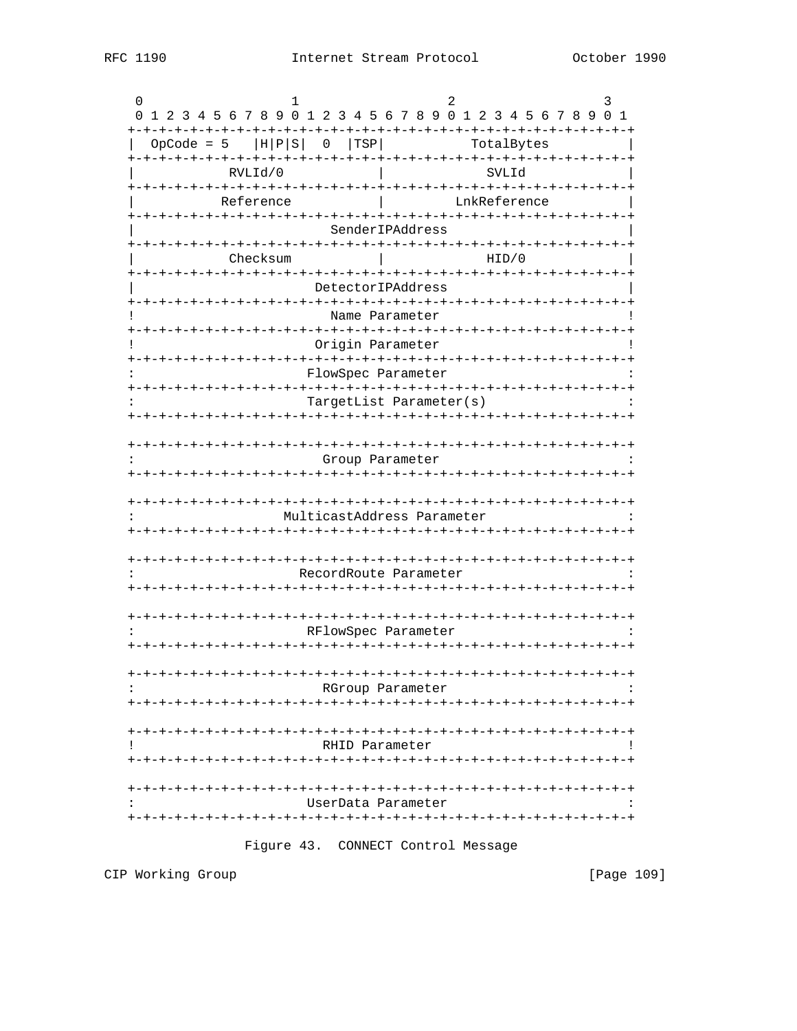| 0<br>0 | 1 2 3 4 5 6 7 8 9 0 1 2 3 4 5 6 7 8 9 0 1 2 3 4 5 6 7 8 9 0 1 |  |           |  |  |                                                  |                 |  |  |        |                       |  |            |  |                          |  | 3 |  |
|--------|---------------------------------------------------------------|--|-----------|--|--|--------------------------------------------------|-----------------|--|--|--------|-----------------------|--|------------|--|--------------------------|--|---|--|
|        | OpCode = 5 $ H P S $ 0  TSP                                   |  |           |  |  |                                                  |                 |  |  |        |                       |  | TotalBytes |  |                          |  |   |  |
|        |                                                               |  | RVLId/0   |  |  |                                                  |                 |  |  |        |                       |  | SVLId      |  |                          |  |   |  |
|        |                                                               |  | Reference |  |  |                                                  |                 |  |  |        | LnkReference          |  |            |  |                          |  |   |  |
|        |                                                               |  |           |  |  |                                                  | SenderIPAddress |  |  |        |                       |  |            |  |                          |  |   |  |
|        |                                                               |  | Checksum  |  |  |                                                  |                 |  |  |        |                       |  | HID/0      |  |                          |  |   |  |
|        |                                                               |  |           |  |  | DetectorIPAddress                                |                 |  |  |        |                       |  |            |  |                          |  |   |  |
|        |                                                               |  |           |  |  |                                                  | Name Parameter  |  |  |        |                       |  |            |  |                          |  |   |  |
|        |                                                               |  |           |  |  | -+-+-+-+-+-+-+-+-+-+-+-+-+-+<br>Origin Parameter |                 |  |  |        |                       |  |            |  |                          |  |   |  |
|        |                                                               |  |           |  |  | FlowSpec Parameter                               |                 |  |  |        |                       |  |            |  |                          |  |   |  |
|        |                                                               |  |           |  |  | -+-+-+-+-+-+-+-+-+-+-+-+-+-+-+-+-                |                 |  |  |        |                       |  |            |  |                          |  |   |  |
|        |                                                               |  |           |  |  | TargetList Parameter(s)<br>+-+-+-+-+-+-+-+       |                 |  |  |        |                       |  |            |  |                          |  |   |  |
|        |                                                               |  |           |  |  |                                                  |                 |  |  |        |                       |  |            |  |                          |  |   |  |
|        |                                                               |  |           |  |  | Group Parameter<br>-+-+-+-+-+-+-+-+-+-+-+-+      |                 |  |  |        |                       |  |            |  |                          |  |   |  |
|        |                                                               |  |           |  |  | ーナーナーナーナーナーナ                                     |                 |  |  |        |                       |  |            |  | -+-+-+-+-+-+-+-+-+-+-+-+ |  |   |  |
|        |                                                               |  |           |  |  | MulticastAddress Parameter                       |                 |  |  |        |                       |  |            |  |                          |  |   |  |
|        |                                                               |  |           |  |  |                                                  |                 |  |  |        | <b>-+-+-+-+-+-+-+</b> |  |            |  |                          |  |   |  |
|        |                                                               |  |           |  |  | RecordRoute Parameter<br><b>-+-+-+-+-+</b>       |                 |  |  | ーナーナーナ |                       |  |            |  |                          |  |   |  |
|        |                                                               |  |           |  |  |                                                  |                 |  |  |        |                       |  |            |  |                          |  |   |  |
|        |                                                               |  |           |  |  | RFlowSpec Parameter                              |                 |  |  |        |                       |  |            |  |                          |  |   |  |
|        |                                                               |  |           |  |  |                                                  |                 |  |  |        |                       |  |            |  |                          |  |   |  |
|        |                                                               |  |           |  |  | RGroup Parameter                                 |                 |  |  |        |                       |  |            |  |                          |  |   |  |
|        |                                                               |  |           |  |  |                                                  |                 |  |  |        |                       |  |            |  |                          |  |   |  |
|        |                                                               |  |           |  |  | RHID Parameter                                   |                 |  |  |        |                       |  |            |  |                          |  |   |  |
|        |                                                               |  |           |  |  |                                                  |                 |  |  |        |                       |  |            |  |                          |  |   |  |
|        |                                                               |  |           |  |  | UserData Parameter                               |                 |  |  |        |                       |  |            |  |                          |  |   |  |
|        |                                                               |  |           |  |  |                                                  |                 |  |  |        |                       |  |            |  |                          |  |   |  |

Figure 43. CONNECT Control Message

CIP Working Group

[Page 109]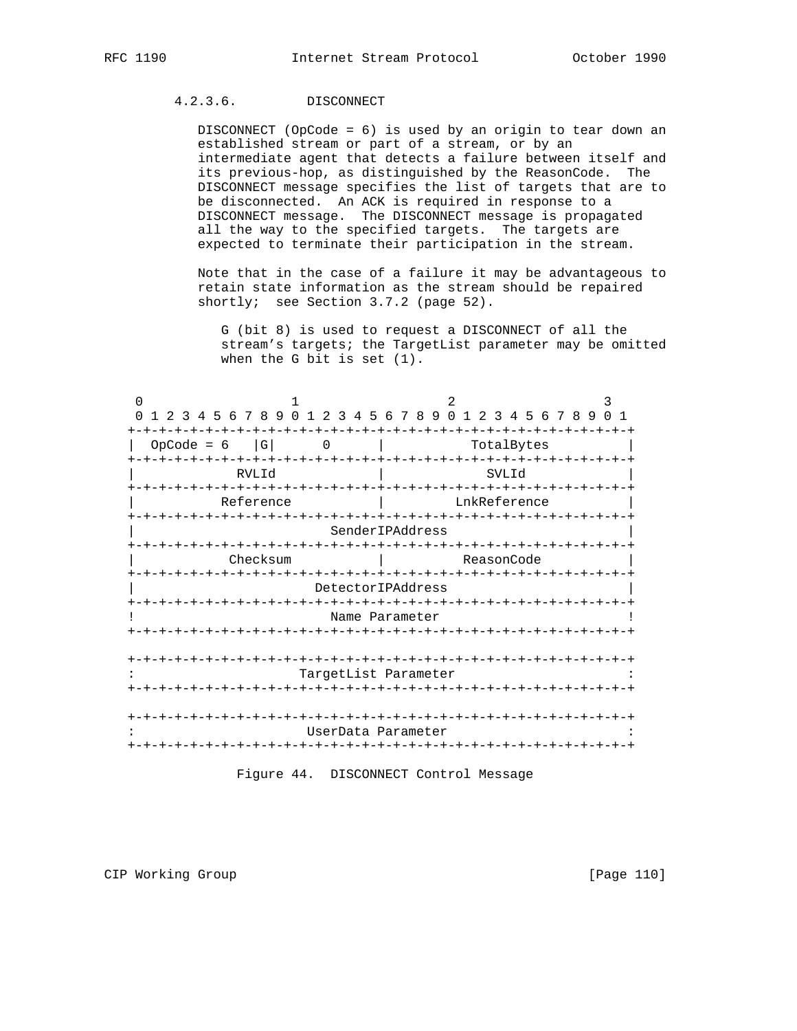# 4.2.3.6. DISCONNECT

 DISCONNECT (OpCode = 6) is used by an origin to tear down an established stream or part of a stream, or by an intermediate agent that detects a failure between itself and its previous-hop, as distinguished by the ReasonCode. The DISCONNECT message specifies the list of targets that are to be disconnected. An ACK is required in response to a DISCONNECT message. The DISCONNECT message is propagated all the way to the specified targets. The targets are expected to terminate their participation in the stream.

 Note that in the case of a failure it may be advantageous to retain state information as the stream should be repaired shortly; see Section 3.7.2 (page 52).

 G (bit 8) is used to request a DISCONNECT of all the stream's targets; the TargetList parameter may be omitted when the G bit is set (1).

| ∩                                                          |             |          |                      |     |                 | 2        |                               |      |              |     |         | 3      |                |
|------------------------------------------------------------|-------------|----------|----------------------|-----|-----------------|----------|-------------------------------|------|--------------|-----|---------|--------|----------------|
| $\Omega$<br>$\mathcal{L}$<br>$\mathcal{R}$<br>$\mathbf{1}$ | 6789<br>4 5 | $\Omega$ | 2<br>3               | 4 5 | 6 7 8 9         | $\Omega$ | $\mathbf{1}$<br>$\mathcal{L}$ |      | 345          | 678 | 9       | $\cap$ | $\overline{1}$ |
| $OpCode =$                                                 | G<br>-6     |          | 0                    |     |                 |          |                               |      | TotalBytes   |     |         |        |                |
|                                                            |             |          |                      |     |                 |          |                               |      |              |     |         |        | - +            |
|                                                            | RVLId       |          |                      |     |                 |          |                               |      | SVLId        |     |         |        |                |
|                                                            |             |          |                      |     |                 |          |                               | -+-+ |              |     |         |        |                |
|                                                            | Reference   |          |                      |     |                 |          |                               |      | LnkReference |     |         |        |                |
|                                                            |             |          |                      |     | SenderIPAddress |          |                               |      |              |     |         |        |                |
|                                                            | Checksum    |          |                      |     |                 |          |                               |      | ReasonCode   |     |         |        |                |
|                                                            |             |          |                      |     |                 |          |                               | -+-+ |              |     |         |        |                |
|                                                            |             |          | DetectorIPAddress    |     | -+-+            |          |                               |      |              |     |         |        |                |
|                                                            |             |          |                      |     | Name Parameter  |          |                               |      |              |     |         |        |                |
|                                                            |             |          | -+-+-+               |     |                 |          |                               |      |              |     |         |        |                |
|                                                            |             |          |                      |     |                 |          |                               |      |              |     |         |        |                |
|                                                            |             |          | TargetList Parameter |     |                 |          |                               |      |              |     |         |        |                |
|                                                            |             |          |                      |     |                 |          |                               |      |              |     |         |        |                |
|                                                            |             |          |                      |     |                 |          |                               |      |              |     |         |        |                |
|                                                            |             |          | UserData Parameter   |     |                 |          |                               |      |              |     |         |        |                |
|                                                            |             |          |                      |     |                 |          |                               |      |              |     | ーナーナーキー |        |                |

Figure 44. DISCONNECT Control Message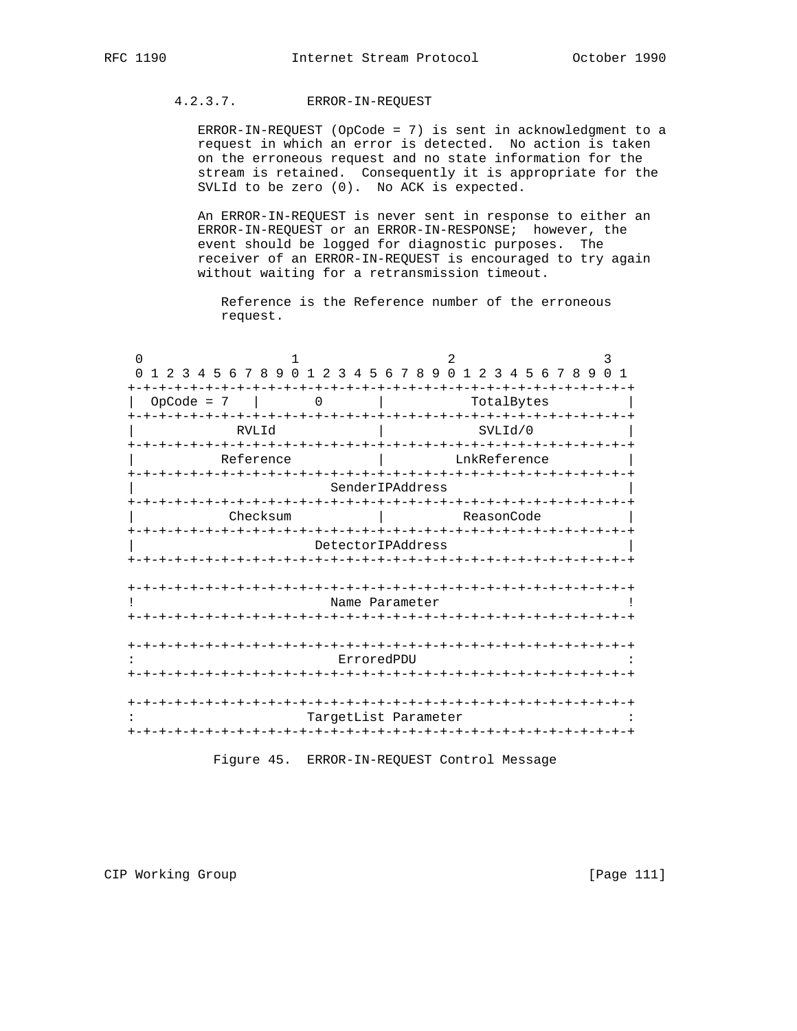# 4.2.3.7. ERROR-IN-REQUEST

 ERROR-IN-REQUEST (OpCode = 7) is sent in acknowledgment to a request in which an error is detected. No action is taken on the erroneous request and no state information for the stream is retained. Consequently it is appropriate for the SVLId to be zero (0). No ACK is expected.

 An ERROR-IN-REQUEST is never sent in response to either an ERROR-IN-REQUEST or an ERROR-IN-RESPONSE; however, the event should be logged for diagnostic purposes. The receiver of an ERROR-IN-REQUEST is encouraged to try again without waiting for a retransmission timeout.

 Reference is the Reference number of the erroneous request.

| O                                                                    |                                                      | 2                                               |                                           | 3                                         |
|----------------------------------------------------------------------|------------------------------------------------------|-------------------------------------------------|-------------------------------------------|-------------------------------------------|
| 78<br>2<br>$\mathcal{E}$<br>4<br>-5<br>6<br>$\Omega$<br>$\mathbf{1}$ | 9<br>$\Omega$<br>$\mathcal{L}$<br>-5<br>3<br>4<br>1. | 789<br>$\Omega$<br>6<br>$\mathbf{1}$            | $\mathcal{L}$<br>$\mathcal{E}$<br>45<br>6 | $\cap$<br>$\overline{1}$<br>7<br>-8<br>-9 |
|                                                                      |                                                      |                                                 |                                           |                                           |
| $OpCode =$<br>-7                                                     | ი                                                    |                                                 | TotalBytes                                |                                           |
| ナーナーナーナーナ<br>-+<br>RVLId                                             |                                                      |                                                 | -+-+-+-+<br>SVLId/0                       | -+-+-+-<br>- +                            |
| -+-+-+-+-+-+<br>Reference                                            |                                                      |                                                 | -+-+-+-<br>LnkReference                   |                                           |
| -+-+-+-+<br>+-+-+-+                                                  |                                                      | -+-+-+-+-+-+-+-+-+-+<br>$-+$<br>SenderIPAddress | $- + - + - + - +$                         | - +                                       |
| Checksum                                                             |                                                      |                                                 | ReasonCode                                |                                           |
| $- + - +$                                                            | $- + - +$                                            | DetectorIPAddress                               | -+-+-                                     |                                           |
|                                                                      |                                                      |                                                 |                                           |                                           |
|                                                                      |                                                      |                                                 |                                           |                                           |
|                                                                      |                                                      | Name Parameter                                  |                                           |                                           |
|                                                                      |                                                      |                                                 |                                           |                                           |
|                                                                      |                                                      |                                                 |                                           |                                           |
|                                                                      | ErroredPDU                                           |                                                 |                                           |                                           |
|                                                                      |                                                      |                                                 |                                           |                                           |
|                                                                      |                                                      |                                                 |                                           |                                           |
|                                                                      |                                                      | TargetList Parameter                            |                                           |                                           |
|                                                                      |                                                      |                                                 |                                           |                                           |

Figure 45. ERROR-IN-REQUEST Control Message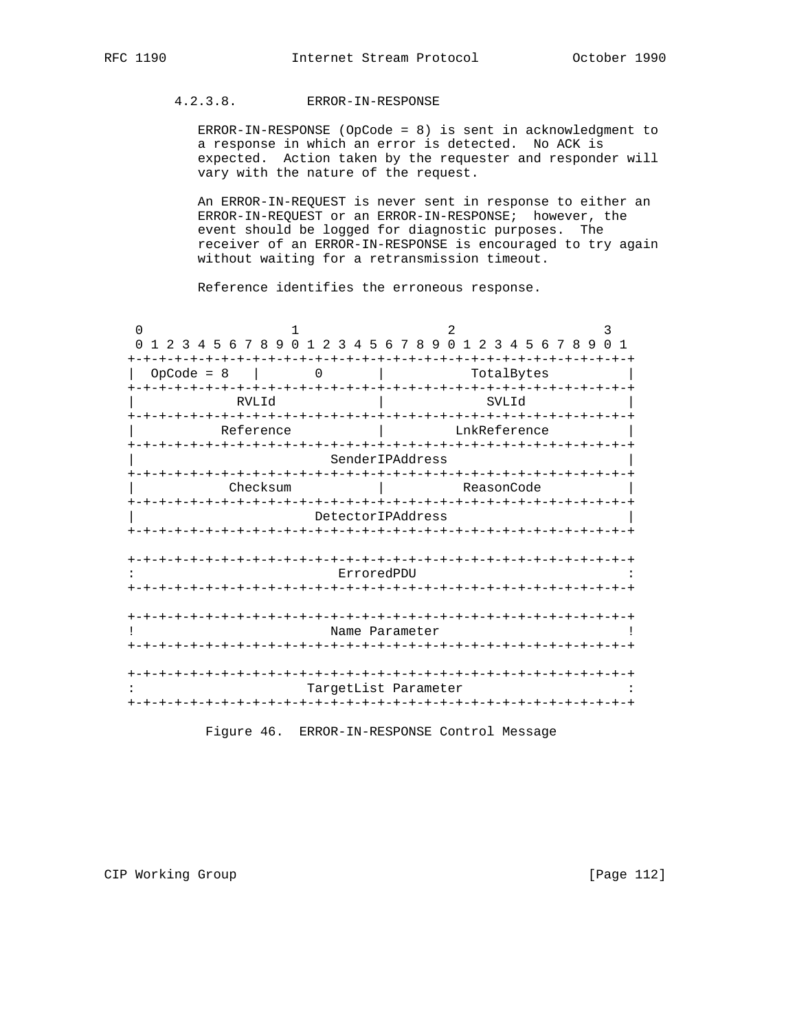# 4.2.3.8. ERROR-IN-RESPONSE

 ERROR-IN-RESPONSE (OpCode = 8) is sent in acknowledgment to a response in which an error is detected. No ACK is expected. Action taken by the requester and responder will vary with the nature of the request.

 An ERROR-IN-REQUEST is never sent in response to either an ERROR-IN-REQUEST or an ERROR-IN-RESPONSE; however, the event should be logged for diagnostic purposes. The receiver of an ERROR-IN-RESPONSE is encouraged to try again without waiting for a retransmission timeout.

Reference identifies the erroneous response.

| O                        |                          |               |     |           |     |       |                 |          |    |                      |               |        |    |                                |  |          |                |                                  |               |                  |           |     | 3      |                |  |
|--------------------------|--------------------------|---------------|-----|-----------|-----|-------|-----------------|----------|----|----------------------|---------------|--------|----|--------------------------------|--|----------|----------------|----------------------------------|---------------|------------------|-----------|-----|--------|----------------|--|
| $\Omega$<br>$\mathbf{1}$ | $\mathcal{L}$            | $\mathcal{R}$ | 4 5 | 6         |     |       | 789             | $\Omega$ | 1. | $\mathcal{L}$        | $\mathcal{R}$ | 4      | -5 | 6 7 8 9                        |  | $\Omega$ | $\overline{1}$ | 2                                | $\mathcal{R}$ | 4 5              | 6         | 789 | $\cap$ | $\overline{1}$ |  |
|                          | $OpCode =$<br>・ナーナーナーナーナ |               |     | -8<br>- + | - + |       |                 |          |    | U<br>-+-+-           |               |        |    |                                |  |          |                | TotalBytes<br>-+-+-+-+-+-+-+-+-+ |               |                  |           |     |        |                |  |
|                          |                          |               |     |           |     | RVLId |                 |          |    |                      |               |        |    |                                |  |          |                |                                  | SVLId         |                  |           |     |        |                |  |
|                          |                          |               |     |           |     |       | Reference       |          |    | -+-+-+-+-+-+-+-+-+-+ |               |        |    | -+-+-+-+-+-+-+                 |  |          |                | -+-+-+-+-+-+<br>LnkReference     |               |                  |           |     |        |                |  |
| $\,{}^+$                 |                          |               |     |           |     |       | -+-+-+-+        |          |    |                      |               |        |    | $+ - + - +$<br>SenderIPAddress |  |          |                |                                  |               |                  |           |     |        |                |  |
|                          |                          |               |     |           |     |       | Checksum        |          |    |                      |               |        |    | $-+ - + - + - +$               |  |          |                | ReasonCode                       |               |                  |           |     |        |                |  |
|                          |                          |               |     |           |     |       | $+ - + - + - +$ |          |    | DetectorIPAddress    |               |        |    |                                |  |          |                |                                  |               | $-+ - + - + - +$ |           |     |        |                |  |
|                          |                          |               |     |           |     |       |                 |          |    |                      |               | -+-+-+ |    |                                |  |          |                |                                  |               |                  |           |     |        |                |  |
|                          |                          |               |     |           |     |       |                 |          |    |                      |               |        |    | ErroredPDU                     |  |          |                |                                  |               |                  |           |     |        |                |  |
|                          |                          |               |     |           |     |       |                 |          |    |                      |               |        |    |                                |  |          |                |                                  |               |                  |           |     |        |                |  |
|                          |                          |               |     |           |     |       |                 |          |    |                      |               |        |    | Name Parameter                 |  |          |                |                                  |               |                  |           |     |        |                |  |
|                          |                          |               |     |           |     |       |                 |          |    |                      |               |        |    |                                |  |          |                |                                  |               |                  |           |     |        |                |  |
|                          |                          |               |     |           |     |       |                 |          |    | TargetList Parameter |               |        |    |                                |  |          |                |                                  |               |                  |           |     |        |                |  |
| $+ - + - +$              |                          |               |     |           |     |       |                 |          |    | - + - + - + - +      |               |        |    | ーナーナーナーナ                       |  |          |                |                                  |               |                  | キーキーキーキーキ |     |        | $-+$           |  |

Figure 46. ERROR-IN-RESPONSE Control Message

CIP Working Group **compared to the CIP CIP Working Group compared to the CIP**  $[Page 112]$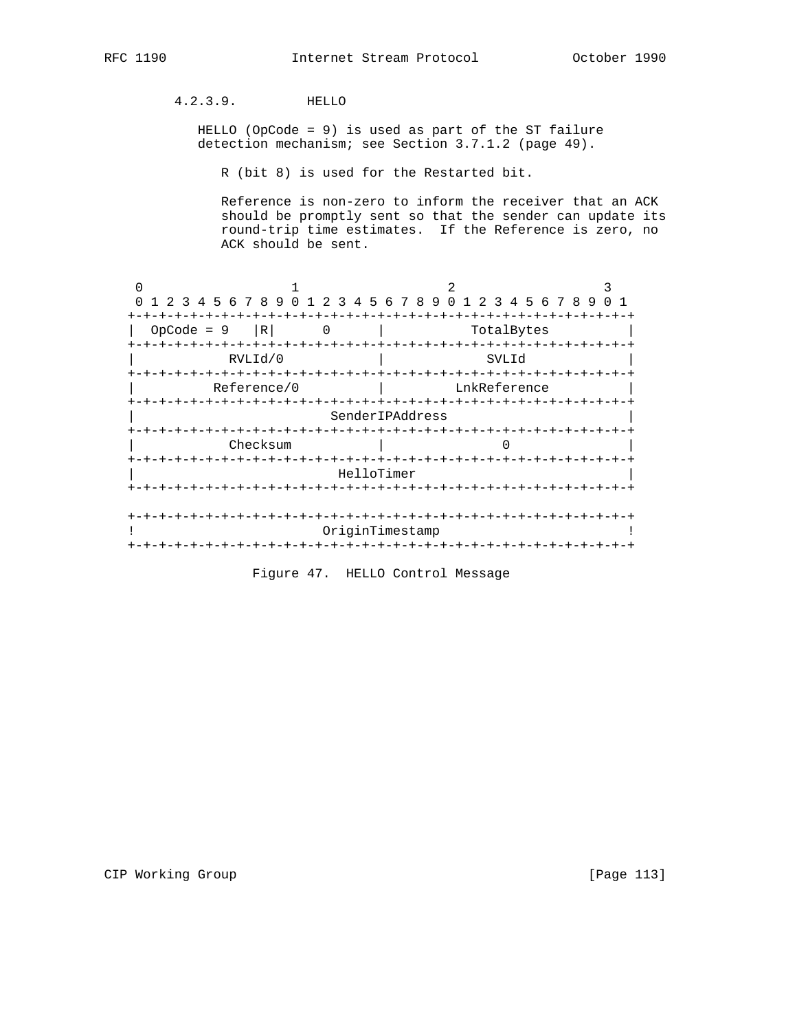4.2.3.9. HELLO

 HELLO (OpCode = 9) is used as part of the ST failure detection mechanism; see Section 3.7.1.2 (page 49).

R (bit 8) is used for the Restarted bit.

 Reference is non-zero to inform the receiver that an ACK should be promptly sent so that the sender can update its round-trip time estimates. If the Reference is zero, no ACK should be sent.

| $\Omega$      |                              | 1 2 3 4 5 6 7 8 9 0 1 2 3 4 5 6 7 8 9 0 1 2 3 4 5 6 7 8 9 | 0 1 |
|---------------|------------------------------|-----------------------------------------------------------|-----|
| +-+-+-+-+-+-+ | $-+ - + - +$<br>$-+$<br>$-+$ | $+ - + - + - + - + - +$<br>-+-+-+-+-+-+-+                 |     |
| $OpCode = 9$  | R<br>0                       | TotalBytes                                                |     |
|               | -+-+-+-+-+-+-+               | -+-+-+-+-+-+-+-+-+-+-+-+-+-+-+-+-+-+                      |     |
|               | RVLId/0                      | SVLId                                                     |     |
|               | $- + - + - + - +$            | $-+ - + - + - +$<br>$-+ - + - + - + - + - +$              |     |
|               | Reference/0                  | LnkReference                                              |     |
|               |                              |                                                           |     |
|               |                              | SenderIPAddress                                           |     |
|               |                              |                                                           |     |
|               | Checksum                     |                                                           |     |
|               |                              |                                                           |     |
|               |                              | HelloTimer                                                |     |
|               |                              |                                                           |     |
|               |                              |                                                           |     |
|               | $-+ - + - +$                 |                                                           |     |
|               |                              | OriginTimestamp                                           |     |
|               |                              | -+-+-+-+                                                  |     |

Figure 47. HELLO Control Message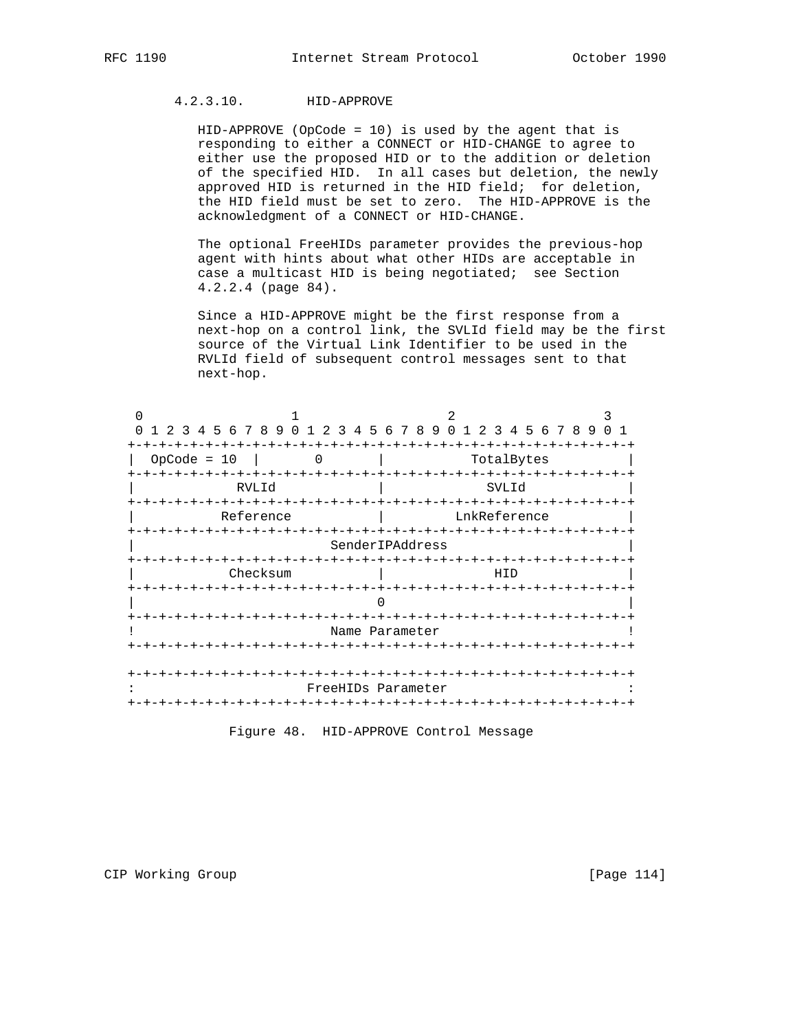# 4.2.3.10. HID-APPROVE

 HID-APPROVE (OpCode = 10) is used by the agent that is responding to either a CONNECT or HID-CHANGE to agree to either use the proposed HID or to the addition or deletion of the specified HID. In all cases but deletion, the newly approved HID is returned in the HID field; for deletion, the HID field must be set to zero. The HID-APPROVE is the acknowledgment of a CONNECT or HID-CHANGE.

 The optional FreeHIDs parameter provides the previous-hop agent with hints about what other HIDs are acceptable in case a multicast HID is being negotiated; see Section 4.2.2.4 (page 84).

 Since a HID-APPROVE might be the first response from a next-hop on a control link, the SVLId field may be the first source of the Virtual Link Identifier to be used in the RVLId field of subsequent control messages sent to that next-hop.

|                                 |                    |                |                    | 2                 |                 |                    |
|---------------------------------|--------------------|----------------|--------------------|-------------------|-----------------|--------------------|
| $\Omega$<br>2 3<br>$\mathbf{1}$ | 4 5 6 7 8 9        | $\Omega$<br>-1 | 2 3 4 5 6 7 8 9    | $\Omega$<br>-1    | 2 3 4 5 6 7 8 9 | -1<br><sup>n</sup> |
| $OpCode =$                      | 10                 | U              |                    | TotalBytes        |                 |                    |
|                                 | RVLId<br>$- + - +$ |                |                    | SVLId<br>-+-+-+-+ |                 |                    |
|                                 | Reference          |                |                    | LnkReference      |                 |                    |
|                                 |                    |                | SenderIPAddress    |                   |                 |                    |
|                                 |                    |                | -+-+-+-+           |                   |                 |                    |
|                                 | Checksum           |                |                    | HID               |                 |                    |
|                                 |                    |                |                    |                   |                 |                    |
|                                 |                    |                | -+-+-+-+-+-+-+-+   |                   | $+ - + - + -$   |                    |
|                                 |                    |                | Name Parameter     |                   |                 |                    |
|                                 |                    |                |                    |                   |                 |                    |
|                                 |                    |                | $-+ - + - + - +$   |                   |                 |                    |
|                                 |                    |                | FreeHIDs Parameter |                   |                 |                    |
|                                 |                    |                |                    |                   |                 |                    |

Figure 48. HID-APPROVE Control Message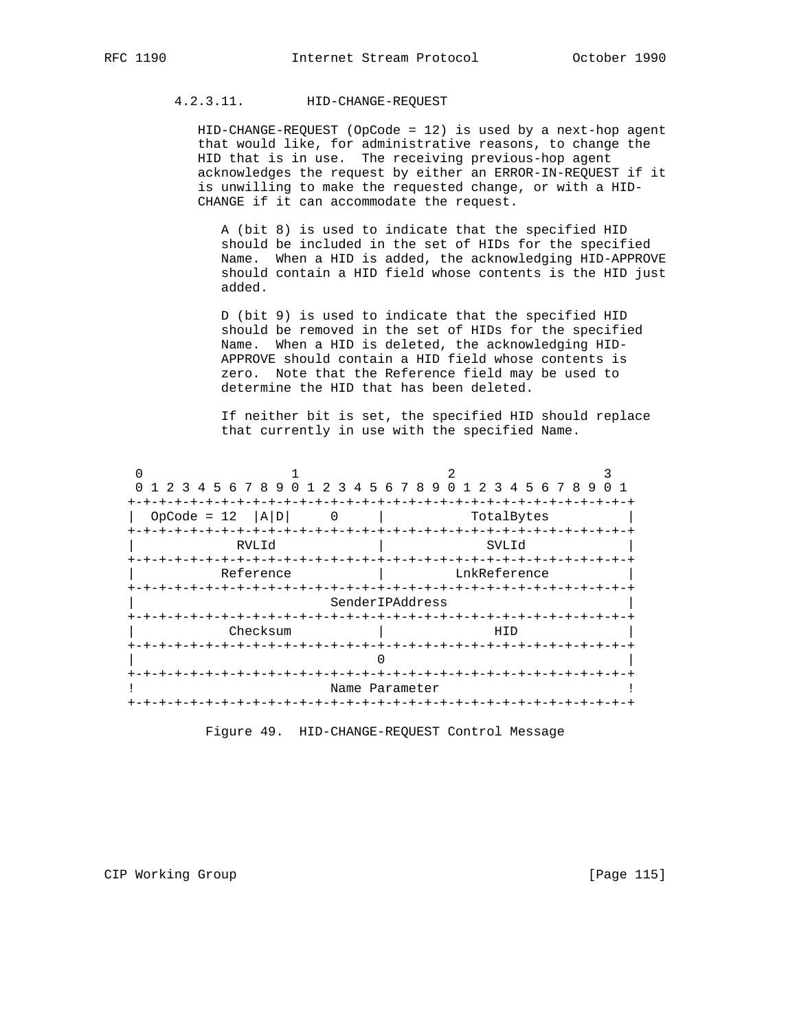# 4.2.3.11. HID-CHANGE-REQUEST

 HID-CHANGE-REQUEST (OpCode = 12) is used by a next-hop agent that would like, for administrative reasons, to change the HID that is in use. The receiving previous-hop agent acknowledges the request by either an ERROR-IN-REQUEST if it is unwilling to make the requested change, or with a HID- CHANGE if it can accommodate the request.

 A (bit 8) is used to indicate that the specified HID should be included in the set of HIDs for the specified Name. When a HID is added, the acknowledging HID-APPROVE should contain a HID field whose contents is the HID just added.

 D (bit 9) is used to indicate that the specified HID should be removed in the set of HIDs for the specified Name. When a HID is deleted, the acknowledging HID- APPROVE should contain a HID field whose contents is zero. Note that the Reference field may be used to determine the HID that has been deleted.

 If neither bit is set, the specified HID should replace that currently in use with the specified Name.

| 0 1 2 3 4 5 6 7 8 9 0 1 2 3 4 5 6 7 8 9 0 1 2 3 4 5 6 7 8 9 |                 |                               |  |
|-------------------------------------------------------------|-----------------|-------------------------------|--|
| A D <br>OpCode = $12$                                       |                 | TotalBytes                    |  |
| RVLId<br>-+-+-+-+-+-+-                                      |                 | SVLId<br>-+-+-+-+-+-+-+-+-+-+ |  |
| Reference                                                   |                 | LnkReference                  |  |
|                                                             | SenderIPAddress |                               |  |
| Checksum                                                    |                 | HID                           |  |
|                                                             |                 |                               |  |
|                                                             | Name Parameter  |                               |  |

Figure 49. HID-CHANGE-REQUEST Control Message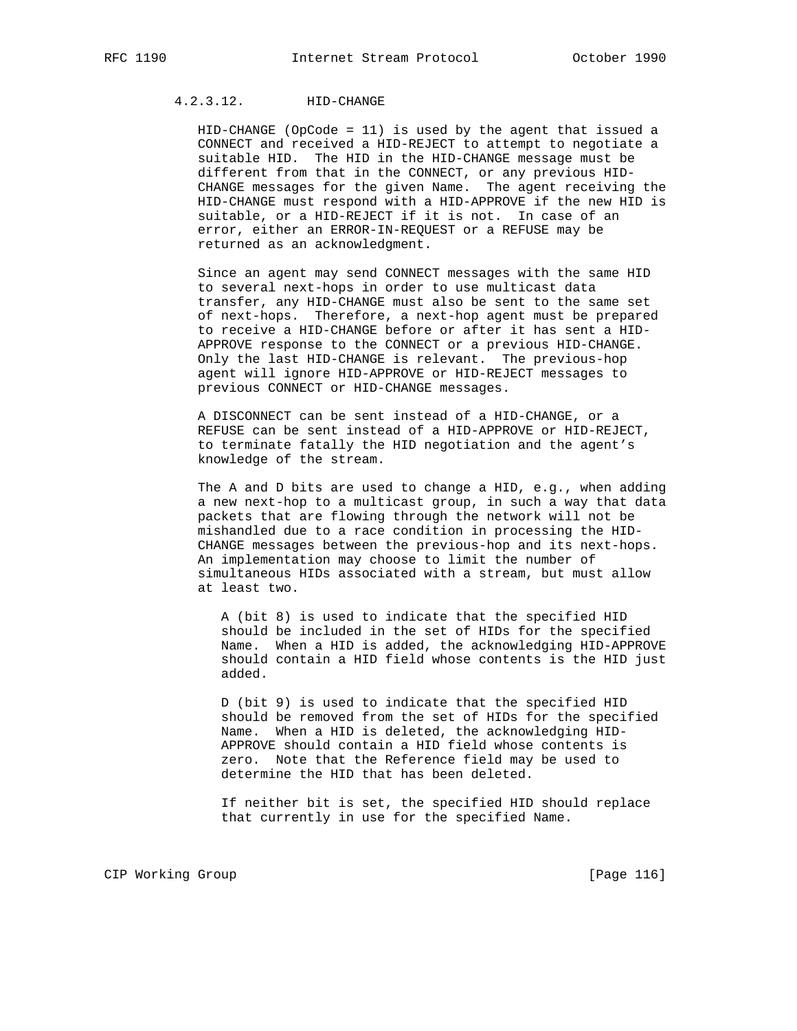# 4.2.3.12. HID-CHANGE

 HID-CHANGE (OpCode = 11) is used by the agent that issued a CONNECT and received a HID-REJECT to attempt to negotiate a suitable HID. The HID in the HID-CHANGE message must be different from that in the CONNECT, or any previous HID- CHANGE messages for the given Name. The agent receiving the HID-CHANGE must respond with a HID-APPROVE if the new HID is suitable, or a HID-REJECT if it is not. In case of an error, either an ERROR-IN-REQUEST or a REFUSE may be returned as an acknowledgment.

 Since an agent may send CONNECT messages with the same HID to several next-hops in order to use multicast data transfer, any HID-CHANGE must also be sent to the same set of next-hops. Therefore, a next-hop agent must be prepared to receive a HID-CHANGE before or after it has sent a HID- APPROVE response to the CONNECT or a previous HID-CHANGE. Only the last HID-CHANGE is relevant. The previous-hop agent will ignore HID-APPROVE or HID-REJECT messages to previous CONNECT or HID-CHANGE messages.

 A DISCONNECT can be sent instead of a HID-CHANGE, or a REFUSE can be sent instead of a HID-APPROVE or HID-REJECT, to terminate fatally the HID negotiation and the agent's knowledge of the stream.

 The A and D bits are used to change a HID, e.g., when adding a new next-hop to a multicast group, in such a way that data packets that are flowing through the network will not be mishandled due to a race condition in processing the HID- CHANGE messages between the previous-hop and its next-hops. An implementation may choose to limit the number of simultaneous HIDs associated with a stream, but must allow at least two.

 A (bit 8) is used to indicate that the specified HID should be included in the set of HIDs for the specified Name. When a HID is added, the acknowledging HID-APPROVE should contain a HID field whose contents is the HID just added.

 D (bit 9) is used to indicate that the specified HID should be removed from the set of HIDs for the specified Name. When a HID is deleted, the acknowledging HID- APPROVE should contain a HID field whose contents is zero. Note that the Reference field may be used to determine the HID that has been deleted.

 If neither bit is set, the specified HID should replace that currently in use for the specified Name.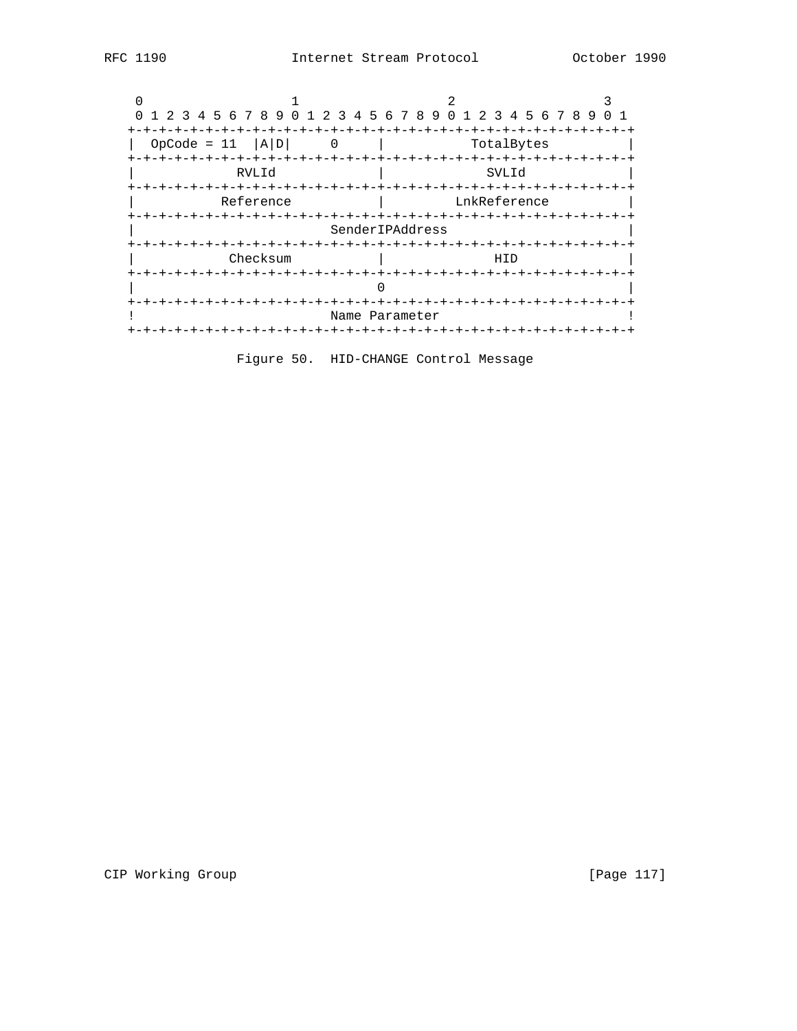| 1 2 3 4 5 6 7 8 9 0 1 2 3 4 5 6 7 8 9 0 1 2 3 4 5 6 7 8 9 |                  |                                 | 0 1 |
|-----------------------------------------------------------|------------------|---------------------------------|-----|
|                                                           |                  |                                 |     |
| OpCode = $11$  A D                                        | $\overline{0}$   | TotalBytes                      |     |
|                                                           |                  |                                 |     |
| RVLId                                                     |                  | SVLId                           |     |
| -+-+-+-+-+-+                                              |                  | -+-+-+-+-+-+-+-+-+-+-+-+-+-+-+- |     |
| Reference                                                 |                  | LnkReference                    |     |
|                                                           |                  |                                 |     |
|                                                           |                  | SenderIPAddress                 |     |
|                                                           |                  |                                 |     |
| Checksum                                                  |                  | HID                             |     |
| $-+ - + - + - + - + - + - +$                              |                  |                                 |     |
|                                                           |                  |                                 |     |
|                                                           |                  |                                 |     |
|                                                           |                  | Name Parameter                  |     |
|                                                           | -+-+-+-+-+-+-+-+ |                                 |     |

Figure 50. HID-CHANGE Control Message

CIP Working Group

[Page 117]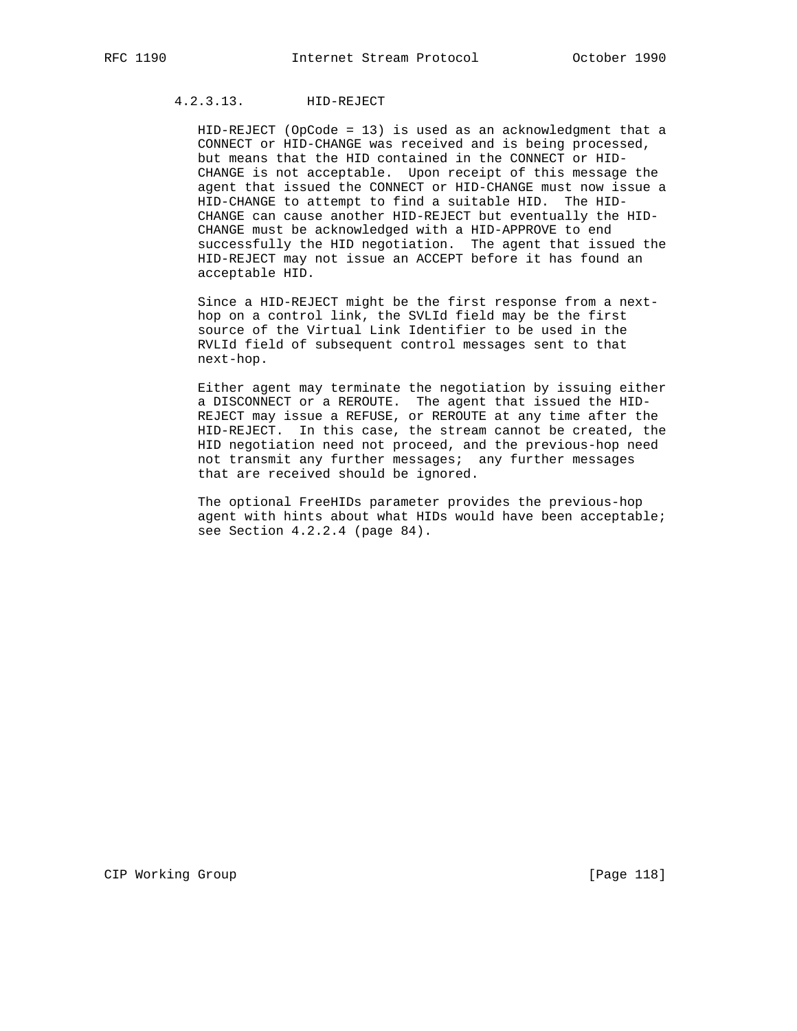# 4.2.3.13. HID-REJECT

 HID-REJECT (OpCode = 13) is used as an acknowledgment that a CONNECT or HID-CHANGE was received and is being processed, but means that the HID contained in the CONNECT or HID- CHANGE is not acceptable. Upon receipt of this message the agent that issued the CONNECT or HID-CHANGE must now issue a HID-CHANGE to attempt to find a suitable HID. The HID- CHANGE can cause another HID-REJECT but eventually the HID- CHANGE must be acknowledged with a HID-APPROVE to end successfully the HID negotiation. The agent that issued the HID-REJECT may not issue an ACCEPT before it has found an acceptable HID.

 Since a HID-REJECT might be the first response from a next hop on a control link, the SVLId field may be the first source of the Virtual Link Identifier to be used in the RVLId field of subsequent control messages sent to that next-hop.

 Either agent may terminate the negotiation by issuing either a DISCONNECT or a REROUTE. The agent that issued the HID- REJECT may issue a REFUSE, or REROUTE at any time after the HID-REJECT. In this case, the stream cannot be created, the HID negotiation need not proceed, and the previous-hop need not transmit any further messages; any further messages that are received should be ignored.

 The optional FreeHIDs parameter provides the previous-hop agent with hints about what HIDs would have been acceptable; see Section 4.2.2.4 (page 84).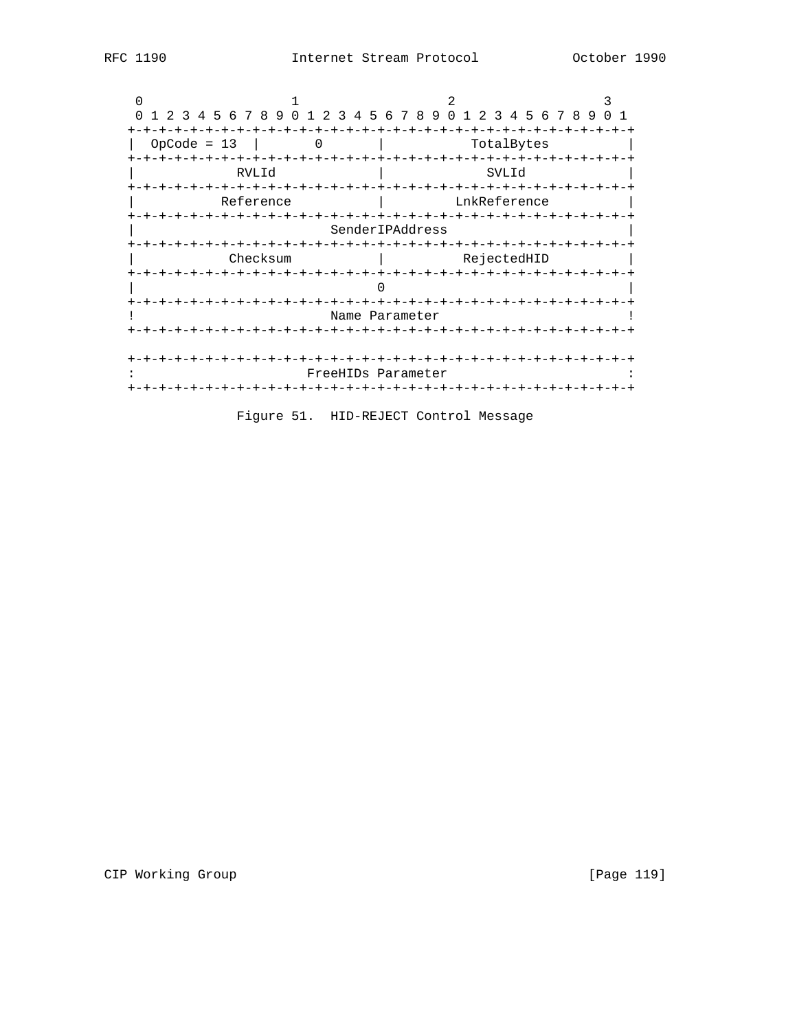| $\Omega$       |                                                           |     |           |                         |   |  |                |  |                                     |  |              |  |  |  | 0 1 |  |
|----------------|-----------------------------------------------------------|-----|-----------|-------------------------|---|--|----------------|--|-------------------------------------|--|--------------|--|--|--|-----|--|
|                | 1 2 3 4 5 6 7 8 9 0 1 2 3 4 5 6 7 8 9 0 1 2 3 4 5 6 7 8 9 |     |           |                         |   |  |                |  |                                     |  |              |  |  |  |     |  |
|                | $OpCode =$                                                | -13 |           |                         | 0 |  |                |  |                                     |  | TotalBytes   |  |  |  |     |  |
| +-+-+-+-+-+-+- |                                                           |     | RVLId     |                         |   |  |                |  |                                     |  | SVLId        |  |  |  |     |  |
|                |                                                           |     | Reference |                         |   |  |                |  |                                     |  | LnkReference |  |  |  |     |  |
|                |                                                           |     |           |                         |   |  |                |  | SenderIPAddress<br>$- + - + - +$    |  |              |  |  |  |     |  |
|                |                                                           |     | Checksum  |                         |   |  |                |  |                                     |  | RejectedHID  |  |  |  |     |  |
|                |                                                           |     |           |                         |   |  |                |  |                                     |  |              |  |  |  |     |  |
|                |                                                           |     |           | $- + - + - + - + - + -$ |   |  | Name Parameter |  |                                     |  |              |  |  |  |     |  |
|                |                                                           |     |           |                         |   |  |                |  |                                     |  |              |  |  |  |     |  |
|                |                                                           |     |           |                         |   |  |                |  | FreeHIDs Parameter<br>$- + - + - +$ |  |              |  |  |  |     |  |
|                |                                                           |     |           |                         |   |  |                |  |                                     |  |              |  |  |  |     |  |

Figure 51. HID-REJECT Control Message

CIP Working Group

[Page 119]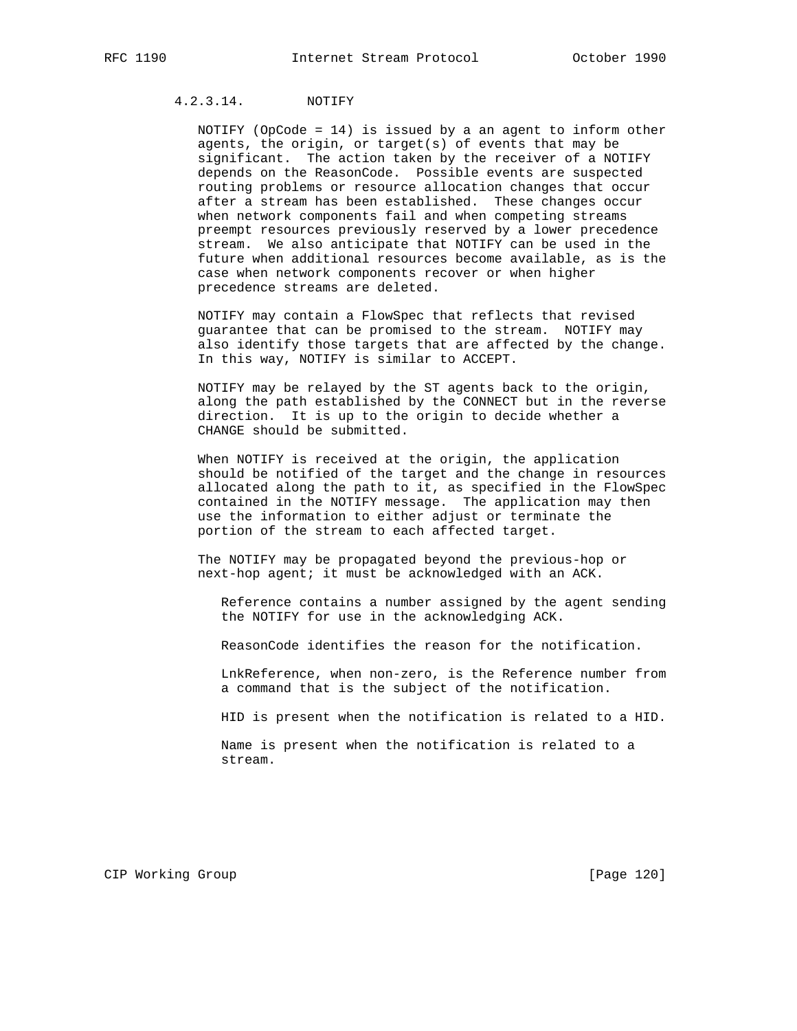# 4.2.3.14. NOTIFY

 NOTIFY (OpCode = 14) is issued by a an agent to inform other agents, the origin, or target(s) of events that may be significant. The action taken by the receiver of a NOTIFY depends on the ReasonCode. Possible events are suspected routing problems or resource allocation changes that occur after a stream has been established. These changes occur when network components fail and when competing streams preempt resources previously reserved by a lower precedence stream. We also anticipate that NOTIFY can be used in the future when additional resources become available, as is the case when network components recover or when higher precedence streams are deleted.

 NOTIFY may contain a FlowSpec that reflects that revised guarantee that can be promised to the stream. NOTIFY may also identify those targets that are affected by the change. In this way, NOTIFY is similar to ACCEPT.

 NOTIFY may be relayed by the ST agents back to the origin, along the path established by the CONNECT but in the reverse direction. It is up to the origin to decide whether a CHANGE should be submitted.

 When NOTIFY is received at the origin, the application should be notified of the target and the change in resources allocated along the path to it, as specified in the FlowSpec contained in the NOTIFY message. The application may then use the information to either adjust or terminate the portion of the stream to each affected target.

 The NOTIFY may be propagated beyond the previous-hop or next-hop agent; it must be acknowledged with an ACK.

 Reference contains a number assigned by the agent sending the NOTIFY for use in the acknowledging ACK.

ReasonCode identifies the reason for the notification.

 LnkReference, when non-zero, is the Reference number from a command that is the subject of the notification.

HID is present when the notification is related to a HID.

 Name is present when the notification is related to a stream.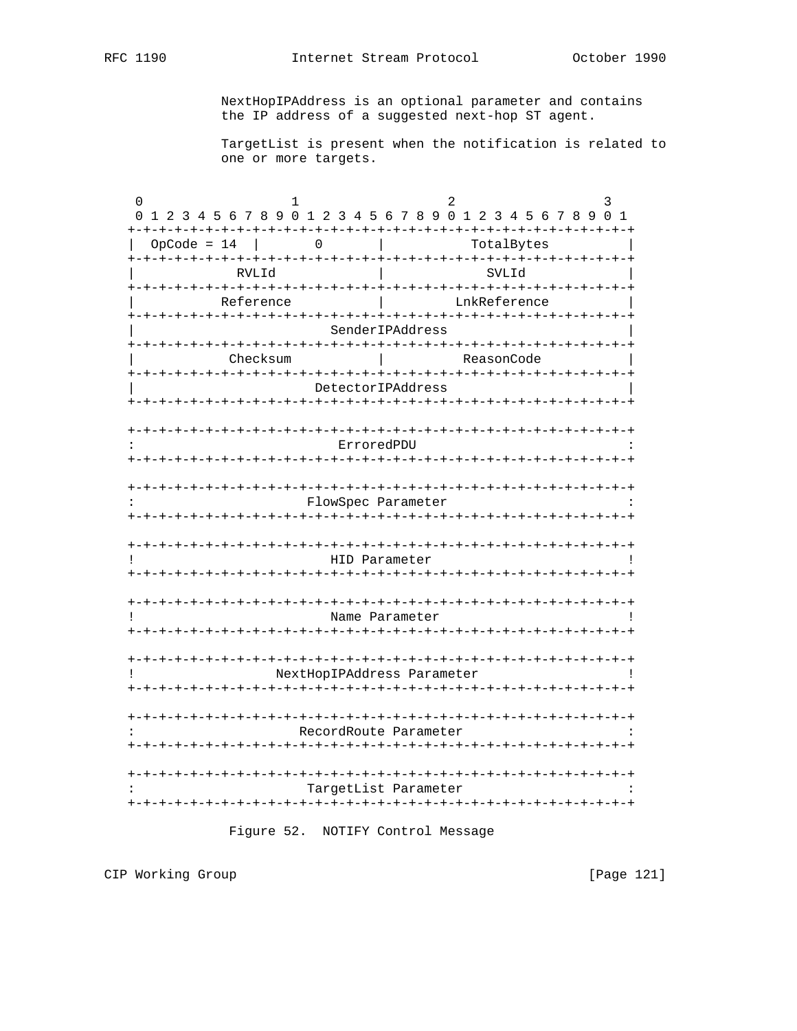NextHopIPAddress is an optional parameter and contains the IP address of a suggested next-hop ST agent.

TargetList is present when the notification is related to one or more targets.

 $\overline{a}$  $\overline{0}$  $\mathbf{1}$ 3 0 1 2 3 4 5 6 7 8 9 0 1 2 3 4 5 6 7 8 9 0 1 2 3 4 5 6 7 8 9 0 1  $OpCode = 14$  | 0 TotalBytes RVLId SVLId Reference  $\mathbb{R}^n$ LnkReference SenderIPAddress ReasonCode Checksum  $+-+$ DetectorIPAddress  $\mathbf{r}$ ErroredPDU  $\cdot$ :  $\mathbf{E}$ FlowSpec Parameter  $\cdot$ :  $\mathbf{L}$ HID Parameter  $\blacksquare$  $\mathbf{I}$ Name Parameter  $\mathbf{I}$ NextHopIPAddress Parameter  $\mathbf{I}$  $\mathbf{I}$ RecordRoute Parameter  $\cdot$ TargetList Parameter  $\bullet$ 

Figure 52. NOTIFY Control Message

CIP Working Group

[Page 121]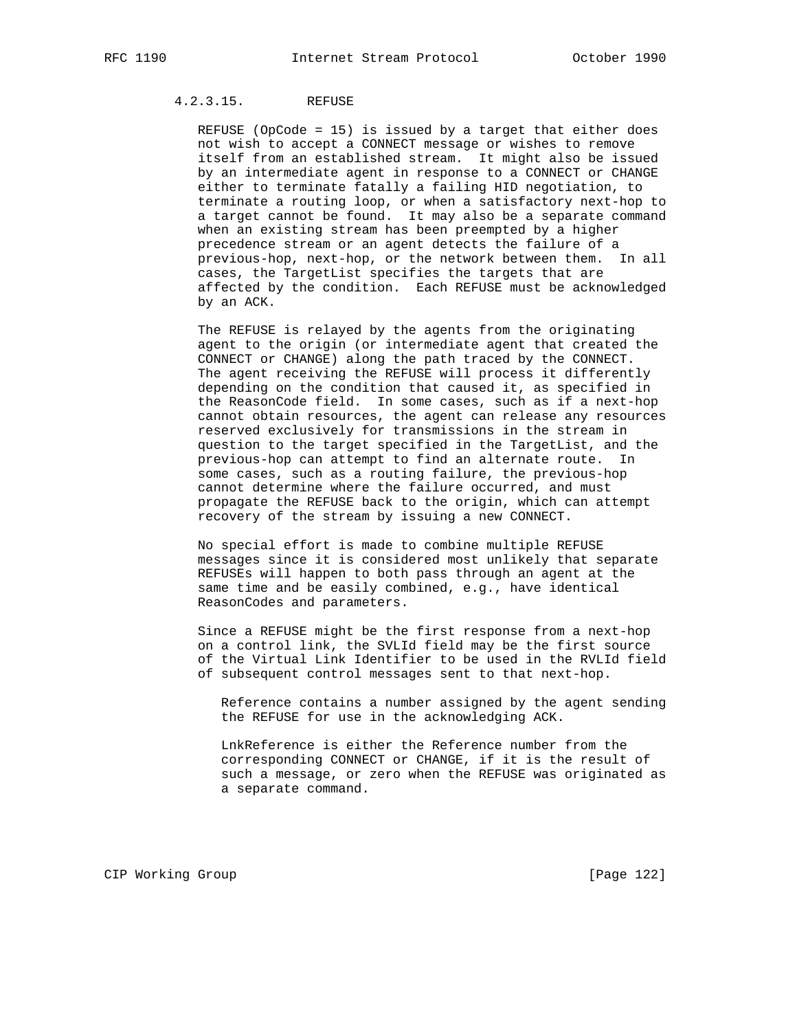# 4.2.3.15. REFUSE

 REFUSE (OpCode = 15) is issued by a target that either does not wish to accept a CONNECT message or wishes to remove itself from an established stream. It might also be issued by an intermediate agent in response to a CONNECT or CHANGE either to terminate fatally a failing HID negotiation, to terminate a routing loop, or when a satisfactory next-hop to a target cannot be found. It may also be a separate command when an existing stream has been preempted by a higher precedence stream or an agent detects the failure of a previous-hop, next-hop, or the network between them. In all cases, the TargetList specifies the targets that are affected by the condition. Each REFUSE must be acknowledged by an ACK.

 The REFUSE is relayed by the agents from the originating agent to the origin (or intermediate agent that created the CONNECT or CHANGE) along the path traced by the CONNECT. The agent receiving the REFUSE will process it differently depending on the condition that caused it, as specified in the ReasonCode field. In some cases, such as if a next-hop cannot obtain resources, the agent can release any resources reserved exclusively for transmissions in the stream in question to the target specified in the TargetList, and the previous-hop can attempt to find an alternate route. In some cases, such as a routing failure, the previous-hop cannot determine where the failure occurred, and must propagate the REFUSE back to the origin, which can attempt recovery of the stream by issuing a new CONNECT.

 No special effort is made to combine multiple REFUSE messages since it is considered most unlikely that separate REFUSEs will happen to both pass through an agent at the same time and be easily combined, e.g., have identical ReasonCodes and parameters.

 Since a REFUSE might be the first response from a next-hop on a control link, the SVLId field may be the first source of the Virtual Link Identifier to be used in the RVLId field of subsequent control messages sent to that next-hop.

 Reference contains a number assigned by the agent sending the REFUSE for use in the acknowledging ACK.

 LnkReference is either the Reference number from the corresponding CONNECT or CHANGE, if it is the result of such a message, or zero when the REFUSE was originated as a separate command.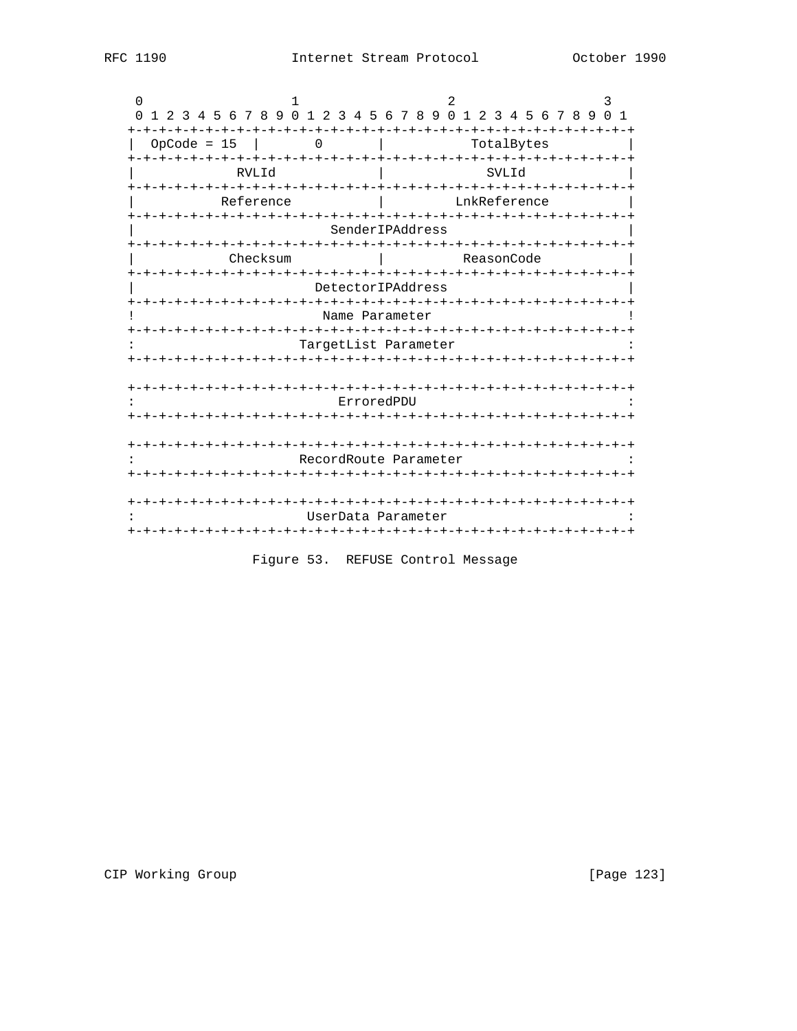| 1 2 3 4 5 6 7 8 9 0 1 2 3 4 5 6 7 8 9 0 1 2 3 4 5 6 7 8 9<br>$\Omega$                        | <sup>n</sup><br>-1                                                  |
|----------------------------------------------------------------------------------------------|---------------------------------------------------------------------|
| -+-+-+-+-+-+-+-+-+-+-+-+-+-+-+-<br>OpCode = $15$<br>0<br>+-+-+-+-+-+-+-+-+<br>-+-+-+-+-+-+-+ | -+-+-+-+-+-+-+<br>TotalBytes<br>-+-+-+-+-+-+-+-+-+-+-+-+-+-+-+-+-+- |
| RVLId                                                                                        | SVLId                                                               |
| Reference<br>-+-+-+-+-+-+-+                                                                  | LnkReference<br>+-+-+-+-+-+-+-+-+                                   |
|                                                                                              | SenderIPAddress<br>$-+ - + - + - +$<br>-+-+-+-+-+-+-+-+-+-+         |
| Checksum                                                                                     | ReasonCode                                                          |
| DetectorIPAddress                                                                            |                                                                     |
| Name Parameter                                                                               |                                                                     |
| TargetList Parameter<br><b>+-+-+-+-+-+</b>                                                   | -+-+-+-+-+                                                          |
| -+-+-+<br>ErroredPDU                                                                         | -+-+-+-+<br>-+-+-+-+                                                |
| RecordRoute Parameter                                                                        |                                                                     |
| UserData Parameter                                                                           |                                                                     |

Figure 53. REFUSE Control Message

CIP Working Group

[Page 123]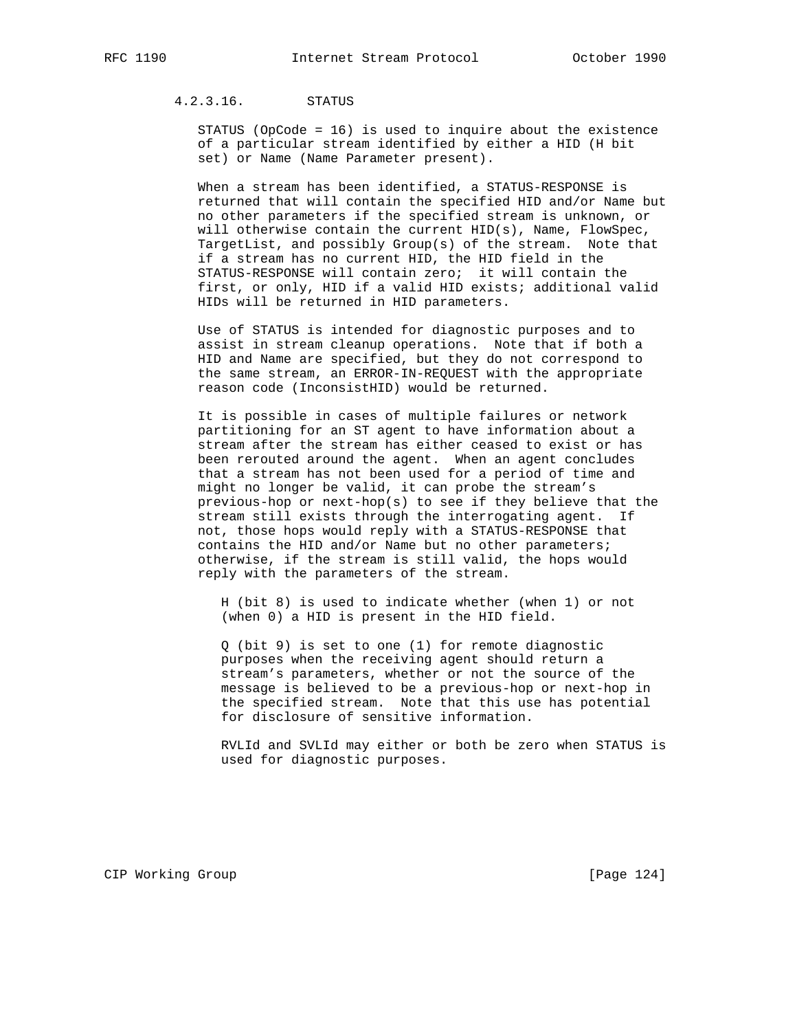# 4.2.3.16. STATUS

 STATUS (OpCode = 16) is used to inquire about the existence of a particular stream identified by either a HID (H bit set) or Name (Name Parameter present).

 When a stream has been identified, a STATUS-RESPONSE is returned that will contain the specified HID and/or Name but no other parameters if the specified stream is unknown, or will otherwise contain the current HID(s), Name, FlowSpec, TargetList, and possibly Group(s) of the stream. Note that if a stream has no current HID, the HID field in the STATUS-RESPONSE will contain zero; it will contain the first, or only, HID if a valid HID exists; additional valid HIDs will be returned in HID parameters.

 Use of STATUS is intended for diagnostic purposes and to assist in stream cleanup operations. Note that if both a HID and Name are specified, but they do not correspond to the same stream, an ERROR-IN-REQUEST with the appropriate reason code (InconsistHID) would be returned.

 It is possible in cases of multiple failures or network partitioning for an ST agent to have information about a stream after the stream has either ceased to exist or has been rerouted around the agent. When an agent concludes that a stream has not been used for a period of time and might no longer be valid, it can probe the stream's previous-hop or next-hop(s) to see if they believe that the stream still exists through the interrogating agent. If not, those hops would reply with a STATUS-RESPONSE that contains the HID and/or Name but no other parameters; otherwise, if the stream is still valid, the hops would reply with the parameters of the stream.

 H (bit 8) is used to indicate whether (when 1) or not (when 0) a HID is present in the HID field.

 Q (bit 9) is set to one (1) for remote diagnostic purposes when the receiving agent should return a stream's parameters, whether or not the source of the message is believed to be a previous-hop or next-hop in the specified stream. Note that this use has potential for disclosure of sensitive information.

 RVLId and SVLId may either or both be zero when STATUS is used for diagnostic purposes.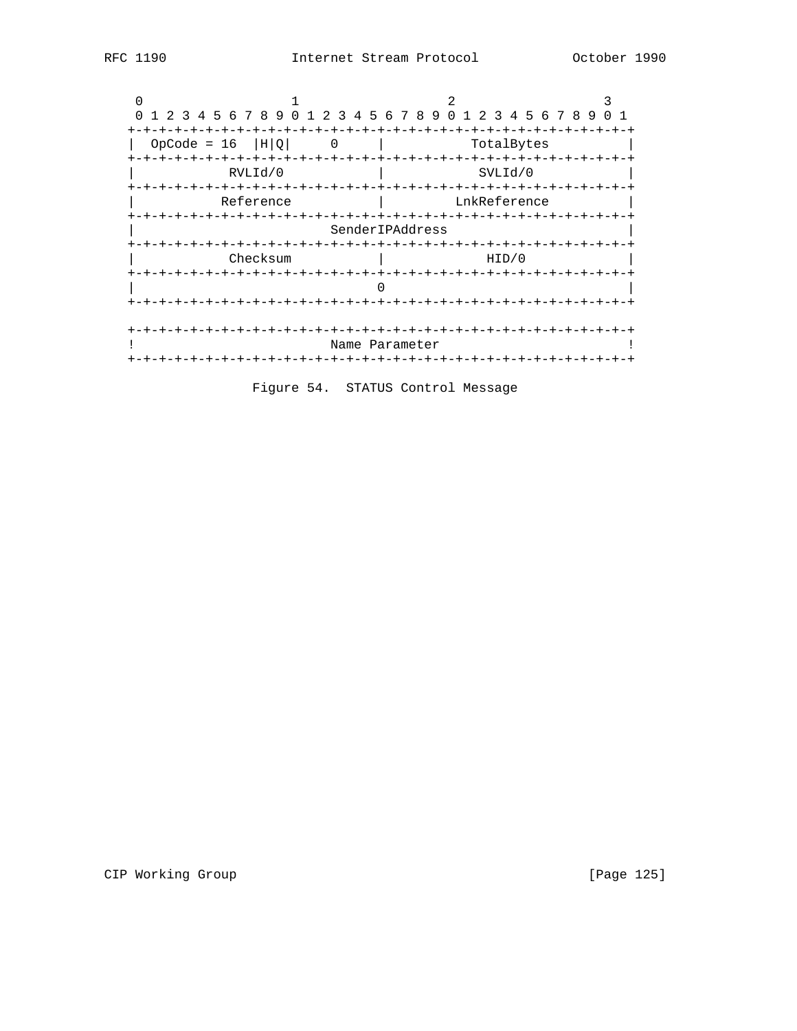|                    | 0 1 2 3 4 5 6 7 8 9 0 1 2 3 4 5 6 7 8 9 0 1 2 3 4 5 6 7 8 9 0 1 |  |
|--------------------|-----------------------------------------------------------------|--|
| OpCode = $16$  H Q | $\overline{0}$<br>and the contract of the TotalBytes            |  |
| RVLId/0            | SVLId/0                                                         |  |
| Reference          | LnkReference                                                    |  |
|                    | SenderIPAddress                                                 |  |
| Checksum           | HID/0                                                           |  |
|                    |                                                                 |  |
|                    |                                                                 |  |
|                    | Name Parameter                                                  |  |

Figure 54. STATUS Control Message

[Page 125]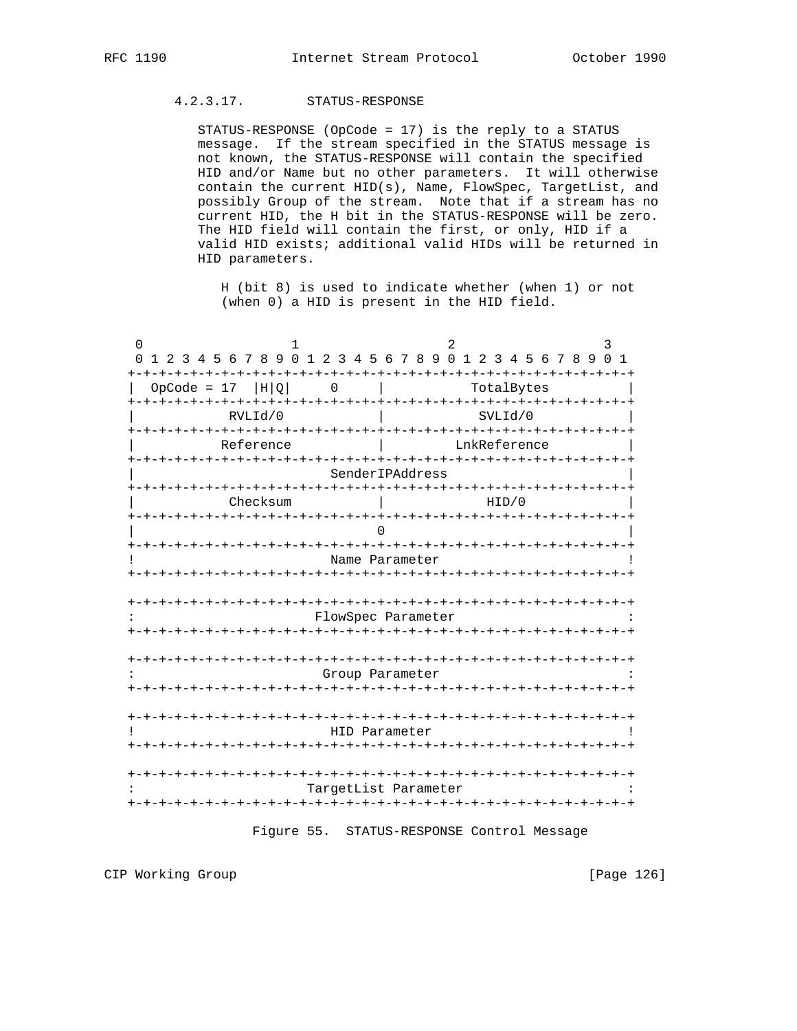# 4.2.3.17. STATUS-RESPONSE

 STATUS-RESPONSE (OpCode = 17) is the reply to a STATUS message. If the stream specified in the STATUS message is not known, the STATUS-RESPONSE will contain the specified HID and/or Name but no other parameters. It will otherwise contain the current HID(s), Name, FlowSpec, TargetList, and possibly Group of the stream. Note that if a stream has no current HID, the H bit in the STATUS-RESPONSE will be zero. The HID field will contain the first, or only, HID if a valid HID exists; additional valid HIDs will be returned in HID parameters.

 H (bit 8) is used to indicate whether (when 1) or not (when 0) a HID is present in the HID field.

| $\Omega$                     |                                                        |                                  | 2                                        |                                    | 3                                       |  |
|------------------------------|--------------------------------------------------------|----------------------------------|------------------------------------------|------------------------------------|-----------------------------------------|--|
| $\Omega$<br>1<br>$+ - + - +$ | 2 3 4 5 6 7 8<br>9<br>$\Omega$<br>-+-+-+               | 2<br>$\overline{1}$<br>- +<br>-+ | 3 4 5 6 7 8 9<br>$\Omega$<br>ーナーナーナーナーナー | 2<br>$\overline{1}$<br>3 4 5 6 7 8 | $\Omega$<br>$\mathbf{1}$<br>9<br>-+-+-+ |  |
| $OpCode =$<br>$\,{}^+$       | 17<br> H Q<br>-+-+-+-+-+-+-+-+-+-+-+-+-+-+-+-+         | 0                                | -+-+-+-+-+                               | TotalBytes                         | -+-+-+-+-+-+-+-+-+-+                    |  |
| $^{+}$                       | RVLId/0                                                |                                  | - + – + – + – +                          | SVLId/0                            |                                         |  |
|                              | Reference                                              |                                  |                                          | LnkReference                       |                                         |  |
|                              | SenderIPAddress                                        |                                  |                                          |                                    |                                         |  |
|                              | Checksum                                               |                                  | -+-+-+-+-+-+-+-+-+-+-+-+                 | HID/0                              |                                         |  |
|                              | -+-+-+-+-+-+<br>-+-+-+                                 |                                  |                                          |                                    |                                         |  |
|                              | -+-+-+<br>-+-+-+-+-+-+-+<br>ーナーナーナーナ<br>Name Parameter |                                  |                                          |                                    |                                         |  |
|                              |                                                        |                                  |                                          |                                    |                                         |  |
|                              | -+-+-+-+-+-+-+-+-+-+-+-+<br>ー+ー+<br>FlowSpec Parameter |                                  |                                          |                                    |                                         |  |
| $-+ - + - + - +$<br>-+-+-+-+ |                                                        |                                  |                                          |                                    |                                         |  |
| $\pm$                        | -+-+-+-+-+-+<br>Group Parameter                        |                                  |                                          |                                    |                                         |  |
|                              |                                                        |                                  |                                          |                                    |                                         |  |
|                              |                                                        |                                  | $-+ - + - + - + - +$                     |                                    |                                         |  |
| HID<br>Parameter             |                                                        |                                  |                                          |                                    |                                         |  |
|                              | ナーナーナーナーナーナーナ                                          |                                  | - + – + – + – +<br>TargetList Parameter  |                                    |                                         |  |
|                              |                                                        |                                  |                                          |                                    |                                         |  |

Figure 55. STATUS-RESPONSE Control Message

CIP Working Group **compared to the CIP Working Group** (Page 126)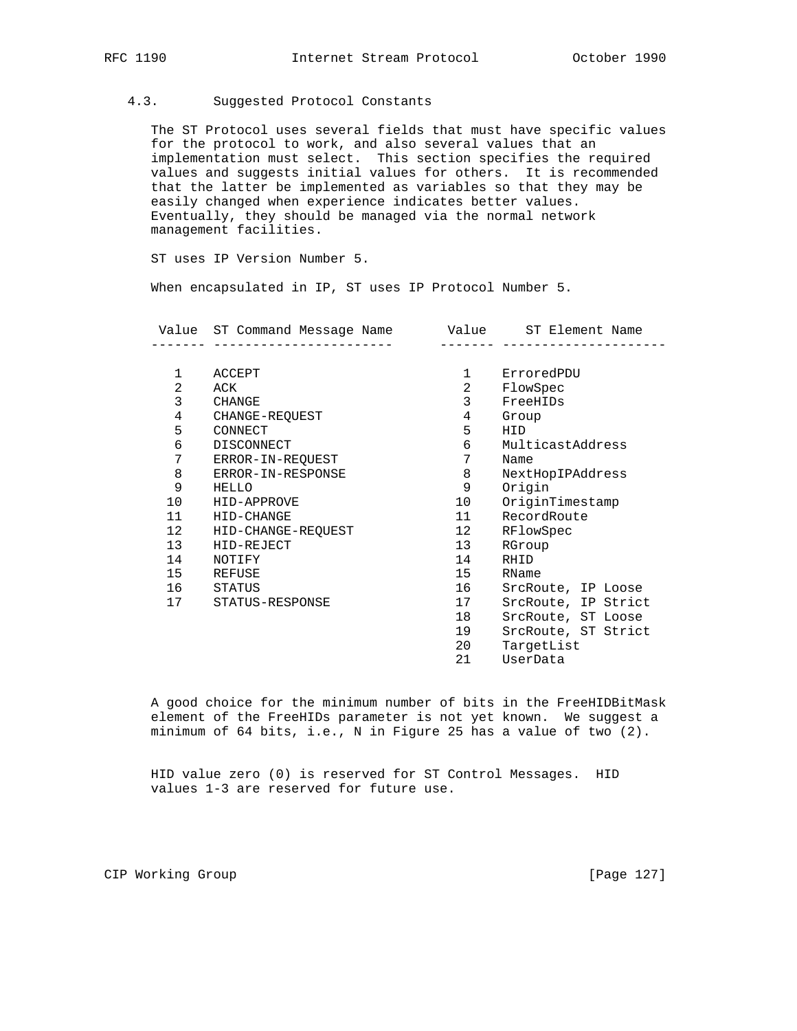# 4.3. Suggested Protocol Constants

 The ST Protocol uses several fields that must have specific values for the protocol to work, and also several values that an implementation must select. This section specifies the required values and suggests initial values for others. It is recommended that the latter be implemented as variables so that they may be easily changed when experience indicates better values. Eventually, they should be managed via the normal network management facilities.

ST uses IP Version Number 5.

When encapsulated in IP, ST uses IP Protocol Number 5.

|                | Value ST Command Message Name | Value           | ST Element Name     |
|----------------|-------------------------------|-----------------|---------------------|
|                |                               |                 |                     |
| 1              | ACCEPT                        | $\mathbf{1}$    | ErroredPDU          |
| $\overline{2}$ | ACK                           | $\overline{a}$  | FlowSpec            |
| 3              | CHANGE                        | 3               | FreeHIDs            |
| 4              | CHANGE-REQUEST                | 4               | Group               |
| 5              | CONNECT                       | 5               | HID                 |
| 6              | DISCONNECT                    | 6               | MulticastAddress    |
| 7              | ERROR-IN-REOUEST              | 7               | Name                |
| 8              | ERROR-IN-RESPONSE             | 8               | NextHopIPAddress    |
| 9              | HELLO                         | 9               | Origin              |
| 10             | HID-APPROVE                   | 10              | OriginTimestamp     |
| 11             | HID-CHANGE                    | 11              | RecordRoute         |
| 12             | HID-CHANGE-REOUEST            | 12 <sup>°</sup> | RFlowSpec           |
| 13             | HID-REJECT                    | 13              | RGroup              |
| 14             | NOTIFY                        | 14              | RHID                |
| 15             | REFUSE                        | 15              | RName               |
| 16             | STATUS                        | 16              | SrcRoute, IP Loose  |
| 17             | STATUS-RESPONSE               | 17              | SrcRoute, IP Strict |
|                |                               | 18              | SrcRoute, ST Loose  |
|                |                               | 19              | SrcRoute, ST Strict |
|                |                               | 20              | TargetList          |
|                |                               | 21              | UserData            |

 A good choice for the minimum number of bits in the FreeHIDBitMask element of the FreeHIDs parameter is not yet known. We suggest a minimum of 64 bits, i.e., N in Figure 25 has a value of two (2).

 HID value zero (0) is reserved for ST Control Messages. HID values 1-3 are reserved for future use.

CIP Working Group **CIP Working** Group **compared to the UPA**  $[Page 127]$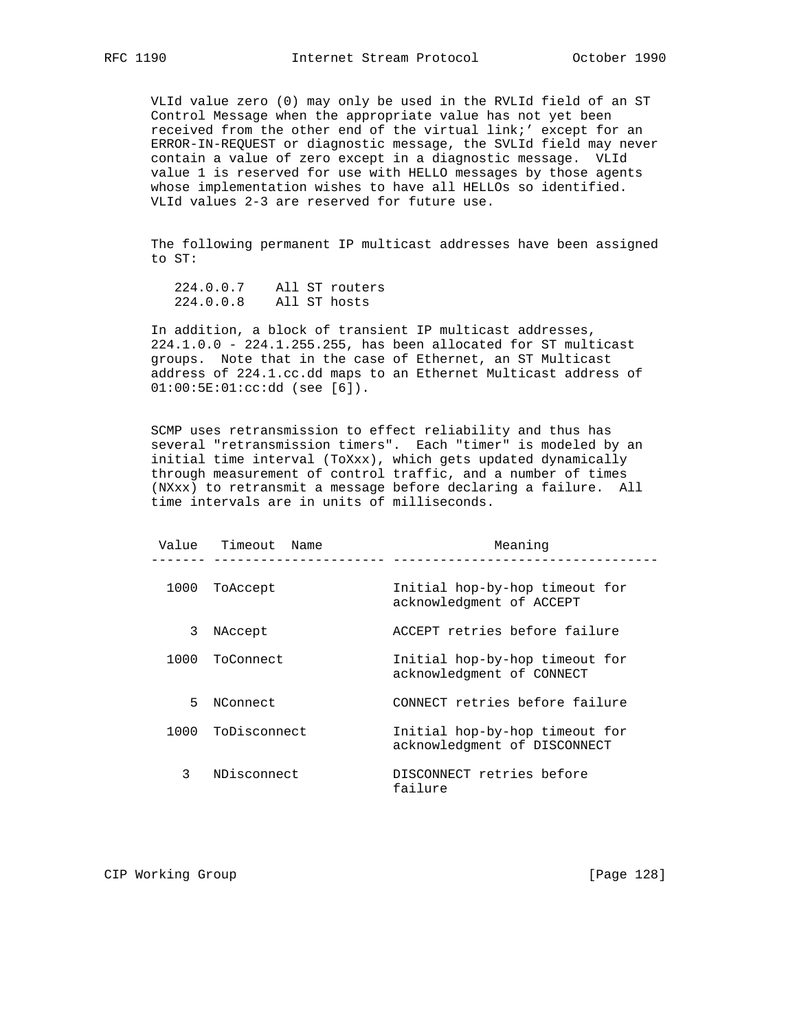VLId value zero (0) may only be used in the RVLId field of an ST Control Message when the appropriate value has not yet been received from the other end of the virtual link;' except for an ERROR-IN-REQUEST or diagnostic message, the SVLId field may never contain a value of zero except in a diagnostic message. VLId value 1 is reserved for use with HELLO messages by those agents whose implementation wishes to have all HELLOs so identified. VLId values 2-3 are reserved for future use.

 The following permanent IP multicast addresses have been assigned to ST:

 224.0.0.7 All ST routers 224.0.0.8 All ST hosts

> In addition, a block of transient IP multicast addresses, 224.1.0.0 - 224.1.255.255, has been allocated for ST multicast groups. Note that in the case of Ethernet, an ST Multicast address of 224.1.cc.dd maps to an Ethernet Multicast address of 01:00:5E:01:cc:dd (see [6]).

 SCMP uses retransmission to effect reliability and thus has several "retransmission timers". Each "timer" is modeled by an initial time interval (ToXxx), which gets updated dynamically through measurement of control traffic, and a number of times (NXxx) to retransmit a message before declaring a failure. All time intervals are in units of milliseconds.

| Value | Timeout Name | Meaning                                                        |
|-------|--------------|----------------------------------------------------------------|
| 1000  | ToAccept     | Initial hop-by-hop timeout for<br>acknowledgment of ACCEPT     |
| 3     | NAccept      | ACCEPT retries before failure                                  |
| 1000  | ToConnect    | Initial hop-by-hop timeout for<br>acknowledgment of CONNECT    |
| 5     | NConnect     | CONNECT retries before failure                                 |
| 1000  | ToDisconnect | Initial hop-by-hop timeout for<br>acknowledgment of DISCONNECT |
| 3     | NDisconnect  | DISCONNECT retries before<br>failure                           |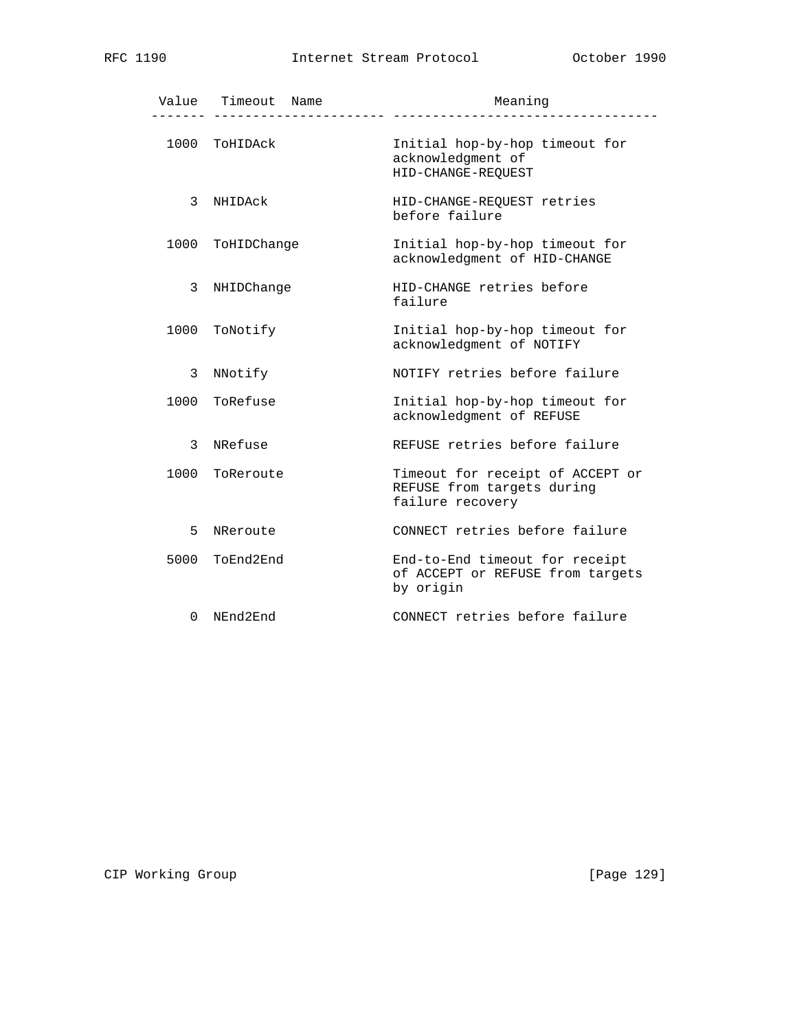|          | Value Timeout Name | Meaning                                                                            |
|----------|--------------------|------------------------------------------------------------------------------------|
|          | 1000 TOHIDACK      | Initial hop-by-hop timeout for<br>acknowledgment of<br>HID-CHANGE-REQUEST          |
| 3        | NHIDACK            | HID-CHANGE-REQUEST retries<br>before failure                                       |
| 1000     | ToHIDChange        | Initial hop-by-hop timeout for<br>acknowledgment of HID-CHANGE                     |
| 3        | NHIDChange         | HID-CHANGE retries before<br>failure                                               |
| 1000     | ToNotify           | Initial hop-by-hop timeout for<br>acknowledgment of NOTIFY                         |
| 3        | NNotify            | NOTIFY retries before failure                                                      |
| 1000     | ToRefuse           | Initial hop-by-hop timeout for<br>acknowledgment of REFUSE                         |
| 3        | NRefuse            | REFUSE retries before failure                                                      |
| 1000     | ToReroute          | Timeout for receipt of ACCEPT or<br>REFUSE from targets during<br>failure recovery |
| 5        | NReroute           | CONNECT retries before failure                                                     |
| 5000     | ToEnd2End          | End-to-End timeout for receipt<br>of ACCEPT or REFUSE from targets<br>by origin    |
| $\Omega$ | NEnd2End           | CONNECT retries before failure                                                     |

# CIP Working Group **compared to the CIP CIP Working Group**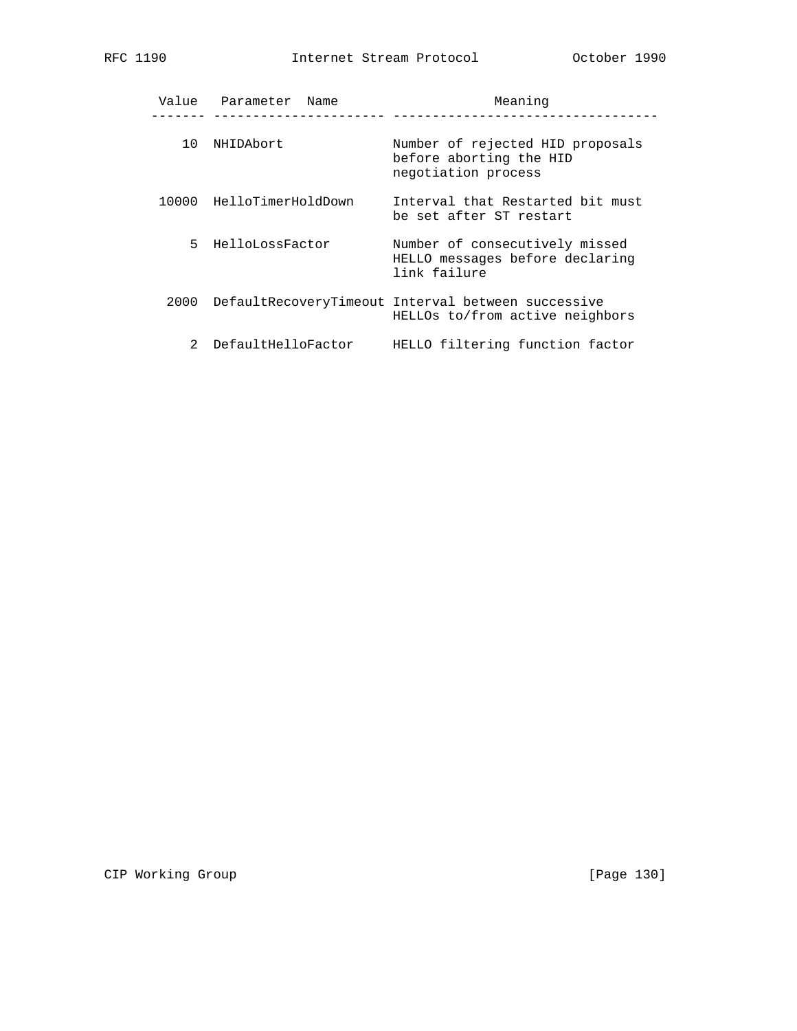| Value | Parameter Name     | Meaning                                                                               |
|-------|--------------------|---------------------------------------------------------------------------------------|
| 1 O   | NHIDAbort          | Number of rejected HID proposals<br>before aborting the HID<br>negotiation process    |
| 10000 | HelloTimerHoldDown | Interval that Restarted bit must<br>be set after ST restart                           |
| 5     | HelloLossFactor    | Number of consecutively missed<br>HELLO messages before declaring<br>link failure     |
| 2000  |                    | DefaultRecoveryTimeout Interval between successive<br>HELLOs to/from active neighbors |
| 2     | DefaultHelloFactor | HELLO filtering function factor                                                       |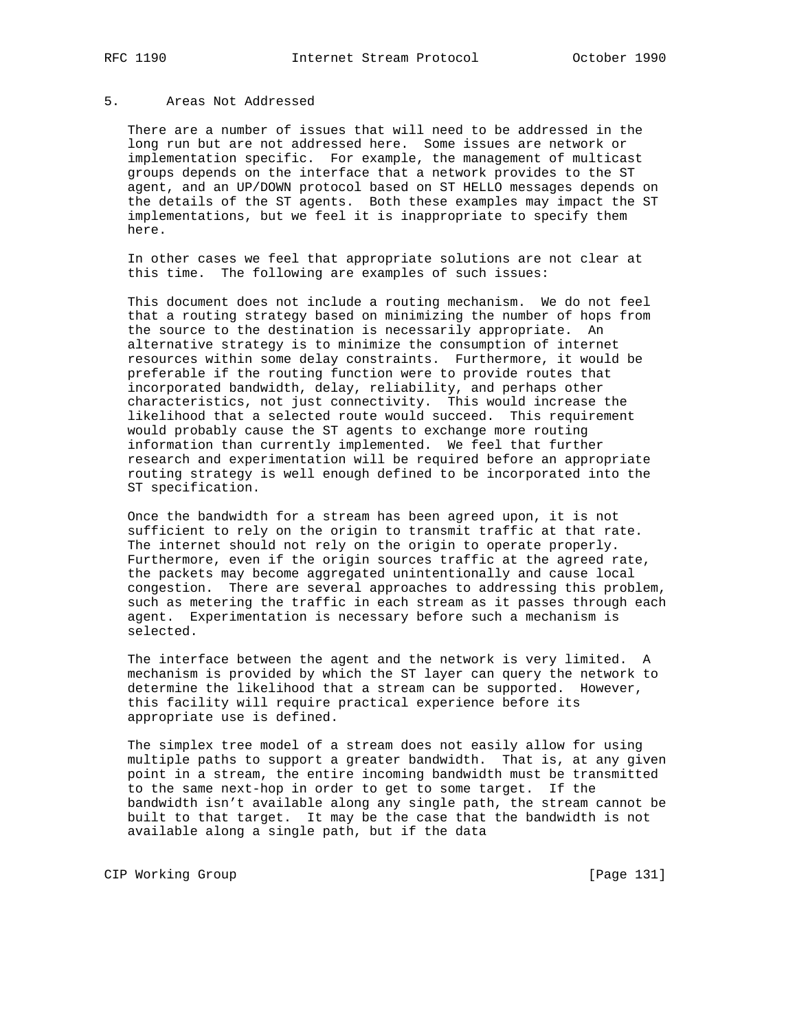# 5. Areas Not Addressed

 There are a number of issues that will need to be addressed in the long run but are not addressed here. Some issues are network or implementation specific. For example, the management of multicast groups depends on the interface that a network provides to the ST agent, and an UP/DOWN protocol based on ST HELLO messages depends on the details of the ST agents. Both these examples may impact the ST implementations, but we feel it is inappropriate to specify them here.

 In other cases we feel that appropriate solutions are not clear at this time. The following are examples of such issues:

 This document does not include a routing mechanism. We do not feel that a routing strategy based on minimizing the number of hops from the source to the destination is necessarily appropriate. An alternative strategy is to minimize the consumption of internet resources within some delay constraints. Furthermore, it would be preferable if the routing function were to provide routes that incorporated bandwidth, delay, reliability, and perhaps other characteristics, not just connectivity. This would increase the likelihood that a selected route would succeed. This requirement would probably cause the ST agents to exchange more routing information than currently implemented. We feel that further research and experimentation will be required before an appropriate routing strategy is well enough defined to be incorporated into the ST specification.

 Once the bandwidth for a stream has been agreed upon, it is not sufficient to rely on the origin to transmit traffic at that rate. The internet should not rely on the origin to operate properly. Furthermore, even if the origin sources traffic at the agreed rate, the packets may become aggregated unintentionally and cause local congestion. There are several approaches to addressing this problem, such as metering the traffic in each stream as it passes through each agent. Experimentation is necessary before such a mechanism is selected.

 The interface between the agent and the network is very limited. A mechanism is provided by which the ST layer can query the network to determine the likelihood that a stream can be supported. However, this facility will require practical experience before its appropriate use is defined.

 The simplex tree model of a stream does not easily allow for using multiple paths to support a greater bandwidth. That is, at any given point in a stream, the entire incoming bandwidth must be transmitted to the same next-hop in order to get to some target. If the bandwidth isn't available along any single path, the stream cannot be built to that target. It may be the case that the bandwidth is not available along a single path, but if the data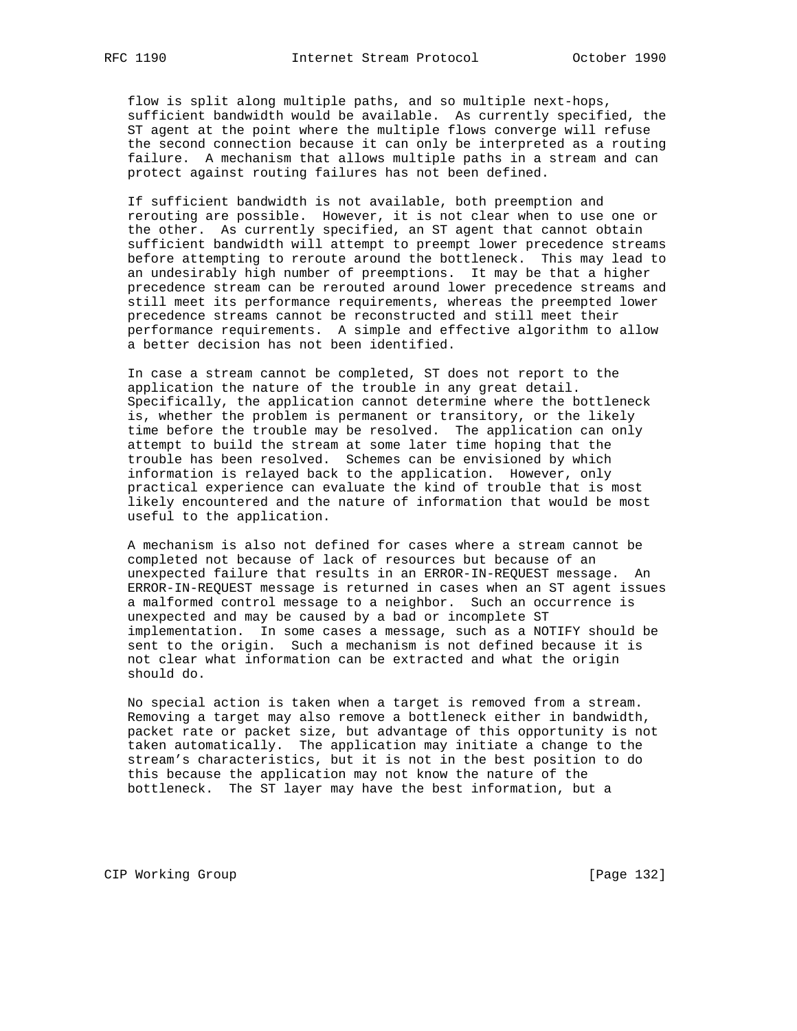flow is split along multiple paths, and so multiple next-hops, sufficient bandwidth would be available. As currently specified, the ST agent at the point where the multiple flows converge will refuse the second connection because it can only be interpreted as a routing failure. A mechanism that allows multiple paths in a stream and can protect against routing failures has not been defined.

 If sufficient bandwidth is not available, both preemption and rerouting are possible. However, it is not clear when to use one or the other. As currently specified, an ST agent that cannot obtain sufficient bandwidth will attempt to preempt lower precedence streams before attempting to reroute around the bottleneck. This may lead to an undesirably high number of preemptions. It may be that a higher precedence stream can be rerouted around lower precedence streams and still meet its performance requirements, whereas the preempted lower precedence streams cannot be reconstructed and still meet their performance requirements. A simple and effective algorithm to allow a better decision has not been identified.

 In case a stream cannot be completed, ST does not report to the application the nature of the trouble in any great detail. Specifically, the application cannot determine where the bottleneck is, whether the problem is permanent or transitory, or the likely time before the trouble may be resolved. The application can only attempt to build the stream at some later time hoping that the trouble has been resolved. Schemes can be envisioned by which information is relayed back to the application. However, only practical experience can evaluate the kind of trouble that is most likely encountered and the nature of information that would be most useful to the application.

 A mechanism is also not defined for cases where a stream cannot be completed not because of lack of resources but because of an unexpected failure that results in an ERROR-IN-REQUEST message. An ERROR-IN-REQUEST message is returned in cases when an ST agent issues a malformed control message to a neighbor. Such an occurrence is unexpected and may be caused by a bad or incomplete ST implementation. In some cases a message, such as a NOTIFY should be sent to the origin. Such a mechanism is not defined because it is not clear what information can be extracted and what the origin should do.

 No special action is taken when a target is removed from a stream. Removing a target may also remove a bottleneck either in bandwidth, packet rate or packet size, but advantage of this opportunity is not taken automatically. The application may initiate a change to the stream's characteristics, but it is not in the best position to do this because the application may not know the nature of the bottleneck. The ST layer may have the best information, but a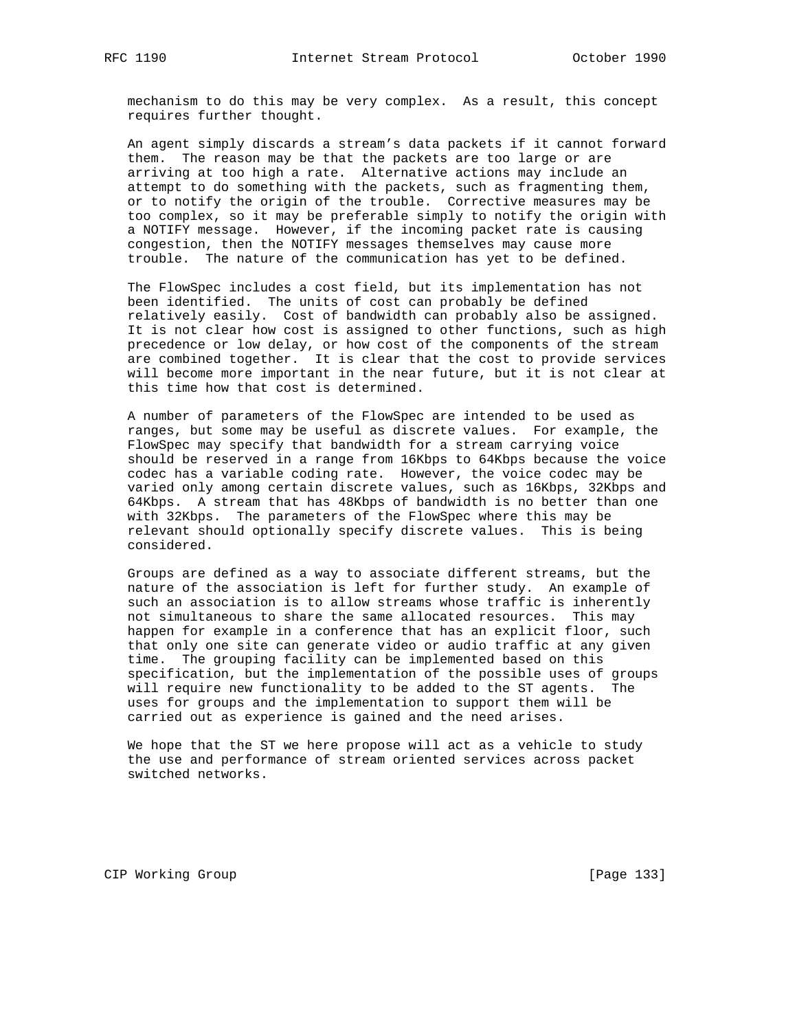mechanism to do this may be very complex. As a result, this concept requires further thought.

 An agent simply discards a stream's data packets if it cannot forward them. The reason may be that the packets are too large or are arriving at too high a rate. Alternative actions may include an attempt to do something with the packets, such as fragmenting them, or to notify the origin of the trouble. Corrective measures may be too complex, so it may be preferable simply to notify the origin with a NOTIFY message. However, if the incoming packet rate is causing congestion, then the NOTIFY messages themselves may cause more trouble. The nature of the communication has yet to be defined.

 The FlowSpec includes a cost field, but its implementation has not been identified. The units of cost can probably be defined relatively easily. Cost of bandwidth can probably also be assigned. It is not clear how cost is assigned to other functions, such as high precedence or low delay, or how cost of the components of the stream are combined together. It is clear that the cost to provide services will become more important in the near future, but it is not clear at this time how that cost is determined.

 A number of parameters of the FlowSpec are intended to be used as ranges, but some may be useful as discrete values. For example, the FlowSpec may specify that bandwidth for a stream carrying voice should be reserved in a range from 16Kbps to 64Kbps because the voice codec has a variable coding rate. However, the voice codec may be varied only among certain discrete values, such as 16Kbps, 32Kbps and 64Kbps. A stream that has 48Kbps of bandwidth is no better than one with 32Kbps. The parameters of the FlowSpec where this may be relevant should optionally specify discrete values. This is being considered.

 Groups are defined as a way to associate different streams, but the nature of the association is left for further study. An example of such an association is to allow streams whose traffic is inherently not simultaneous to share the same allocated resources. This may happen for example in a conference that has an explicit floor, such that only one site can generate video or audio traffic at any given time. The grouping facility can be implemented based on this specification, but the implementation of the possible uses of groups will require new functionality to be added to the ST agents. The uses for groups and the implementation to support them will be carried out as experience is gained and the need arises.

 We hope that the ST we here propose will act as a vehicle to study the use and performance of stream oriented services across packet switched networks.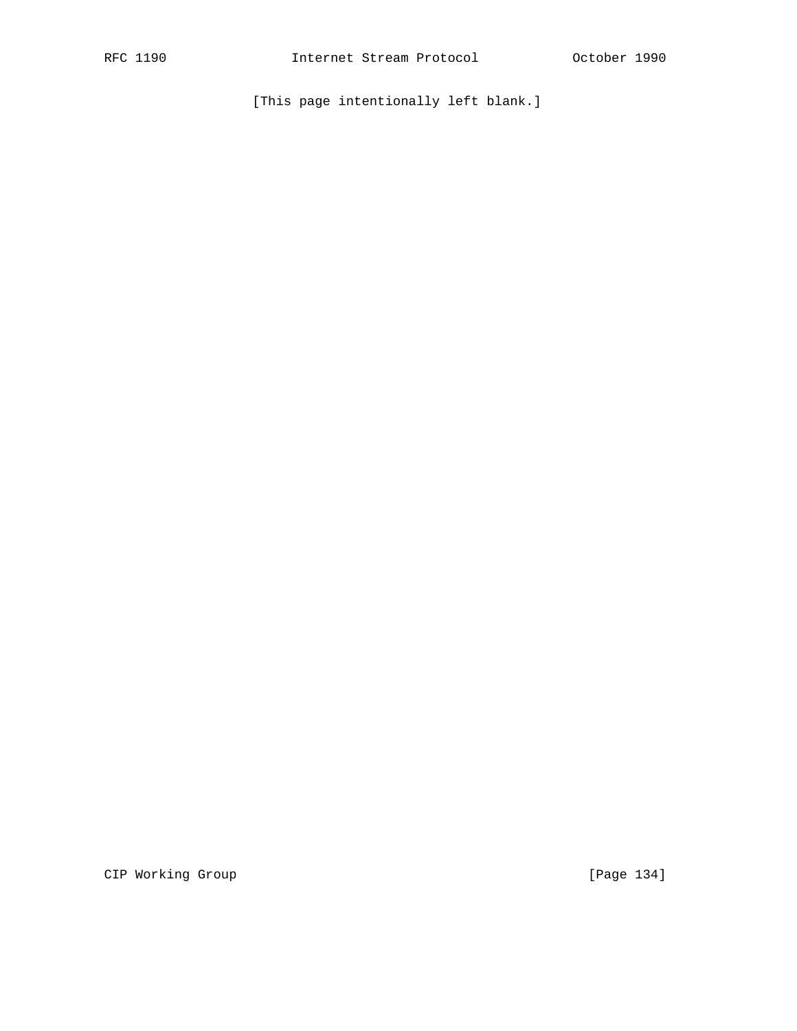[This page intentionally left blank.]

CIP Working Group [Page 134]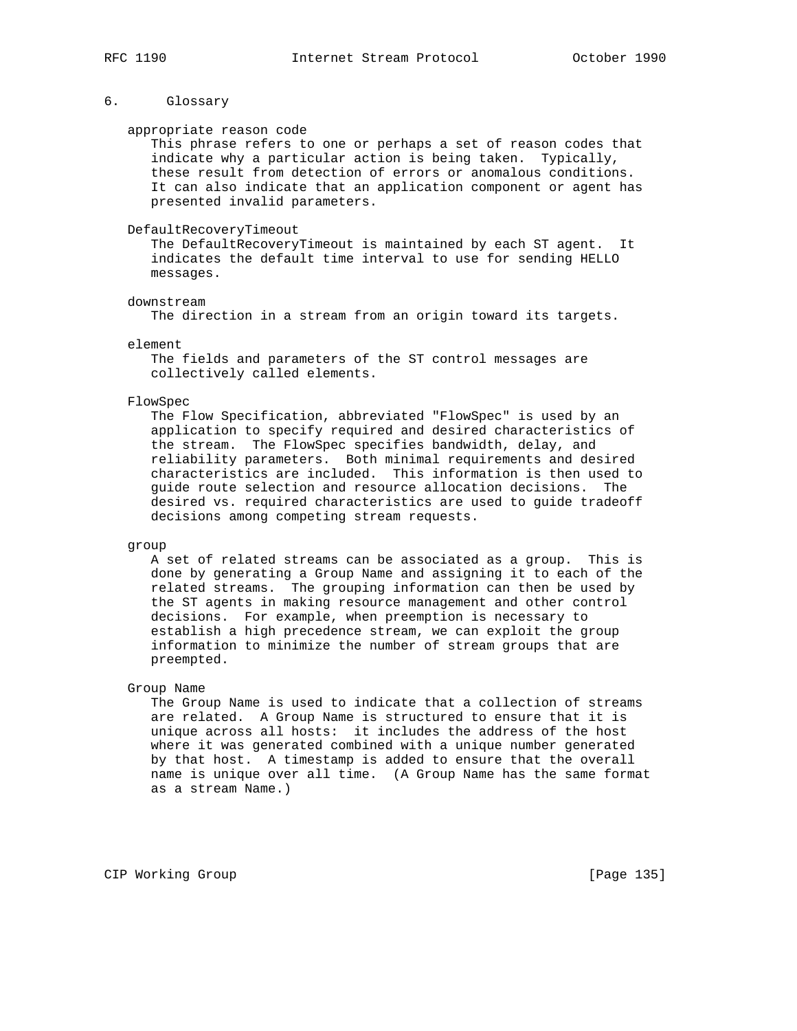# 6. Glossary

#### appropriate reason code

 This phrase refers to one or perhaps a set of reason codes that indicate why a particular action is being taken. Typically, these result from detection of errors or anomalous conditions. It can also indicate that an application component or agent has presented invalid parameters.

# DefaultRecoveryTimeout

 The DefaultRecoveryTimeout is maintained by each ST agent. It indicates the default time interval to use for sending HELLO messages.

#### downstream

The direction in a stream from an origin toward its targets.

element

 The fields and parameters of the ST control messages are collectively called elements.

#### FlowSpec

 The Flow Specification, abbreviated "FlowSpec" is used by an application to specify required and desired characteristics of the stream. The FlowSpec specifies bandwidth, delay, and reliability parameters. Both minimal requirements and desired characteristics are included. This information is then used to guide route selection and resource allocation decisions. The desired vs. required characteristics are used to guide tradeoff decisions among competing stream requests.

#### group

 A set of related streams can be associated as a group. This is done by generating a Group Name and assigning it to each of the related streams. The grouping information can then be used by the ST agents in making resource management and other control decisions. For example, when preemption is necessary to establish a high precedence stream, we can exploit the group information to minimize the number of stream groups that are preempted.

## Group Name

 The Group Name is used to indicate that a collection of streams are related. A Group Name is structured to ensure that it is unique across all hosts: it includes the address of the host where it was generated combined with a unique number generated by that host. A timestamp is added to ensure that the overall name is unique over all time. (A Group Name has the same format as a stream Name.)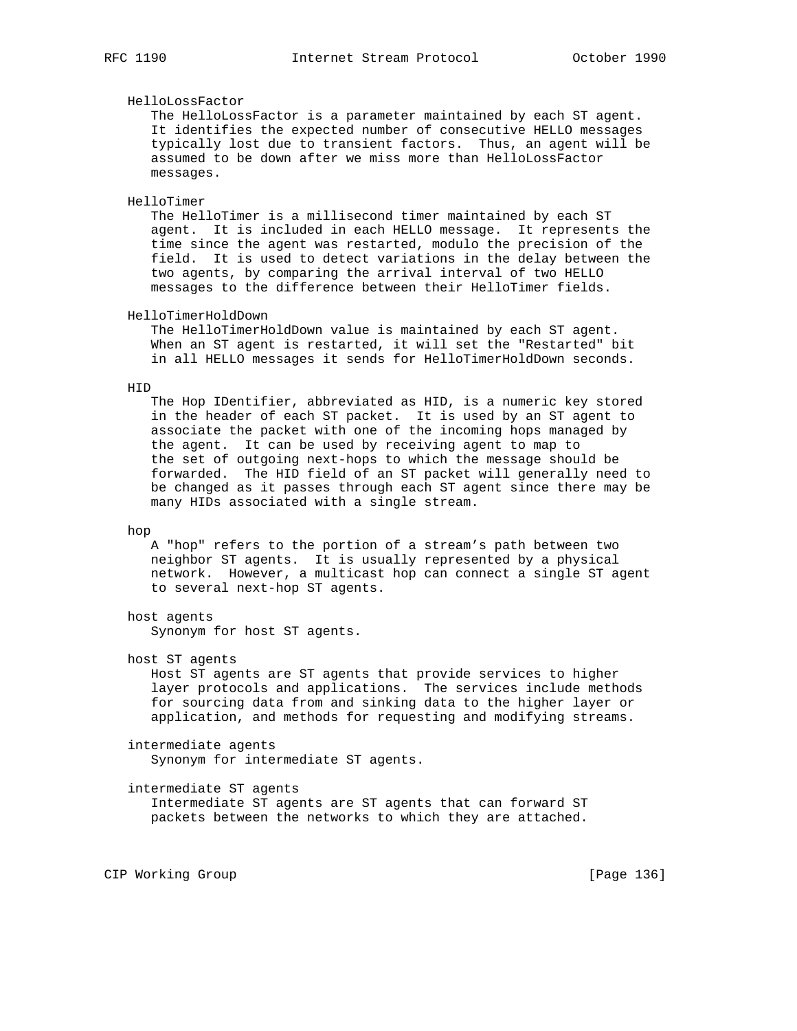# HelloLossFactor

 The HelloLossFactor is a parameter maintained by each ST agent. It identifies the expected number of consecutive HELLO messages typically lost due to transient factors. Thus, an agent will be assumed to be down after we miss more than HelloLossFactor messages.

#### HelloTimer

 The HelloTimer is a millisecond timer maintained by each ST agent. It is included in each HELLO message. It represents the time since the agent was restarted, modulo the precision of the field. It is used to detect variations in the delay between the two agents, by comparing the arrival interval of two HELLO messages to the difference between their HelloTimer fields.

## HelloTimerHoldDown

 The HelloTimerHoldDown value is maintained by each ST agent. When an ST agent is restarted, it will set the "Restarted" bit in all HELLO messages it sends for HelloTimerHoldDown seconds.

#### **HTD**

 The Hop IDentifier, abbreviated as HID, is a numeric key stored in the header of each ST packet. It is used by an ST agent to associate the packet with one of the incoming hops managed by the agent. It can be used by receiving agent to map to the set of outgoing next-hops to which the message should be forwarded. The HID field of an ST packet will generally need to be changed as it passes through each ST agent since there may be many HIDs associated with a single stream.

### hop

 A "hop" refers to the portion of a stream's path between two neighbor ST agents. It is usually represented by a physical network. However, a multicast hop can connect a single ST agent to several next-hop ST agents.

### host agents

Synonym for host ST agents.

host ST agents

 Host ST agents are ST agents that provide services to higher layer protocols and applications. The services include methods for sourcing data from and sinking data to the higher layer or application, and methods for requesting and modifying streams.

 intermediate agents Synonym for intermediate ST agents.

intermediate ST agents

 Intermediate ST agents are ST agents that can forward ST packets between the networks to which they are attached.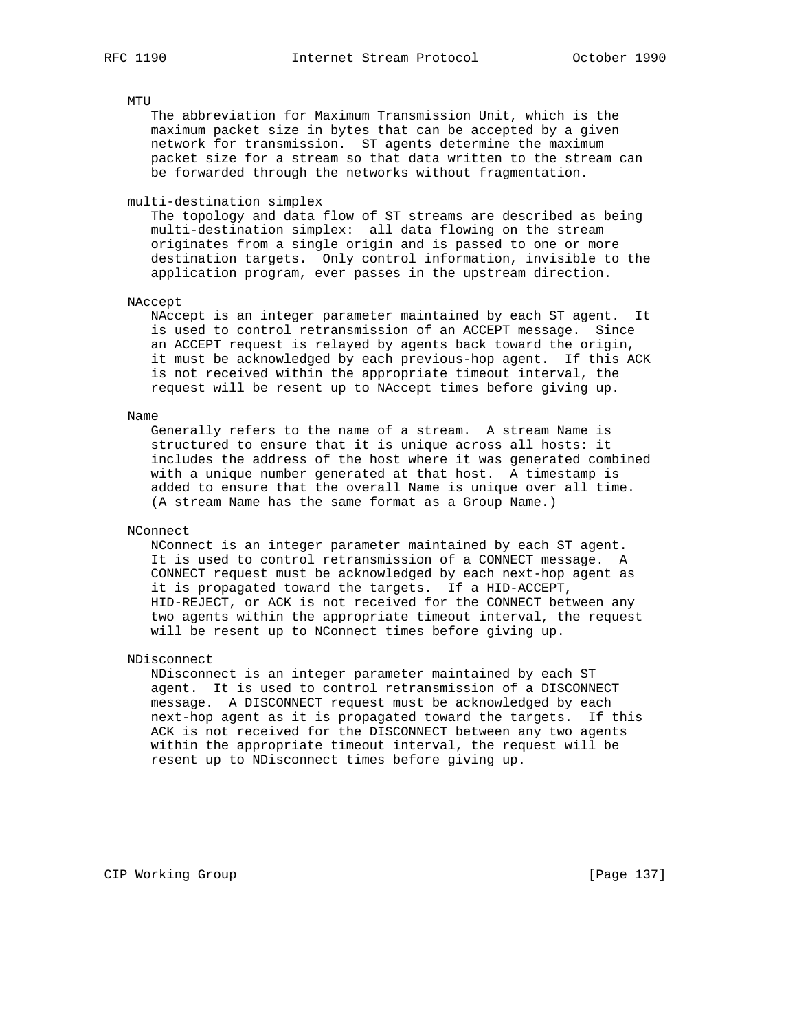### **MTIT**

 The abbreviation for Maximum Transmission Unit, which is the maximum packet size in bytes that can be accepted by a given network for transmission. ST agents determine the maximum packet size for a stream so that data written to the stream can be forwarded through the networks without fragmentation.

#### multi-destination simplex

 The topology and data flow of ST streams are described as being multi-destination simplex: all data flowing on the stream originates from a single origin and is passed to one or more destination targets. Only control information, invisible to the application program, ever passes in the upstream direction.

### NAccept

 NAccept is an integer parameter maintained by each ST agent. It is used to control retransmission of an ACCEPT message. Since an ACCEPT request is relayed by agents back toward the origin, it must be acknowledged by each previous-hop agent. If this ACK is not received within the appropriate timeout interval, the request will be resent up to NAccept times before giving up.

## Name

 Generally refers to the name of a stream. A stream Name is structured to ensure that it is unique across all hosts: it includes the address of the host where it was generated combined with a unique number generated at that host. A timestamp is added to ensure that the overall Name is unique over all time. (A stream Name has the same format as a Group Name.)

### NConnect

 NConnect is an integer parameter maintained by each ST agent. It is used to control retransmission of a CONNECT message. A CONNECT request must be acknowledged by each next-hop agent as it is propagated toward the targets. If a HID-ACCEPT, HID-REJECT, or ACK is not received for the CONNECT between any two agents within the appropriate timeout interval, the request will be resent up to NConnect times before giving up.

### NDisconnect

 NDisconnect is an integer parameter maintained by each ST agent. It is used to control retransmission of a DISCONNECT message. A DISCONNECT request must be acknowledged by each next-hop agent as it is propagated toward the targets. If this ACK is not received for the DISCONNECT between any two agents within the appropriate timeout interval, the request will be resent up to NDisconnect times before giving up.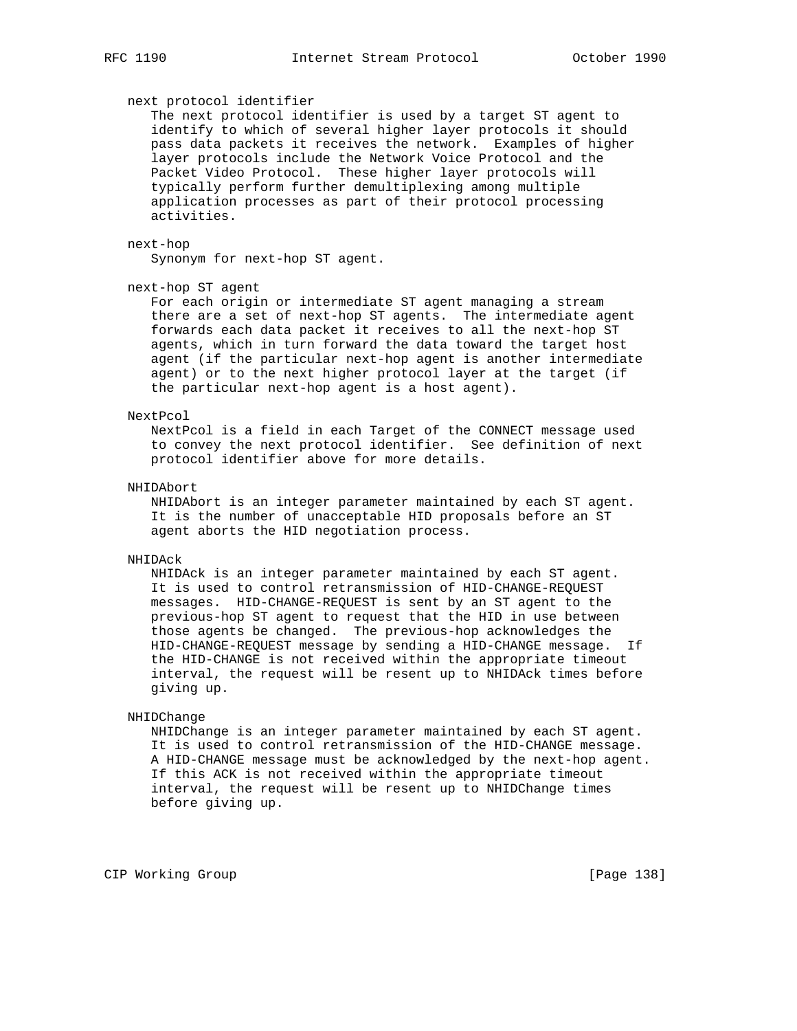## next protocol identifier

 The next protocol identifier is used by a target ST agent to identify to which of several higher layer protocols it should pass data packets it receives the network. Examples of higher layer protocols include the Network Voice Protocol and the Packet Video Protocol. These higher layer protocols will typically perform further demultiplexing among multiple application processes as part of their protocol processing activities.

## next-hop

Synonym for next-hop ST agent.

#### next-hop ST agent

 For each origin or intermediate ST agent managing a stream there are a set of next-hop ST agents. The intermediate agent forwards each data packet it receives to all the next-hop ST agents, which in turn forward the data toward the target host agent (if the particular next-hop agent is another intermediate agent) or to the next higher protocol layer at the target (if the particular next-hop agent is a host agent).

### NextPcol

 NextPcol is a field in each Target of the CONNECT message used to convey the next protocol identifier. See definition of next protocol identifier above for more details.

## NHIDAbort

 NHIDAbort is an integer parameter maintained by each ST agent. It is the number of unacceptable HID proposals before an ST agent aborts the HID negotiation process.

#### NHIDAck

 NHIDAck is an integer parameter maintained by each ST agent. It is used to control retransmission of HID-CHANGE-REQUEST messages. HID-CHANGE-REQUEST is sent by an ST agent to the previous-hop ST agent to request that the HID in use between those agents be changed. The previous-hop acknowledges the HID-CHANGE-REQUEST message by sending a HID-CHANGE message. If the HID-CHANGE is not received within the appropriate timeout interval, the request will be resent up to NHIDAck times before giving up.

## NHIDChange

 NHIDChange is an integer parameter maintained by each ST agent. It is used to control retransmission of the HID-CHANGE message. A HID-CHANGE message must be acknowledged by the next-hop agent. If this ACK is not received within the appropriate timeout interval, the request will be resent up to NHIDChange times before giving up.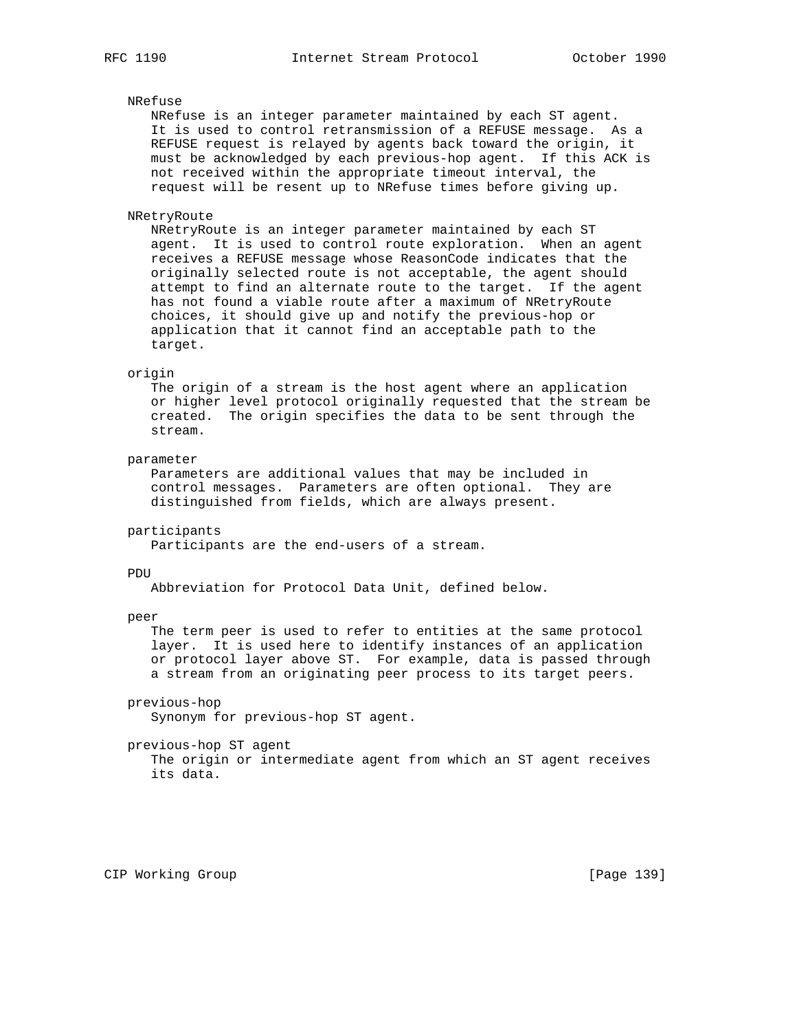## NRefuse

 NRefuse is an integer parameter maintained by each ST agent. It is used to control retransmission of a REFUSE message. As a REFUSE request is relayed by agents back toward the origin, it must be acknowledged by each previous-hop agent. If this ACK is not received within the appropriate timeout interval, the request will be resent up to NRefuse times before giving up.

#### NRetryRoute

 NRetryRoute is an integer parameter maintained by each ST agent. It is used to control route exploration. When an agent receives a REFUSE message whose ReasonCode indicates that the originally selected route is not acceptable, the agent should attempt to find an alternate route to the target. If the agent has not found a viable route after a maximum of NRetryRoute choices, it should give up and notify the previous-hop or application that it cannot find an acceptable path to the target.

#### origin

 The origin of a stream is the host agent where an application or higher level protocol originally requested that the stream be created. The origin specifies the data to be sent through the stream.

#### parameter

 Parameters are additional values that may be included in control messages. Parameters are often optional. They are distinguished from fields, which are always present.

#### participants

Participants are the end-users of a stream.

PDU

Abbreviation for Protocol Data Unit, defined below.

peer

 The term peer is used to refer to entities at the same protocol layer. It is used here to identify instances of an application or protocol layer above ST. For example, data is passed through a stream from an originating peer process to its target peers.

#### previous-hop

Synonym for previous-hop ST agent.

#### previous-hop ST agent

 The origin or intermediate agent from which an ST agent receives its data.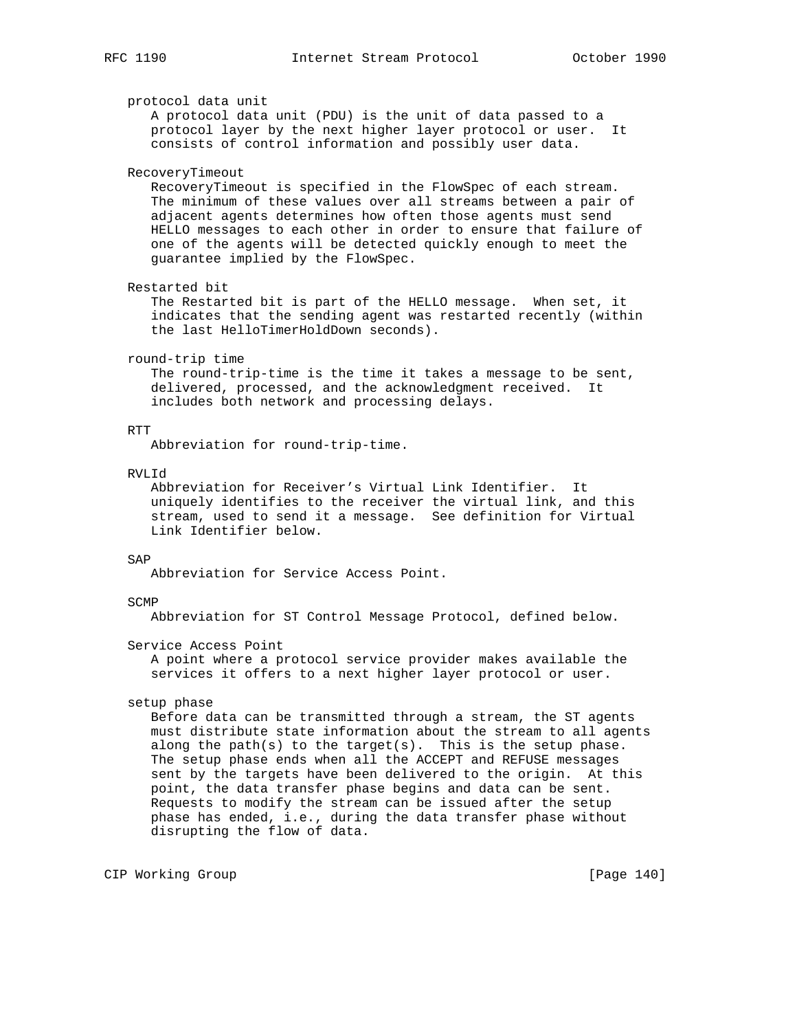protocol data unit A protocol data unit (PDU) is the unit of data passed to a protocol layer by the next higher layer protocol or user. It consists of control information and possibly user data. RecoveryTimeout RecoveryTimeout is specified in the FlowSpec of each stream. The minimum of these values over all streams between a pair of adjacent agents determines how often those agents must send HELLO messages to each other in order to ensure that failure of one of the agents will be detected quickly enough to meet the guarantee implied by the FlowSpec. Restarted bit The Restarted bit is part of the HELLO message. When set, it indicates that the sending agent was restarted recently (within the last HelloTimerHoldDown seconds). round-trip time The round-trip-time is the time it takes a message to be sent, delivered, processed, and the acknowledgment received. It includes both network and processing delays. RTT Abbreviation for round-trip-time. **BVL**UN Abbreviation for Receiver's Virtual Link Identifier. It uniquely identifies to the receiver the virtual link, and this stream, used to send it a message. See definition for Virtual Link Identifier below. SAP Abbreviation for Service Access Point. SCMP Abbreviation for ST Control Message Protocol, defined below. Service Access Point A point where a protocol service provider makes available the services it offers to a next higher layer protocol or user. setup phase Before data can be transmitted through a stream, the ST agents must distribute state information about the stream to all agents along the path(s) to the target(s). This is the setup phase. The setup phase ends when all the ACCEPT and REFUSE messages sent by the targets have been delivered to the origin. At this point, the data transfer phase begins and data can be sent. Requests to modify the stream can be issued after the setup phase has ended, i.e., during the data transfer phase without disrupting the flow of data. CIP Working Group and the contract of the contract of the contract of the contract of the contract of the contract of the contract of the contract of the contract of the contract of the contract of the contract of the cont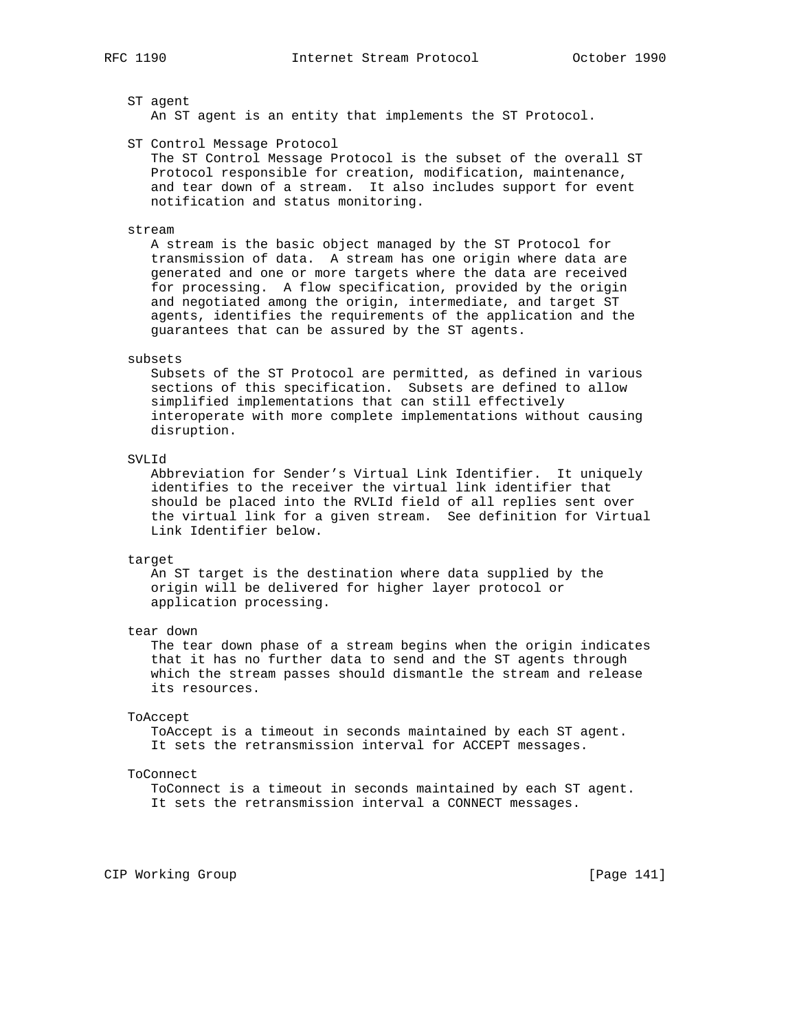### ST agent

An ST agent is an entity that implements the ST Protocol.

ST Control Message Protocol

 The ST Control Message Protocol is the subset of the overall ST Protocol responsible for creation, modification, maintenance, and tear down of a stream. It also includes support for event notification and status monitoring.

### stream

 A stream is the basic object managed by the ST Protocol for transmission of data. A stream has one origin where data are generated and one or more targets where the data are received for processing. A flow specification, provided by the origin and negotiated among the origin, intermediate, and target ST agents, identifies the requirements of the application and the guarantees that can be assured by the ST agents.

# subsets

 Subsets of the ST Protocol are permitted, as defined in various sections of this specification. Subsets are defined to allow simplified implementations that can still effectively interoperate with more complete implementations without causing disruption.

# SVLId

 Abbreviation for Sender's Virtual Link Identifier. It uniquely identifies to the receiver the virtual link identifier that should be placed into the RVLId field of all replies sent over the virtual link for a given stream. See definition for Virtual Link Identifier below.

#### target

 An ST target is the destination where data supplied by the origin will be delivered for higher layer protocol or application processing.

#### tear down

 The tear down phase of a stream begins when the origin indicates that it has no further data to send and the ST agents through which the stream passes should dismantle the stream and release its resources.

## ToAccept

 ToAccept is a timeout in seconds maintained by each ST agent. It sets the retransmission interval for ACCEPT messages.

## ToConnect

 ToConnect is a timeout in seconds maintained by each ST agent. It sets the retransmission interval a CONNECT messages.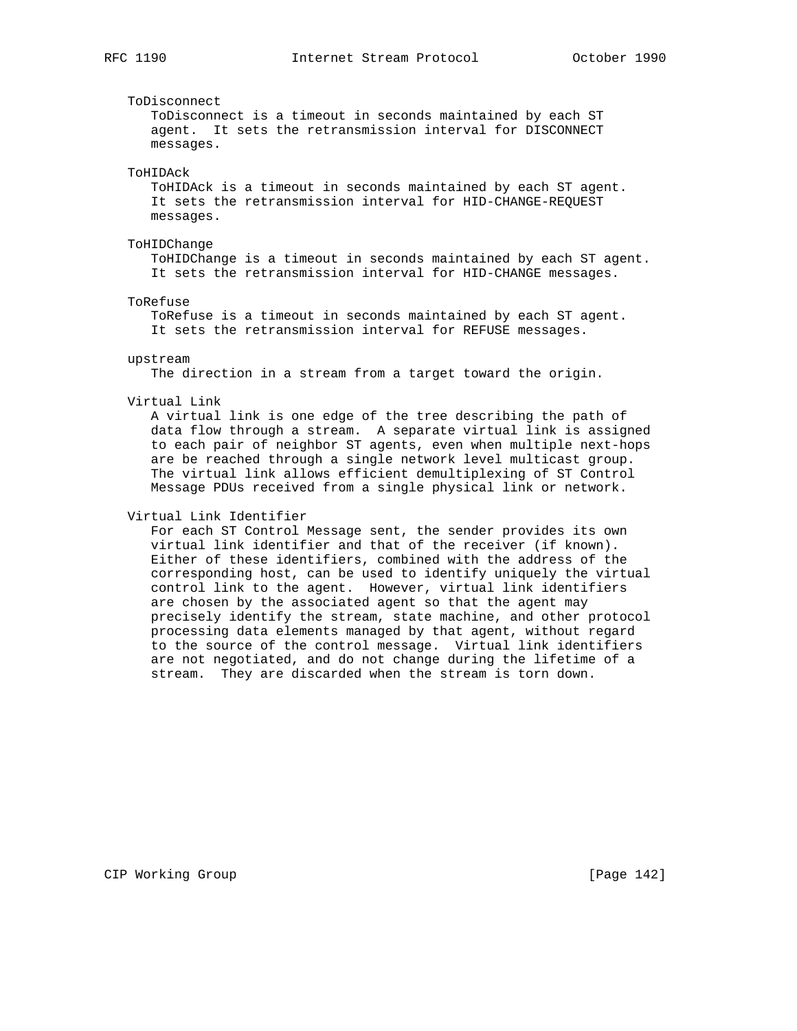#### ToDisconnect

 ToDisconnect is a timeout in seconds maintained by each ST agent. It sets the retransmission interval for DISCONNECT messages.

#### ToHIDAck

 ToHIDAck is a timeout in seconds maintained by each ST agent. It sets the retransmission interval for HID-CHANGE-REQUEST messages.

#### ToHIDChange

 ToHIDChange is a timeout in seconds maintained by each ST agent. It sets the retransmission interval for HID-CHANGE messages.

#### ToRefuse

 ToRefuse is a timeout in seconds maintained by each ST agent. It sets the retransmission interval for REFUSE messages.

#### upstream

The direction in a stream from a target toward the origin.

#### Virtual Link

 A virtual link is one edge of the tree describing the path of data flow through a stream. A separate virtual link is assigned to each pair of neighbor ST agents, even when multiple next-hops are be reached through a single network level multicast group. The virtual link allows efficient demultiplexing of ST Control Message PDUs received from a single physical link or network.

## Virtual Link Identifier

 For each ST Control Message sent, the sender provides its own virtual link identifier and that of the receiver (if known). Either of these identifiers, combined with the address of the corresponding host, can be used to identify uniquely the virtual control link to the agent. However, virtual link identifiers are chosen by the associated agent so that the agent may precisely identify the stream, state machine, and other protocol processing data elements managed by that agent, without regard to the source of the control message. Virtual link identifiers are not negotiated, and do not change during the lifetime of a stream. They are discarded when the stream is torn down.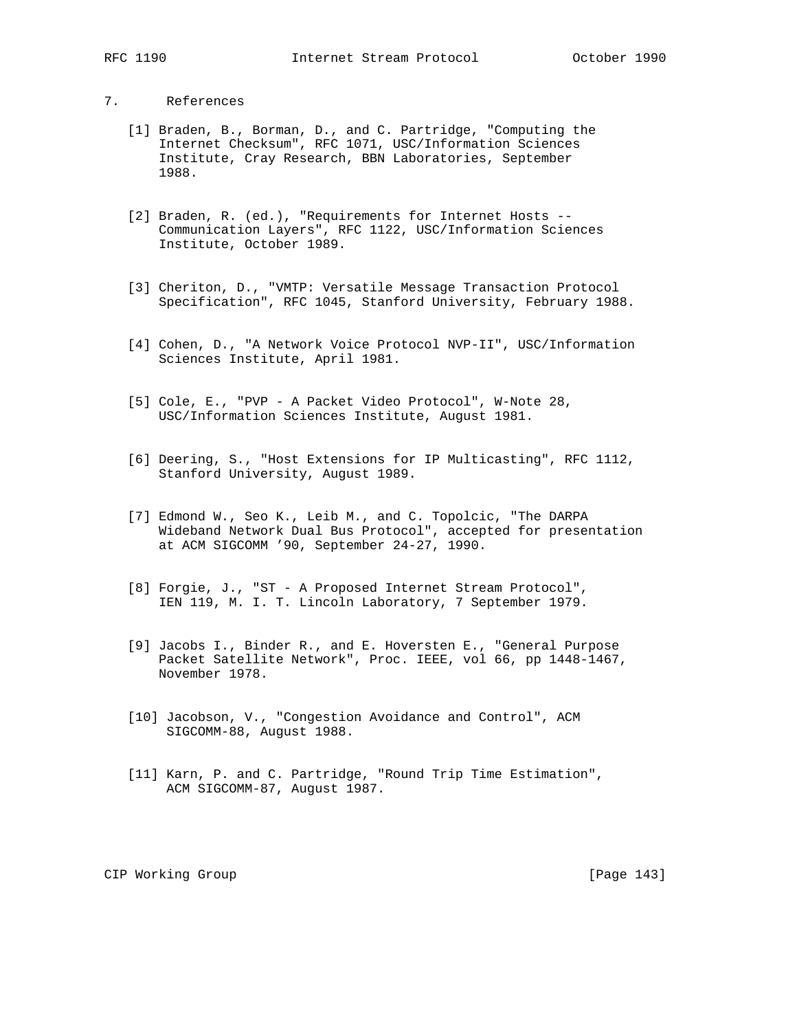# 7. References

- [1] Braden, B., Borman, D., and C. Partridge, "Computing the Internet Checksum", RFC 1071, USC/Information Sciences Institute, Cray Research, BBN Laboratories, September 1988.
- [2] Braden, R. (ed.), "Requirements for Internet Hosts -- Communication Layers", RFC 1122, USC/Information Sciences Institute, October 1989.
- [3] Cheriton, D., "VMTP: Versatile Message Transaction Protocol Specification", RFC 1045, Stanford University, February 1988.
- [4] Cohen, D., "A Network Voice Protocol NVP-II", USC/Information Sciences Institute, April 1981.
- [5] Cole, E., "PVP A Packet Video Protocol", W-Note 28, USC/Information Sciences Institute, August 1981.
- [6] Deering, S., "Host Extensions for IP Multicasting", RFC 1112, Stanford University, August 1989.
- [7] Edmond W., Seo K., Leib M., and C. Topolcic, "The DARPA Wideband Network Dual Bus Protocol", accepted for presentation at ACM SIGCOMM '90, September 24-27, 1990.
- [8] Forgie, J., "ST A Proposed Internet Stream Protocol", IEN 119, M. I. T. Lincoln Laboratory, 7 September 1979.
- [9] Jacobs I., Binder R., and E. Hoversten E., "General Purpose Packet Satellite Network", Proc. IEEE, vol 66, pp 1448-1467, November 1978.
- [10] Jacobson, V., "Congestion Avoidance and Control", ACM SIGCOMM-88, August 1988.
- [11] Karn, P. and C. Partridge, "Round Trip Time Estimation", ACM SIGCOMM-87, August 1987.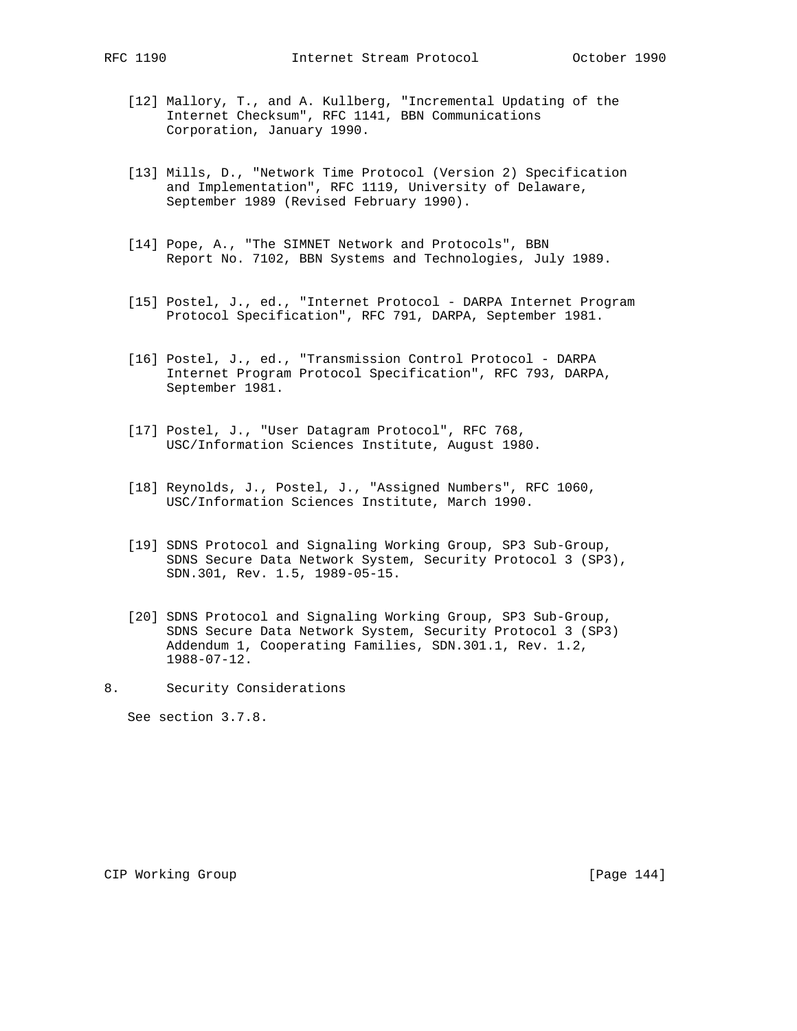- [12] Mallory, T., and A. Kullberg, "Incremental Updating of the Internet Checksum", RFC 1141, BBN Communications Corporation, January 1990.
- [13] Mills, D., "Network Time Protocol (Version 2) Specification and Implementation", RFC 1119, University of Delaware, September 1989 (Revised February 1990).
- [14] Pope, A., "The SIMNET Network and Protocols", BBN Report No. 7102, BBN Systems and Technologies, July 1989.
- [15] Postel, J., ed., "Internet Protocol DARPA Internet Program Protocol Specification", RFC 791, DARPA, September 1981.
- [16] Postel, J., ed., "Transmission Control Protocol DARPA Internet Program Protocol Specification", RFC 793, DARPA, September 1981.
- [17] Postel, J., "User Datagram Protocol", RFC 768, USC/Information Sciences Institute, August 1980.
- [18] Reynolds, J., Postel, J., "Assigned Numbers", RFC 1060, USC/Information Sciences Institute, March 1990.
- [19] SDNS Protocol and Signaling Working Group, SP3 Sub-Group, SDNS Secure Data Network System, Security Protocol 3 (SP3), SDN.301, Rev. 1.5, 1989-05-15.
- [20] SDNS Protocol and Signaling Working Group, SP3 Sub-Group, SDNS Secure Data Network System, Security Protocol 3 (SP3) Addendum 1, Cooperating Families, SDN.301.1, Rev. 1.2, 1988-07-12.
- 8. Security Considerations

See section 3.7.8.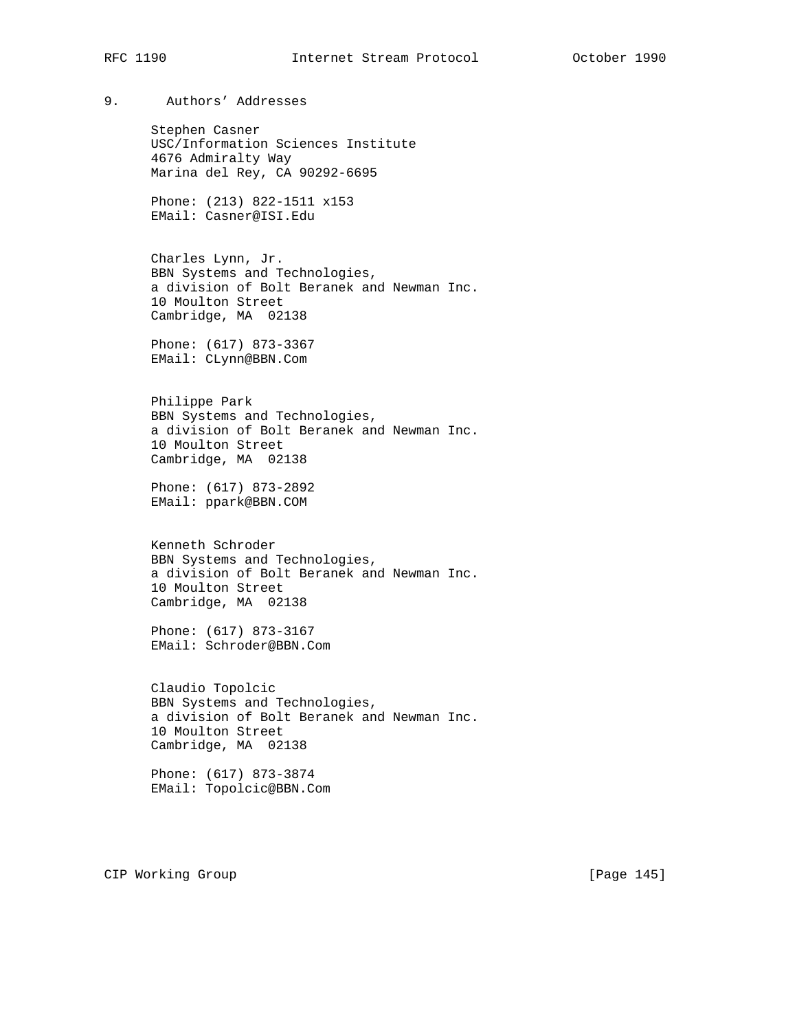## RFC 1190 Internet Stream Protocol October 1990

## 9. Authors' Addresses

 Stephen Casner USC/Information Sciences Institute 4676 Admiralty Way Marina del Rey, CA 90292-6695

 Phone: (213) 822-1511 x153 EMail: Casner@ISI.Edu

 Charles Lynn, Jr. BBN Systems and Technologies, a division of Bolt Beranek and Newman Inc. 10 Moulton Street Cambridge, MA 02138

 Phone: (617) 873-3367 EMail: CLynn@BBN.Com

 Philippe Park BBN Systems and Technologies, a division of Bolt Beranek and Newman Inc. 10 Moulton Street Cambridge, MA 02138

 Phone: (617) 873-2892 EMail: ppark@BBN.COM

 Kenneth Schroder BBN Systems and Technologies, a division of Bolt Beranek and Newman Inc. 10 Moulton Street Cambridge, MA 02138

 Phone: (617) 873-3167 EMail: Schroder@BBN.Com

 Claudio Topolcic BBN Systems and Technologies, a division of Bolt Beranek and Newman Inc. 10 Moulton Street Cambridge, MA 02138

 Phone: (617) 873-3874 EMail: Topolcic@BBN.Com

CIP Working Group and the contract of the contract of the contract of the contract of the contract of the contract of the contract of the contract of the contract of the contract of the contract of the contract of the cont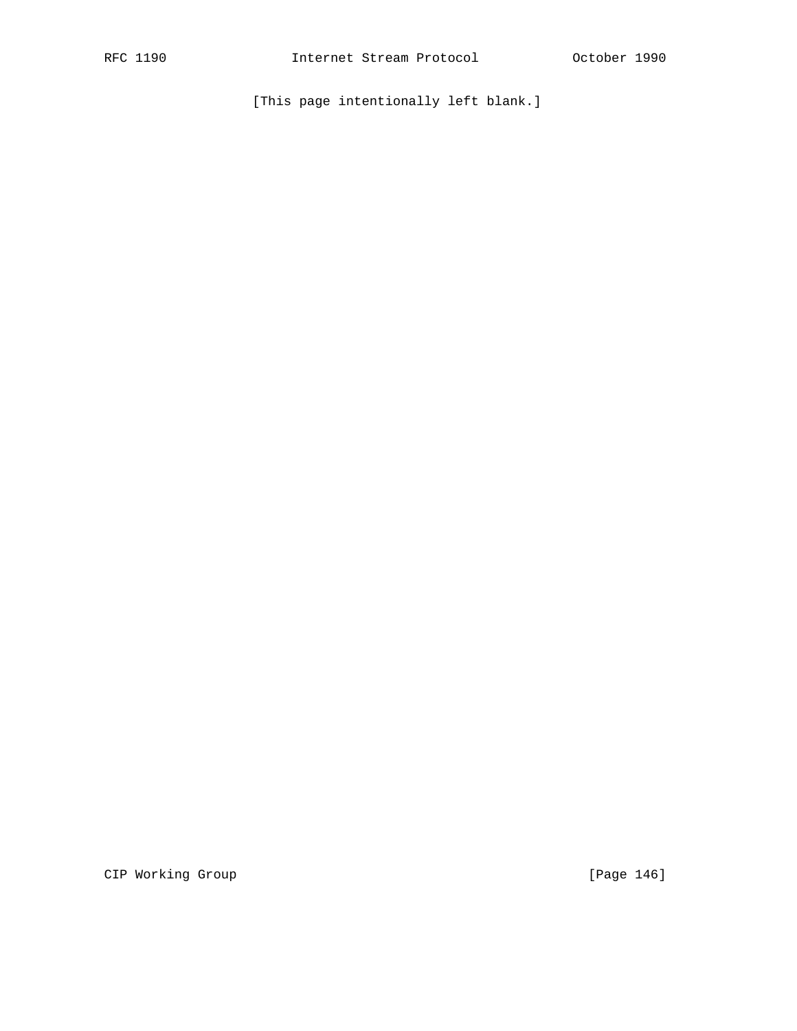[This page intentionally left blank.]

CIP Working Group **compared to the CIP CIP Working Group**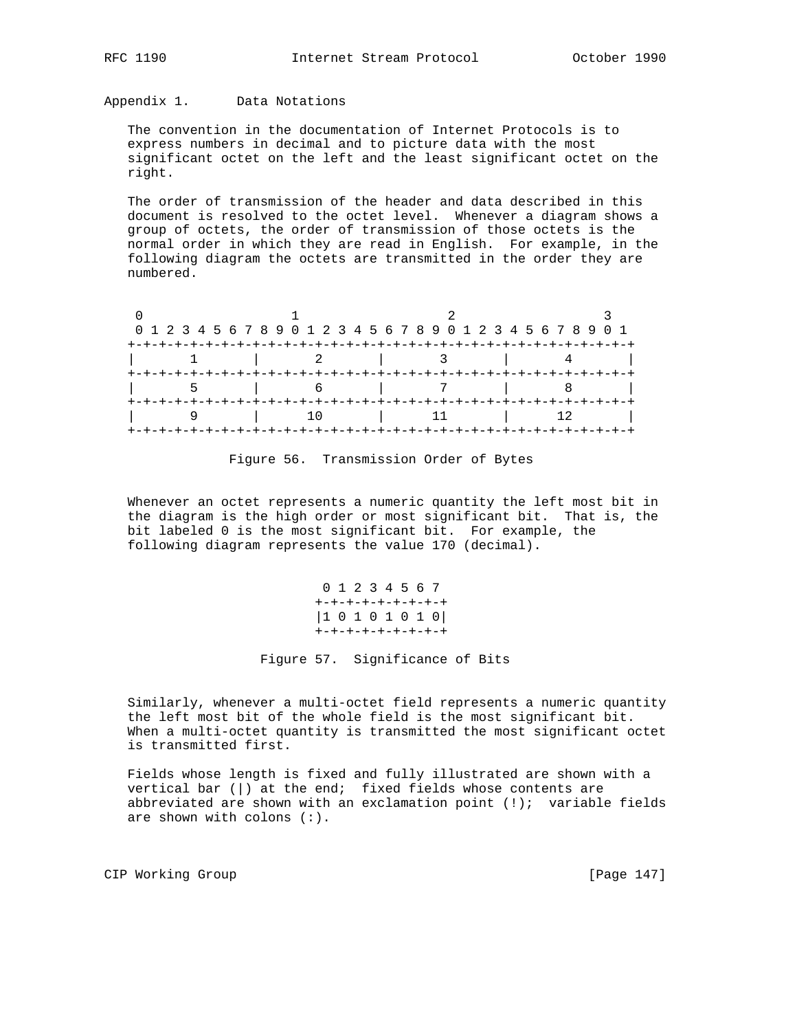## Appendix 1. Data Notations

 The convention in the documentation of Internet Protocols is to express numbers in decimal and to picture data with the most significant octet on the left and the least significant octet on the right.

 The order of transmission of the header and data described in this document is resolved to the octet level. Whenever a diagram shows a group of octets, the order of transmission of those octets is the normal order in which they are read in English. For example, in the following diagram the octets are transmitted in the order they are numbered.

|  | 0 1 2 3 4 5 6 7 8 9 0 1 2 3 4 5 6 7 8 9 0 1 2 3 4 5 6 7 8 9 0 1 |  |
|--|-----------------------------------------------------------------|--|
|  |                                                                 |  |
|  |                                                                 |  |
|  |                                                                 |  |
|  | +-+-+-+-+-+-+-+-+-+-+-+-+-+-                                    |  |
|  |                                                                 |  |

Figure 56. Transmission Order of Bytes

 Whenever an octet represents a numeric quantity the left most bit in the diagram is the high order or most significant bit. That is, the bit labeled 0 is the most significant bit. For example, the following diagram represents the value 170 (decimal).

> 0 1 2 3 4 5 6 7 +-+-+-+-+-+-+-+-+ |1 0 1 0 1 0 1 0| +-+-+-+-+-+-+-+-+

Figure 57. Significance of Bits

 Similarly, whenever a multi-octet field represents a numeric quantity the left most bit of the whole field is the most significant bit. When a multi-octet quantity is transmitted the most significant octet is transmitted first.

 Fields whose length is fixed and fully illustrated are shown with a vertical bar (|) at the end; fixed fields whose contents are abbreviated are shown with an exclamation point (!); variable fields are shown with colons (:).

CIP Working Group and the contract of the contract of the contract of the contract of the contract of the contract of the contract of the contract of the contract of the contract of the contract of the contract of the cont